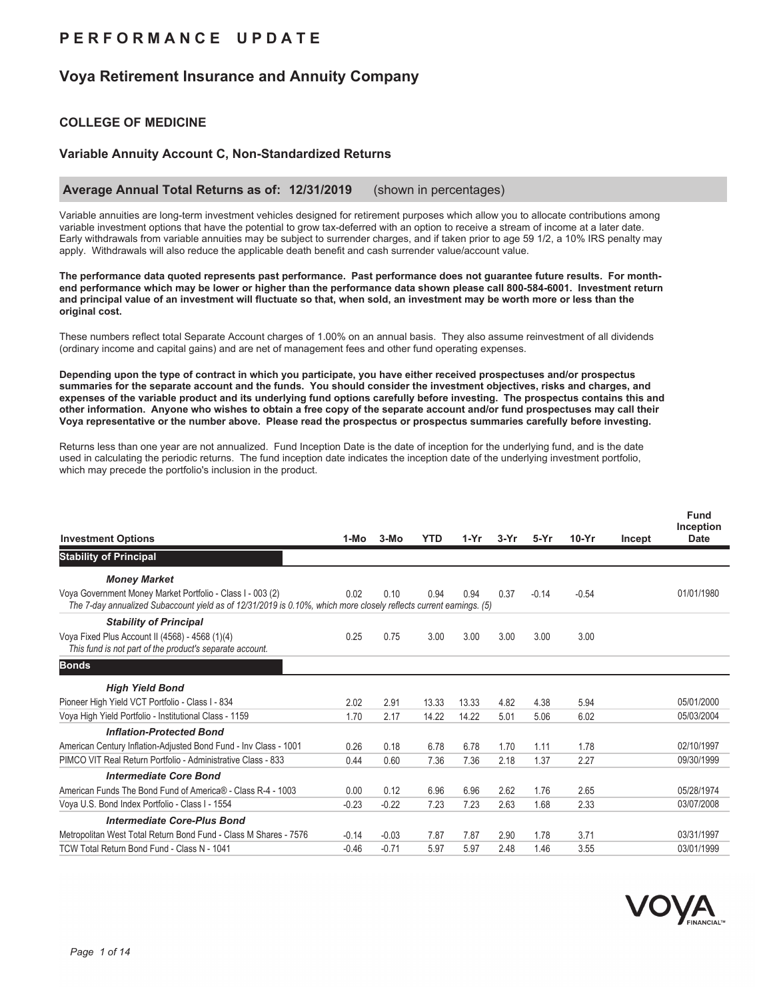## **P E R F O R M A N C E U P D A T E**

## **Voya Retirement Insurance and Annuity Company**

### **COLLEGE OF MEDICINE**

### **Variable Annuity Account C, Non-Standardized Returns**

#### **Average Annual Total Returns as of: 12/31/2019** (shown in percentages)

Variable annuities are long-term investment vehicles designed for retirement purposes which allow you to allocate contributions among variable investment options that have the potential to grow tax-deferred with an option to receive a stream of income at a later date. Early withdrawals from variable annuities may be subject to surrender charges, and if taken prior to age 59 1/2, a 10% IRS penalty may apply. Withdrawals will also reduce the applicable death benefit and cash surrender value/account value.

**The performance data quoted represents past performance. Past performance does not guarantee future results. For monthend performance which may be lower or higher than the performance data shown please call 800-584-6001. Investment return and principal value of an investment will fluctuate so that, when sold, an investment may be worth more or less than the original cost.**

These numbers reflect total Separate Account charges of 1.00% on an annual basis. They also assume reinvestment of all dividends (ordinary income and capital gains) and are net of management fees and other fund operating expenses.

**Depending upon the type of contract in which you participate, you have either received prospectuses and/or prospectus summaries for the separate account and the funds. You should consider the investment objectives, risks and charges, and expenses of the variable product and its underlying fund options carefully before investing. The prospectus contains this and other information. Anyone who wishes to obtain a free copy of the separate account and/or fund prospectuses may call their Voya representative or the number above. Please read the prospectus or prospectus summaries carefully before investing.**

Returns less than one year are not annualized. Fund Inception Date is the date of inception for the underlying fund, and is the date used in calculating the periodic returns. The fund inception date indicates the inception date of the underlying investment portfolio, which may precede the portfolio's inclusion in the product.

| <b>Investment Options</b>                                                                                                                                                        | 1-Mo    | $3-MO$  | <b>YTD</b> | $1-Yr$ | $3-Yr$ | $5-Yr$  | $10-Yr$ | Incept | <b>Fund</b><br>Inception<br><b>Date</b> |
|----------------------------------------------------------------------------------------------------------------------------------------------------------------------------------|---------|---------|------------|--------|--------|---------|---------|--------|-----------------------------------------|
| <b>Stability of Principal</b>                                                                                                                                                    |         |         |            |        |        |         |         |        |                                         |
| <b>Money Market</b>                                                                                                                                                              |         |         |            |        |        |         |         |        |                                         |
| Voya Government Money Market Portfolio - Class I - 003 (2)<br>The 7-day annualized Subaccount yield as of 12/31/2019 is 0.10%, which more closely reflects current earnings. (5) | 0.02    | 0.10    | 0.94       | 0.94   | 0.37   | $-0.14$ | $-0.54$ |        | 01/01/1980                              |
| <b>Stability of Principal</b>                                                                                                                                                    |         |         |            |        |        |         |         |        |                                         |
| Voya Fixed Plus Account II (4568) - 4568 (1)(4)<br>This fund is not part of the product's separate account.                                                                      | 0.25    | 0.75    | 3.00       | 3.00   | 3.00   | 3.00    | 3.00    |        |                                         |
| <b>Bonds</b>                                                                                                                                                                     |         |         |            |        |        |         |         |        |                                         |
| <b>High Yield Bond</b>                                                                                                                                                           |         |         |            |        |        |         |         |        |                                         |
| Pioneer High Yield VCT Portfolio - Class I - 834                                                                                                                                 | 2.02    | 2.91    | 13.33      | 13.33  | 4.82   | 4.38    | 5.94    |        | 05/01/2000                              |
| Voya High Yield Portfolio - Institutional Class - 1159                                                                                                                           | 1.70    | 2.17    | 14.22      | 14.22  | 5.01   | 5.06    | 6.02    |        | 05/03/2004                              |
| <b>Inflation-Protected Bond</b>                                                                                                                                                  |         |         |            |        |        |         |         |        |                                         |
| American Century Inflation-Adjusted Bond Fund - Inv Class - 1001                                                                                                                 | 0.26    | 0.18    | 6.78       | 6.78   | 1.70   | 1.11    | 1.78    |        | 02/10/1997                              |
| PIMCO VIT Real Return Portfolio - Administrative Class - 833                                                                                                                     | 0.44    | 0.60    | 7.36       | 7.36   | 2.18   | 1.37    | 2.27    |        | 09/30/1999                              |
| <b>Intermediate Core Bond</b>                                                                                                                                                    |         |         |            |        |        |         |         |        |                                         |
| American Funds The Bond Fund of America® - Class R-4 - 1003                                                                                                                      | 0.00    | 0.12    | 6.96       | 6.96   | 2.62   | 1.76    | 2.65    |        | 05/28/1974                              |
| Voya U.S. Bond Index Portfolio - Class I - 1554                                                                                                                                  | $-0.23$ | $-0.22$ | 7.23       | 7.23   | 2.63   | 1.68    | 2.33    |        | 03/07/2008                              |
| <b>Intermediate Core-Plus Bond</b>                                                                                                                                               |         |         |            |        |        |         |         |        |                                         |
| Metropolitan West Total Return Bond Fund - Class M Shares - 7576                                                                                                                 | $-0.14$ | $-0.03$ | 7.87       | 7.87   | 2.90   | 1.78    | 3.71    |        | 03/31/1997                              |
| TCW Total Return Bond Fund - Class N - 1041                                                                                                                                      | $-0.46$ | $-0.71$ | 5.97       | 5.97   | 2.48   | 1.46    | 3.55    |        | 03/01/1999                              |

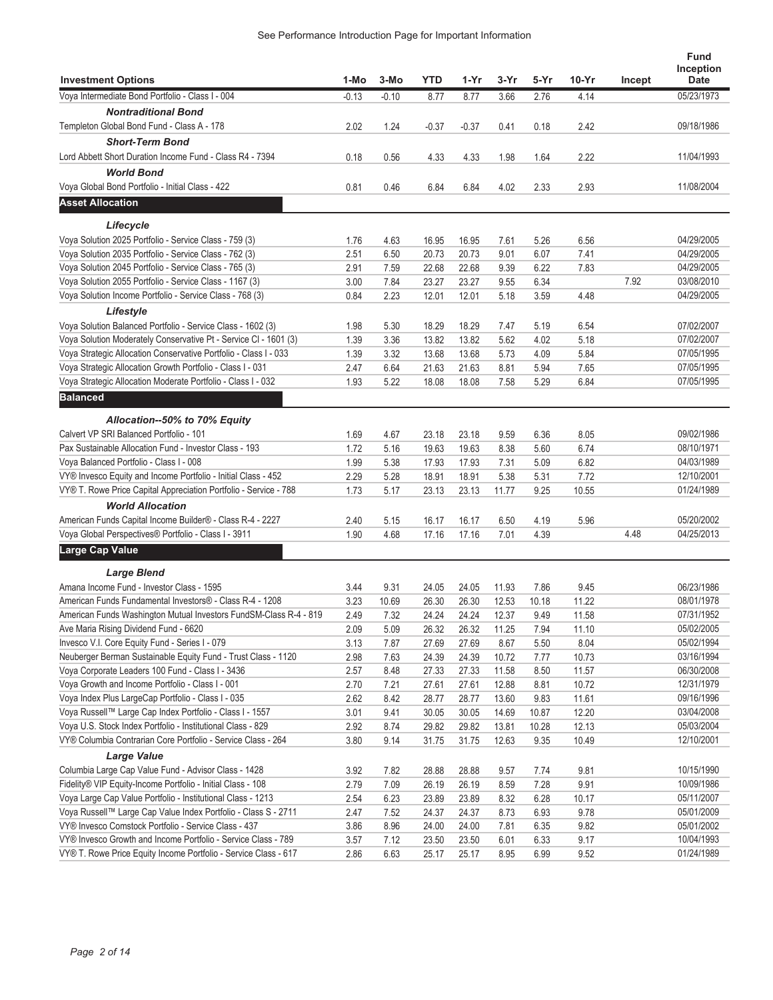| <b>Investment Options</b>                                         | 1-Mo    | 3-Mo    | <b>YTD</b> | 1-Yr    | 3-Yr  | 5-Yr  | 10-Yr | Incept | <b>Fund</b><br>Inception<br><b>Date</b> |
|-------------------------------------------------------------------|---------|---------|------------|---------|-------|-------|-------|--------|-----------------------------------------|
| Voya Intermediate Bond Portfolio - Class I - 004                  | $-0.13$ | $-0.10$ | 8.77       | 8.77    | 3.66  | 2.76  | 4.14  |        | 05/23/1973                              |
| <b>Nontraditional Bond</b>                                        |         |         |            |         |       |       |       |        |                                         |
| Templeton Global Bond Fund - Class A - 178                        | 2.02    | 1.24    | $-0.37$    | $-0.37$ | 0.41  | 0.18  | 2.42  |        | 09/18/1986                              |
| <b>Short-Term Bond</b>                                            |         |         |            |         |       |       |       |        |                                         |
| Lord Abbett Short Duration Income Fund - Class R4 - 7394          | 0.18    | 0.56    | 4.33       | 4.33    | 1.98  | 1.64  | 2.22  |        | 11/04/1993                              |
| <b>World Bond</b>                                                 |         |         |            |         |       |       |       |        |                                         |
| Voya Global Bond Portfolio - Initial Class - 422                  | 0.81    | 0.46    | 6.84       | 6.84    | 4.02  | 2.33  | 2.93  |        | 11/08/2004                              |
|                                                                   |         |         |            |         |       |       |       |        |                                         |
| <b>Asset Allocation</b>                                           |         |         |            |         |       |       |       |        |                                         |
| Lifecycle                                                         |         |         |            |         |       |       |       |        |                                         |
| Voya Solution 2025 Portfolio - Service Class - 759 (3)            | 1.76    | 4.63    | 16.95      | 16.95   | 7.61  | 5.26  | 6.56  |        | 04/29/2005                              |
| Voya Solution 2035 Portfolio - Service Class - 762 (3)            | 2.51    | 6.50    | 20.73      | 20.73   | 9.01  | 6.07  | 7.41  |        | 04/29/2005                              |
| Voya Solution 2045 Portfolio - Service Class - 765 (3)            | 2.91    | 7.59    | 22.68      | 22.68   | 9.39  | 6.22  | 7.83  |        | 04/29/2005                              |
| Voya Solution 2055 Portfolio - Service Class - 1167 (3)           | 3.00    | 7.84    | 23.27      | 23.27   | 9.55  | 6.34  |       | 7.92   | 03/08/2010                              |
| Voya Solution Income Portfolio - Service Class - 768 (3)          | 0.84    | 2.23    | 12.01      | 12.01   | 5.18  | 3.59  | 4.48  |        | 04/29/2005                              |
| Lifestyle                                                         |         |         |            |         |       |       |       |        |                                         |
| Voya Solution Balanced Portfolio - Service Class - 1602 (3)       | 1.98    | 5.30    | 18.29      | 18.29   | 7.47  | 5.19  | 6.54  |        | 07/02/2007                              |
| Voya Solution Moderately Conservative Pt - Service CI - 1601 (3)  | 1.39    | 3.36    | 13.82      | 13.82   | 5.62  | 4.02  | 5.18  |        | 07/02/2007                              |
| Voya Strategic Allocation Conservative Portfolio - Class I - 033  | 1.39    | 3.32    | 13.68      | 13.68   | 5.73  | 4.09  | 5.84  |        | 07/05/1995                              |
| Voya Strategic Allocation Growth Portfolio - Class I - 031        | 2.47    | 6.64    | 21.63      | 21.63   | 8.81  | 5.94  | 7.65  |        | 07/05/1995                              |
| Voya Strategic Allocation Moderate Portfolio - Class I - 032      | 1.93    | 5.22    | 18.08      | 18.08   | 7.58  | 5.29  | 6.84  |        | 07/05/1995                              |
| <b>Balanced</b>                                                   |         |         |            |         |       |       |       |        |                                         |
|                                                                   |         |         |            |         |       |       |       |        |                                         |
| Allocation--50% to 70% Equity                                     |         |         |            |         |       |       |       |        |                                         |
| Calvert VP SRI Balanced Portfolio - 101                           | 1.69    | 4.67    | 23.18      | 23.18   | 9.59  | 6.36  | 8.05  |        | 09/02/1986                              |
| Pax Sustainable Allocation Fund - Investor Class - 193            | 1.72    | 5.16    | 19.63      | 19.63   | 8.38  | 5.60  | 6.74  |        | 08/10/1971                              |
| Voya Balanced Portfolio - Class I - 008                           | 1.99    | 5.38    | 17.93      | 17.93   | 7.31  | 5.09  | 6.82  |        | 04/03/1989                              |
| VY® Invesco Equity and Income Portfolio - Initial Class - 452     | 2.29    | 5.28    | 18.91      | 18.91   | 5.38  | 5.31  | 7.72  |        | 12/10/2001                              |
| VY® T. Rowe Price Capital Appreciation Portfolio - Service - 788  | 1.73    | 5.17    | 23.13      | 23.13   | 11.77 | 9.25  | 10.55 |        | 01/24/1989                              |
| <b>World Allocation</b>                                           |         |         |            |         |       |       |       |        |                                         |
| American Funds Capital Income Builder® - Class R-4 - 2227         | 2.40    | 5.15    | 16.17      | 16.17   | 6.50  | 4.19  | 5.96  |        | 05/20/2002                              |
| Voya Global Perspectives® Portfolio - Class I - 3911              | 1.90    | 4.68    | 17.16      | 17.16   | 7.01  | 4.39  |       | 4.48   | 04/25/2013                              |
| Large Cap Value                                                   |         |         |            |         |       |       |       |        |                                         |
| <b>Large Blend</b>                                                |         |         |            |         |       |       |       |        |                                         |
| Amana Income Fund - Investor Class - 1595                         | 3.44    | 9.31    | 24.05      | 24.05   | 11.93 | 7.86  | 9.45  |        | 06/23/1986                              |
| American Funds Fundamental Investors® - Class R-4 - 1208          | 3.23    | 10.69   | 26.30      | 26.30   | 12.53 | 10.18 | 11.22 |        | 08/01/1978                              |
| American Funds Washington Mutual Investors FundSM-Class R-4 - 819 | 2.49    | 7.32    | 24.24      | 24.24   | 12.37 | 9.49  | 11.58 |        | 07/31/1952                              |
| Ave Maria Rising Dividend Fund - 6620                             | 2.09    | 5.09    | 26.32      | 26.32   | 11.25 | 7.94  | 11.10 |        | 05/02/2005                              |
| Invesco V.I. Core Equity Fund - Series I - 079                    | 3.13    | 7.87    | 27.69      | 27.69   | 8.67  | 5.50  | 8.04  |        | 05/02/1994                              |
| Neuberger Berman Sustainable Equity Fund - Trust Class - 1120     | 2.98    | 7.63    | 24.39      | 24.39   | 10.72 | 7.77  | 10.73 |        | 03/16/1994                              |
| Voya Corporate Leaders 100 Fund - Class I - 3436                  | 2.57    | 8.48    | 27.33      | 27.33   | 11.58 | 8.50  | 11.57 |        | 06/30/2008                              |
| Voya Growth and Income Portfolio - Class I - 001                  | 2.70    | 7.21    | 27.61      | 27.61   | 12.88 | 8.81  | 10.72 |        | 12/31/1979                              |
| Voya Index Plus LargeCap Portfolio - Class I - 035                | 2.62    | 8.42    | 28.77      | 28.77   | 13.60 | 9.83  | 11.61 |        | 09/16/1996                              |
| Voya Russell™ Large Cap Index Portfolio - Class I - 1557          | 3.01    | 9.41    | 30.05      | 30.05   | 14.69 | 10.87 | 12.20 |        | 03/04/2008                              |
| Voya U.S. Stock Index Portfolio - Institutional Class - 829       | 2.92    | 8.74    | 29.82      | 29.82   | 13.81 | 10.28 | 12.13 |        | 05/03/2004                              |
| VY® Columbia Contrarian Core Portfolio - Service Class - 264      | 3.80    | 9.14    | 31.75      | 31.75   | 12.63 | 9.35  | 10.49 |        | 12/10/2001                              |
| <b>Large Value</b>                                                |         |         |            |         |       |       |       |        |                                         |
| Columbia Large Cap Value Fund - Advisor Class - 1428              | 3.92    | 7.82    | 28.88      | 28.88   | 9.57  | 7.74  | 9.81  |        | 10/15/1990                              |
| Fidelity® VIP Equity-Income Portfolio - Initial Class - 108       | 2.79    | 7.09    | 26.19      | 26.19   | 8.59  | 7.28  | 9.91  |        | 10/09/1986                              |
| Voya Large Cap Value Portfolio - Institutional Class - 1213       | 2.54    | 6.23    | 23.89      | 23.89   | 8.32  | 6.28  | 10.17 |        | 05/11/2007                              |
| Voya Russell™ Large Cap Value Index Portfolio - Class S - 2711    | 2.47    | 7.52    | 24.37      | 24.37   | 8.73  | 6.93  | 9.78  |        | 05/01/2009                              |
| VY® Invesco Comstock Portfolio - Service Class - 437              | 3.86    | 8.96    | 24.00      | 24.00   | 7.81  | 6.35  | 9.82  |        | 05/01/2002                              |
| VY® Invesco Growth and Income Portfolio - Service Class - 789     | 3.57    | 7.12    | 23.50      | 23.50   | 6.01  | 6.33  | 9.17  |        | 10/04/1993                              |
| VY® T. Rowe Price Equity Income Portfolio - Service Class - 617   | 2.86    | 6.63    | 25.17      | 25.17   | 8.95  | 6.99  | 9.52  |        | 01/24/1989                              |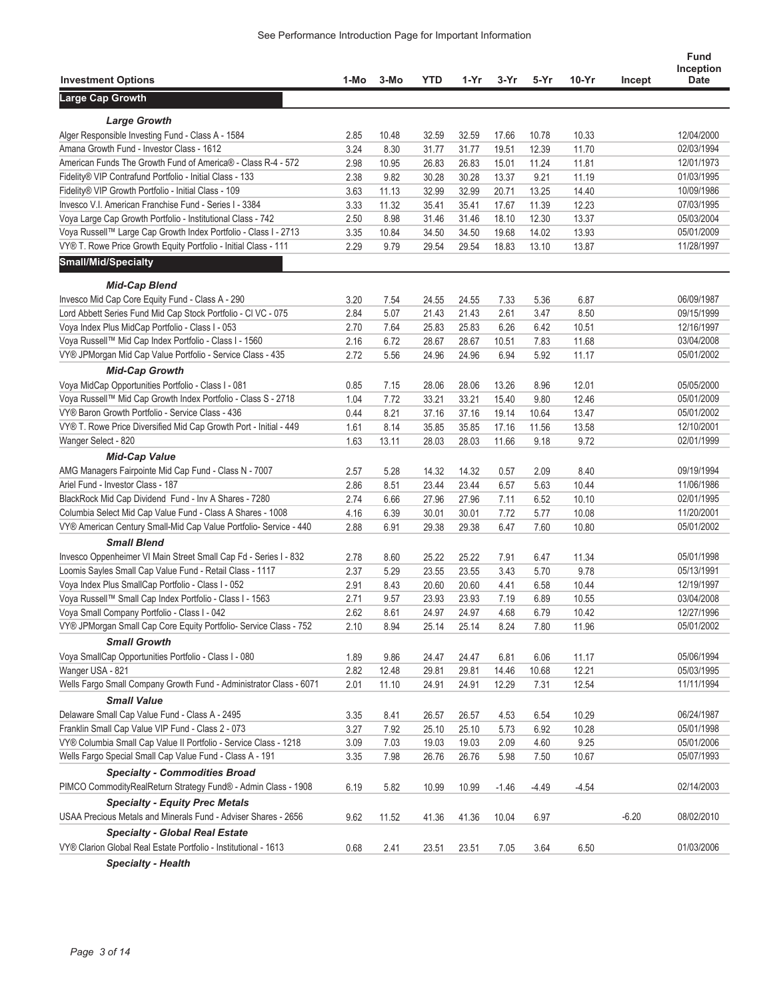|                                                                    |      |       |       |       |         |         |         |         | Fund                     |
|--------------------------------------------------------------------|------|-------|-------|-------|---------|---------|---------|---------|--------------------------|
| <b>Investment Options</b>                                          | 1-Mo | 3-Mo  | YTD   | 1-Yr  | 3-Yr    | 5-Yr    | $10-Yr$ | Incept  | Inception<br><b>Date</b> |
| Large Cap Growth                                                   |      |       |       |       |         |         |         |         |                          |
|                                                                    |      |       |       |       |         |         |         |         |                          |
| <b>Large Growth</b>                                                |      |       |       |       |         |         |         |         |                          |
| Alger Responsible Investing Fund - Class A - 1584                  | 2.85 | 10.48 | 32.59 | 32.59 | 17.66   | 10.78   | 10.33   |         | 12/04/2000               |
| Amana Growth Fund - Investor Class - 1612                          | 3.24 | 8.30  | 31.77 | 31.77 | 19.51   | 12.39   | 11.70   |         | 02/03/1994               |
| American Funds The Growth Fund of America® - Class R-4 - 572       | 2.98 | 10.95 | 26.83 | 26.83 | 15.01   | 11.24   | 11.81   |         | 12/01/1973               |
| Fidelity® VIP Contrafund Portfolio - Initial Class - 133           | 2.38 | 9.82  | 30.28 | 30.28 | 13.37   | 9.21    | 11.19   |         | 01/03/1995               |
| Fidelity® VIP Growth Portfolio - Initial Class - 109               | 3.63 | 11.13 | 32.99 | 32.99 | 20.71   | 13.25   | 14.40   |         | 10/09/1986               |
| Invesco V.I. American Franchise Fund - Series I - 3384             | 3.33 | 11.32 | 35.41 | 35.41 | 17.67   | 11.39   | 12.23   |         | 07/03/1995               |
| Voya Large Cap Growth Portfolio - Institutional Class - 742        | 2.50 | 8.98  | 31.46 | 31.46 | 18.10   | 12.30   | 13.37   |         | 05/03/2004               |
| Voya Russell™ Large Cap Growth Index Portfolio - Class I - 2713    | 3.35 | 10.84 | 34.50 | 34.50 | 19.68   | 14.02   | 13.93   |         | 05/01/2009               |
| VY® T. Rowe Price Growth Equity Portfolio - Initial Class - 111    | 2.29 | 9.79  | 29.54 | 29.54 | 18.83   | 13.10   | 13.87   |         | 11/28/1997               |
| <b>Small/Mid/Specialty</b>                                         |      |       |       |       |         |         |         |         |                          |
| <b>Mid-Cap Blend</b>                                               |      |       |       |       |         |         |         |         |                          |
| Invesco Mid Cap Core Equity Fund - Class A - 290                   | 3.20 | 7.54  | 24.55 | 24.55 | 7.33    | 5.36    | 6.87    |         | 06/09/1987               |
| Lord Abbett Series Fund Mid Cap Stock Portfolio - CI VC - 075      | 2.84 | 5.07  | 21.43 | 21.43 | 2.61    | 3.47    | 8.50    |         | 09/15/1999               |
| Voya Index Plus MidCap Portfolio - Class I - 053                   | 2.70 | 7.64  | 25.83 | 25.83 | 6.26    | 6.42    | 10.51   |         | 12/16/1997               |
| Voya Russell™ Mid Cap Index Portfolio - Class I - 1560             | 2.16 | 6.72  | 28.67 | 28.67 | 10.51   | 7.83    | 11.68   |         | 03/04/2008               |
| VY® JPMorgan Mid Cap Value Portfolio - Service Class - 435         | 2.72 | 5.56  | 24.96 | 24.96 | 6.94    | 5.92    | 11.17   |         | 05/01/2002               |
| <b>Mid-Cap Growth</b>                                              |      |       |       |       |         |         |         |         |                          |
| Voya MidCap Opportunities Portfolio - Class I - 081                | 0.85 | 7.15  | 28.06 | 28.06 | 13.26   | 8.96    | 12.01   |         | 05/05/2000               |
| Voya Russell™ Mid Cap Growth Index Portfolio - Class S - 2718      | 1.04 | 7.72  | 33.21 | 33.21 | 15.40   | 9.80    | 12.46   |         | 05/01/2009               |
| VY® Baron Growth Portfolio - Service Class - 436                   | 0.44 | 8.21  | 37.16 | 37.16 | 19.14   | 10.64   | 13.47   |         | 05/01/2002               |
| VY® T. Rowe Price Diversified Mid Cap Growth Port - Initial - 449  | 1.61 | 8.14  | 35.85 | 35.85 | 17.16   | 11.56   | 13.58   |         | 12/10/2001               |
| Wanger Select - 820                                                | 1.63 | 13.11 | 28.03 | 28.03 | 11.66   | 9.18    | 9.72    |         | 02/01/1999               |
| <b>Mid-Cap Value</b>                                               |      |       |       |       |         |         |         |         |                          |
| AMG Managers Fairpointe Mid Cap Fund - Class N - 7007              | 2.57 | 5.28  | 14.32 | 14.32 | 0.57    | 2.09    | 8.40    |         | 09/19/1994               |
| Ariel Fund - Investor Class - 187                                  | 2.86 | 8.51  | 23.44 | 23.44 | 6.57    | 5.63    | 10.44   |         | 11/06/1986               |
| BlackRock Mid Cap Dividend Fund - Inv A Shares - 7280              | 2.74 | 6.66  | 27.96 | 27.96 | 7.11    | 6.52    | 10.10   |         | 02/01/1995               |
| Columbia Select Mid Cap Value Fund - Class A Shares - 1008         | 4.16 | 6.39  | 30.01 | 30.01 | 7.72    | 5.77    | 10.08   |         | 11/20/2001               |
| VY® American Century Small-Mid Cap Value Portfolio- Service - 440  | 2.88 | 6.91  | 29.38 | 29.38 | 6.47    | 7.60    | 10.80   |         | 05/01/2002               |
| <b>Small Blend</b>                                                 |      |       |       |       |         |         |         |         |                          |
|                                                                    |      |       |       |       |         |         |         |         |                          |
| Invesco Oppenheimer VI Main Street Small Cap Fd - Series I - 832   | 2.78 | 8.60  | 25.22 | 25.22 | 7.91    | 6.47    | 11.34   |         | 05/01/1998               |
| Loomis Sayles Small Cap Value Fund - Retail Class - 1117           | 2.37 | 5.29  | 23.55 | 23.55 | 3.43    | 5.70    | 9.78    |         | 05/13/1991               |
| Voya Index Plus SmallCap Portfolio - Class I - 052                 | 2.91 | 8.43  | 20.60 | 20.60 | 4.41    | 6.58    | 10.44   |         | 12/19/1997               |
| Voya Russell™ Small Cap Index Portfolio - Class I - 1563           | 2.71 | 9.57  | 23.93 | 23.93 | 7.19    | 6.89    | 10.55   |         | 03/04/2008               |
| Voya Small Company Portfolio - Class I - 042                       | 2.62 | 8.61  | 24.97 | 24.97 | 4.68    | 6.79    | 10.42   |         | 12/27/1996               |
| VY® JPMorgan Small Cap Core Equity Portfolio- Service Class - 752  | 2.10 | 8.94  | 25.14 | 25.14 | 8.24    | 7.80    | 11.96   |         | 05/01/2002               |
| <b>Small Growth</b>                                                |      |       |       |       |         |         |         |         |                          |
| Voya SmallCap Opportunities Portfolio - Class I - 080              | 1.89 | 9.86  | 24.47 | 24.47 | 6.81    | 6.06    | 11.17   |         | 05/06/1994               |
| Wanger USA - 821                                                   | 2.82 | 12.48 | 29.81 | 29.81 | 14.46   | 10.68   | 12.21   |         | 05/03/1995               |
| Wells Fargo Small Company Growth Fund - Administrator Class - 6071 | 2.01 | 11.10 | 24.91 | 24.91 | 12.29   | 7.31    | 12.54   |         | 11/11/1994               |
| <b>Small Value</b>                                                 |      |       |       |       |         |         |         |         |                          |
| Delaware Small Cap Value Fund - Class A - 2495                     | 3.35 | 8.41  | 26.57 | 26.57 | 4.53    | 6.54    | 10.29   |         | 06/24/1987               |
| Franklin Small Cap Value VIP Fund - Class 2 - 073                  | 3.27 | 7.92  | 25.10 | 25.10 | 5.73    | 6.92    | 10.28   |         | 05/01/1998               |
| VY® Columbia Small Cap Value II Portfolio - Service Class - 1218   | 3.09 | 7.03  | 19.03 | 19.03 | 2.09    | 4.60    | 9.25    |         | 05/01/2006               |
| Wells Fargo Special Small Cap Value Fund - Class A - 191           | 3.35 | 7.98  | 26.76 | 26.76 | 5.98    | 7.50    | 10.67   |         | 05/07/1993               |
| <b>Specialty - Commodities Broad</b>                               |      |       |       |       |         |         |         |         |                          |
| PIMCO Commodity Real Return Strategy Fund® - Admin Class - 1908    | 6.19 | 5.82  | 10.99 | 10.99 | $-1.46$ | $-4.49$ | $-4.54$ |         | 02/14/2003               |
| <b>Specialty - Equity Prec Metals</b>                              |      |       |       |       |         |         |         |         |                          |
| USAA Precious Metals and Minerals Fund - Adviser Shares - 2656     | 9.62 | 11.52 | 41.36 | 41.36 | 10.04   | 6.97    |         | $-6.20$ | 08/02/2010               |
| <b>Specialty - Global Real Estate</b>                              |      |       |       |       |         |         |         |         |                          |
| VY® Clarion Global Real Estate Portfolio - Institutional - 1613    | 0.68 | 2.41  | 23.51 | 23.51 | 7.05    | 3.64    | 6.50    |         | 01/03/2006               |
| Specialty - Hoalth                                                 |      |       |       |       |         |         |         |         |                          |

*Specialty - Health*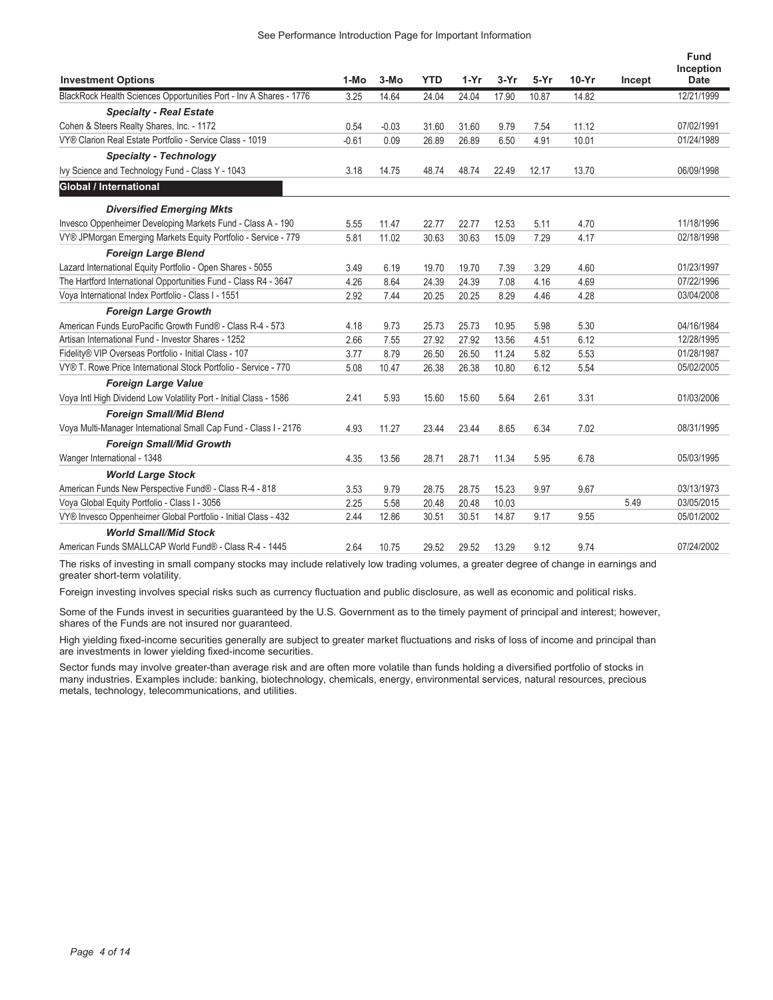| <b>Investment Options</b>                                          | $1-MO$  | $3-MO$  | <b>YTD</b> | $1-Yr$ | $3-Yr$ | $5-Yr$ | $10-Yr$ | Incept | <b>Fund</b><br>Inception<br><b>Date</b> |
|--------------------------------------------------------------------|---------|---------|------------|--------|--------|--------|---------|--------|-----------------------------------------|
| BlackRock Health Sciences Opportunities Port - Inv A Shares - 1776 | 3.25    | 14.64   | 24.04      | 24.04  | 17.90  | 10.87  | 14.82   |        | 12/21/1999                              |
| <b>Specialty - Real Estate</b>                                     |         |         |            |        |        |        |         |        |                                         |
| Cohen & Steers Realty Shares, Inc. - 1172                          | 0.54    | $-0.03$ | 31.60      | 31.60  | 9.79   | 7.54   | 11.12   |        | 07/02/1991                              |
| VY® Clarion Real Estate Portfolio - Service Class - 1019           | $-0.61$ | 0.09    | 26.89      | 26.89  | 6.50   | 4.91   | 10.01   |        | 01/24/1989                              |
| <b>Specialty - Technology</b>                                      |         |         |            |        |        |        |         |        |                                         |
| Ivy Science and Technology Fund - Class Y - 1043                   | 3.18    | 14.75   | 48.74      | 48.74  | 22.49  | 12.17  | 13.70   |        | 06/09/1998                              |
| Global / International                                             |         |         |            |        |        |        |         |        |                                         |
| <b>Diversified Emerging Mkts</b>                                   |         |         |            |        |        |        |         |        |                                         |
| Invesco Oppenheimer Developing Markets Fund - Class A - 190        | 5.55    | 11.47   | 22.77      | 22.77  | 12.53  | 5.11   | 4.70    |        | 11/18/1996                              |
| VY® JPMorgan Emerging Markets Equity Portfolio - Service - 779     | 5.81    | 11.02   | 30.63      | 30.63  | 15.09  | 7.29   | 4.17    |        | 02/18/1998                              |
| <b>Foreign Large Blend</b>                                         |         |         |            |        |        |        |         |        |                                         |
| Lazard International Equity Portfolio - Open Shares - 5055         | 3.49    | 6.19    | 19.70      | 19.70  | 7.39   | 3.29   | 4.60    |        | 01/23/1997                              |
| The Hartford International Opportunities Fund - Class R4 - 3647    | 4.26    | 8.64    | 24.39      | 24.39  | 7.08   | 4.16   | 4.69    |        | 07/22/1996                              |
| Voya International Index Portfolio - Class I - 1551                | 2.92    | 7.44    | 20.25      | 20.25  | 8.29   | 4.46   | 4.28    |        | 03/04/2008                              |
| <b>Foreign Large Growth</b>                                        |         |         |            |        |        |        |         |        |                                         |
| American Funds EuroPacific Growth Fund® - Class R-4 - 573          | 4.18    | 9.73    | 25.73      | 25.73  | 10.95  | 5.98   | 5.30    |        | 04/16/1984                              |
| Artisan International Fund - Investor Shares - 1252                | 2.66    | 7.55    | 27.92      | 27.92  | 13.56  | 4.51   | 6.12    |        | 12/28/1995                              |
| Fidelity® VIP Overseas Portfolio - Initial Class - 107             | 3.77    | 8.79    | 26.50      | 26.50  | 11.24  | 5.82   | 5.53    |        | 01/28/1987                              |
| VY® T. Rowe Price International Stock Portfolio - Service - 770    | 5.08    | 10.47   | 26.38      | 26.38  | 10.80  | 6.12   | 5.54    |        | 05/02/2005                              |
| <b>Foreign Large Value</b>                                         |         |         |            |        |        |        |         |        |                                         |
| Voya Intl High Dividend Low Volatility Port - Initial Class - 1586 | 2.41    | 5.93    | 15.60      | 15.60  | 5.64   | 2.61   | 3.31    |        | 01/03/2006                              |
| <b>Foreign Small/Mid Blend</b>                                     |         |         |            |        |        |        |         |        |                                         |
| Voya Multi-Manager International Small Cap Fund - Class I - 2176   | 4.93    | 11.27   | 23.44      | 23.44  | 8.65   | 6.34   | 7.02    |        | 08/31/1995                              |
| <b>Foreign Small/Mid Growth</b>                                    |         |         |            |        |        |        |         |        |                                         |
| Wanger International - 1348                                        | 4.35    | 13.56   | 28.71      | 28.71  | 11.34  | 5.95   | 6.78    |        | 05/03/1995                              |
| <b>World Large Stock</b>                                           |         |         |            |        |        |        |         |        |                                         |
| American Funds New Perspective Fund® - Class R-4 - 818             | 3.53    | 9.79    | 28.75      | 28.75  | 15.23  | 9.97   | 9.67    |        | 03/13/1973                              |
| Voya Global Equity Portfolio - Class I - 3056                      | 2.25    | 5.58    | 20.48      | 20.48  | 10.03  |        |         | 5.49   | 03/05/2015                              |
| VY® Invesco Oppenheimer Global Portfolio - Initial Class - 432     | 2.44    | 12.86   | 30.51      | 30.51  | 14.87  | 9.17   | 9.55    |        | 05/01/2002                              |
| <b>World Small/Mid Stock</b>                                       |         |         |            |        |        |        |         |        |                                         |
| American Funds SMALLCAP World Fund® - Class R-4 - 1445             | 2.64    | 10.75   | 29.52      | 29.52  | 13.29  | 9.12   | 9.74    |        | 07/24/2002                              |

The risks of investing in small company stocks may include relatively low trading volumes, a greater degree of change in earnings and greater short-term volatility.

Foreign investing involves special risks such as currency fluctuation and public disclosure, as well as economic and political risks.

Some of the Funds invest in securities guaranteed by the U.S. Government as to the timely payment of principal and interest; however, shares of the Funds are not insured nor guaranteed.

High yielding fixed-income securities generally are subject to greater market fluctuations and risks of loss of income and principal than are investments in lower yielding fixed-income securities.

Sector funds may involve greater-than average risk and are often more volatile than funds holding a diversified portfolio of stocks in many industries. Examples include: banking, biotechnology, chemicals, energy, environmental services, natural resources, precious metals, technology, telecommunications, and utilities.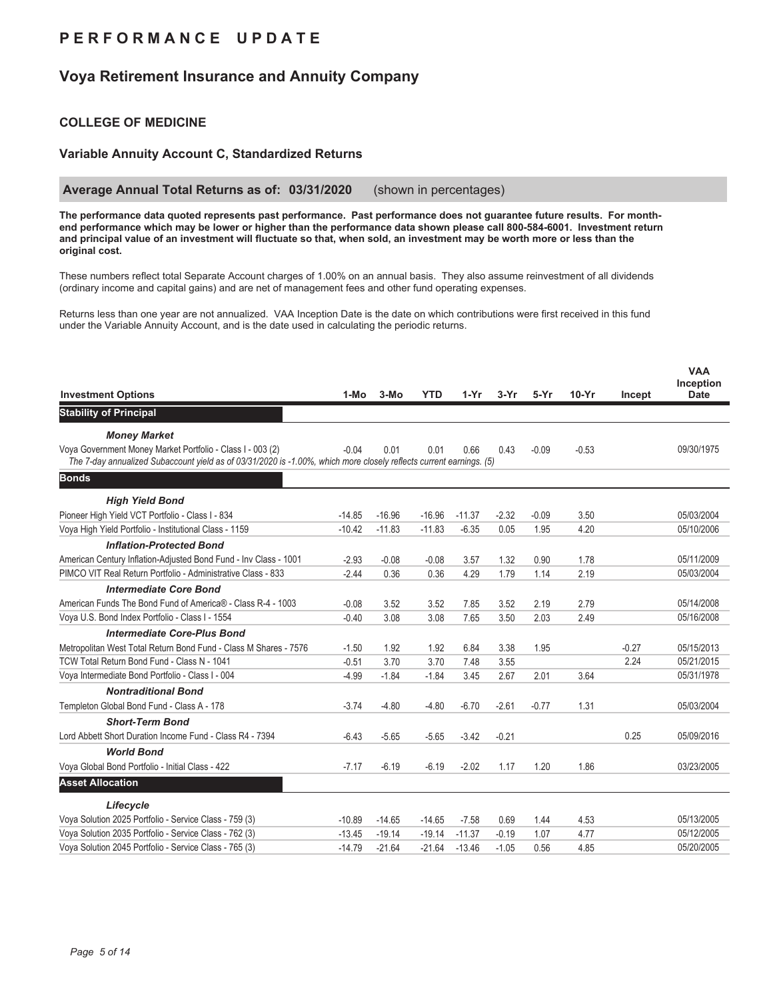## **P E R F O R M A N C E U P D A T E**

## **Voya Retirement Insurance and Annuity Company**

### **COLLEGE OF MEDICINE**

#### **Variable Annuity Account C, Standardized Returns**

#### **Average Annual Total Returns as of: 03/31/2020** (shown in percentages)

**The performance data quoted represents past performance. Past performance does not guarantee future results. For monthend performance which may be lower or higher than the performance data shown please call 800-584-6001. Investment return and principal value of an investment will fluctuate so that, when sold, an investment may be worth more or less than the original cost.**

These numbers reflect total Separate Account charges of 1.00% on an annual basis. They also assume reinvestment of all dividends (ordinary income and capital gains) and are net of management fees and other fund operating expenses.

Returns less than one year are not annualized. VAA Inception Date is the date on which contributions were first received in this fund under the Variable Annuity Account, and is the date used in calculating the periodic returns.

| <b>Investment Options</b>                                                                                                                                                         | 1-Mo     | 3-Mo     | <b>YTD</b> | $1-Yr$   | $3-Yr$  | $5-Yr$  | $10-Yr$ | Incept  | <b>VAA</b><br>Inception<br><b>Date</b> |
|-----------------------------------------------------------------------------------------------------------------------------------------------------------------------------------|----------|----------|------------|----------|---------|---------|---------|---------|----------------------------------------|
|                                                                                                                                                                                   |          |          |            |          |         |         |         |         |                                        |
| <b>Stability of Principal</b>                                                                                                                                                     |          |          |            |          |         |         |         |         |                                        |
| <b>Money Market</b>                                                                                                                                                               |          |          |            |          |         |         |         |         |                                        |
| Voya Government Money Market Portfolio - Class I - 003 (2)<br>The 7-day annualized Subaccount yield as of 03/31/2020 is -1.00%, which more closely reflects current earnings. (5) | $-0.04$  | 0.01     | 0.01       | 0.66     | 0.43    | $-0.09$ | $-0.53$ |         | 09/30/1975                             |
| <b>Bonds</b>                                                                                                                                                                      |          |          |            |          |         |         |         |         |                                        |
| <b>High Yield Bond</b>                                                                                                                                                            |          |          |            |          |         |         |         |         |                                        |
| Pioneer High Yield VCT Portfolio - Class I - 834                                                                                                                                  | $-14.85$ | $-16.96$ | $-16.96$   | $-11.37$ | $-2.32$ | $-0.09$ | 3.50    |         | 05/03/2004                             |
| Voya High Yield Portfolio - Institutional Class - 1159                                                                                                                            | $-10.42$ | $-11.83$ | $-11.83$   | $-6.35$  | 0.05    | 1.95    | 4.20    |         | 05/10/2006                             |
| <b>Inflation-Protected Bond</b>                                                                                                                                                   |          |          |            |          |         |         |         |         |                                        |
| American Century Inflation-Adjusted Bond Fund - Inv Class - 1001                                                                                                                  | $-2.93$  | $-0.08$  | $-0.08$    | 3.57     | 1.32    | 0.90    | 1.78    |         | 05/11/2009                             |
| PIMCO VIT Real Return Portfolio - Administrative Class - 833                                                                                                                      | $-2.44$  | 0.36     | 0.36       | 4.29     | 1.79    | 1.14    | 2.19    |         | 05/03/2004                             |
| <b>Intermediate Core Bond</b>                                                                                                                                                     |          |          |            |          |         |         |         |         |                                        |
| American Funds The Bond Fund of America® - Class R-4 - 1003                                                                                                                       | $-0.08$  | 3.52     | 3.52       | 7.85     | 3.52    | 2.19    | 2.79    |         | 05/14/2008                             |
| Voya U.S. Bond Index Portfolio - Class I - 1554                                                                                                                                   | $-0.40$  | 3.08     | 3.08       | 7.65     | 3.50    | 2.03    | 2.49    |         | 05/16/2008                             |
| <b>Intermediate Core-Plus Bond</b>                                                                                                                                                |          |          |            |          |         |         |         |         |                                        |
| Metropolitan West Total Return Bond Fund - Class M Shares - 7576                                                                                                                  | $-1.50$  | 1.92     | 1.92       | 6.84     | 3.38    | 1.95    |         | $-0.27$ | 05/15/2013                             |
| TCW Total Return Bond Fund - Class N - 1041                                                                                                                                       | $-0.51$  | 3.70     | 3.70       | 7.48     | 3.55    |         |         | 2.24    | 05/21/2015                             |
| Voya Intermediate Bond Portfolio - Class I - 004                                                                                                                                  | $-4.99$  | $-1.84$  | $-1.84$    | 3.45     | 2.67    | 2.01    | 3.64    |         | 05/31/1978                             |
| <b>Nontraditional Bond</b>                                                                                                                                                        |          |          |            |          |         |         |         |         |                                        |
| Templeton Global Bond Fund - Class A - 178                                                                                                                                        | $-3.74$  | $-4.80$  | $-4.80$    | $-6.70$  | $-2.61$ | $-0.77$ | 1.31    |         | 05/03/2004                             |
| <b>Short-Term Bond</b>                                                                                                                                                            |          |          |            |          |         |         |         |         |                                        |
| Lord Abbett Short Duration Income Fund - Class R4 - 7394                                                                                                                          | $-6.43$  | $-5.65$  | $-5.65$    | $-3.42$  | $-0.21$ |         |         | 0.25    | 05/09/2016                             |
| <b>World Bond</b>                                                                                                                                                                 |          |          |            |          |         |         |         |         |                                        |
| Voya Global Bond Portfolio - Initial Class - 422                                                                                                                                  | $-7.17$  | $-6.19$  | $-6.19$    | $-2.02$  | 1.17    | 1.20    | 1.86    |         | 03/23/2005                             |
| <b>Asset Allocation</b>                                                                                                                                                           |          |          |            |          |         |         |         |         |                                        |
| Lifecycle                                                                                                                                                                         |          |          |            |          |         |         |         |         |                                        |
| Voya Solution 2025 Portfolio - Service Class - 759 (3)                                                                                                                            | $-10.89$ | $-14.65$ | $-14.65$   | $-7.58$  | 0.69    | 1.44    | 4.53    |         | 05/13/2005                             |
| Voya Solution 2035 Portfolio - Service Class - 762 (3)                                                                                                                            | $-13.45$ | $-19.14$ | $-19.14$   | $-11.37$ | $-0.19$ | 1.07    | 4.77    |         | 05/12/2005                             |
| Voya Solution 2045 Portfolio - Service Class - 765 (3)                                                                                                                            | $-14.79$ | $-21.64$ | $-21.64$   | $-13.46$ | $-1.05$ | 0.56    | 4.85    |         | 05/20/2005                             |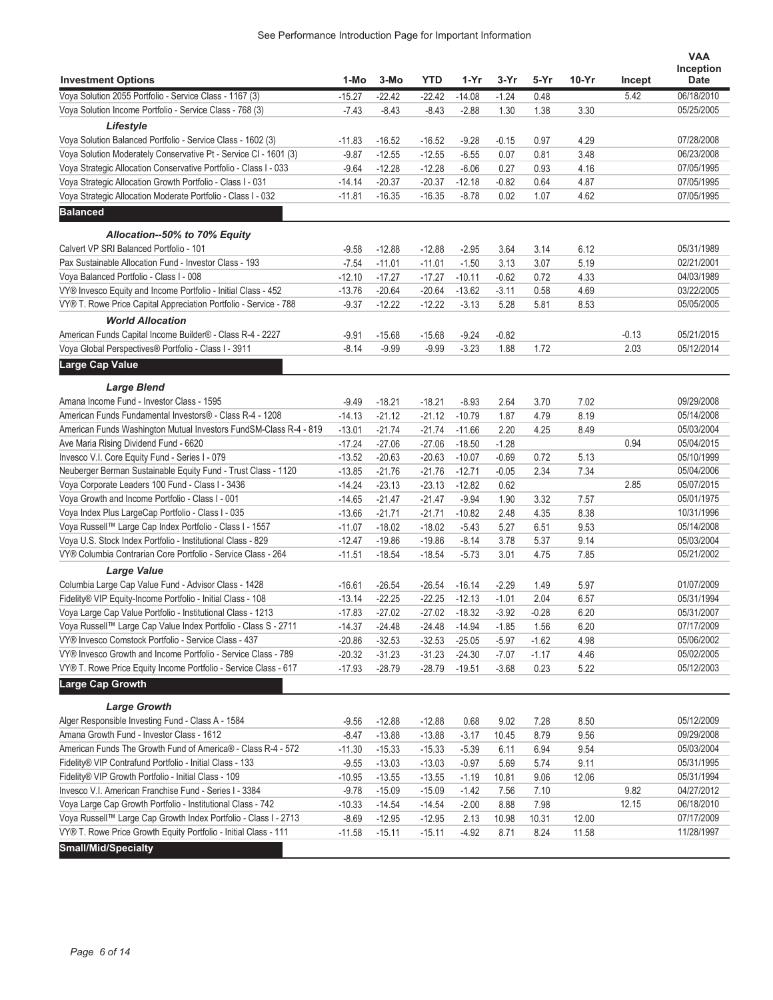|                                                                   |          |          |            |          |         |         |         |         | <b>VAA</b>  |
|-------------------------------------------------------------------|----------|----------|------------|----------|---------|---------|---------|---------|-------------|
|                                                                   |          |          |            |          |         |         |         |         | Inception   |
| <b>Investment Options</b>                                         | 1-Mo     | 3-Mo     | <b>YTD</b> | 1-Yr     | $3-Yr$  | 5-Yr    | $10-Yr$ | Incept  | <b>Date</b> |
| Voya Solution 2055 Portfolio - Service Class - 1167 (3)           | $-15.27$ | $-22.42$ | $-22.42$   | $-14.08$ | $-1.24$ | 0.48    |         | 5.42    | 06/18/2010  |
| Voya Solution Income Portfolio - Service Class - 768 (3)          | $-7.43$  | $-8.43$  | $-8.43$    | $-2.88$  | 1.30    | 1.38    | 3.30    |         | 05/25/2005  |
| Lifestyle                                                         |          |          |            |          |         |         |         |         |             |
| Voya Solution Balanced Portfolio - Service Class - 1602 (3)       | $-11.83$ | $-16.52$ | $-16.52$   | $-9.28$  | $-0.15$ | 0.97    | 4.29    |         | 07/28/2008  |
| Voya Solution Moderately Conservative Pt - Service CI - 1601 (3)  | $-9.87$  | $-12.55$ | $-12.55$   | $-6.55$  | 0.07    | 0.81    | 3.48    |         | 06/23/2008  |
| Voya Strategic Allocation Conservative Portfolio - Class I - 033  | $-9.64$  | $-12.28$ | $-12.28$   | $-6.06$  | 0.27    | 0.93    | 4.16    |         | 07/05/1995  |
| Voya Strategic Allocation Growth Portfolio - Class I - 031        | $-14.14$ | $-20.37$ | $-20.37$   | $-12.18$ | $-0.82$ | 0.64    | 4.87    |         | 07/05/1995  |
| Voya Strategic Allocation Moderate Portfolio - Class I - 032      | $-11.81$ | $-16.35$ | $-16.35$   | $-8.78$  | 0.02    | 1.07    | 4.62    |         | 07/05/1995  |
| <b>Balanced</b>                                                   |          |          |            |          |         |         |         |         |             |
| Allocation--50% to 70% Equity                                     |          |          |            |          |         |         |         |         |             |
| Calvert VP SRI Balanced Portfolio - 101                           | $-9.58$  | $-12.88$ | $-12.88$   | $-2.95$  | 3.64    | 3.14    | 6.12    |         | 05/31/1989  |
| Pax Sustainable Allocation Fund - Investor Class - 193            | $-7.54$  | $-11.01$ | $-11.01$   | $-1.50$  | 3.13    | 3.07    | 5.19    |         | 02/21/2001  |
| Voya Balanced Portfolio - Class I - 008                           | $-12.10$ | $-17.27$ | $-17.27$   | $-10.11$ | $-0.62$ | 0.72    | 4.33    |         | 04/03/1989  |
| VY® Invesco Equity and Income Portfolio - Initial Class - 452     | $-13.76$ | $-20.64$ | $-20.64$   | $-13.62$ | $-3.11$ | 0.58    | 4.69    |         | 03/22/2005  |
| VY® T. Rowe Price Capital Appreciation Portfolio - Service - 788  | $-9.37$  | $-12.22$ | $-12.22$   | $-3.13$  | 5.28    | 5.81    | 8.53    |         | 05/05/2005  |
| <b>World Allocation</b>                                           |          |          |            |          |         |         |         |         |             |
| American Funds Capital Income Builder® - Class R-4 - 2227         |          |          |            |          |         |         |         | $-0.13$ | 05/21/2015  |
|                                                                   | $-9.91$  | $-15.68$ | $-15.68$   | $-9.24$  | $-0.82$ |         |         |         |             |
| Voya Global Perspectives® Portfolio - Class I - 3911              | $-8.14$  | $-9.99$  | $-9.99$    | $-3.23$  | 1.88    | 1.72    |         | 2.03    | 05/12/2014  |
| Large Cap Value                                                   |          |          |            |          |         |         |         |         |             |
| <b>Large Blend</b>                                                |          |          |            |          |         |         |         |         |             |
| Amana Income Fund - Investor Class - 1595                         | $-9.49$  | $-18.21$ | $-18.21$   | $-8.93$  | 2.64    | 3.70    | 7.02    |         | 09/29/2008  |
| American Funds Fundamental Investors® - Class R-4 - 1208          | $-14.13$ | $-21.12$ | $-21.12$   | $-10.79$ | 1.87    | 4.79    | 8.19    |         | 05/14/2008  |
| American Funds Washington Mutual Investors FundSM-Class R-4 - 819 | $-13.01$ | $-21.74$ | $-21.74$   | $-11.66$ | 2.20    | 4.25    | 8.49    |         | 05/03/2004  |
| Ave Maria Rising Dividend Fund - 6620                             | $-17.24$ | $-27.06$ | $-27.06$   | $-18.50$ | $-1.28$ |         |         | 0.94    | 05/04/2015  |
| Invesco V.I. Core Equity Fund - Series I - 079                    | $-13.52$ | $-20.63$ | $-20.63$   | $-10.07$ | $-0.69$ | 0.72    | 5.13    |         | 05/10/1999  |
| Neuberger Berman Sustainable Equity Fund - Trust Class - 1120     | $-13.85$ | $-21.76$ | $-21.76$   | $-12.71$ | $-0.05$ | 2.34    | 7.34    |         | 05/04/2006  |
| Voya Corporate Leaders 100 Fund - Class I - 3436                  | $-14.24$ | $-23.13$ | $-23.13$   | $-12.82$ | 0.62    |         |         | 2.85    | 05/07/2015  |
| Voya Growth and Income Portfolio - Class I - 001                  | $-14.65$ | $-21.47$ | $-21.47$   | $-9.94$  | 1.90    | 3.32    | 7.57    |         | 05/01/1975  |
| Voya Index Plus LargeCap Portfolio - Class I - 035                | $-13.66$ | $-21.71$ | $-21.71$   | $-10.82$ | 2.48    | 4.35    | 8.38    |         | 10/31/1996  |
| Voya Russell™ Large Cap Index Portfolio - Class I - 1557          | $-11.07$ | $-18.02$ | $-18.02$   | $-5.43$  | 5.27    | 6.51    | 9.53    |         | 05/14/2008  |
| Voya U.S. Stock Index Portfolio - Institutional Class - 829       | $-12.47$ | $-19.86$ | $-19.86$   | $-8.14$  | 3.78    | 5.37    | 9.14    |         | 05/03/2004  |
| VY® Columbia Contrarian Core Portfolio - Service Class - 264      | $-11.51$ | $-18.54$ | $-18.54$   | $-5.73$  | 3.01    | 4.75    | 7.85    |         | 05/21/2002  |
| <b>Large Value</b>                                                |          |          |            |          |         |         |         |         |             |
| Columbia Large Cap Value Fund - Advisor Class - 1428              | $-16.61$ | $-26.54$ | $-26.54$   | $-16.14$ | $-2.29$ | 1.49    | 5.97    |         | 01/07/2009  |
| Fidelity® VIP Equity-Income Portfolio - Initial Class - 108       | $-13.14$ | $-22.25$ | $-22.25$   | $-12.13$ | $-1.01$ | 2.04    | 6.57    |         | 05/31/1994  |
| Voya Large Cap Value Portfolio - Institutional Class - 1213       | $-17.83$ | $-27.02$ | $-27.02$   | $-18.32$ | $-3.92$ | $-0.28$ | 6.20    |         | 05/31/2007  |
| Voya Russell™ Large Cap Value Index Portfolio - Class S - 2711    | $-14.37$ | $-24.48$ | -24.48     | -14.94   | $-1.85$ | 1.56    | 6.20    |         | 07/17/2009  |
| VY® Invesco Comstock Portfolio - Service Class - 437              | $-20.86$ | $-32.53$ | $-32.53$   | $-25.05$ | $-5.97$ | $-1.62$ | 4.98    |         | 05/06/2002  |
| VY® Invesco Growth and Income Portfolio - Service Class - 789     | $-20.32$ | $-31.23$ | $-31.23$   | $-24.30$ | $-7.07$ | $-1.17$ | 4.46    |         | 05/02/2005  |
| VY® T. Rowe Price Equity Income Portfolio - Service Class - 617   | $-17.93$ | $-28.79$ | $-28.79$   | $-19.51$ | $-3.68$ | 0.23    | 5.22    |         | 05/12/2003  |
| <b>Large Cap Growth</b>                                           |          |          |            |          |         |         |         |         |             |
|                                                                   |          |          |            |          |         |         |         |         |             |
| <b>Large Growth</b>                                               |          |          |            |          |         |         |         |         |             |
| Alger Responsible Investing Fund - Class A - 1584                 | $-9.56$  | $-12.88$ | $-12.88$   | 0.68     | 9.02    | 7.28    | 8.50    |         | 05/12/2009  |
| Amana Growth Fund - Investor Class - 1612                         | -8.47    | $-13.88$ | $-13.88$   | $-3.17$  | 10.45   | 8.79    | 9.56    |         | 09/29/2008  |
| American Funds The Growth Fund of America® - Class R-4 - 572      | $-11.30$ | $-15.33$ | $-15.33$   | $-5.39$  | 6.11    | 6.94    | 9.54    |         | 05/03/2004  |
| Fidelity® VIP Contrafund Portfolio - Initial Class - 133          | $-9.55$  | $-13.03$ | $-13.03$   | $-0.97$  | 5.69    | 5.74    | 9.11    |         | 05/31/1995  |
| Fidelity® VIP Growth Portfolio - Initial Class - 109              | $-10.95$ | $-13.55$ | $-13.55$   | $-1.19$  | 10.81   | 9.06    | 12.06   |         | 05/31/1994  |
| Invesco V.I. American Franchise Fund - Series I - 3384            | $-9.78$  | $-15.09$ | $-15.09$   | $-1.42$  | 7.56    | 7.10    |         | 9.82    | 04/27/2012  |
| Voya Large Cap Growth Portfolio - Institutional Class - 742       | $-10.33$ | $-14.54$ | $-14.54$   | $-2.00$  | 8.88    | 7.98    |         | 12.15   | 06/18/2010  |
| Voya Russell™ Large Cap Growth Index Portfolio - Class I - 2713   | $-8.69$  | $-12.95$ | $-12.95$   | 2.13     | 10.98   | 10.31   | 12.00   |         | 07/17/2009  |
| VY® T. Rowe Price Growth Equity Portfolio - Initial Class - 111   | $-11.58$ | $-15.11$ | $-15.11$   | $-4.92$  | 8.71    | 8.24    | 11.58   |         | 11/28/1997  |
| <b>Small/Mid/Specialty</b>                                        |          |          |            |          |         |         |         |         |             |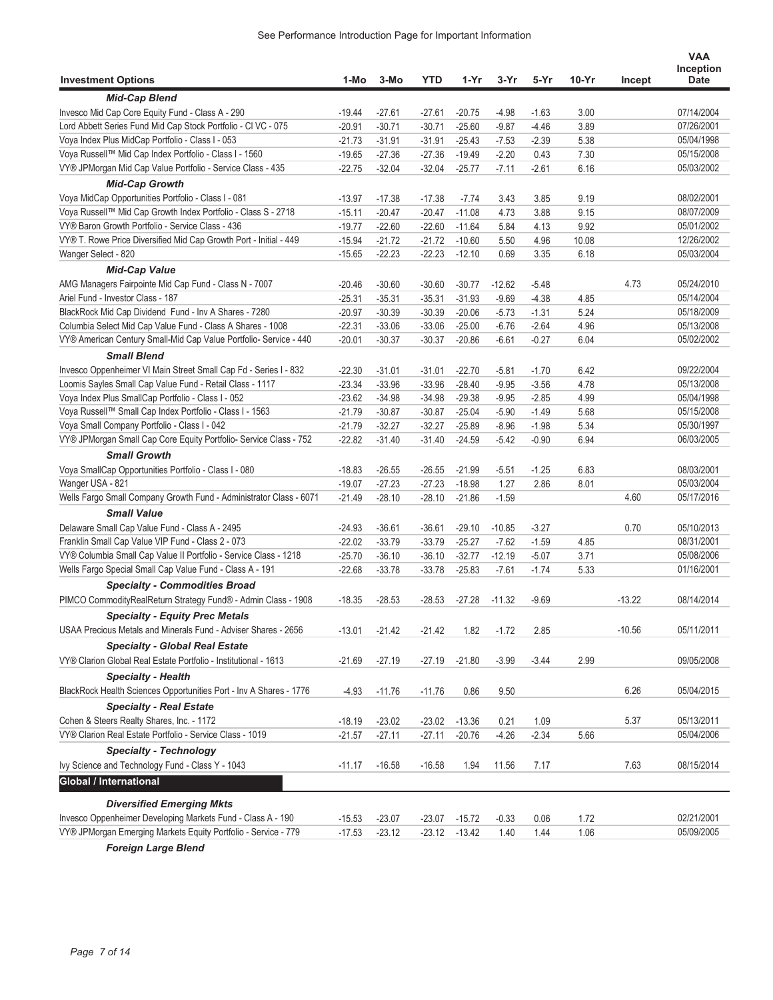| <b>Investment Options</b>                                          | 1-Mo                 | 3-Mo     | <b>YTD</b> | 1-Yr     | 3-Yr     | 5-Yr               | $10-Yr$ | Incept   | <b>VAA</b><br>Inception<br><b>Date</b> |
|--------------------------------------------------------------------|----------------------|----------|------------|----------|----------|--------------------|---------|----------|----------------------------------------|
| <b>Mid-Cap Blend</b>                                               |                      |          |            |          |          |                    |         |          |                                        |
| Invesco Mid Cap Core Equity Fund - Class A - 290                   | $-19.44$             | $-27.61$ | $-27.61$   | $-20.75$ | $-4.98$  | $-1.63$            | 3.00    |          | 07/14/2004                             |
| Lord Abbett Series Fund Mid Cap Stock Portfolio - CI VC - 075      | $-20.91$             | $-30.71$ | $-30.71$   | $-25.60$ | $-9.87$  | $-4.46$            | 3.89    |          | 07/26/2001                             |
| Voya Index Plus MidCap Portfolio - Class I - 053                   | $-21.73$             | $-31.91$ | $-31.91$   | $-25.43$ | $-7.53$  | $-2.39$            | 5.38    |          | 05/04/1998                             |
| Voya Russell™ Mid Cap Index Portfolio - Class I - 1560             | $-19.65$             | $-27.36$ | $-27.36$   | $-19.49$ | $-2.20$  | 0.43               | 7.30    |          | 05/15/2008                             |
| VY® JPMorgan Mid Cap Value Portfolio - Service Class - 435         | $-22.75$             | $-32.04$ | $-32.04$   | $-25.77$ | $-7.11$  | $-2.61$            | 6.16    |          | 05/03/2002                             |
| <b>Mid-Cap Growth</b>                                              |                      |          |            |          |          |                    |         |          |                                        |
| Voya MidCap Opportunities Portfolio - Class I - 081                | $-13.97$             | $-17.38$ | $-17.38$   | $-7.74$  | 3.43     | 3.85               | 9.19    |          | 08/02/2001                             |
| Voya Russell™ Mid Cap Growth Index Portfolio - Class S - 2718      | $-15.11$             | $-20.47$ | $-20.47$   | $-11.08$ | 4.73     | 3.88               | 9.15    |          | 08/07/2009                             |
| VY® Baron Growth Portfolio - Service Class - 436                   | $-19.77$             | $-22.60$ | $-22.60$   | $-11.64$ | 5.84     | 4.13               | 9.92    |          | 05/01/2002                             |
| VY® T. Rowe Price Diversified Mid Cap Growth Port - Initial - 449  | $-15.94$             | $-21.72$ | $-21.72$   | $-10.60$ | 5.50     | 4.96               | 10.08   |          | 12/26/2002                             |
| Wanger Select - 820                                                | $-15.65$             | $-22.23$ | $-22.23$   | $-12.10$ | 0.69     | 3.35               | 6.18    |          | 05/03/2004                             |
| <b>Mid-Cap Value</b>                                               |                      |          |            |          |          |                    |         |          |                                        |
| AMG Managers Fairpointe Mid Cap Fund - Class N - 7007              |                      | $-30.60$ | $-30.60$   | $-30.77$ | $-12.62$ |                    |         | 4.73     | 05/24/2010                             |
| Ariel Fund - Investor Class - 187                                  | -20.46               | $-35.31$ | $-35.31$   | $-31.93$ | $-9.69$  | $-5.48$<br>$-4.38$ | 4.85    |          | 05/14/2004                             |
| BlackRock Mid Cap Dividend Fund - Inv A Shares - 7280              | $-25.31$<br>$-20.97$ | $-30.39$ | $-30.39$   | $-20.06$ | $-5.73$  | $-1.31$            | 5.24    |          | 05/18/2009                             |
| Columbia Select Mid Cap Value Fund - Class A Shares - 1008         | $-22.31$             | $-33.06$ | $-33.06$   | $-25.00$ | $-6.76$  | $-2.64$            | 4.96    |          | 05/13/2008                             |
| VY® American Century Small-Mid Cap Value Portfolio- Service - 440  | $-20.01$             | $-30.37$ | $-30.37$   | $-20.86$ | $-6.61$  | $-0.27$            | 6.04    |          | 05/02/2002                             |
|                                                                    |                      |          |            |          |          |                    |         |          |                                        |
| <b>Small Blend</b>                                                 |                      |          |            |          |          |                    |         |          |                                        |
| Invesco Oppenheimer VI Main Street Small Cap Fd - Series I - 832   | $-22.30$             | $-31.01$ | $-31.01$   | $-22.70$ | $-5.81$  | $-1.70$            | 6.42    |          | 09/22/2004<br>05/13/2008               |
| Loomis Sayles Small Cap Value Fund - Retail Class - 1117           | $-23.34$             | $-33.96$ | $-33.96$   | $-28.40$ | $-9.95$  | $-3.56$            | 4.78    |          |                                        |
| Voya Index Plus SmallCap Portfolio - Class I - 052                 | $-23.62$             | $-34.98$ | $-34.98$   | $-29.38$ | $-9.95$  | $-2.85$            | 4.99    |          | 05/04/1998                             |
| Voya Russell™ Small Cap Index Portfolio - Class I - 1563           | $-21.79$             | $-30.87$ | $-30.87$   | $-25.04$ | $-5.90$  | $-1.49$            | 5.68    |          | 05/15/2008                             |
| Voya Small Company Portfolio - Class I - 042                       | $-21.79$             | $-32.27$ | $-32.27$   | $-25.89$ | $-8.96$  | $-1.98$            | 5.34    |          | 05/30/1997                             |
| VY® JPMorgan Small Cap Core Equity Portfolio- Service Class - 752  | $-22.82$             | $-31.40$ | $-31.40$   | $-24.59$ | $-5.42$  | $-0.90$            | 6.94    |          | 06/03/2005                             |
| <b>Small Growth</b>                                                |                      |          |            |          |          |                    |         |          |                                        |
| Voya SmallCap Opportunities Portfolio - Class I - 080              | $-18.83$             | $-26.55$ | $-26.55$   | $-21.99$ | $-5.51$  | $-1.25$            | 6.83    |          | 08/03/2001                             |
| Wanger USA - 821                                                   | $-19.07$             | $-27.23$ | $-27.23$   | $-18.98$ | 1.27     | 2.86               | 8.01    |          | 05/03/2004                             |
| Wells Fargo Small Company Growth Fund - Administrator Class - 6071 | -21.49               | $-28.10$ | $-28.10$   | $-21.86$ | $-1.59$  |                    |         | 4.60     | 05/17/2016                             |
| <b>Small Value</b>                                                 |                      |          |            |          |          |                    |         |          |                                        |
| Delaware Small Cap Value Fund - Class A - 2495                     | -24.93               | $-36.61$ | $-36.61$   | $-29.10$ | $-10.85$ | $-3.27$            |         | 0.70     | 05/10/2013                             |
| Franklin Small Cap Value VIP Fund - Class 2 - 073                  | $-22.02$             | $-33.79$ | $-33.79$   | $-25.27$ | $-7.62$  | $-1.59$            | 4.85    |          | 08/31/2001                             |
| VY® Columbia Small Cap Value II Portfolio - Service Class - 1218   | $-25.70$             | $-36.10$ | $-36.10$   | $-32.77$ | $-12.19$ | $-5.07$            | 3.71    |          | 05/08/2006                             |
| Wells Fargo Special Small Cap Value Fund - Class A - 191           | $-22.68$             | $-33.78$ | $-33.78$   | $-25.83$ | $-7.61$  | $-1.74$            | 5.33    |          | 01/16/2001                             |
| <b>Specialty - Commodities Broad</b>                               |                      |          |            |          |          |                    |         |          |                                        |
| PIMCO CommodityRealReturn Strategy Fund® - Admin Class - 1908      | $-18.35$             | $-28.53$ | $-28.53$   | $-27.28$ | $-11.32$ | $-9.69$            |         | $-13.22$ | 08/14/2014                             |
| <b>Specialty - Equity Prec Metals</b>                              |                      |          |            |          |          |                    |         |          |                                        |
| USAA Precious Metals and Minerals Fund - Adviser Shares - 2656     | $-13.01$             | -21.42   | $-21.42$   | 1.82     | $-1.72$  | 2.85               |         | $-10.56$ | 05/11/2011                             |
| <b>Specialty - Global Real Estate</b>                              |                      |          |            |          |          |                    |         |          |                                        |
| VY® Clarion Global Real Estate Portfolio - Institutional - 1613    | $-21.69$             | $-27.19$ | $-27.19$   | $-21.80$ | $-3.99$  | $-3.44$            | 2.99    |          | 09/05/2008                             |
| <b>Specialty - Health</b>                                          |                      |          |            |          |          |                    |         |          |                                        |
| BlackRock Health Sciences Opportunities Port - Inv A Shares - 1776 |                      | $-11.76$ | $-11.76$   | 0.86     | 9.50     |                    |         | 6.26     | 05/04/2015                             |
|                                                                    | $-4.93$              |          |            |          |          |                    |         |          |                                        |
| <b>Specialty - Real Estate</b>                                     |                      |          |            |          |          |                    |         |          |                                        |
| Cohen & Steers Realty Shares, Inc. - 1172                          | $-18.19$             | $-23.02$ | $-23.02$   | $-13.36$ | 0.21     | 1.09               |         | 5.37     | 05/13/2011                             |
| VY® Clarion Real Estate Portfolio - Service Class - 1019           | $-21.57$             | $-27.11$ | $-27.11$   | $-20.76$ | $-4.26$  | $-2.34$            | 5.66    |          | 05/04/2006                             |
| <b>Specialty - Technology</b>                                      |                      |          |            |          |          |                    |         |          |                                        |
| Ivy Science and Technology Fund - Class Y - 1043                   | $-11.17$             | $-16.58$ | $-16.58$   | 1.94     | 11.56    | 7.17               |         | 7.63     | 08/15/2014                             |
| <b>Global / International</b>                                      |                      |          |            |          |          |                    |         |          |                                        |
| <b>Diversified Emerging Mkts</b>                                   |                      |          |            |          |          |                    |         |          |                                        |
| Invesco Oppenheimer Developing Markets Fund - Class A - 190        | $-15.53$             | $-23.07$ | $-23.07$   | $-15.72$ | $-0.33$  | 0.06               | 1.72    |          | 02/21/2001                             |
| VY® JPMorgan Emerging Markets Equity Portfolio - Service - 779     | $-17.53$             | $-23.12$ | $-23.12$   | $-13.42$ | 1.40     | 1.44               | 1.06    |          | 05/09/2005                             |

*Foreign Large Blend*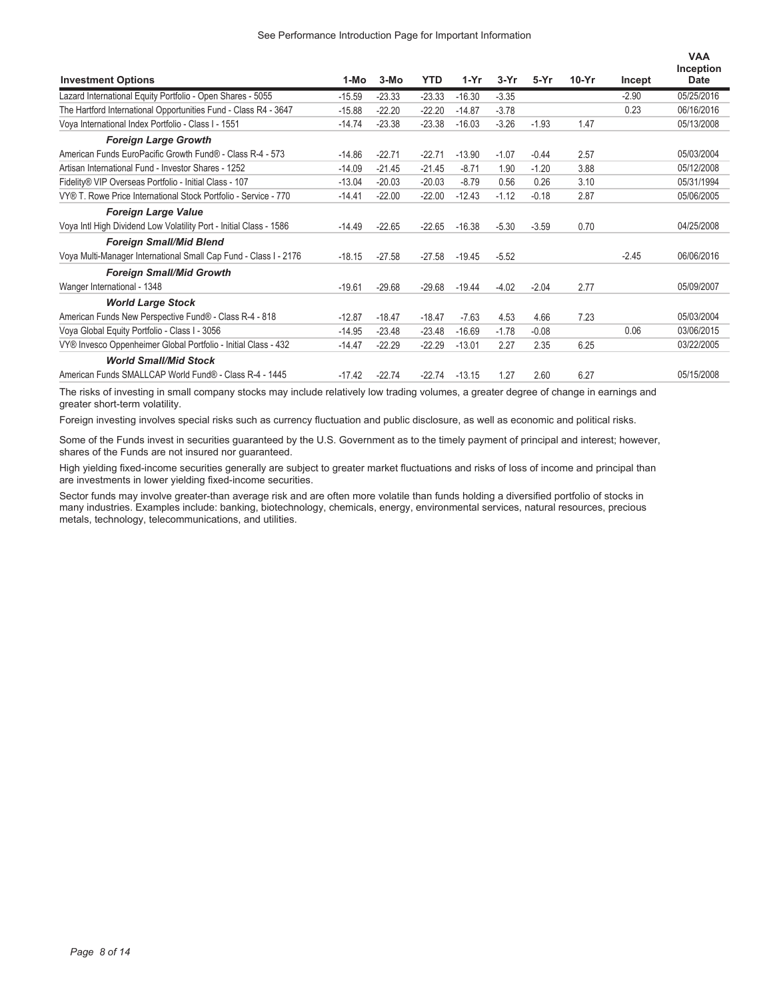| <b>Investment Options</b>                                          | 1-Mo     | $3-MO$   | <b>YTD</b> | $1-Yr$   | $3-Yr$  | $5-Yr$  | $10-Yr$ | Incept  | <b>VAA</b><br>Inception<br><b>Date</b> |
|--------------------------------------------------------------------|----------|----------|------------|----------|---------|---------|---------|---------|----------------------------------------|
| Lazard International Equity Portfolio - Open Shares - 5055         | $-15.59$ | $-23.33$ | $-23.33$   | $-16.30$ | $-3.35$ |         |         | $-2.90$ | 05/25/2016                             |
| The Hartford International Opportunities Fund - Class R4 - 3647    | $-15.88$ | $-22.20$ | $-22.20$   | $-14.87$ | $-3.78$ |         |         | 0.23    | 06/16/2016                             |
| Voya International Index Portfolio - Class I - 1551                | $-14.74$ | $-23.38$ | $-23.38$   | $-16.03$ | $-3.26$ | $-1.93$ | 1.47    |         | 05/13/2008                             |
| <b>Foreign Large Growth</b>                                        |          |          |            |          |         |         |         |         |                                        |
| American Funds EuroPacific Growth Fund® - Class R-4 - 573          | $-14.86$ | $-22.71$ | $-22.71$   | $-13.90$ | $-1.07$ | $-0.44$ | 2.57    |         | 05/03/2004                             |
| Artisan International Fund - Investor Shares - 1252                | $-14.09$ | $-21.45$ | $-21.45$   | $-8.71$  | 1.90    | $-1.20$ | 3.88    |         | 05/12/2008                             |
| Fidelity® VIP Overseas Portfolio - Initial Class - 107             | $-13.04$ | $-20.03$ | $-20.03$   | $-8.79$  | 0.56    | 0.26    | 3.10    |         | 05/31/1994                             |
| VY® T. Rowe Price International Stock Portfolio - Service - 770    | $-14.41$ | $-22.00$ | $-22.00$   | $-12.43$ | $-1.12$ | $-0.18$ | 2.87    |         | 05/06/2005                             |
| <b>Foreign Large Value</b>                                         |          |          |            |          |         |         |         |         |                                        |
| Voya Intl High Dividend Low Volatility Port - Initial Class - 1586 | $-14.49$ | $-22.65$ | $-22.65$   | $-16.38$ | $-5.30$ | $-3.59$ | 0.70    |         | 04/25/2008                             |
| <b>Foreign Small/Mid Blend</b>                                     |          |          |            |          |         |         |         |         |                                        |
| Voya Multi-Manager International Small Cap Fund - Class I - 2176   | $-18.15$ | $-27.58$ | $-27.58$   | $-19.45$ | $-5.52$ |         |         | $-2.45$ | 06/06/2016                             |
| <b>Foreign Small/Mid Growth</b>                                    |          |          |            |          |         |         |         |         |                                        |
| Wanger International - 1348                                        | $-19.61$ | $-29.68$ | $-29.68$   | $-19.44$ | $-4.02$ | $-2.04$ | 2.77    |         | 05/09/2007                             |
| <b>World Large Stock</b>                                           |          |          |            |          |         |         |         |         |                                        |
| American Funds New Perspective Fund® - Class R-4 - 818             | $-12.87$ | $-18.47$ | $-18.47$   | $-7.63$  | 4.53    | 4.66    | 7.23    |         | 05/03/2004                             |
| Voya Global Equity Portfolio - Class I - 3056                      | $-14.95$ | $-23.48$ | $-23.48$   | $-16.69$ | $-1.78$ | $-0.08$ |         | 0.06    | 03/06/2015                             |
| VY® Invesco Oppenheimer Global Portfolio - Initial Class - 432     | $-14.47$ | $-22.29$ | $-22.29$   | $-13.01$ | 2.27    | 2.35    | 6.25    |         | 03/22/2005                             |
| <b>World Small/Mid Stock</b>                                       |          |          |            |          |         |         |         |         |                                        |
| American Funds SMALLCAP World Fund® - Class R-4 - 1445             | $-17.42$ | $-22.74$ | $-22.74$   | $-13.15$ | 1.27    | 2.60    | 6.27    |         | 05/15/2008                             |

The risks of investing in small company stocks may include relatively low trading volumes, a greater degree of change in earnings and greater short-term volatility.

Foreign investing involves special risks such as currency fluctuation and public disclosure, as well as economic and political risks.

Some of the Funds invest in securities guaranteed by the U.S. Government as to the timely payment of principal and interest; however, shares of the Funds are not insured nor guaranteed.

High yielding fixed-income securities generally are subject to greater market fluctuations and risks of loss of income and principal than are investments in lower yielding fixed-income securities.

Sector funds may involve greater-than average risk and are often more volatile than funds holding a diversified portfolio of stocks in many industries. Examples include: banking, biotechnology, chemicals, energy, environmental services, natural resources, precious metals, technology, telecommunications, and utilities.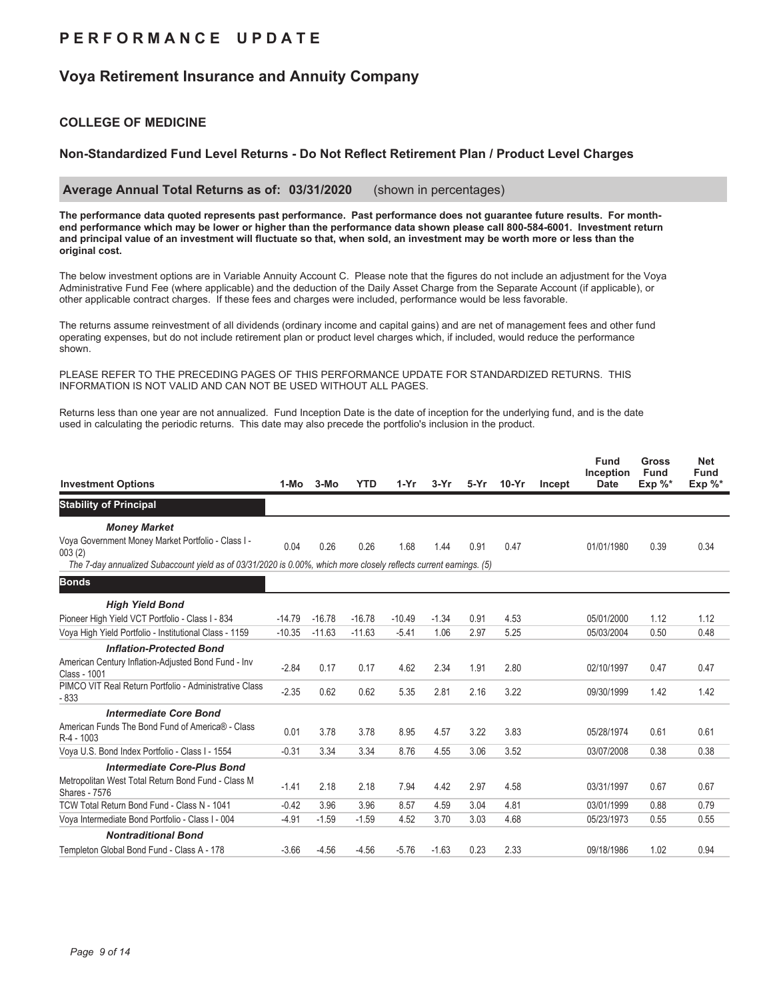## **P E R F O R M A N C E U P D A T E**

## **Voya Retirement Insurance and Annuity Company**

### **COLLEGE OF MEDICINE**

### **Non-Standardized Fund Level Returns - Do Not Reflect Retirement Plan / Product Level Charges**

 **Average Annual Total Returns as of: 03/31/2020** (shown in percentages)

**The performance data quoted represents past performance. Past performance does not guarantee future results. For monthend performance which may be lower or higher than the performance data shown please call 800-584-6001. Investment return and principal value of an investment will fluctuate so that, when sold, an investment may be worth more or less than the original cost.**

The below investment options are in Variable Annuity Account C. Please note that the figures do not include an adjustment for the Voya Administrative Fund Fee (where applicable) and the deduction of the Daily Asset Charge from the Separate Account (if applicable), or other applicable contract charges. If these fees and charges were included, performance would be less favorable.

The returns assume reinvestment of all dividends (ordinary income and capital gains) and are net of management fees and other fund operating expenses, but do not include retirement plan or product level charges which, if included, would reduce the performance shown.

PLEASE REFER TO THE PRECEDING PAGES OF THIS PERFORMANCE UPDATE FOR STANDARDIZED RETURNS. THIS INFORMATION IS NOT VALID AND CAN NOT BE USED WITHOUT ALL PAGES.

Returns less than one year are not annualized. Fund Inception Date is the date of inception for the underlying fund, and is the date used in calculating the periodic returns. This date may also precede the portfolio's inclusion in the product.

| <b>Investment Options</b>                                                                                                                                                                                 | 1-Mo     | $3-MO$   | <b>YTD</b> | $1-Yr$   | $3-Yr$  | 5-Yr | $10-Yr$ | Incept | <b>Fund</b><br>Inception<br><b>Date</b> | <b>Gross</b><br><b>Fund</b><br>Exp $\%^*$ | <b>Net</b><br><b>Fund</b><br>Exp %* |
|-----------------------------------------------------------------------------------------------------------------------------------------------------------------------------------------------------------|----------|----------|------------|----------|---------|------|---------|--------|-----------------------------------------|-------------------------------------------|-------------------------------------|
| <b>Stability of Principal</b>                                                                                                                                                                             |          |          |            |          |         |      |         |        |                                         |                                           |                                     |
| <b>Money Market</b><br>Voya Government Money Market Portfolio - Class I -<br>003(2)<br>The 7-day annualized Subaccount yield as of 03/31/2020 is 0.00%, which more closely reflects current earnings. (5) | 0.04     | 0.26     | 0.26       | 1.68     | 1.44    | 0.91 | 0.47    |        | 01/01/1980                              | 0.39                                      | 0.34                                |
| <b>Bonds</b>                                                                                                                                                                                              |          |          |            |          |         |      |         |        |                                         |                                           |                                     |
| <b>High Yield Bond</b>                                                                                                                                                                                    |          |          |            |          |         |      |         |        |                                         |                                           |                                     |
| Pioneer High Yield VCT Portfolio - Class I - 834                                                                                                                                                          | $-14.79$ | $-16.78$ | $-16.78$   | $-10.49$ | $-1.34$ | 0.91 | 4.53    |        | 05/01/2000                              | 1.12                                      | 1.12                                |
| Voya High Yield Portfolio - Institutional Class - 1159                                                                                                                                                    | $-10.35$ | $-11.63$ | $-11.63$   | $-5.41$  | 1.06    | 2.97 | 5.25    |        | 05/03/2004                              | 0.50                                      | 0.48                                |
| <b>Inflation-Protected Bond</b>                                                                                                                                                                           |          |          |            |          |         |      |         |        |                                         |                                           |                                     |
| American Century Inflation-Adjusted Bond Fund - Inv<br>Class - 1001                                                                                                                                       | $-2.84$  | 0.17     | 0.17       | 4.62     | 2.34    | 1.91 | 2.80    |        | 02/10/1997                              | 0.47                                      | 0.47                                |
| PIMCO VIT Real Return Portfolio - Administrative Class<br>$-833$                                                                                                                                          | $-2.35$  | 0.62     | 0.62       | 5.35     | 2.81    | 2.16 | 3.22    |        | 09/30/1999                              | 1.42                                      | 1.42                                |
| <b>Intermediate Core Bond</b>                                                                                                                                                                             |          |          |            |          |         |      |         |        |                                         |                                           |                                     |
| American Funds The Bond Fund of America® - Class<br>R-4 - 1003                                                                                                                                            | 0.01     | 3.78     | 3.78       | 8.95     | 4.57    | 3.22 | 3.83    |        | 05/28/1974                              | 0.61                                      | 0.61                                |
| Voya U.S. Bond Index Portfolio - Class I - 1554                                                                                                                                                           | $-0.31$  | 3.34     | 3.34       | 8.76     | 4.55    | 3.06 | 3.52    |        | 03/07/2008                              | 0.38                                      | 0.38                                |
| <b>Intermediate Core-Plus Bond</b>                                                                                                                                                                        |          |          |            |          |         |      |         |        |                                         |                                           |                                     |
| Metropolitan West Total Return Bond Fund - Class M<br><b>Shares - 7576</b>                                                                                                                                | $-1.41$  | 2.18     | 2.18       | 7.94     | 4.42    | 2.97 | 4.58    |        | 03/31/1997                              | 0.67                                      | 0.67                                |
| TCW Total Return Bond Fund - Class N - 1041                                                                                                                                                               | $-0.42$  | 3.96     | 3.96       | 8.57     | 4.59    | 3.04 | 4.81    |        | 03/01/1999                              | 0.88                                      | 0.79                                |
| Voya Intermediate Bond Portfolio - Class I - 004                                                                                                                                                          | $-4.91$  | $-1.59$  | $-1.59$    | 4.52     | 3.70    | 3.03 | 4.68    |        | 05/23/1973                              | 0.55                                      | 0.55                                |
| <b>Nontraditional Bond</b>                                                                                                                                                                                |          |          |            |          |         |      |         |        |                                         |                                           |                                     |
| Templeton Global Bond Fund - Class A - 178                                                                                                                                                                | $-3.66$  | $-4.56$  | $-4.56$    | $-5.76$  | $-1.63$ | 0.23 | 2.33    |        | 09/18/1986                              | 1.02                                      | 0.94                                |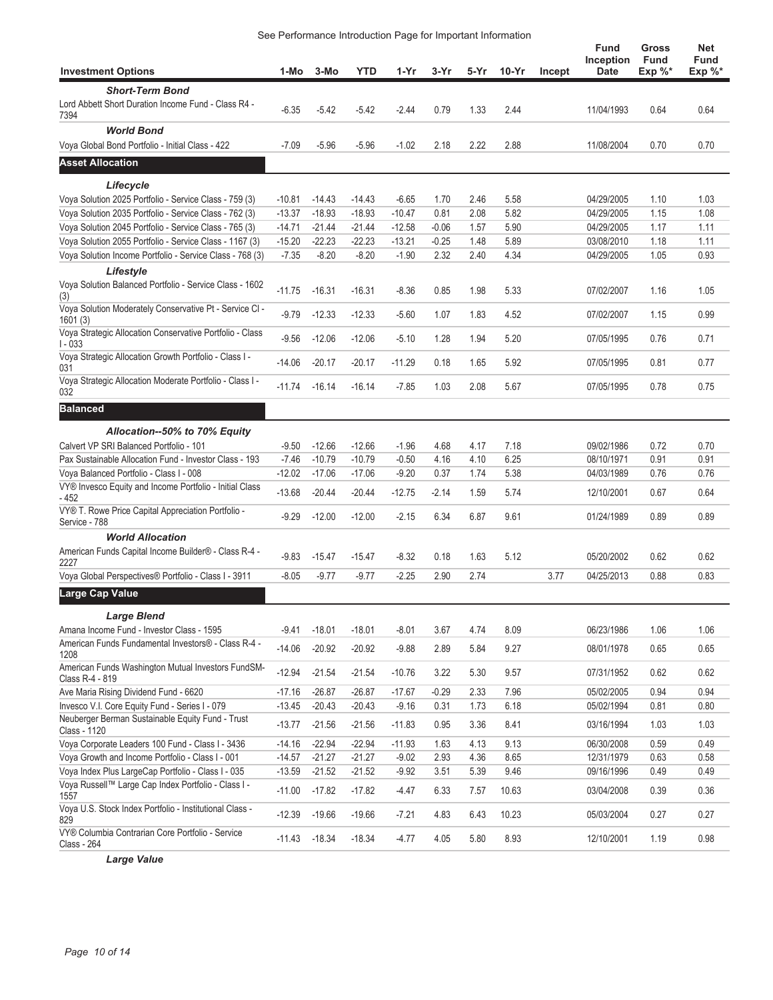### See Performance Introduction Page for Important Information

| <b>Investment Options</b>                                                             | 1-Mo     | 3-Mo     | <b>YTD</b> | 1-Yr     | $3-Yr$  | 5-Yr | $10-Yr$ | Incept | Fund<br>Inception<br>Date | Gross<br><b>Fund</b><br>Exp %* | Net<br><b>Fund</b><br>Exp %* |
|---------------------------------------------------------------------------------------|----------|----------|------------|----------|---------|------|---------|--------|---------------------------|--------------------------------|------------------------------|
|                                                                                       |          |          |            |          |         |      |         |        |                           |                                |                              |
| <b>Short-Term Bond</b><br>Lord Abbett Short Duration Income Fund - Class R4 -<br>7394 | $-6.35$  | $-5.42$  | $-5.42$    | $-2.44$  | 0.79    | 1.33 | 2.44    |        | 11/04/1993                | 0.64                           | 0.64                         |
| <b>World Bond</b>                                                                     |          |          |            |          |         |      |         |        |                           |                                |                              |
| Voya Global Bond Portfolio - Initial Class - 422                                      | $-7.09$  | $-5.96$  | $-5.96$    | $-1.02$  | 2.18    | 2.22 | 2.88    |        | 11/08/2004                | 0.70                           | 0.70                         |
| <b>Asset Allocation</b>                                                               |          |          |            |          |         |      |         |        |                           |                                |                              |
| Lifecycle                                                                             |          |          |            |          |         |      |         |        |                           |                                |                              |
| Voya Solution 2025 Portfolio - Service Class - 759 (3)                                | $-10.81$ | $-14.43$ | $-14.43$   | $-6.65$  | 1.70    | 2.46 | 5.58    |        | 04/29/2005                | 1.10                           | 1.03                         |
| Voya Solution 2035 Portfolio - Service Class - 762 (3)                                | $-13.37$ | $-18.93$ | $-18.93$   | $-10.47$ | 0.81    | 2.08 | 5.82    |        | 04/29/2005                | 1.15                           | 1.08                         |
| Voya Solution 2045 Portfolio - Service Class - 765 (3)                                | $-14.71$ | $-21.44$ | $-21.44$   | $-12.58$ | $-0.06$ | 1.57 | 5.90    |        | 04/29/2005                | 1.17                           | 1.11                         |
| Voya Solution 2055 Portfolio - Service Class - 1167 (3)                               | $-15.20$ | $-22.23$ | $-22.23$   | $-13.21$ | $-0.25$ | 1.48 | 5.89    |        | 03/08/2010                | 1.18                           | 1.11                         |
| Voya Solution Income Portfolio - Service Class - 768 (3)                              | $-7.35$  | $-8.20$  | $-8.20$    | $-1.90$  | 2.32    | 2.40 | 4.34    |        | 04/29/2005                | 1.05                           | 0.93                         |
| Lifestyle                                                                             |          |          |            |          |         |      |         |        |                           |                                |                              |
| Voya Solution Balanced Portfolio - Service Class - 1602<br>(3)                        | $-11.75$ | $-16.31$ | $-16.31$   | $-8.36$  | 0.85    | 1.98 | 5.33    |        | 07/02/2007                | 1.16                           | 1.05                         |
| Voya Solution Moderately Conservative Pt - Service CI -<br>1601(3)                    | $-9.79$  | $-12.33$ | $-12.33$   | $-5.60$  | 1.07    | 1.83 | 4.52    |        | 07/02/2007                | 1.15                           | 0.99                         |
| Voya Strategic Allocation Conservative Portfolio - Class<br>$1 - 033$                 | $-9.56$  | $-12.06$ | $-12.06$   | $-5.10$  | 1.28    | 1.94 | 5.20    |        | 07/05/1995                | 0.76                           | 0.71                         |
| Voya Strategic Allocation Growth Portfolio - Class I -<br>031                         | $-14.06$ | $-20.17$ | $-20.17$   | $-11.29$ | 0.18    | 1.65 | 5.92    |        | 07/05/1995                | 0.81                           | 0.77                         |
| Voya Strategic Allocation Moderate Portfolio - Class I -<br>032                       | $-11.74$ | $-16.14$ | $-16.14$   | $-7.85$  | 1.03    | 2.08 | 5.67    |        | 07/05/1995                | 0.78                           | 0.75                         |
| <b>Balanced</b>                                                                       |          |          |            |          |         |      |         |        |                           |                                |                              |
| Allocation--50% to 70% Equity                                                         |          |          |            |          |         |      |         |        |                           |                                |                              |
| Calvert VP SRI Balanced Portfolio - 101                                               | $-9.50$  | $-12.66$ | $-12.66$   | $-1.96$  | 4.68    | 4.17 | 7.18    |        | 09/02/1986                | 0.72                           | 0.70                         |
| Pax Sustainable Allocation Fund - Investor Class - 193                                | $-7.46$  | $-10.79$ | $-10.79$   | $-0.50$  | 4.16    | 4.10 | 6.25    |        | 08/10/1971                | 0.91                           | 0.91                         |
| Voya Balanced Portfolio - Class I - 008                                               | $-12.02$ | $-17.06$ | $-17.06$   | $-9.20$  | 0.37    | 1.74 | 5.38    |        | 04/03/1989                | 0.76                           | 0.76                         |
| VY® Invesco Equity and Income Portfolio - Initial Class<br>- 452                      | $-13.68$ | $-20.44$ | $-20.44$   | $-12.75$ | $-2.14$ | 1.59 | 5.74    |        | 12/10/2001                | 0.67                           | 0.64                         |
| VY® T. Rowe Price Capital Appreciation Portfolio -<br>Service - 788                   | $-9.29$  | $-12.00$ | $-12.00$   | $-2.15$  | 6.34    | 6.87 | 9.61    |        | 01/24/1989                | 0.89                           | 0.89                         |
| <b>World Allocation</b>                                                               |          |          |            |          |         |      |         |        |                           |                                |                              |
| American Funds Capital Income Builder® - Class R-4 -<br>2227                          | $-9.83$  | $-15.47$ | $-15.47$   | $-8.32$  | 0.18    | 1.63 | 5.12    |        | 05/20/2002                | 0.62                           | 0.62                         |
| Voya Global Perspectives® Portfolio - Class I - 3911                                  | $-8.05$  | $-9.77$  | $-9.77$    | $-2.25$  | 2.90    | 2.74 |         | 3.77   | 04/25/2013                | 0.88                           | 0.83                         |
| Large Cap Value                                                                       |          |          |            |          |         |      |         |        |                           |                                |                              |
| <b>Large Blend</b>                                                                    |          |          |            |          |         |      |         |        |                           |                                |                              |
| Amana Income Fund - Investor Class - 1595                                             | $-9.41$  | $-18.01$ | $-18.01$   | $-8.01$  | 3.67    | 4.74 | 8.09    |        | 06/23/1986                | 1.06                           | 1.06                         |
| American Funds Fundamental Investors® - Class R-4 -<br>1208                           | $-14.06$ | $-20.92$ | $-20.92$   | $-9.88$  | 2.89    | 5.84 | 9.27    |        | 08/01/1978                | 0.65                           | 0.65                         |
| American Funds Washington Mutual Investors FundSM-<br>Class R-4 - 819                 | $-12.94$ | $-21.54$ | $-21.54$   | $-10.76$ | 3.22    | 5.30 | 9.57    |        | 07/31/1952                | 0.62                           | 0.62                         |
| Ave Maria Rising Dividend Fund - 6620                                                 | $-17.16$ | $-26.87$ | $-26.87$   | $-17.67$ | $-0.29$ | 2.33 | 7.96    |        | 05/02/2005                | 0.94                           | 0.94                         |
| Invesco V.I. Core Equity Fund - Series I - 079                                        | $-13.45$ | $-20.43$ | $-20.43$   | $-9.16$  | 0.31    | 1.73 | 6.18    |        | 05/02/1994                | 0.81                           | 0.80                         |
| Neuberger Berman Sustainable Equity Fund - Trust<br>Class - 1120                      | $-13.77$ | $-21.56$ | $-21.56$   | $-11.83$ | 0.95    | 3.36 | 8.41    |        | 03/16/1994                | 1.03                           | 1.03                         |
| Voya Corporate Leaders 100 Fund - Class I - 3436                                      | $-14.16$ | $-22.94$ | $-22.94$   | $-11.93$ | 1.63    | 4.13 | 9.13    |        | 06/30/2008                | 0.59                           | 0.49                         |
| Voya Growth and Income Portfolio - Class I - 001                                      | $-14.57$ | $-21.27$ | $-21.27$   | $-9.02$  | 2.93    | 4.36 | 8.65    |        | 12/31/1979                | 0.63                           | 0.58                         |
| Voya Index Plus LargeCap Portfolio - Class I - 035                                    | $-13.59$ | $-21.52$ | $-21.52$   | $-9.92$  | 3.51    | 5.39 | 9.46    |        | 09/16/1996                | 0.49                           | 0.49                         |
| Voya Russell™ Large Cap Index Portfolio - Class I -<br>1557                           | $-11.00$ | $-17.82$ | $-17.82$   | $-4.47$  | 6.33    | 7.57 | 10.63   |        | 03/04/2008                | 0.39                           | 0.36                         |
| Voya U.S. Stock Index Portfolio - Institutional Class -<br>829                        | $-12.39$ | $-19.66$ | $-19.66$   | $-7.21$  | 4.83    | 6.43 | 10.23   |        | 05/03/2004                | 0.27                           | 0.27                         |
| VY® Columbia Contrarian Core Portfolio - Service<br>Class - 264                       | $-11.43$ | $-18.34$ | $-18.34$   | $-4.77$  | 4.05    | 5.80 | 8.93    |        | 12/10/2001                | 1.19                           | 0.98                         |
|                                                                                       |          |          |            |          |         |      |         |        |                           |                                |                              |

*Large Value*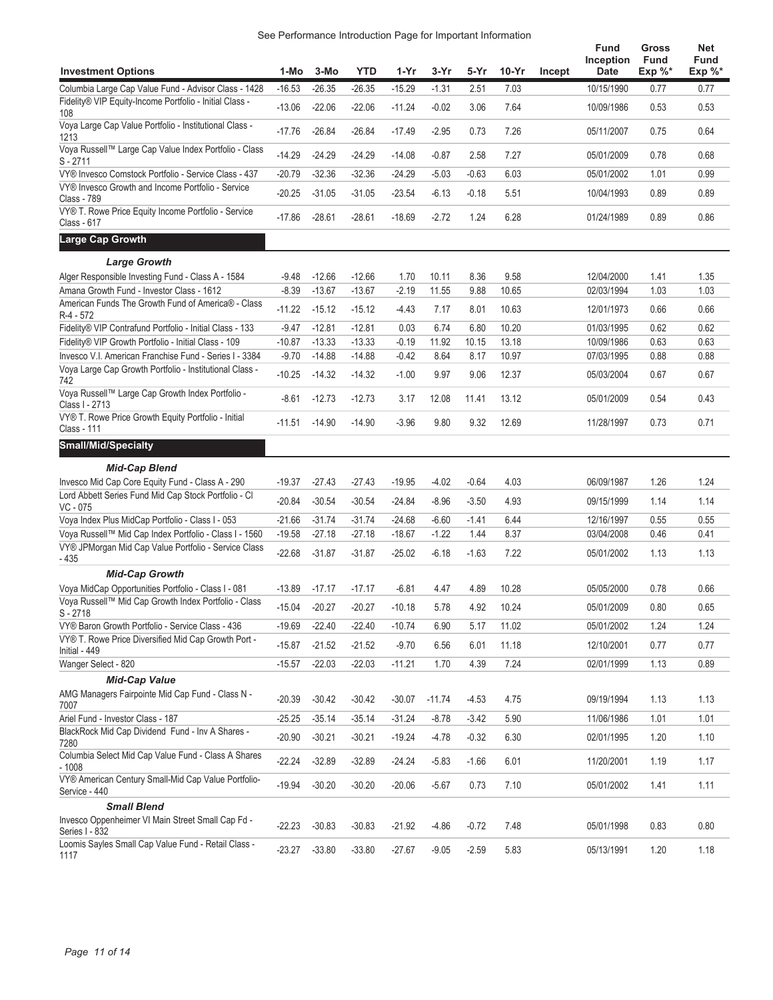| See Performance Introduction Page for Important Information |
|-------------------------------------------------------------|
|                                                             |

|                                                                                                                 |                      |                      |                      |                      |                    |                    |              |        | <b>Fund</b><br>Inception | Gross<br><b>Fund</b> | <b>Net</b><br>Fund |
|-----------------------------------------------------------------------------------------------------------------|----------------------|----------------------|----------------------|----------------------|--------------------|--------------------|--------------|--------|--------------------------|----------------------|--------------------|
| <b>Investment Options</b>                                                                                       | 1-Mo                 | 3-Mo                 | <b>YTD</b>           | 1-Yr                 | 3-Yr               | 5-Yr               | $10-Yr$      | Incept | <b>Date</b>              | $Exp \%^*$           | Exp $\%^*$         |
| Columbia Large Cap Value Fund - Advisor Class - 1428<br>Fidelity® VIP Equity-Income Portfolio - Initial Class - | $-16.53$             | $-26.35$             | $-26.35$             | $-15.29$             | $-1.31$            | 2.51               | 7.03         |        | 10/15/1990               | 0.77                 | 0.77               |
| 108                                                                                                             | $-13.06$             | $-22.06$             | $-22.06$             | $-11.24$             | $-0.02$            | 3.06               | 7.64         |        | 10/09/1986               | 0.53                 | 0.53               |
| Voya Large Cap Value Portfolio - Institutional Class -<br>1213                                                  | $-17.76$             | $-26.84$             | $-26.84$             | $-17.49$             | $-2.95$            | 0.73               | 7.26         |        | 05/11/2007               | 0.75                 | 0.64               |
| Voya Russell™ Large Cap Value Index Portfolio - Class<br>S - 2711                                               | $-14.29$             | $-24.29$             | $-24.29$             | $-14.08$             | $-0.87$            | 2.58               | 7.27         |        | 05/01/2009               | 0.78                 | 0.68               |
| VY® Invesco Comstock Portfolio - Service Class - 437                                                            | $-20.79$             | $-32.36$             | $-32.36$             | $-24.29$             | $-5.03$            | $-0.63$            | 6.03         |        | 05/01/2002               | 1.01                 | 0.99               |
| VY® Invesco Growth and Income Portfolio - Service<br><b>Class - 789</b>                                         | $-20.25$             | $-31.05$             | $-31.05$             | $-23.54$             | $-6.13$            | $-0.18$            | 5.51         |        | 10/04/1993               | 0.89                 | 0.89               |
| VY® T. Rowe Price Equity Income Portfolio - Service<br>Class - 617                                              | $-17.86$             | $-28.61$             | $-28.61$             | $-18.69$             | $-2.72$            | 1.24               | 6.28         |        | 01/24/1989               | 0.89                 | 0.86               |
| Large Cap Growth                                                                                                |                      |                      |                      |                      |                    |                    |              |        |                          |                      |                    |
| <b>Large Growth</b>                                                                                             |                      |                      |                      |                      |                    |                    |              |        |                          |                      |                    |
| Alger Responsible Investing Fund - Class A - 1584                                                               | $-9.48$              | $-12.66$             | $-12.66$             | 1.70                 | 10.11              | 8.36               | 9.58         |        | 12/04/2000               | 1.41                 | 1.35               |
| Amana Growth Fund - Investor Class - 1612                                                                       | $-8.39$              | $-13.67$             | $-13.67$             | $-2.19$              | 11.55              | 9.88               | 10.65        |        | 02/03/1994               | 1.03                 | 1.03               |
| American Funds The Growth Fund of America® - Class<br>R-4 - 572                                                 | $-11.22$             | $-15.12$             | $-15.12$             | $-4.43$              | 7.17               | 8.01               | 10.63        |        | 12/01/1973               | 0.66                 | 0.66               |
| Fidelity® VIP Contrafund Portfolio - Initial Class - 133                                                        | $-9.47$              | $-12.81$             | $-12.81$             | 0.03                 | 6.74               | 6.80               | 10.20        |        | 01/03/1995               | 0.62                 | 0.62               |
| Fidelity® VIP Growth Portfolio - Initial Class - 109                                                            | $-10.87$             | $-13.33$             | $-13.33$             | $-0.19$              | 11.92              | 10.15              | 13.18        |        | 10/09/1986               | 0.63                 | 0.63               |
| Invesco V.I. American Franchise Fund - Series I - 3384                                                          | $-9.70$              | $-14.88$             | $-14.88$             | $-0.42$              | 8.64               | 8.17               | 10.97        |        | 07/03/1995               | 0.88                 | 0.88               |
| Voya Large Cap Growth Portfolio - Institutional Class -<br>742                                                  | $-10.25$             | $-14.32$             | $-14.32$             | $-1.00$              | 9.97               | 9.06               | 12.37        |        | 05/03/2004               | 0.67                 | 0.67               |
| Voya Russell™ Large Cap Growth Index Portfolio -<br>Class I - 2713                                              | $-8.61$              | $-12.73$             | $-12.73$             | 3.17                 | 12.08              | 11.41              | 13.12        |        | 05/01/2009               | 0.54                 | 0.43               |
| VY® T. Rowe Price Growth Equity Portfolio - Initial<br>Class - 111                                              | $-11.51$             | $-14.90$             | $-14.90$             | $-3.96$              | 9.80               | 9.32               | 12.69        |        | 11/28/1997               | 0.73                 | 0.71               |
| <b>Small/Mid/Specialty</b>                                                                                      |                      |                      |                      |                      |                    |                    |              |        |                          |                      |                    |
| <b>Mid-Cap Blend</b>                                                                                            |                      |                      |                      |                      |                    |                    |              |        |                          |                      |                    |
| Invesco Mid Cap Core Equity Fund - Class A - 290                                                                | $-19.37$             | $-27.43$             | $-27.43$             | $-19.95$             | $-4.02$            | $-0.64$            | 4.03         |        | 06/09/1987               | 1.26                 | 1.24               |
| Lord Abbett Series Fund Mid Cap Stock Portfolio - Cl                                                            | $-20.84$             | $-30.54$             | $-30.54$             | $-24.84$             | $-8.96$            | $-3.50$            | 4.93         |        | 09/15/1999               | 1.14                 | 1.14               |
| VC - 075<br>Voya Index Plus MidCap Portfolio - Class I - 053                                                    | $-21.66$             | $-31.74$             | $-31.74$             | $-24.68$             | $-6.60$            | $-1.41$            | 6.44         |        | 12/16/1997               | 0.55                 | 0.55               |
| Voya Russell™ Mid Cap Index Portfolio - Class I - 1560                                                          | $-19.58$             | $-27.18$             | $-27.18$             | $-18.67$             | $-1.22$            | 1.44               | 8.37         |        | 03/04/2008               | 0.46                 | 0.41               |
| VY® JPMorgan Mid Cap Value Portfolio - Service Class<br>- 435                                                   | $-22.68$             | $-31.87$             | $-31.87$             | $-25.02$             | $-6.18$            | $-1.63$            | 7.22         |        | 05/01/2002               | 1.13                 | 1.13               |
| <b>Mid-Cap Growth</b>                                                                                           |                      |                      |                      |                      |                    |                    |              |        |                          |                      |                    |
| Voya MidCap Opportunities Portfolio - Class I - 081                                                             | $-13.89$             | $-17.17$             | $-17.17$             | $-6.81$              | 4.47               | 4.89               | 10.28        |        | 05/05/2000               | 0.78                 | 0.66               |
| Voya Russell™ Mid Cap Growth Index Portfolio - Class<br>S - 2718                                                | $-15.04$             | $-20.27$             | $-20.27$             | $-10.18$             | 5.78               | 4.92               | 10.24        |        | 05/01/2009               | 0.80                 | 0.65               |
| VY® Baron Growth Portfolio - Service Class - 436                                                                | $-19.69$             | $-22.40$             | $-22.40$             | $-10.74$             | 6.90               | 5.17               | 11.02        |        | 05/01/2002               | 1.24                 | 1.24               |
| VY® T. Rowe Price Diversified Mid Cap Growth Port -<br>Initial - 449                                            | $-15.87$             | $-21.52$             | $-21.52$             | $-9.70$              | 6.56               | 6.01               | 11.18        |        | 12/10/2001               | 0.77                 | 0.77               |
| Wanger Select - 820                                                                                             | $-15.57$             | $-22.03$             | $-22.03$             | $-11.21$             | 1.70               | 4.39               | 7.24         |        | 02/01/1999               | 1.13                 | 0.89               |
| <b>Mid-Cap Value</b>                                                                                            |                      |                      |                      |                      |                    |                    |              |        |                          |                      |                    |
| AMG Managers Fairpointe Mid Cap Fund - Class N -                                                                | $-20.39$             | $-30.42$             | $-30.42$             | $-30.07$             | $-11.74$           | $-4.53$            | 4.75         |        | 09/19/1994               | 1.13                 | 1.13               |
| 7007                                                                                                            |                      |                      |                      |                      |                    |                    |              |        |                          |                      |                    |
| Ariel Fund - Investor Class - 187<br>BlackRock Mid Cap Dividend Fund - Inv A Shares -                           | $-25.25$<br>$-20.90$ | $-35.14$<br>$-30.21$ | $-35.14$<br>$-30.21$ | $-31.24$<br>$-19.24$ | $-8.78$<br>$-4.78$ | $-3.42$<br>$-0.32$ | 5.90<br>6.30 |        | 11/06/1986<br>02/01/1995 | 1.01<br>1.20         | 1.01<br>1.10       |
| 7280<br>Columbia Select Mid Cap Value Fund - Class A Shares                                                     | $-22.24$             | $-32.89$             | $-32.89$             | $-24.24$             | $-5.83$            | $-1.66$            | 6.01         |        | 11/20/2001               | 1.19                 | 1.17               |
| $-1008$<br>VY® American Century Small-Mid Cap Value Portfolio-                                                  | $-19.94$             | $-30.20$             | $-30.20$             | $-20.06$             | $-5.67$            | 0.73               | 7.10         |        | 05/01/2002               | 1.41                 | 1.11               |
| Service - 440                                                                                                   |                      |                      |                      |                      |                    |                    |              |        |                          |                      |                    |
| <b>Small Blend</b><br>Invesco Oppenheimer VI Main Street Small Cap Fd -<br>Series I - 832                       | $-22.23$             | $-30.83$             | $-30.83$             | $-21.92$             | $-4.86$            | $-0.72$            | 7.48         |        | 05/01/1998               | 0.83                 | 0.80               |
| Loomis Sayles Small Cap Value Fund - Retail Class -<br>1117                                                     | $-23.27$             | $-33.80$             | $-33.80$             | $-27.67$             | $-9.05$            | $-2.59$            | 5.83         |        | 05/13/1991               | 1.20                 | 1.18               |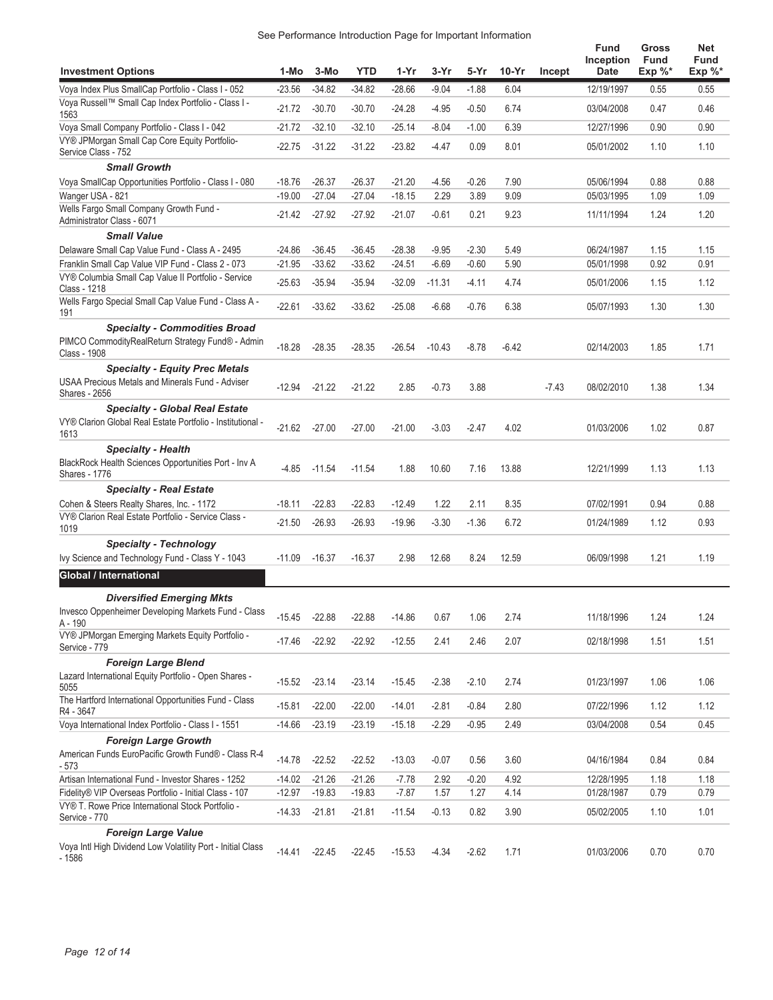| See Performance Introduction Page for Important Information |
|-------------------------------------------------------------|
|-------------------------------------------------------------|

| <b>Investment Options</b>                                                                                                | 1-Mo     | 3-Mo     | <b>YTD</b> | 1-Yr     | 3-Yr     | 5-Yr    | $10-Yr$ | Incept  | <b>Fund</b><br>Inception<br><b>Date</b> | Gross<br><b>Fund</b><br>Exp $\%^*$ | Net<br><b>Fund</b><br>Exp %* |
|--------------------------------------------------------------------------------------------------------------------------|----------|----------|------------|----------|----------|---------|---------|---------|-----------------------------------------|------------------------------------|------------------------------|
| Voya Index Plus SmallCap Portfolio - Class I - 052                                                                       | $-23.56$ | $-34.82$ | $-34.82$   | $-28.66$ | $-9.04$  | $-1.88$ | 6.04    |         | 12/19/1997                              | 0.55                               | 0.55                         |
| Voya Russell™ Small Cap Index Portfolio - Class I -<br>1563                                                              | $-21.72$ | $-30.70$ | $-30.70$   | $-24.28$ | $-4.95$  | $-0.50$ | 6.74    |         | 03/04/2008                              | 0.47                               | 0.46                         |
| Voya Small Company Portfolio - Class I - 042                                                                             | $-21.72$ | $-32.10$ | $-32.10$   | $-25.14$ | $-8.04$  | $-1.00$ | 6.39    |         | 12/27/1996                              | 0.90                               | 0.90                         |
| VY® JPMorgan Small Cap Core Equity Portfolio-<br>Service Class - 752                                                     | $-22.75$ | $-31.22$ | $-31.22$   | $-23.82$ | -4.47    | 0.09    | 8.01    |         | 05/01/2002                              | 1.10                               | 1.10                         |
| <b>Small Growth</b>                                                                                                      |          |          |            |          |          |         |         |         |                                         |                                    |                              |
| Voya SmallCap Opportunities Portfolio - Class I - 080                                                                    | $-18.76$ | $-26.37$ | $-26.37$   | $-21.20$ | -4.56    | $-0.26$ | 7.90    |         | 05/06/1994                              | 0.88                               | 0.88                         |
| Wanger USA - 821                                                                                                         | $-19.00$ | $-27.04$ | $-27.04$   | $-18.15$ | 2.29     | 3.89    | 9.09    |         | 05/03/1995                              | 1.09                               | 1.09                         |
| Wells Fargo Small Company Growth Fund -<br>Administrator Class - 6071                                                    | $-21.42$ | $-27.92$ | $-27.92$   | $-21.07$ | $-0.61$  | 0.21    | 9.23    |         | 11/11/1994                              | 1.24                               | 1.20                         |
| <b>Small Value</b>                                                                                                       |          |          |            |          |          |         |         |         |                                         |                                    |                              |
| Delaware Small Cap Value Fund - Class A - 2495                                                                           | $-24.86$ | $-36.45$ | $-36.45$   | $-28.38$ | $-9.95$  | $-2.30$ | 5.49    |         | 06/24/1987                              | 1.15                               | 1.15                         |
| Franklin Small Cap Value VIP Fund - Class 2 - 073                                                                        | $-21.95$ | $-33.62$ | $-33.62$   | $-24.51$ | $-6.69$  | $-0.60$ | 5.90    |         | 05/01/1998                              | 0.92                               | 0.91                         |
| VY® Columbia Small Cap Value II Portfolio - Service<br>Class - 1218                                                      | $-25.63$ | $-35.94$ | $-35.94$   | $-32.09$ | $-11.31$ | $-4.11$ | 4.74    |         | 05/01/2006                              | 1.15                               | 1.12                         |
| Wells Fargo Special Small Cap Value Fund - Class A -<br>191                                                              | $-22.61$ | $-33.62$ | $-33.62$   | $-25.08$ | $-6.68$  | $-0.76$ | 6.38    |         | 05/07/1993                              | 1.30                               | 1.30                         |
| <b>Specialty - Commodities Broad</b><br>PIMCO CommodityRealReturn Strategy Fund® - Admin<br>Class - 1908                 | $-18.28$ | $-28.35$ | $-28.35$   | $-26.54$ | $-10.43$ | $-8.78$ | $-6.42$ |         | 02/14/2003                              | 1.85                               | 1.71                         |
| <b>Specialty - Equity Prec Metals</b><br><b>USAA Precious Metals and Minerals Fund - Adviser</b><br><b>Shares - 2656</b> | $-12.94$ | $-21.22$ | $-21.22$   | 2.85     | $-0.73$  | 3.88    |         | $-7.43$ | 08/02/2010                              | 1.38                               | 1.34                         |
| <b>Specialty - Global Real Estate</b>                                                                                    |          |          |            |          |          |         |         |         |                                         |                                    |                              |
| VY® Clarion Global Real Estate Portfolio - Institutional -<br>1613                                                       | $-21.62$ | $-27.00$ | $-27.00$   | $-21.00$ | $-3.03$  | $-2.47$ | 4.02    |         | 01/03/2006                              | 1.02                               | 0.87                         |
| <b>Specialty - Health</b><br>BlackRock Health Sciences Opportunities Port - Inv A<br>Shares - 1776                       | $-4.85$  | $-11.54$ | $-11.54$   | 1.88     | 10.60    | 7.16    | 13.88   |         | 12/21/1999                              | 1.13                               | 1.13                         |
| <b>Specialty - Real Estate</b>                                                                                           |          |          |            |          |          |         |         |         |                                         |                                    |                              |
| Cohen & Steers Realty Shares, Inc. - 1172                                                                                | $-18.11$ | $-22.83$ | $-22.83$   | $-12.49$ | 1.22     | 2.11    | 8.35    |         | 07/02/1991                              | 0.94                               | 0.88                         |
| VY® Clarion Real Estate Portfolio - Service Class -<br>1019                                                              | $-21.50$ | $-26.93$ | $-26.93$   | $-19.96$ | $-3.30$  | $-1.36$ | 6.72    |         | 01/24/1989                              | 1.12                               | 0.93                         |
| <b>Specialty - Technology</b><br>Ivy Science and Technology Fund - Class Y - 1043                                        | $-11.09$ | $-16.37$ | $-16.37$   | 2.98     | 12.68    | 8.24    | 12.59   |         | 06/09/1998                              | 1.21                               | 1.19                         |
| Global / International                                                                                                   |          |          |            |          |          |         |         |         |                                         |                                    |                              |
| <b>Diversified Emerging Mkts</b>                                                                                         |          |          |            |          |          |         |         |         |                                         |                                    |                              |
| Invesco Oppenheimer Developing Markets Fund - Class<br>A - 190                                                           | $-15.45$ | $-22.88$ | $-22.88$   | $-14.86$ | 0.67     | 1.06    | 2.74    |         | 11/18/1996                              | 1.24                               | 1.24                         |
| VY® JPMorgan Emerging Markets Equity Portfolio -<br>Service - 779                                                        | $-17.46$ | $-22.92$ | $-22.92$   | $-12.55$ | 2.41     | 2.46    | 2.07    |         | 02/18/1998                              | 1.51                               | 1.51                         |
| <b>Foreign Large Blend</b>                                                                                               |          |          |            |          |          |         |         |         |                                         |                                    |                              |
| Lazard International Equity Portfolio - Open Shares -<br>5055                                                            | $-15.52$ | $-23.14$ | $-23.14$   | $-15.45$ | $-2.38$  | $-2.10$ | 2.74    |         | 01/23/1997                              | 1.06                               | 1.06                         |
| The Hartford International Opportunities Fund - Class<br>R4 - 3647                                                       | $-15.81$ | $-22.00$ | $-22.00$   | $-14.01$ | $-2.81$  | $-0.84$ | 2.80    |         | 07/22/1996                              | 1.12                               | 1.12                         |
| Voya International Index Portfolio - Class I - 1551                                                                      | $-14.66$ | $-23.19$ | $-23.19$   | $-15.18$ | $-2.29$  | $-0.95$ | 2.49    |         | 03/04/2008                              | 0.54                               | 0.45                         |
| <b>Foreign Large Growth</b>                                                                                              |          |          |            |          |          |         |         |         |                                         |                                    |                              |
| American Funds EuroPacific Growth Fund® - Class R-4<br>- 573                                                             | $-14.78$ | $-22.52$ | $-22.52$   | $-13.03$ | $-0.07$  | 0.56    | 3.60    |         | 04/16/1984                              | 0.84                               | 0.84                         |
| Artisan International Fund - Investor Shares - 1252                                                                      | $-14.02$ | $-21.26$ | $-21.26$   | $-7.78$  | 2.92     | $-0.20$ | 4.92    |         | 12/28/1995                              | 1.18                               | 1.18                         |
| Fidelity® VIP Overseas Portfolio - Initial Class - 107                                                                   | $-12.97$ | $-19.83$ | $-19.83$   | $-7.87$  | 1.57     | 1.27    | 4.14    |         | 01/28/1987                              | 0.79                               | 0.79                         |
| VY® T. Rowe Price International Stock Portfolio -<br>Service - 770                                                       | $-14.33$ | $-21.81$ | $-21.81$   | $-11.54$ | $-0.13$  | 0.82    | 3.90    |         | 05/02/2005                              | 1.10                               | 1.01                         |
| <b>Foreign Large Value</b><br>Voya Intl High Dividend Low Volatility Port - Initial Class<br>- 1586                      | $-14.41$ | $-22.45$ | $-22.45$   | $-15.53$ | $-4.34$  | $-2.62$ | 1.71    |         | 01/03/2006                              | 0.70                               | 0.70                         |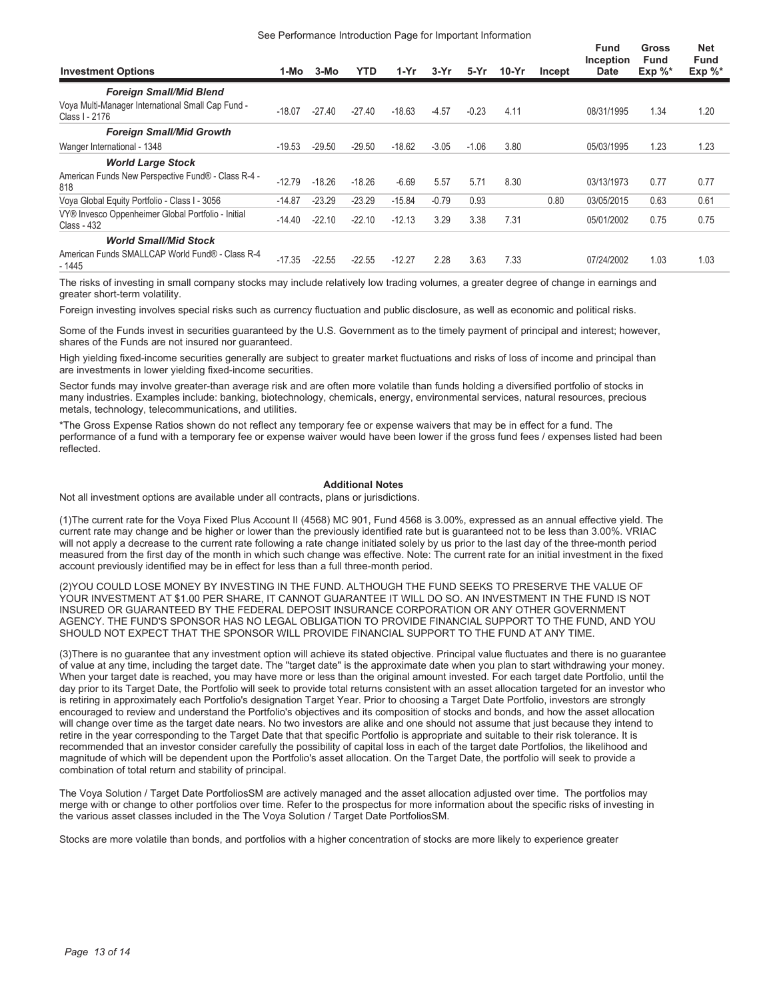#### See Performance Introduction Page for Important Information

| <b>Investment Options</b>                                           | 1-Mo     | 3-Mo     | YTD      | 1-Yr     | 3-Yr    | 5-Yr    | 10-Yr | Incept | <b>Fund</b><br>Inception<br><b>Date</b> | Gross<br><b>Fund</b><br>Exp $\%^*$ | <b>Net</b><br><b>Fund</b><br>$Exp \%^*$ |
|---------------------------------------------------------------------|----------|----------|----------|----------|---------|---------|-------|--------|-----------------------------------------|------------------------------------|-----------------------------------------|
| <b>Foreign Small/Mid Blend</b>                                      |          |          |          |          |         |         |       |        |                                         |                                    |                                         |
| Voya Multi-Manager International Small Cap Fund -<br>Class I - 2176 | $-18.07$ | $-27.40$ | $-27.40$ | $-18.63$ | $-4.57$ | $-0.23$ | 4.11  |        | 08/31/1995                              | 1.34                               | 1.20                                    |
| <b>Foreign Small/Mid Growth</b>                                     |          |          |          |          |         |         |       |        |                                         |                                    |                                         |
| Wanger International - 1348                                         | $-19.53$ | $-29.50$ | $-29.50$ | $-18.62$ | $-3.05$ | $-1.06$ | 3.80  |        | 05/03/1995                              | 1.23                               | 1.23                                    |
| <b>World Large Stock</b>                                            |          |          |          |          |         |         |       |        |                                         |                                    |                                         |
| American Funds New Perspective Fund® - Class R-4 -<br>818           | $-12.79$ | $-18.26$ | $-18.26$ | $-6.69$  | 5.57    | 5.71    | 8.30  |        | 03/13/1973                              | 0.77                               | 0.77                                    |
| Voya Global Equity Portfolio - Class I - 3056                       | $-14.87$ | $-23.29$ | $-23.29$ | $-15.84$ | $-0.79$ | 0.93    |       | 0.80   | 03/05/2015                              | 0.63                               | 0.61                                    |
| VY® Invesco Oppenheimer Global Portfolio - Initial<br>Class - 432   | $-14.40$ | $-22.10$ | $-22.10$ | $-12.13$ | 3.29    | 3.38    | 7.31  |        | 05/01/2002                              | 0.75                               | 0.75                                    |
| <b>World Small/Mid Stock</b>                                        |          |          |          |          |         |         |       |        |                                         |                                    |                                         |
| American Funds SMALLCAP World Fund® - Class R-4<br>$-1445$          | $-17.35$ | $-22.55$ | $-22.55$ | $-12.27$ | 2.28    | 3.63    | 7.33  |        | 07/24/2002                              | 1.03                               | 1.03                                    |

The risks of investing in small company stocks may include relatively low trading volumes, a greater degree of change in earnings and greater short-term volatility.

Foreign investing involves special risks such as currency fluctuation and public disclosure, as well as economic and political risks.

Some of the Funds invest in securities guaranteed by the U.S. Government as to the timely payment of principal and interest; however, shares of the Funds are not insured nor guaranteed.

High yielding fixed-income securities generally are subject to greater market fluctuations and risks of loss of income and principal than are investments in lower yielding fixed-income securities.

Sector funds may involve greater-than average risk and are often more volatile than funds holding a diversified portfolio of stocks in many industries. Examples include: banking, biotechnology, chemicals, energy, environmental services, natural resources, precious metals, technology, telecommunications, and utilities.

\*The Gross Expense Ratios shown do not reflect any temporary fee or expense waivers that may be in effect for a fund. The performance of a fund with a temporary fee or expense waiver would have been lower if the gross fund fees / expenses listed had been reflected.

#### **Additional Notes**

Not all investment options are available under all contracts, plans or jurisdictions.

(1)The current rate for the Voya Fixed Plus Account II (4568) MC 901, Fund 4568 is 3.00%, expressed as an annual effective yield. The current rate may change and be higher or lower than the previously identified rate but is guaranteed not to be less than 3.00%. VRIAC will not apply a decrease to the current rate following a rate change initiated solely by us prior to the last day of the three-month period measured from the first day of the month in which such change was effective. Note: The current rate for an initial investment in the fixed account previously identified may be in effect for less than a full three-month period.

(2)YOU COULD LOSE MONEY BY INVESTING IN THE FUND. ALTHOUGH THE FUND SEEKS TO PRESERVE THE VALUE OF YOUR INVESTMENT AT \$1.00 PER SHARE, IT CANNOT GUARANTEE IT WILL DO SO. AN INVESTMENT IN THE FUND IS NOT INSURED OR GUARANTEED BY THE FEDERAL DEPOSIT INSURANCE CORPORATION OR ANY OTHER GOVERNMENT AGENCY. THE FUND'S SPONSOR HAS NO LEGAL OBLIGATION TO PROVIDE FINANCIAL SUPPORT TO THE FUND, AND YOU SHOULD NOT EXPECT THAT THE SPONSOR WILL PROVIDE FINANCIAL SUPPORT TO THE FUND AT ANY TIME.

(3)There is no guarantee that any investment option will achieve its stated objective. Principal value fluctuates and there is no guarantee of value at any time, including the target date. The "target date" is the approximate date when you plan to start withdrawing your money. When your target date is reached, you may have more or less than the original amount invested. For each target date Portfolio, until the day prior to its Target Date, the Portfolio will seek to provide total returns consistent with an asset allocation targeted for an investor who is retiring in approximately each Portfolio's designation Target Year. Prior to choosing a Target Date Portfolio, investors are strongly encouraged to review and understand the Portfolio's objectives and its composition of stocks and bonds, and how the asset allocation will change over time as the target date nears. No two investors are alike and one should not assume that just because they intend to retire in the year corresponding to the Target Date that that specific Portfolio is appropriate and suitable to their risk tolerance. It is recommended that an investor consider carefully the possibility of capital loss in each of the target date Portfolios, the likelihood and magnitude of which will be dependent upon the Portfolio's asset allocation. On the Target Date, the portfolio will seek to provide a combination of total return and stability of principal.

The Voya Solution / Target Date PortfoliosSM are actively managed and the asset allocation adjusted over time. The portfolios may merge with or change to other portfolios over time. Refer to the prospectus for more information about the specific risks of investing in the various asset classes included in the The Voya Solution / Target Date PortfoliosSM.

Stocks are more volatile than bonds, and portfolios with a higher concentration of stocks are more likely to experience greater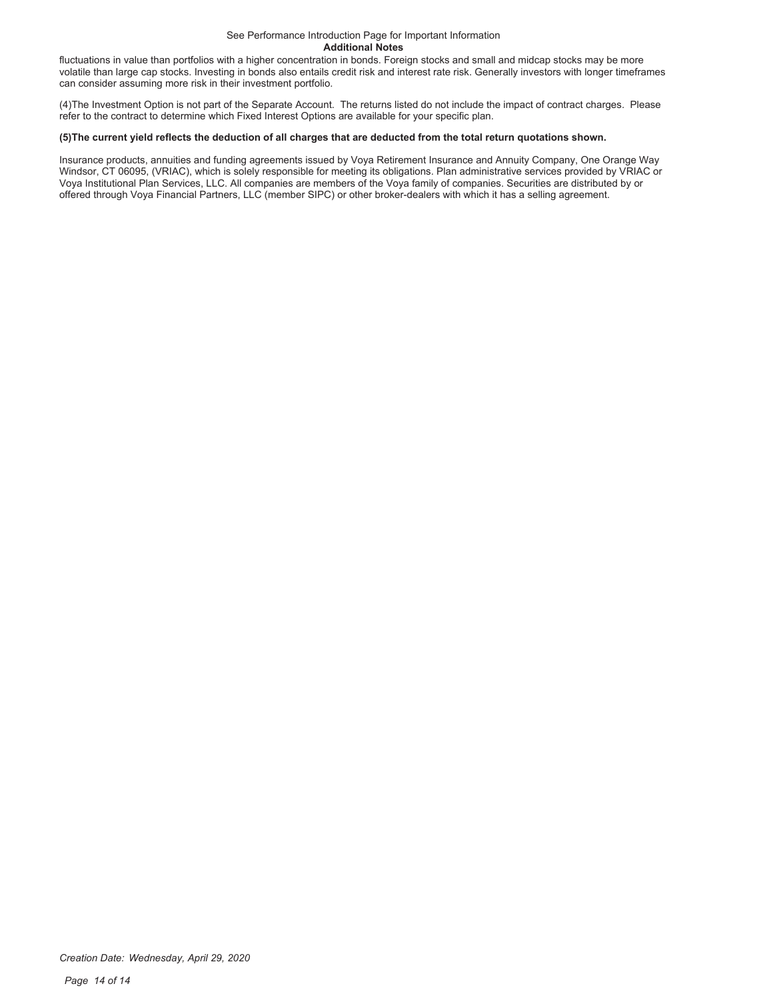#### See Performance Introduction Page for Important Information **Additional Notes**

fluctuations in value than portfolios with a higher concentration in bonds. Foreign stocks and small and midcap stocks may be more volatile than large cap stocks. Investing in bonds also entails credit risk and interest rate risk. Generally investors with longer timeframes can consider assuming more risk in their investment portfolio.

(4)The Investment Option is not part of the Separate Account. The returns listed do not include the impact of contract charges. Please refer to the contract to determine which Fixed Interest Options are available for your specific plan.

#### **(5)The current yield reflects the deduction of all charges that are deducted from the total return quotations shown.**

Insurance products, annuities and funding agreements issued by Voya Retirement Insurance and Annuity Company, One Orange Way Windsor, CT 06095, (VRIAC), which is solely responsible for meeting its obligations. Plan administrative services provided by VRIAC or Voya Institutional Plan Services, LLC. All companies are members of the Voya family of companies. Securities are distributed by or offered through Voya Financial Partners, LLC (member SIPC) or other broker-dealers with which it has a selling agreement.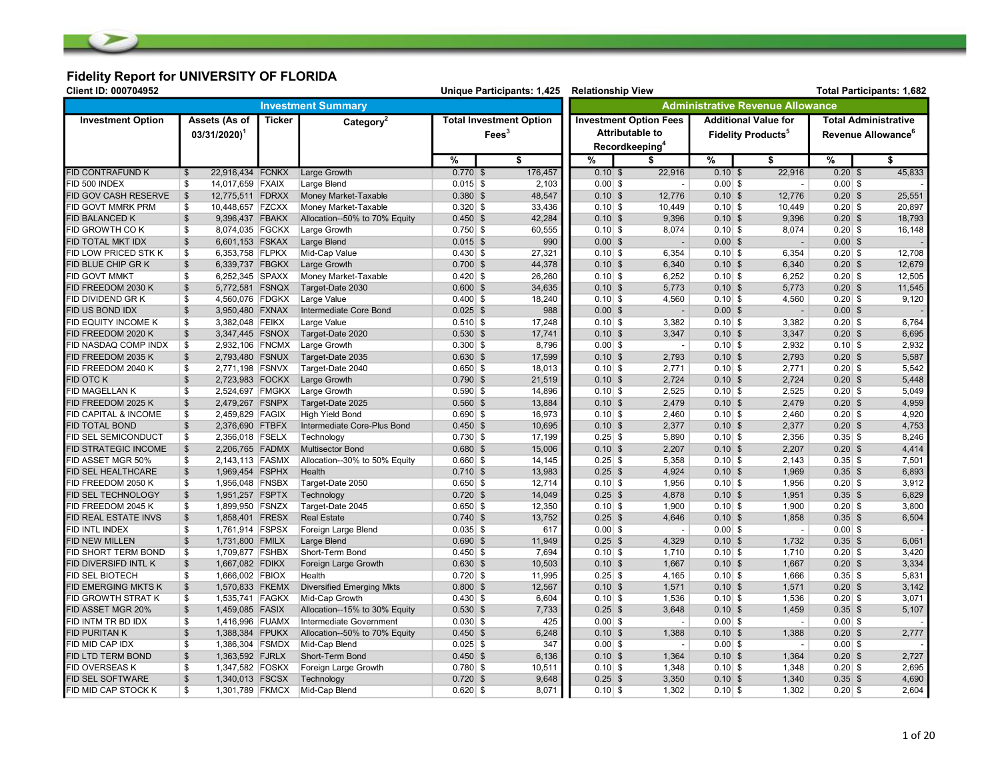# Fidelity Report for UNIVERSITY OF FLORIDA

| Client ID: 000704952<br>Unique Participants: 1,425 |                                              |        |                                  |             |                                |         | <b>Relationship View</b><br><b>Total Participants: 1,682</b> |                               |           |                                         |                                |                             |  |
|----------------------------------------------------|----------------------------------------------|--------|----------------------------------|-------------|--------------------------------|---------|--------------------------------------------------------------|-------------------------------|-----------|-----------------------------------------|--------------------------------|-----------------------------|--|
|                                                    | <b>Investment Summary</b>                    |        |                                  |             |                                |         |                                                              |                               |           | <b>Administrative Revenue Allowance</b> |                                |                             |  |
| <b>Investment Option</b>                           | Assets (As of                                | Ticker | Category <sup>2</sup>            |             | <b>Total Investment Option</b> |         |                                                              | <b>Investment Option Fees</b> |           | <b>Additional Value for</b>             |                                | <b>Total Administrative</b> |  |
|                                                    | $03/31/2020$ <sup>1</sup>                    |        |                                  |             | $\text{Fees}^3$                |         |                                                              | <b>Attributable to</b>        |           | <b>Fidelity Products<sup>5</sup></b>    | Revenue Allowance <sup>6</sup> |                             |  |
|                                                    |                                              |        |                                  |             |                                |         |                                                              | Recordkeeping <sup>4</sup>    |           |                                         |                                |                             |  |
|                                                    |                                              |        |                                  | %           |                                | \$      | %                                                            | S                             | %         | \$                                      | %                              | \$                          |  |
| <b>FID CONTRAFUND K</b>                            | $\overline{\mathcal{S}}$<br>22,916,434 FCNKX |        | <b>Large Growth</b>              | $0.770$ \$  |                                | 176,457 | $0.10$ \$                                                    | 22,916                        | $0.10$ \$ | 22,916                                  | $0.20$ \$                      | 45,833                      |  |
| FID 500 INDEX                                      | \$<br>14,017,659 FXAIX                       |        | Large Blend                      | $0.015$ \$  |                                | 2,103   | $0.00$ \$                                                    | $\sim$                        | $0.00$ \$ | $\sim$                                  | $0.00$ \$                      |                             |  |
| FID GOV CASH RESERVE                               | 12,775,511 FDRXX<br>$\mathfrak{S}$           |        | Money Market-Taxable             | $0.380$ \$  |                                | 48,547  | $0.10$ \$                                                    | 12,776                        | $0.10$ \$ | 12,776                                  | $0.20$ \$                      | 25,551                      |  |
| FID GOVT MMRK PRM                                  | \$<br>10,448,657 FZCXX                       |        | Money Market-Taxable             | $0.320$ \$  |                                | 33,436  | $0.10$ \$                                                    | 10,449                        | $0.10$ \$ | 10,449                                  | $0.20$ \$                      | 20,897                      |  |
| FID BALANCED K                                     | $\mathfrak{S}$<br>9,396,437 FBAKX            |        | Allocation--50% to 70% Equity    | $0.450$ \$  |                                | 42,284  | $0.10$ \$                                                    | 9,396                         | $0.10$ \$ | 9,396                                   | $0.20$ \$                      | 18,793                      |  |
| <b>FID GROWTH COK</b>                              | \$<br>8,074,035 FGCKX                        |        | Large Growth                     | $0.750$ \$  |                                | 60,555  | $0.10$ \$                                                    | 8,074                         | $0.10$ \$ | 8,074                                   | $0.20$ \$                      | 16,148                      |  |
| FID TOTAL MKT IDX                                  | $\frac{1}{2}$<br>6,601,153 FSKAX             |        | Large Blend                      | $0.015$ \$  |                                | 990     | $0.00$ \$                                                    | $\blacksquare$                | $0.00$ \$ | $\sim$                                  | $0.00$ \$                      |                             |  |
| FID LOW PRICED STK K                               | \$<br>6,353,758 FLPKX                        |        | Mid-Cap Value                    | $0.430 $ \$ |                                | 27,321  | $0.10$ \$                                                    | 6,354                         | $0.10$ \$ | 6,354                                   | $0.20$ \$                      | 12,708                      |  |
| FID BLUE CHIP GR K                                 | $\mathfrak{S}$<br>6,339,737 FBGKX            |        | Large Growth                     | $0.700$ \$  |                                | 44,378  | $0.10$ \$                                                    | 6,340                         | $0.10$ \$ | 6,340                                   | $0.20$ \$                      | 12,679                      |  |
| <b>FID GOVT MMKT</b>                               | \$<br>6,252,345 SPAXX                        |        | Money Market-Taxable             | $0.420$ \$  |                                | 26,260  | $0.10$ \$                                                    | 6,252                         | $0.10$ \$ | 6,252                                   | $0.20$ \$                      | 12,505                      |  |
| FID FREEDOM 2030 K                                 | $\mathbb{S}$<br>5,772,581 FSNQX              |        | Target-Date 2030                 | $0.600$ \$  |                                | 34,635  | $0.10$ \$                                                    | 5,773                         | $0.10$ \$ | 5,773                                   | $0.20$ \$                      | 11,545                      |  |
| FID DIVIDEND GR K                                  | \$<br>4,560,076 FDGKX                        |        | Large Value                      | $0.400$ \$  |                                | 18,240  | $0.10$ \$                                                    | 4,560                         | $0.10$ \$ | 4,560                                   | $0.20$ \$                      | 9,120                       |  |
| FID US BOND IDX                                    | $\mathfrak{S}$<br>3,950,480 FXNAX            |        | Intermediate Core Bond           | $0.025$ \$  |                                | 988     | $0.00$ \$                                                    | $\overline{\phantom{a}}$      | $0.00$ \$ | $\overline{\phantom{a}}$                | $0.00$ \$                      |                             |  |
| FID EQUITY INCOME K                                | \$<br>3,382,048 FEIKX                        |        | Large Value                      | $0.510$ \$  |                                | 17,248  | $0.10$ \$                                                    | 3,382                         | $0.10$ \$ | 3,382                                   | $0.20$ \$                      | 6,764                       |  |
| FID FREEDOM 2020 K                                 | $\mathfrak{S}$<br>3,347,445 FSNOX            |        | Target-Date 2020                 | $0.530$ \$  |                                | 17,741  | $0.10$ \$                                                    | 3,347                         | $0.10$ \$ | 3,347                                   | $0.20$ \$                      | 6,695                       |  |
| FID NASDAQ COMP INDX                               | \$<br>2,932,106 FNCMX                        |        | Large Growth                     | $0.300$ \$  |                                | 8,796   | $0.00$ \$                                                    | $\overline{\phantom{a}}$      | $0.10$ \$ | 2,932                                   | $0.10$ \$                      | 2,932                       |  |
| FID FREEDOM 2035 K                                 | $\frac{1}{2}$<br>2,793,480 FSNUX             |        | Target-Date 2035                 | $0.630$ \$  |                                | 17,599  | $0.10$ \$                                                    | 2,793                         | $0.10$ \$ | 2,793                                   | $0.20$ \$                      | 5,587                       |  |
| FID FREEDOM 2040 K                                 | \$<br>2,771,198 FSNVX                        |        | Target-Date 2040                 | $0.650$ \$  |                                | 18,013  | $0.10$ \$                                                    | 2,771                         | $0.10$ \$ | 2,771                                   | $0.20$ \$                      | 5,542                       |  |
| <b>FID OTC K</b>                                   | $\mathfrak{S}$<br>2,723,983 FOCKX            |        | Large Growth                     | $0.790$ \$  |                                | 21,519  | $0.10$ \$                                                    | 2,724                         | $0.10$ \$ | 2,724                                   | $0.20$ \$                      | 5,448                       |  |
| FID MAGELLAN K                                     | \$<br>2,524,697 FMGKX                        |        | Large Growth                     | $0.590$ \$  |                                | 14,896  | $0.10$ \$                                                    | 2,525                         | $0.10$ \$ | 2,525                                   | $0.20$ \$                      | 5,049                       |  |
| FID FREEDOM 2025 K                                 | $\frac{1}{2}$<br>2,479,267 FSNPX             |        | Target-Date 2025                 | $0.560$ \$  |                                | 13,884  | $0.10$ \$                                                    | 2,479                         | $0.10$ \$ | 2,479                                   | $0.20$ \$                      | 4,959                       |  |
| FID CAPITAL & INCOME                               | \$<br>2,459,829 FAGIX                        |        | <b>High Yield Bond</b>           | $0.690$ \$  |                                | 16,973  | $0.10$ \$                                                    | 2,460                         | $0.10$ \$ | 2,460                                   | $0.20$ \$                      | 4,920                       |  |
| FID TOTAL BOND                                     | $\mathfrak{s}$<br>2,376,690 FTBFX            |        | Intermediate Core-Plus Bond      | $0.450$ \$  |                                | 10,695  | $0.10$ \$                                                    | 2,377                         | $0.10$ \$ | 2,377                                   | $0.20$ \$                      | 4,753                       |  |
| FID SEL SEMICONDUCT                                | \$<br>2,356,018 FSELX                        |        | Technology                       | $0.730$ \$  |                                | 17,199  | $0.25$ \$                                                    | 5,890                         | $0.10$ \$ | 2,356                                   | $0.35$ \$                      | 8,246                       |  |
| FID STRATEGIC INCOME                               | 2,206,765 FADMX<br>$\frac{3}{2}$             |        | <b>Multisector Bond</b>          | $0.680$ \$  |                                | 15,006  | $0.10$ \$                                                    | 2,207                         | $0.10$ \$ | 2,207                                   | $0.20$ \$                      | 4,414                       |  |
| FID ASSET MGR 50%                                  | \$<br>2,143,113 FASMX                        |        | Allocation--30% to 50% Equity    | $0.660$ \$  |                                | 14,145  | $0.25$ \$                                                    | 5,358                         | $0.10$ \$ | 2,143                                   | $0.35$ \$                      | 7,501                       |  |
| FID SEL HEALTHCARE                                 | $\mathfrak{s}$<br>1,969,454 FSPHX            |        | Health                           | $0.710$ \$  |                                | 13,983  | $0.25$ \$                                                    | 4,924                         | $0.10$ \$ | 1,969                                   | $0.35$ \$                      | 6,893                       |  |
| FID FREEDOM 2050 K                                 | \$<br>1,956,048 FNSBX                        |        | Target-Date 2050                 | $0.650$ \$  |                                | 12,714  | $0.10$ \$                                                    | 1,956                         | $0.10$ \$ | 1,956                                   | $0.20$ \$                      | 3,912                       |  |
| FID SEL TECHNOLOGY                                 | $\frac{1}{2}$<br>1,951,257 FSPTX             |        | Technology                       | $0.720$ \$  |                                | 14,049  | $0.25$ \$                                                    | 4,878                         | $0.10$ \$ | 1,951                                   | $0.35$ \$                      | 6,829                       |  |
| FID FREEDOM 2045 K                                 | \$<br>1,899,950 FSNZX                        |        | Target-Date 2045                 | $0.650$ \$  |                                | 12,350  | $0.10$ \$                                                    | 1,900                         | $0.10$ \$ | 1,900                                   | $0.20$ \$                      | 3,800                       |  |
| FID REAL ESTATE INVS                               | $\frac{1}{2}$<br>1,858,401 FRESX             |        | <b>Real Estate</b>               | $0.740$ \$  |                                | 13,752  | $0.25$ \$                                                    | 4,646                         | $0.10$ \$ | 1,858                                   | $0.35$ \$                      | 6,504                       |  |
| FID INTL INDEX                                     | \$<br>1,761,914 FSPSX                        |        | Foreign Large Blend              | $0.035$ \$  |                                | 617     | $0.00$ \$                                                    | $\overline{\phantom{a}}$      | $0.00$ \$ | $\overline{\phantom{a}}$                | $0.00$ \$                      |                             |  |
| FID NEW MILLEN                                     | $\frac{1}{2}$<br>1,731,800 FMILX             |        | Large Blend                      | $0.690$ \$  |                                | 11,949  | $0.25$ \$                                                    | 4,329                         | $0.10$ \$ | 1,732                                   | $0.35$ \$                      | 6,061                       |  |
| FID SHORT TERM BOND                                | $$\mathbb{S}$$<br>1,709,877 FSHBX            |        | Short-Term Bond                  | $0.450$ \$  |                                | 7,694   | $0.10$ \$                                                    | 1,710                         | $0.10$ \$ | 1,710                                   | $0.20$ \$                      | 3,420                       |  |
| FID DIVERSIFD INTL K                               | $\frac{1}{2}$<br>1,667,082 FDIKX             |        | Foreign Large Growth             | $0.630$ \$  |                                | 10,503  | $0.10$ \$                                                    | 1,667                         | $0.10$ \$ | 1,667                                   | $0.20$ \$                      | 3,334                       |  |
| FID SEL BIOTECH                                    | \$<br>1,666,002 FBIOX                        |        | Health                           | $0.720$ \$  |                                | 11,995  | $0.25$ \$                                                    | 4,165                         | $0.10$ \$ | 1,666                                   | $0.35$ \$                      | 5,831                       |  |
| <b>FID EMERGING MKTS K</b>                         | 1,570,833 FKEMX<br>$\frac{1}{2}$             |        | <b>Diversified Emerging Mkts</b> | $0.800$ \$  |                                | 12,567  | $0.10$ \$                                                    | 1,571                         | $0.10$ \$ | 1,571                                   | $0.20$ \$                      | 3,142                       |  |
| FID GROWTH STRAT K                                 | \$<br>1,535,741 FAGKX                        |        | Mid-Cap Growth                   | $0.430 $ \$ |                                | 6,604   | $0.10$ \$                                                    | 1,536                         | $0.10$ \$ | 1,536                                   | $0.20$ \$                      | 3,071                       |  |
| FID ASSET MGR 20%                                  | $\frac{1}{2}$<br>1,459,085 FASIX             |        | Allocation--15% to 30% Equity    | $0.530$ \$  |                                | 7,733   | $0.25$ \$                                                    | 3,648                         | $0.10$ \$ | 1,459                                   | $0.35$ \$                      | 5,107                       |  |
| FID INTM TR BD IDX                                 | \$<br>1,416,996 FUAMX                        |        | Intermediate Government          | $0.030$ \$  |                                | 425     | $0.00$ \$                                                    | $\overline{\phantom{a}}$      | $0.00$ \$ | $\overline{\phantom{a}}$                | $0.00$ \$                      |                             |  |
| <b>FID PURITAN K</b>                               | $$\mathbb{S}$$<br>1,388,384 FPUKX            |        | Allocation--50% to 70% Equity    | $0.450$ \$  |                                | 6,248   | $0.10$ \$                                                    | 1,388                         | 0.10S     | 1,388                                   | $0.20$ \$                      | 2,777                       |  |
| FID MID CAP IDX                                    | \$<br>1,386,304 FSMDX                        |        | Mid-Cap Blend                    | $0.025$ \$  |                                | 347     | $0.00$ \$                                                    | $\overline{\phantom{a}}$      | $0.00$ \$ | $\overline{\phantom{a}}$                | $0.00$ \$                      |                             |  |
| FID LTD TERM BOND                                  | $\mathfrak{s}$<br>1,363,592 FJRLX            |        | Short-Term Bond                  | $0.450$ \$  |                                | 6,136   | $0.10$ \$                                                    | 1,364                         | $0.10$ \$ | 1,364                                   | $0.20$ \$                      | 2,727                       |  |
| <b>FID OVERSEAS K</b>                              | \$<br>1,347,582 FOSKX                        |        | Foreign Large Growth             | $0.780$ \$  |                                | 10,511  | $0.10$ \$                                                    | 1,348                         | $0.10$ \$ | 1,348                                   | $0.20$ \$                      | 2,695                       |  |
| FID SEL SOFTWARE                                   | $\mathbb{S}$<br>1,340,013 FSCSX              |        | Technology                       | $0.720$ \$  |                                | 9,648   | $0.25$ \$                                                    | 3,350                         | $0.10$ \$ | 1,340                                   | $0.35$ \$                      | 4,690                       |  |
| FID MID CAP STOCK K                                | \$<br>1,301,789 FKMCX                        |        | Mid-Cap Blend                    | $0.620$ \$  |                                | 8,071   | $0.10$ \$                                                    | 1,302                         | $0.10$ \$ | 1,302                                   | $0.20$ \$                      | 2,604                       |  |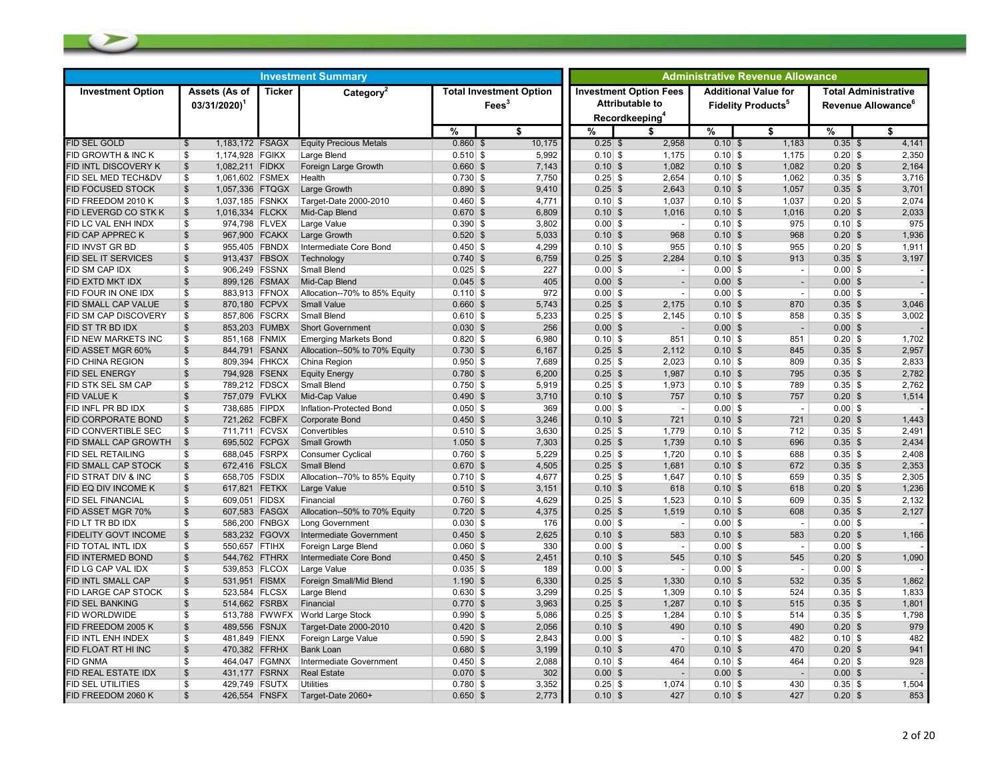| <b>Investment Summary</b>     |                                            |                 |                                 |               |                                                     |           | <b>Administrative Revenue Allowance</b>                                               |           |                                                                     |                                                               |       |  |  |
|-------------------------------|--------------------------------------------|-----------------|---------------------------------|---------------|-----------------------------------------------------|-----------|---------------------------------------------------------------------------------------|-----------|---------------------------------------------------------------------|---------------------------------------------------------------|-------|--|--|
| <b>Investment Option</b>      | Assets (As of<br>$03/31/2020$ <sup>1</sup> | <b>Ticker</b>   | Category <sup>2</sup>           |               | <b>Total Investment Option</b><br>Fees <sup>3</sup> |           | <b>Investment Option Fees</b><br><b>Attributable to</b><br>Recordkeeping <sup>4</sup> |           | <b>Additional Value for</b><br><b>Fidelity Products<sup>5</sup></b> | <b>Total Administrative</b><br>Revenue Allowance <sup>6</sup> |       |  |  |
|                               |                                            |                 |                                 | $\frac{9}{6}$ | \$                                                  | $\%$      | \$                                                                                    | %         | \$                                                                  | %                                                             | \$    |  |  |
| <b>FID SEL GOLD</b>           | $\mathbb{S}$                               | 1,183,172 FSAGX | <b>Equity Precious Metals</b>   | $0.860$ \$    | 10,175                                              | $0.25$ \$ | 2,958                                                                                 | $0.10$ \$ | 1,183                                                               | $0.35$ \$                                                     | 4,141 |  |  |
| <b>FID GROWTH &amp; INC K</b> | \$<br>1,174,928 FGIKX                      |                 | Large Blend                     | $0.510$ \$    | 5,992                                               | $0.10$ \$ | 1,175                                                                                 | $0.10$ \$ | 1,175                                                               | $0.20$ \$                                                     | 2,350 |  |  |
| FID INTL DISCOVERY K          | $\frac{3}{2}$<br>1,082,211 FIDKX           |                 | Foreign Large Growth            | $0.660$ \$    | 7,143                                               | 0.10S     | 1,082                                                                                 | $0.10$ \$ | 1,082                                                               | $0.20$ \$                                                     | 2,164 |  |  |
| FID SEL MED TECH&DV           | \$                                         | 1,061,602 FSMEX | Health                          | $0.730$ \$    | 7,750                                               | $0.25$ \$ | 2,654                                                                                 | $0.10$ \$ | 1,062                                                               | $0.35$ \$                                                     | 3,716 |  |  |
| <b>FID FOCUSED STOCK</b>      | $\mathfrak{s}$                             | 1,057,336 FTQGX | Large Growth                    | $0.890$ \$    | 9,410                                               | $0.25$ \$ | 2,643                                                                                 | $0.10$ \$ | 1,057                                                               | $0.35$ \$                                                     | 3,701 |  |  |
| FID FREEDOM 2010 K            | \$                                         | 1,037,185 FSNKX | Target-Date 2000-2010           | $0.460$ \$    | 4,771                                               | $0.10$ \$ | 1,037                                                                                 | $0.10$ \$ | 1,037                                                               | $0.20$ \$                                                     | 2,074 |  |  |
| FID LEVERGD CO STK K          | $\mathfrak{s}$                             | 1,016,334 FLCKX | Mid-Cap Blend                   | $0.670$ \$    | 6,809                                               | $0.10$ \$ | 1,016                                                                                 | $0.10$ \$ | 1,016                                                               | $0.20$ \$                                                     | 2,033 |  |  |
| FID LC VAL ENH INDX           | \$                                         | 974,798 FLVEX   | Large Value                     | $0.390$ \$    | 3,802                                               | $0.00$ \$ | $\sim$                                                                                | $0.10$ \$ | 975                                                                 | $0.10$ \$                                                     | 975   |  |  |
| FID CAP APPREC K              | $\mathbb{S}$                               | 967,900 FCAKX   | Large Growth                    | $0.520$ \$    | 5,033                                               | $0.10$ \$ | 968                                                                                   | $0.10$ \$ | 968                                                                 | $0.20$ \$                                                     | 1,936 |  |  |
| FID INVST GR BD               | $\mathbb{S}$                               | 955,405 FBNDX   | Intermediate Core Bond          | $0.450$ \$    | 4,299                                               | $0.10$ \$ | 955                                                                                   | $0.10$ \$ | 955                                                                 | $0.20$ \$                                                     | 1,911 |  |  |
| FID SEL IT SERVICES           | $\mathfrak{S}$                             | 913,437 FBSOX   | Technology                      | $0.740$ \$    | 6,759                                               | $0.25$ \$ | 2,284                                                                                 | $0.10$ \$ | 913                                                                 | $0.35$ \$                                                     | 3,197 |  |  |
| FID SM CAP IDX                | \$                                         | 906.249 FSSNX   | <b>Small Blend</b>              | $0.025$ \$    | 227                                                 | $0.00$ \$ | $\blacksquare$                                                                        | $0.00$ \$ | $\overline{\phantom{a}}$                                            | $0.00$ \$                                                     |       |  |  |
| FID EXTD MKT IDX              | $\mathfrak{S}$                             | 899,126 FSMAX   | Mid-Cap Blend                   | $0.045$ \$    | 405                                                 | $0.00$ \$ | $\overline{\phantom{a}}$                                                              | $0.00$ \$ | $\overline{\phantom{a}}$                                            | $0.00$ \$                                                     |       |  |  |
| FID FOUR IN ONE IDX           | \$                                         | 883,913 FFNOX   | Allocation--70% to 85% Equity   | $0.110$ \$    | 972                                                 | $0.00$ \$ | $\overline{\phantom{a}}$                                                              | $0.00$ \$ | $\overline{\phantom{a}}$                                            | $0.00$ \$                                                     |       |  |  |
| FID SMALL CAP VALUE           | $\frac{1}{2}$                              | 870,180 FCPVX   | <b>Small Value</b>              | $0.660$ \$    | 5.743                                               | $0.25$ \$ | 2,175                                                                                 | $0.10$ \$ | 870                                                                 | $0.35$ \$                                                     | 3.046 |  |  |
| FID SM CAP DISCOVERY          | \$                                         | 857,806 FSCRX   | Small Blend                     | $0.610$ \$    | 5,233                                               | $0.25$ \$ | 2,145                                                                                 | $0.10$ \$ | 858                                                                 | $0.35$ \$                                                     | 3,002 |  |  |
| FID ST TR BD IDX              | $\sqrt[6]{2}$                              | 853,203 FUMBX   | <b>Short Government</b>         | $0.030$ \$    | 256                                                 | $0.00$ \$ | $\overline{\phantom{a}}$                                                              | $0.00$ \$ | $\overline{\phantom{a}}$                                            | $0.00$ \$                                                     |       |  |  |
| FID NEW MARKETS INC           | \$                                         | 851,168 FNMIX   | <b>Emerging Markets Bond</b>    | $0.820$ \$    | 6,980                                               | $0.10$ \$ | 851                                                                                   | $0.10$ \$ | 851                                                                 | $0.20$ \$                                                     | 1,702 |  |  |
| FID ASSET MGR 60%             | $\mathfrak{s}$                             | 844,791 FSANX   | Allocation--50% to 70% Equity   | $0.730$ \$    | 6,167                                               | $0.25$ \$ | 2,112                                                                                 | $0.10$ \$ | 845                                                                 | $0.35$ \$                                                     | 2,957 |  |  |
| <b>FID CHINA REGION</b>       | \$                                         | 809,394 FHKCX   | China Region                    | $0.950$ \$    | 7,689                                               | $0.25$ \$ | 2,023                                                                                 | $0.10$ \$ | 809                                                                 | $0.35$ \$                                                     | 2,833 |  |  |
| FID SEL ENERGY                | $\mathfrak s$                              | 794,928 FSENX   | <b>Equity Energy</b>            | $0.780$ \$    | 6,200                                               | $0.25$ \$ | 1,987                                                                                 | $0.10$ \$ | 795                                                                 | $0.35$ \$                                                     | 2,782 |  |  |
| FID STK SEL SM CAP            | \$                                         | 789,212 FDSCX   | Small Blend                     | $0.750$ \$    | 5.919                                               | $0.25$ \$ | 1,973                                                                                 | $0.10$ \$ | 789                                                                 | $0.35$ \$                                                     | 2.762 |  |  |
| FID VALUE K                   | $\mathfrak{S}$                             | 757,079 FVLKX   | Mid-Cap Value                   | $0.490$ \$    | 3,710                                               | $0.10$ \$ | 757                                                                                   | $0.10$ \$ | 757                                                                 | $0.20$ \$                                                     | 1,514 |  |  |
| FID INFL PR BD IDX            | \$                                         | 738,685 FIPDX   | Inflation-Protected Bond        | $0.050$ \$    | 369                                                 | $0.00$ \$ | $\overline{\phantom{a}}$                                                              | $0.00$ \$ | $\overline{\phantom{a}}$                                            | $0.00$ \$                                                     |       |  |  |
| <b>FID CORPORATE BOND</b>     | $\mathfrak{S}$                             | 721,262 FCBFX   | <b>Corporate Bond</b>           | $0.450$ \$    | 3,246                                               | $0.10$ \$ | 721                                                                                   | $0.10$ \$ | 721                                                                 | $0.20$ \$                                                     | 1.443 |  |  |
| FID CONVERTIBLE SEC           | \$                                         | 711,711 FCVSX   | Convertibles                    | $0.510$ \$    | 3,630                                               | $0.25$ \$ | 1,779                                                                                 | $0.10$ \$ | 712                                                                 | $0.35$ \$                                                     | 2,491 |  |  |
| FID SMALL CAP GROWTH          | \$                                         | 695,502 FCPGX   | Small Growth                    | $1.050$ \$    | 7,303                                               | $0.25$ \$ | 1,739                                                                                 | $0.10$ \$ | 696                                                                 | $0.35$ \$                                                     | 2,434 |  |  |
| FID SEL RETAILING             | S.                                         | 688,045 FSRPX   | Consumer Cyclical               | $0.760$ \$    | 5,229                                               | $0.25$ \$ | 1,720                                                                                 | $0.10$ \$ | 688                                                                 | $0.35$ \$                                                     | 2,408 |  |  |
| FID SMALL CAP STOCK           | $\mathfrak{s}$                             | 672,416 FSLCX   | <b>Small Blend</b>              | $0.670$ \$    | 4,505                                               | $0.25$ \$ | 1,681                                                                                 | $0.10$ \$ | 672                                                                 | $0.35$ \$                                                     | 2,353 |  |  |
| FID STRAT DIV & INC           | \$                                         | 658,705 FSDIX   | Allocation--70% to 85% Equity   | $0.710$ \$    | 4,677                                               | $0.25$ \$ | 1,647                                                                                 | $0.10$ \$ | 659                                                                 | $0.35$ \$                                                     | 2,305 |  |  |
| FID EQ DIV INCOME K           | $\mathbb{S}$                               | 617,821 FETKX   | Large Value                     | $0.510$ \$    | 3,151                                               | $0.10$ \$ | 618                                                                                   | $0.10$ \$ | 618                                                                 | $0.20$ \$                                                     | 1,236 |  |  |
| FID SEL FINANCIAL             | $\mathbf{s}$                               | 609,051 FIDSX   | Financial                       | $0.760$ \$    | 4,629                                               | $0.25$ \$ | 1,523                                                                                 | $0.10$ \$ | 609                                                                 | $0.35$ \$                                                     | 2,132 |  |  |
| FID ASSET MGR 70%             | $\mathfrak s$                              | 607,583 FASGX   | Allocation--50% to 70% Equity   | $0.720$ \$    | 4,375                                               | $0.25$ \$ | 1,519                                                                                 | $0.10$ \$ | 608                                                                 | $0.35$ \$                                                     | 2,127 |  |  |
| FID LT TR BD IDX              | \$                                         | 586,200 FNBGX   | Long Government                 | $0.030$ \$    | 176                                                 | $0.00$ \$ | $\overline{\phantom{a}}$                                                              | $0.00$ \$ | $\overline{\phantom{a}}$                                            | $0.00$ \$                                                     |       |  |  |
| <b>FIDELITY GOVT INCOME</b>   | $\mathbb{S}$                               | 583,232 FGOVX   | Intermediate Government         | $0.450$ \$    | 2,625                                               | $0.10$ \$ | 583                                                                                   | $0.10$ \$ | 583                                                                 | $0.20$ \$                                                     | 1,166 |  |  |
| FID TOTAL INTL IDX            | \$                                         | 550,657 FTIHX   | Foreign Large Blend             | $0.060$ \$    | 330                                                 | $0.00$ \$ | $\overline{\phantom{a}}$                                                              | $0.00$ \$ | $\overline{\phantom{a}}$                                            | $0.00$ \$                                                     |       |  |  |
| FID INTERMED BOND             | \$                                         | 544,762 FTHRX   | Intermediate Core Bond          | $0.450$ \$    | 2,451                                               | $0.10$ \$ | 545                                                                                   | $0.10$ \$ | 545                                                                 | $0.20$ \$                                                     | 1,090 |  |  |
| FID LG CAP VAL IDX            | \$                                         | 539,853 FLCOX   | Large Value                     | $0.035$ \$    | 189                                                 | $0.00$ \$ | $\blacksquare$                                                                        | $0.00$ \$ | $\overline{\phantom{a}}$                                            | $0.00$ \$                                                     |       |  |  |
| FID INTL SMALL CAP            | $\mathfrak{s}$                             | 531,951 FISMX   | Foreign Small/Mid Blend         | $1.190$ \$    | 6,330                                               | $0.25$ \$ | 1,330                                                                                 | $0.10$ \$ | 532                                                                 | $0.35$ \$                                                     | 1,862 |  |  |
| <b>FID LARGE CAP STOCK</b>    | \$                                         | 523,584 FLCSX   | Large Blend                     | $0.630$ \$    | 3,299                                               | $0.25$ \$ | 1,309                                                                                 | $0.10$ \$ | 524                                                                 | $0.35$ \$                                                     | 1,833 |  |  |
| <b>FID SEL BANKING</b>        | $\mathfrak{S}$                             | 514,662 FSRBX   | Financial                       | $0.770$ \$    | 3,963                                               | $0.25$ \$ | 1,287                                                                                 | $0.10$ \$ | 515                                                                 | $0.35$ \$                                                     | 1,801 |  |  |
| FID WORLDWIDE                 | \$                                         |                 | 513,788 FWWFX World Large Stock | $0.990$ \$    | 5,086                                               | $0.25$ \$ | 1,284                                                                                 | $0.10$ \$ | 514                                                                 | $0.35$ \$                                                     | 1,798 |  |  |
| FID FREEDOM 2005 K            | $\mathfrak s$                              | 489,556 FSNJX   | Target-Date 2000-2010           | $0.420$ \$    | 2,056                                               | $0.10$ \$ | 490                                                                                   | $0.10$ \$ | 490                                                                 | $0.20$ \$                                                     | 979   |  |  |
| FID INTL ENH INDEX            | \$                                         | 481,849 FIENX   | Foreign Large Value             | $0.590$ \$    | 2,843                                               | $0.00$ \$ | $\overline{\phantom{a}}$                                                              | $0.10$ \$ | 482                                                                 | $0.10$ \$                                                     | 482   |  |  |
| FID FLOAT RT HI INC           | $\mathfrak{S}$                             | 470,382 FFRHX   | <b>Bank Loan</b>                | $0.680$ \$    | 3,199                                               | $0.10$ \$ | 470                                                                                   | $0.10$ \$ | 470                                                                 | $0.20$ \$                                                     | 941   |  |  |
| fid Gnma                      | \$                                         | 464,047 FGMNX   | Intermediate Government         | $0.450$ \$    | 2,088                                               | $0.10$ \$ | 464                                                                                   | $0.10$ \$ | 464                                                                 | $0.20$ \$                                                     | 928   |  |  |
| FID REAL ESTATE IDX           | \$                                         | 431,177 FSRNX   | <b>Real Estate</b>              | $0.070$ \$    | 302                                                 | $0.00$ \$ | $\overline{\phantom{a}}$                                                              | $0.00$ \$ | $\overline{\phantom{a}}$                                            | $0.00$ \$                                                     |       |  |  |
| FID SEL UTILITIES             | \$                                         | 429,749 FSUTX   | <b>Utilities</b>                | $0.780$ \$    | 3,352                                               | $0.25$ \$ | 1,074                                                                                 | $0.10$ \$ | 430                                                                 | $0.35$ \$                                                     | 1,504 |  |  |
| FID FREEDOM 2060 K            | $\mathfrak s$                              | 426,554 FNSFX   | Target-Date 2060+               | $0.650$ \$    | 2,773                                               | $0.10$ \$ | 427                                                                                   | $0.10$ \$ | 427                                                                 | $0.20$ \$                                                     | 853   |  |  |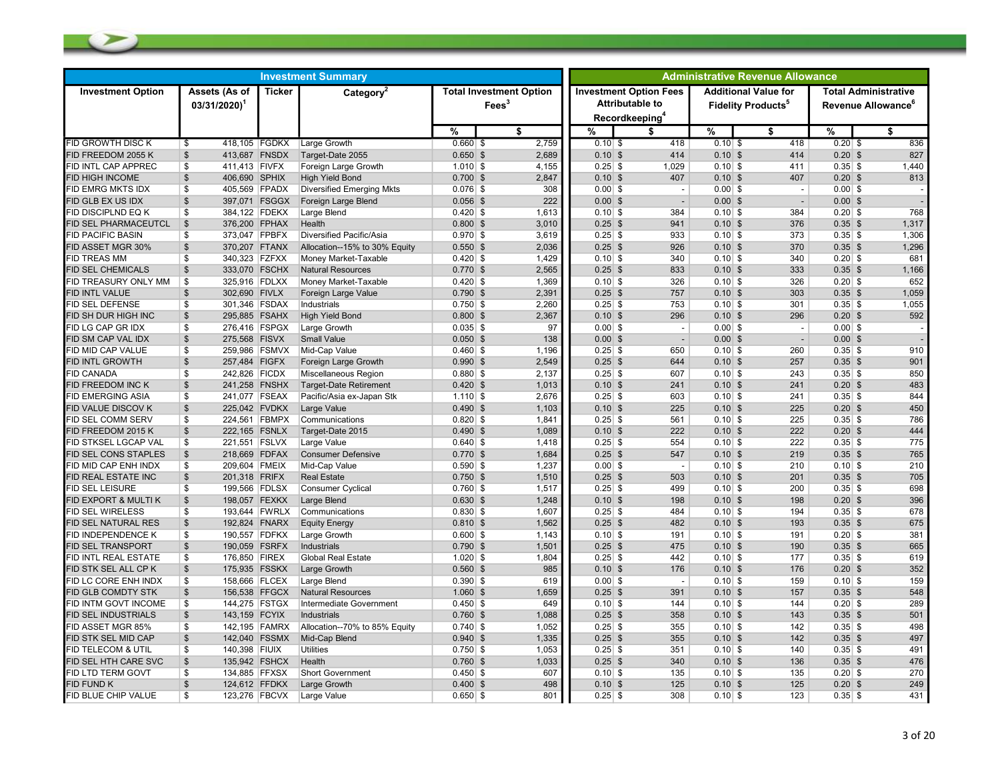| <b>Investment Summary</b> |                                            |               |                                  |                                                   |  |                         | <b>Administrative Revenue Allowance</b> |                                                                                       |               |                                                                     |                                                               |                         |  |
|---------------------------|--------------------------------------------|---------------|----------------------------------|---------------------------------------------------|--|-------------------------|-----------------------------------------|---------------------------------------------------------------------------------------|---------------|---------------------------------------------------------------------|---------------------------------------------------------------|-------------------------|--|
| <b>Investment Option</b>  | Assets (As of<br>$03/31/2020$ <sup>1</sup> | <b>Ticker</b> | Category <sup>2</sup>            | <b>Total Investment Option</b><br>$\text{Fees}^3$ |  |                         |                                         | <b>Investment Option Fees</b><br><b>Attributable to</b><br>Recordkeeping <sup>4</sup> |               | <b>Additional Value for</b><br><b>Fidelity Products<sup>5</sup></b> | <b>Total Administrative</b><br>Revenue Allowance <sup>6</sup> |                         |  |
|                           |                                            |               |                                  | $\frac{9}{6}$                                     |  | $\overline{\mathbf{s}}$ | $\frac{9}{6}$                           | \$                                                                                    | $\frac{9}{6}$ | $\overline{\mathbf{s}}$                                             | $\frac{9}{6}$                                                 | $\overline{\mathbf{s}}$ |  |
| <b>FID GROWTH DISC K</b>  | 418,105 FGDKX<br>\$                        |               | Large Growth                     | $0.660$ \$                                        |  | 2,759                   | $0.10$ \$                               | 418                                                                                   | $0.10$ \$     | 418                                                                 | $0.20$ \$                                                     | 836                     |  |
| FID FREEDOM 2055 K        | 413,687 FNSDX<br>$\mathbb{S}$              |               | Target-Date 2055                 | $0.650$ \$                                        |  | 2,689                   | $0.10$ \$                               | 414                                                                                   | $0.10$ \$     | 414                                                                 | $0.20$ \$                                                     | 827                     |  |
| <b>ID INTL CAP APPREC</b> | 411,413 FIVFX<br>\$                        |               | Foreign Large Growth             | $1.010$ \$                                        |  | 4,155                   | $0.25$ \$                               | 1,029                                                                                 | $0.10$ \$     | 411                                                                 | $0.35$ \$                                                     | 1,440                   |  |
| FID HIGH INCOME           | $\mathfrak{S}$<br>406,690 SPHIX            |               | <b>High Yield Bond</b>           | $0.700$ \$                                        |  | 2,847                   | $0.10$ \$                               | 407                                                                                   | $0.10$ \$     | 407                                                                 | $0.20$ \$                                                     | 813                     |  |
| FID EMRG MKTS IDX         | \$<br>405,569 FPADX                        |               | <b>Diversified Emerging Mkts</b> | $0.076$ \$                                        |  | 308                     | $0.00$ \$                               | $\overline{\phantom{a}}$                                                              | $0.00$ \$     | $\blacksquare$                                                      | $0.00$ \$                                                     |                         |  |
| FID GLB EX US IDX         | $\mathfrak{s}$<br>397,071 FSGGX            |               | Foreign Large Blend              | $0.056$ \$                                        |  | 222                     | $0.00$ \$                               | $\overline{\phantom{a}}$                                                              | $0.00$ \$     | $\overline{\phantom{a}}$                                            | $0.00$ \$                                                     |                         |  |
| FID DISCIPLND EQ K        | \$<br>384,122 FDEKX                        |               | Large Blend                      | $0.420$ \$                                        |  | 1,613                   | $0.10$ \$                               | 384                                                                                   | $0.10$ \$     | 384                                                                 | $0.20$ \$                                                     | 768                     |  |
| FID SEL PHARMACEUTCL      | $\mathfrak{S}$<br>376,200 FPHAX            |               | Health                           | $0.800$ \$                                        |  | 3,010                   | $0.25$ \$                               | 941                                                                                   | $0.10$ \$     | 376                                                                 | $0.35$ \$                                                     | 1,317                   |  |
| <b>FID PACIFIC BASIN</b>  | 373,047 FPBFX<br>\$                        |               | Diversified Pacific/Asia         | $0.970$ \$                                        |  | 3,619                   | $0.25$ \$                               | 933                                                                                   | $0.10$ \$     | 373                                                                 | $0.35$ \$                                                     | 1,306                   |  |
| FID ASSET MGR 30%         | 370,207 FTANX<br>\$                        |               | Allocation--15% to 30% Equity    | $0.550$ \$                                        |  | 2,036                   | $0.25$ \$                               | 926                                                                                   | $0.10$ \$     | 370                                                                 | $0.35$ \$                                                     | 1,296                   |  |
| FID TREAS MM              | \$<br>340,323 FZFXX                        |               | Money Market-Taxable             | $0.420$ \$                                        |  | 1,429                   | $0.10$ \$                               | 340                                                                                   | $0.10$ \$     | 340                                                                 | $0.20$ \$                                                     | 681                     |  |
| FID SEL CHEMICALS         | $\mathfrak{S}$<br>333,070 FSCHX            |               | <b>Natural Resources</b>         | $0.770$ \$                                        |  | 2.565                   | $0.25$ \$                               | 833                                                                                   | $0.10$ \$     | 333                                                                 | $0.35$ \$                                                     | 1,166                   |  |
| FID TREASURY ONLY MM      | \$<br>325,916 FDLXX                        |               | Money Market-Taxable             | $0.420$ \$                                        |  | 1,369                   | $0.10$ \$                               | 326                                                                                   | $0.10$ \$     | 326                                                                 | $0.20$ \$                                                     | 652                     |  |
| FID INTL VALUE            | $\frac{3}{2}$<br>302,690 FIVLX             |               | Foreign Large Value              | $0.790$ \$                                        |  | 2,391                   | $0.25$ \$                               | 757                                                                                   | $0.10$ \$     | 303                                                                 | $0.35$ \$                                                     | 1,059                   |  |
| FID SEL DEFENSE           | \$<br>301,346 FSDAX                        |               | Industrials                      | $0.750$ \$                                        |  | 2,260                   | $0.25$ \$                               | 753                                                                                   | $0.10$ \$     | 301                                                                 | $0.35$ \$                                                     | 1,055                   |  |
| FID SH DUR HIGH INC       | $\mathfrak{S}$<br>295,885 FSAHX            |               | <b>High Yield Bond</b>           | $0.800$ \$                                        |  | 2,367                   | $0.10$ \$                               | 296                                                                                   | $0.10$ \$     | 296                                                                 | $0.20$ \$                                                     | 592                     |  |
| ID LG CAP GR IDX          | \$<br>276,416 FSPGX                        |               | Large Growth                     | $0.035$ \$                                        |  | 97                      | $0.00$ \$                               | $\overline{\phantom{a}}$                                                              | $0.00$ \$     | $\overline{\phantom{a}}$                                            | $0.00$ \$                                                     |                         |  |
| FID SM CAP VAL IDX        | $\frac{3}{2}$<br>275,568 FISVX             |               | <b>Small Value</b>               | $0.050$ \$                                        |  | 138                     | $0.00$ \$                               | $\overline{\phantom{a}}$                                                              | $0.00$ \$     | $\blacksquare$                                                      | $0.00$ \$                                                     |                         |  |
| FID MID CAP VALUE         | $\mathfrak s$<br>259,986 FSMVX             |               | Mid-Cap Value                    | $0.460$ \$                                        |  | 1,196                   | $0.25$ \$                               | 650                                                                                   | $0.10$ \$     | 260                                                                 | $0.35$ \$                                                     | 910                     |  |
| FID INTL GROWTH           | $\frac{3}{2}$<br>257,484 FIGFX             |               | Foreign Large Growth             | $0.990$ \$                                        |  | 2,549                   | $0.25$ \$                               | 644                                                                                   | $0.10$ \$     | 257                                                                 | $0.35$ \$                                                     | 901                     |  |
| <b>FID CANADA</b>         | \$<br>242,826 FICDX                        |               | Miscellaneous Region             | $0.880$ \$                                        |  | 2,137                   | $0.25$ \$                               | 607                                                                                   | $0.10$ \$     | 243                                                                 | $0.35$ \$                                                     | 850                     |  |
| FID FREEDOM INC K         | $$\mathbb{S}$$<br>241,258 FNSHX            |               | <b>Target-Date Retirement</b>    | $0.420$ \$                                        |  | 1.013                   | $0.10$ \$                               | 241                                                                                   | $0.10$ \$     | 241                                                                 | $0.20$ \$                                                     | 483                     |  |
| <b>ID EMERGING ASIA</b>   | \$<br>241,077 FSEAX                        |               | Pacific/Asia ex-Japan Stk        | $1.110$ \$                                        |  | 2,676                   | $0.25$ \$                               | 603                                                                                   | $0.10$ \$     | 241                                                                 | $0.35$ \$                                                     | 844                     |  |
| FID VALUE DISCOV K        | $\sqrt[6]{2}$<br>225,042 FVDKX             |               | Large Value                      | $0.490$ \$                                        |  | 1,103                   | $0.10$ \$                               | 225                                                                                   | $0.10$ \$     | 225                                                                 | $0.20$ \$                                                     | 450                     |  |
| FID SEL COMM SERV         | \$<br>224,561 FBMPX                        |               | Communications                   | $0.820$ \$                                        |  | 1.841                   | $0.25$ \$                               | 561                                                                                   | $0.10$ \$     | 225                                                                 | $0.35$ \$                                                     | 786                     |  |
| FID FREEDOM 2015 K        | $\mathfrak{S}$<br>222,165 FSNLX            |               | Target-Date 2015                 | $0.490$ \$                                        |  | 1,089                   | $0.10$ \$                               | 222                                                                                   | $0.10$ \$     | 222                                                                 | $0.20$ \$                                                     | 444                     |  |
| FID STKSEL LGCAP VAL      | \$<br>221,551 FSLVX                        |               | Large Value                      | $0.640$ \$                                        |  | 1,418                   | $0.25$ \$                               | 554                                                                                   | $0.10$ \$     | 222                                                                 | $0.35$ \$                                                     | 775                     |  |
| FID SEL CONS STAPLES      | $\frac{3}{2}$<br>218,669 FDFAX             |               | <b>Consumer Defensive</b>        | $0.770$ \$                                        |  | 1,684                   | $0.25$ \$                               | 547                                                                                   | $0.10$ \$     | 219                                                                 | $0.35$ \$                                                     | 765                     |  |
| FID MID CAP ENH INDX      | $\mathfrak{s}$<br>209,604 FMEIX            |               | Mid-Cap Value                    | $0.590$ \$                                        |  | 1,237                   | $0.00$ \$                               | $\overline{\phantom{a}}$                                                              | $0.10$ \$     | 210                                                                 | $0.10$ \$                                                     | 210                     |  |
| FID REAL ESTATE INC       | $\mathfrak{S}$<br>201,318 FRIFX            |               | <b>Real Estate</b>               | $0.750$ \$                                        |  | 1,510                   | $0.25$ \$                               | 503                                                                                   | $0.10$ \$     | 201                                                                 | $0.35$ \$                                                     | 705                     |  |
| FID SEL LEISURE           | \$<br>199,566 FDLSX                        |               | <b>Consumer Cyclical</b>         | $0.760$ \$                                        |  | 1,517                   | $0.25$ \$                               | 499                                                                                   | $0.10$ \$     | 200                                                                 | $0.35$ \$                                                     | 698                     |  |
| FID EXPORT & MULTI K      | $\frac{1}{2}$<br>198,057 FEXKX             |               | Large Blend                      | $0.630$ \$                                        |  | 1,248                   | $0.10$ \$                               | 198                                                                                   | $0.10$ \$     | 198                                                                 | $0.20$ \$                                                     | 396                     |  |
| <b>FID SEL WIRELESS</b>   | \$                                         | 193,644 FWRLX | Communications                   | $0.830$ \$                                        |  | 1,607                   | $0.25$ \$                               | 484                                                                                   | $0.10$ \$     | 194                                                                 | $0.35$ \$                                                     | 678                     |  |
| FID SEL NATURAL RES       | $\frac{3}{2}$<br>192,824 FNARX             |               | <b>Equity Energy</b>             | $0.810$ \$                                        |  | 1,562                   | $0.25$ \$                               | 482                                                                                   | $0.10$ \$     | 193                                                                 | $0.35$ \$                                                     | 675                     |  |
| FID INDEPENDENCE K        | \$<br>190,557 FDFKX                        |               | Large Growth                     | $0.600$ \$                                        |  | 1,143                   | $0.10$ \$                               | 191                                                                                   | $0.10$ \$     | 191                                                                 | $0.20$ \$                                                     | 381                     |  |
| <b>FID SEL TRANSPORT</b>  | $\frac{1}{2}$<br>190,059 FSRFX             |               | <b>Industrials</b>               | $0.790$ \$                                        |  | 1.501                   | $0.25$ \$                               | 475                                                                                   | $0.10$ \$     | 190                                                                 | $0.35$ \$                                                     | 665                     |  |
| FID INTL REAL ESTATE      | $$\mathbb{S}$$<br>176,850 FIREX            |               | <b>Global Real Estate</b>        | $1.020$ \$                                        |  | 1,804                   | $0.25$ \$                               | 442                                                                                   | $0.10$ \$     | 177                                                                 | $0.35$ \$                                                     | 619                     |  |
| FID STK SEL ALL CP K      | $\frac{1}{2}$<br>175,935 FSSKX             |               | Large Growth                     | $0.560$ \$                                        |  | 985                     | $0.10$ \$                               | 176                                                                                   | $0.10$ \$     | 176                                                                 | $0.20$ \$                                                     | 352                     |  |
| FID LC CORE ENH INDX      | \$<br>158,666 FLCEX                        |               | Large Blend                      | $0.390$ \$                                        |  | 619                     | $0.00$ \$                               | $\sim$                                                                                | $0.10$ \$     | 159                                                                 | $0.10$ \$                                                     | 159                     |  |
| FID GLB COMDTY STK        | \$<br>156,538 FFGCX                        |               | <b>Natural Resources</b>         | $1.060$ \$                                        |  | 1,659                   | $0.25$ \$                               | 391                                                                                   | $0.10$ \$     | 157                                                                 | $0.35$ \$                                                     | 548                     |  |
| FID INTM GOVT INCOME      | \$<br>144,275 FSTGX                        |               | Intermediate Government          | $0.450$ \$                                        |  | 649                     | $0.10$ \$                               | 144                                                                                   | $0.10$ \$     | 144                                                                 | $0.20$ \$                                                     | 289                     |  |
| FID SEL INDUSTRIALS       | $\mathbb{S}$<br>143,159 FCYIX              |               | Industrials                      | $0.760$ \$                                        |  | 1,088                   | $0.25$ \$                               | 358                                                                                   | $0.10$ \$     | 143                                                                 | $0.35$ \$                                                     | 501                     |  |
| ID ASSET MGR 85%          | \$                                         | 142,195 FAMRX | Allocation--70% to 85% Equity    | $0.740$ \$                                        |  | 1,052                   | $0.25$ \$                               | 355                                                                                   | $0.10$ \$     | 142                                                                 | $0.35$ \$                                                     | 498                     |  |
| FID STK SEL MID CAP       | 142,040 FSSMX<br>$\mathfrak{S}$            |               | Mid-Cap Blend                    | $0.940$ \$                                        |  | 1,335                   | $0.25$ \$                               | 355                                                                                   | $0.10$ \$     | 142                                                                 | $0.35$ \$                                                     | 497                     |  |
| FID TELECOM & UTIL        | \$<br>140,398 FIUIX                        |               | <b>Utilities</b>                 | $0.750$ \$                                        |  | 1,053                   | $0.25$ \$                               | 351                                                                                   | $0.10$ \$     | 140                                                                 | $0.35$ \$                                                     | 491                     |  |
| FID SEL HTH CARE SVC      | $\frac{1}{2}$<br>135,942 FSHCX             |               | Health                           | $0.760$ \$                                        |  | 1,033                   | $0.25$ \$                               | 340                                                                                   | $0.10$ \$     | 136                                                                 | $0.35$ \$                                                     | 476                     |  |
| FID LTD TERM GOVT         | $\mathbf{s}$<br>134,885 FFXSX              |               | <b>Short Government</b>          | $0.450$ \$                                        |  | 607                     | $0.10$ \$                               | 135                                                                                   | $0.10$ \$     | 135                                                                 | $0.20$ \$                                                     | 270                     |  |
| FID FUND K                | $\mathfrak{S}$<br>124,612 FFDKX            |               | Large Growth                     | $0.400$ \$                                        |  | 498                     | $0.10$ \$                               | 125                                                                                   | $0.10$ \$     | 125                                                                 | $0.20$ \$                                                     | 249                     |  |
| FID BLUE CHIP VALUE       | \$<br>123,276 FBCVX                        |               | Large Value                      | $0.650$ \$                                        |  | 801                     | $0.25$ \$                               | 308                                                                                   | $0.10$ \$     | 123                                                                 | $0.35$ \$                                                     | 431                     |  |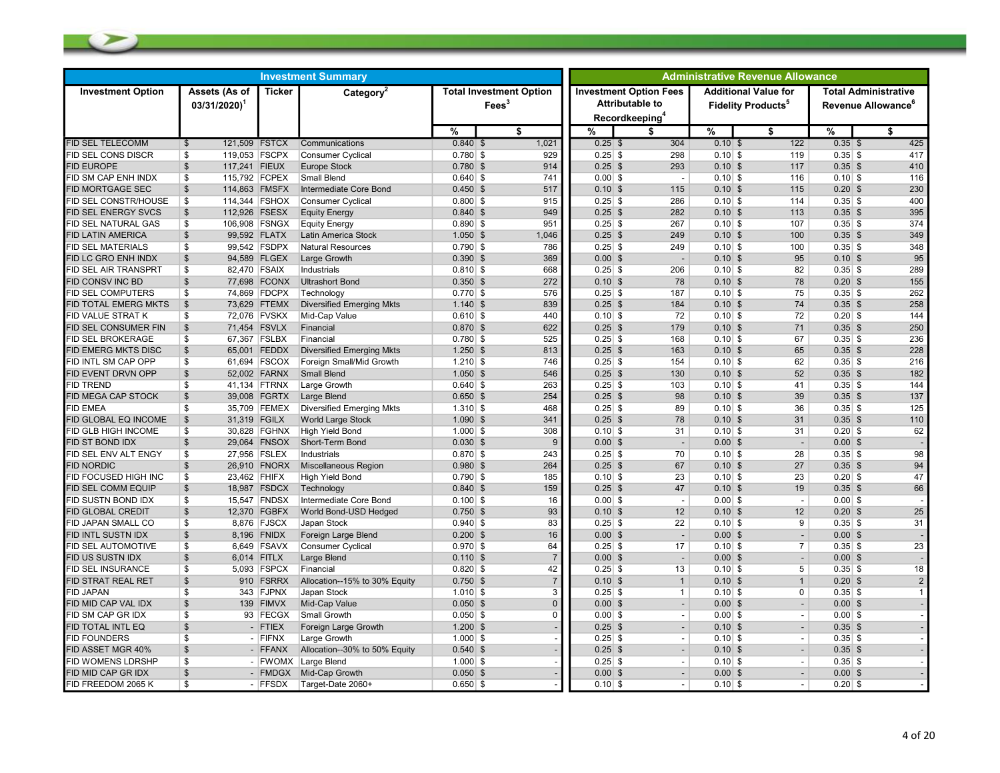| <b>Investment Option Fees</b><br>Assets (As of<br><b>Additional Value for</b><br><b>Total Administrative</b><br><b>Investment Option</b><br><b>Ticker</b><br>Category <sup>2</sup><br><b>Total Investment Option</b><br><b>Attributable to</b><br>Fees <sup>3</sup><br>$03/31/2020$ <sup>1</sup><br><b>Fidelity Products<sup>5</sup></b><br>Revenue Allowance <sup>6</sup><br>Recordkeeping <sup>4</sup><br>%<br>$\frac{9}{6}$<br>\$<br>%<br>\$<br>%<br>\$<br>\$<br>425<br>1,021<br>304<br>122<br>121,509 FSTCX<br>Communications<br>$0.840$ \$<br>$0.25$ \$<br>$0.10$ \$<br>$0.35$ \$<br>$\mathbb{S}$<br>119,053 FSCPX<br>929<br>298<br>417<br>\$<br>Consumer Cyclical<br>$0.780$ \$<br>$0.25$ \$<br>$0.10$ \$<br>119<br>$0.35$ \$<br>$\mathfrak{s}$<br>410<br>117,241 FIEUX<br>$0.780$ \$<br>914<br>$0.25$ \$<br>293<br>$0.10$ \$<br>$0.35$ \$<br><b>Europe Stock</b><br>117<br>\$<br>115,792 FCPEX<br><b>Small Blend</b><br>$0.640$ \$<br>741<br>$0.00$ \$<br>$0.10$ \$<br>116<br>$0.10$ \$<br>116<br>$\overline{\phantom{a}}$<br>230<br><b>FID MORTGAGE SEC</b><br>\$<br>114,863 FMSFX<br>Intermediate Core Bond<br>$0.450$ \$<br>517<br>$0.10$ \$<br>$0.10$ \$<br>115<br>$0.20$ \$<br>115<br>\$<br>$0.25$ \$<br>400<br>114,344 FSHOX<br><b>Consumer Cyclical</b><br>$0.800$ \$<br>915<br>286<br>$0.10$ \$<br>114<br>$0.35$ \$<br>$\sqrt[6]{2}$<br>949<br>395<br>112,926 FSESX<br>$0.840$ \$<br>$0.25$ \$<br>282<br>$0.10$ \$<br>$0.35$ \$<br><b>Equity Energy</b><br>113<br>951<br>$0.25$ \$<br>$0.35$ \$<br>374<br>FID SEL NATURAL GAS<br>\$<br>106,908 FSNGX<br><b>Equity Energy</b><br>$0.890$ \$<br>267<br>$0.10$ \$<br>107<br>349<br>$\mathfrak{s}$<br>99,592 FLATX<br>$1.050$ \$<br>$0.25$ \$<br>$0.10$ \$<br>$0.35$ \$<br>Latin America Stock<br>1,046<br>249<br>100<br>348<br>\$<br>99,542 FSDPX<br>$0.790$ \$<br>786<br>$0.25$ \$<br>249<br>$0.10$ \$<br>100<br>$0.35$ \$<br><b>Natural Resources</b><br>$\mathfrak{s}$<br>$0.390$ \$<br>369<br>$0.00$ \$<br>$0.10$ \$<br>$0.10$ \$<br>95<br>94,589 FLGEX<br>Large Growth<br>95<br>$\overline{\phantom{a}}$<br>\$<br>82,470 FSAIX<br>$0.810$ \$<br>668<br>$0.25$ \$<br>$0.10$ \$<br>82<br>$0.35$ \$<br>289<br>Industrials<br>206<br>272<br>155<br>$\frac{1}{2}$<br>77,698 FCONX<br>$0.350$ \$<br>$0.10$ \$<br>78<br>78<br>$0.20$ \$<br><b>Ultrashort Bond</b><br>$0.10$ \$<br>\$<br>$0.25$ \$<br>75<br>262<br>74,869 FDCPX<br>Technology<br>$0.770$ \$<br>576<br>187<br>$0.10$ \$<br>$0.35$ \$<br>258<br>\$<br>73,629 FTEMX<br>$1.140$ \$<br>839<br>$0.25$ \$<br>$0.10$ \$<br>74<br>$0.35$ \$<br><b>Diversified Emerging Mkts</b><br>184<br>72,076 FVSKX<br>Mid-Cap Value<br>$0.610$ \$<br>440<br>$0.10$ \$<br>$0.10$ \$<br>72<br>$0.20$ \$<br>144<br>\$<br>72<br>250<br>$\mathbb{S}$<br>$0.870$ \$<br>622<br>$0.25$ \$<br>$0.35$ \$<br>71,454 FSVLX<br>Financial<br>179<br>$0.10$ \$<br>71<br>236<br>\$<br>67,367 FSLBX<br>$0.780$ \$<br>525<br>$0.25$ \$<br>67<br>$0.35$ \$<br>Financial<br>168<br>$0.10$ \$<br>$\sqrt[6]{2}$<br>228<br>65,001 FEDDX<br><b>Diversified Emerging Mkts</b><br>$1.250$ \$<br>813<br>$0.25$ \$<br>163<br>$0.10$ \$<br>65<br>$0.35$ \$<br>61,694 FSCOX<br>Foreign Small/Mid Growth<br>$1.210$ \$<br>$0.25$ \$<br>$0.10$ \$<br>$0.35$ \$<br>216<br>\$<br>746<br>154<br>62<br>$\mathfrak{s}$<br>52,002 FARNX<br>$1.050$ \$<br>546<br>$0.25$ \$<br>$0.35$ \$<br>182<br><b>Small Blend</b><br>130<br>$0.10$ \$<br>52<br>144<br>\$<br>41,134 FTRNX<br>$0.640$ \$<br>263<br>$0.25$ \$<br>103<br>$0.10$ \$<br>41<br>$0.35$ \$<br>Large Growth<br>$\mathfrak{s}$<br>254<br>$0.25$ \$<br>98<br>$0.10$ \$<br>$0.35$ \$<br>137<br>39,008 FGRTX<br>Large Blend<br>$0.650$ \$<br>39<br>\$<br>35,709 FEMEX<br>Diversified Emerging Mkts<br>$1.310$ \$<br>468<br>$0.25$ \$<br>89<br>$0.10$ \$<br>$0.35$ \$<br>125<br>36<br>$\mathfrak{s}$<br>31,319 FGILX<br><b>World Large Stock</b><br>$1.090$ \$<br>341<br>$0.25$ \$<br>78<br>$0.10$ \$<br>31<br>$0.35$ \$<br>110<br>$1.000$ \$<br>308<br>62<br>\$<br>30,828 FGHNX<br><b>High Yield Bond</b><br>$0.10$ \$<br>31<br>$0.10$ \$<br>31<br>$0.20$ \$<br>$\mathfrak{s}$<br>29.064 FNSOX<br>Short-Term Bond<br>$0.030$ \$<br>9<br>$0.00$ \$<br>$0.00$ \$<br>$0.00$ \$<br>$\overline{\phantom{a}}$<br>$\overline{\phantom{a}}$<br>98<br>\$<br>27,956 FSLEX<br>Industrials<br>$0.870$ \$<br>243<br>$0.25$ \$<br>70<br>$0.10$ \$<br>28<br>$0.35$ \$<br>$\mathfrak{s}$<br>264<br>67<br>27<br>94<br>26,910 FNORX<br><b>Miscellaneous Region</b><br>$0.980$ \$<br>$0.25$ \$<br>$0.10$ \$<br>$0.35$ \$<br>47<br>\$<br>23,462 FHIFX<br>$0.790$ \$<br>185<br>$0.10$ \$<br>23<br>$0.10$ \$<br>23<br>$0.20$ \$<br>FID FOCUSED HIGH INC<br><b>High Yield Bond</b><br>$\mathfrak s$<br>18,987 FSDCX<br>159<br>47<br>66<br>Technology<br>$0.840$ \$<br>$0.25$ \$<br>$0.10$ \$<br>19<br>$0.35$ \$<br>15,547 FNDSX<br>$0.00$ \$<br>\$<br>Intermediate Core Bond<br>$0.100$ \$<br>16<br>$0.00$ \$<br>$0.00$ \$<br>$\overline{\phantom{a}}$<br>$\overline{\phantom{a}}$<br>$\mathbb{S}$<br>25<br>12,370 FGBFX<br>World Bond-USD Hedged<br>$0.750$ \$<br>93<br>$0.10$ \$<br>12<br>$0.10$ \$<br>12<br>$0.20$ \$<br>31<br>FID JAPAN SMALL CO<br>\$<br>8,876 FJSCX<br>Japan Stock<br>$0.940$ \$<br>83<br>$0.25$ \$<br>22<br>$0.10$ \$<br>9<br>$0.35$ \$<br>$\mathfrak s$<br>$0.200$ \$<br>16<br>$0.00$ \$<br>$0.00$ \$<br>$0.00$ \$<br>8,196 FNIDX<br>Foreign Large Blend<br>$\sim$<br>$\blacksquare$<br>\$<br>6,649 FSAVX<br>$0.970$ \$<br>64<br>$0.25$ \$<br>$0.10$ \$<br>$0.35$ \$<br>23<br>FID SEL AUTOMOTIVE<br>Consumer Cyclical<br>17<br>7<br>$\mathfrak{s}$<br>FID US SUSTN IDX<br>6,014 FITLX<br>$0.110$ \$<br>$0.00$ \$<br>$0.00$ \$<br>$0.00$ \$<br>Large Blend<br>$\overline{a}$<br>42<br>18<br>\$<br>FID SEL INSURANCE<br>5,093 FSPCX<br>Financial<br>$0.820$ \$<br>$0.25$ \$<br>13<br>$0.10$ \$<br>5<br>$0.35$ \$<br>$\mathfrak{s}$<br>$\mathbf{1}$<br>FID STRAT REAL RET<br>910 FSRRX<br>Allocation--15% to 30% Equity<br>$0.750$ \$<br>$\overline{7}$<br>$0.10$ \$<br>$0.10$ \$<br>$\mathbf{1}$<br>$0.20$ \$<br>2<br><b>FID JAPAN</b><br>\$<br>343 FJPNX<br>Japan Stock<br>$1.010$ \$<br>$0.25$ \$<br>$0.10$ \$<br>0<br>$0.35$ \$<br>3<br>$\mathbf{1}$<br>$\mathfrak s$<br>$0.050$ \$<br>$0.00$ \$<br>$0.00$ \$<br>$0.00$ \$<br>FID MID CAP VAL IDX<br>139 FIMVX<br>Mid-Cap Value<br>$\Omega$<br>FID SM CAP GR IDX<br>\$<br>93 FECGX<br>Small Growth<br>$0.050$ \$<br>$0.00$ \$<br>$0.00$ \$<br>$0.00$ \$<br>$\Omega$<br>$\overline{a}$<br>$\overline{\phantom{a}}$<br>$\mathfrak{s}$<br>$1.200$ \$<br>$0.25$ \$<br>$0.10$ \$<br>$0.35$ \$<br>FID TOTAL INTL EQ<br>- FTIEX<br>Foreign Large Growth<br>$\overline{\phantom{a}}$<br>$\blacksquare$<br>\$<br>$1.000$ \$<br>$0.25$ \$<br>$0.35$ \$<br>FID FOUNDERS<br>- FIFNX<br>Large Growth<br>$0.10$ \$<br>$\blacksquare$<br>$\overline{\phantom{a}}$<br>$\mathfrak{S}$<br>- FFANX<br>Allocation--30% to 50% Equity<br>$0.540$ \$<br>$0.25$ \$<br>$0.35$ \$<br>FID ASSET MGR 40%<br>$0.10$ \$<br>FID WOMENS LDRSHP<br>\$<br>- FWOMX<br>Large Blend<br>$1.000$ \$<br>$0.25$ \$<br>$0.10$ \$<br>$0.35$ \$<br>$\overline{\phantom{a}}$<br>$\blacksquare$<br>FID MID CAP GR IDX<br>$\mathfrak{S}$<br>$0.00$ \$<br>$0.00$ \$<br>- FMDGX<br>Mid-Cap Growth<br>$0.050$ \$<br>$0.00$ \$<br>$\overline{\phantom{a}}$<br>$0.20$ \$ | <b>Investment Summary</b>   |    |         |                   |            |  |           | <b>Administrative Revenue Allowance</b> |           |                          |  |  |  |  |
|-------------------------------------------------------------------------------------------------------------------------------------------------------------------------------------------------------------------------------------------------------------------------------------------------------------------------------------------------------------------------------------------------------------------------------------------------------------------------------------------------------------------------------------------------------------------------------------------------------------------------------------------------------------------------------------------------------------------------------------------------------------------------------------------------------------------------------------------------------------------------------------------------------------------------------------------------------------------------------------------------------------------------------------------------------------------------------------------------------------------------------------------------------------------------------------------------------------------------------------------------------------------------------------------------------------------------------------------------------------------------------------------------------------------------------------------------------------------------------------------------------------------------------------------------------------------------------------------------------------------------------------------------------------------------------------------------------------------------------------------------------------------------------------------------------------------------------------------------------------------------------------------------------------------------------------------------------------------------------------------------------------------------------------------------------------------------------------------------------------------------------------------------------------------------------------------------------------------------------------------------------------------------------------------------------------------------------------------------------------------------------------------------------------------------------------------------------------------------------------------------------------------------------------------------------------------------------------------------------------------------------------------------------------------------------------------------------------------------------------------------------------------------------------------------------------------------------------------------------------------------------------------------------------------------------------------------------------------------------------------------------------------------------------------------------------------------------------------------------------------------------------------------------------------------------------------------------------------------------------------------------------------------------------------------------------------------------------------------------------------------------------------------------------------------------------------------------------------------------------------------------------------------------------------------------------------------------------------------------------------------------------------------------------------------------------------------------------------------------------------------------------------------------------------------------------------------------------------------------------------------------------------------------------------------------------------------------------------------------------------------------------------------------------------------------------------------------------------------------------------------------------------------------------------------------------------------------------------------------------------------------------------------------------------------------------------------------------------------------------------------------------------------------------------------------------------------------------------------------------------------------------------------------------------------------------------------------------------------------------------------------------------------------------------------------------------------------------------------------------------------------------------------------------------------------------------------------------------------------------------------------------------------------------------------------------------------------------------------------------------------------------------------------------------------------------------------------------------------------------------------------------------------------------------------------------------------------------------------------------------------------------------------------------------------------------------------------------------------------------------------------------------------------------------------------------------------------------------------------------------------------------------------------------------------------------------------------------------------------------------------------------------------------------------------------------------------------------------------------------------------------------------------------------------------------------------------------------------------------------------------------------------------------------------------------------------------------------------------------------------------------------------------------------------------------------------------------------------------------------------------------------------------------------------------------------------------------------------------------------------------------------------------------------------------------------------------------------------------------------------------------------------------------------------------------------------------------------------------------------------------------------------------------------------------------------------------------------------------------------------------------------------------------------------------------------------------------------------------------------------------------------------------------------------------------------------------------------------------------------------------------------------------------------------------------------------------------------------------------------------------------------------------------------------------------------------------------------------------------------------------------------------------------------------------------------------------------------------------------------------------------------------------------------------|-----------------------------|----|---------|-------------------|------------|--|-----------|-----------------------------------------|-----------|--------------------------|--|--|--|--|
|                                                                                                                                                                                                                                                                                                                                                                                                                                                                                                                                                                                                                                                                                                                                                                                                                                                                                                                                                                                                                                                                                                                                                                                                                                                                                                                                                                                                                                                                                                                                                                                                                                                                                                                                                                                                                                                                                                                                                                                                                                                                                                                                                                                                                                                                                                                                                                                                                                                                                                                                                                                                                                                                                                                                                                                                                                                                                                                                                                                                                                                                                                                                                                                                                                                                                                                                                                                                                                                                                                                                                                                                                                                                                                                                                                                                                                                                                                                                                                                                                                                                                                                                                                                                                                                                                                                                                                                                                                                                                                                                                                                                                                                                                                                                                                                                                                                                                                                                                                                                                                                                                                                                                                                                                                                                                                                                                                                                                                                                                                                                                                                                                                                                                                                                                                                                                                                                                                                                                                                                                                                                                                                                                                                                                                                                                                                                                                                                                                                                                                                                                                                                                                                                                                                                                                                                                                                                                                                                                                                                                                                                                                                                                                                                                                                                                           |                             |    |         |                   |            |  |           |                                         |           |                          |  |  |  |  |
|                                                                                                                                                                                                                                                                                                                                                                                                                                                                                                                                                                                                                                                                                                                                                                                                                                                                                                                                                                                                                                                                                                                                                                                                                                                                                                                                                                                                                                                                                                                                                                                                                                                                                                                                                                                                                                                                                                                                                                                                                                                                                                                                                                                                                                                                                                                                                                                                                                                                                                                                                                                                                                                                                                                                                                                                                                                                                                                                                                                                                                                                                                                                                                                                                                                                                                                                                                                                                                                                                                                                                                                                                                                                                                                                                                                                                                                                                                                                                                                                                                                                                                                                                                                                                                                                                                                                                                                                                                                                                                                                                                                                                                                                                                                                                                                                                                                                                                                                                                                                                                                                                                                                                                                                                                                                                                                                                                                                                                                                                                                                                                                                                                                                                                                                                                                                                                                                                                                                                                                                                                                                                                                                                                                                                                                                                                                                                                                                                                                                                                                                                                                                                                                                                                                                                                                                                                                                                                                                                                                                                                                                                                                                                                                                                                                                                           |                             |    |         |                   |            |  |           |                                         |           |                          |  |  |  |  |
|                                                                                                                                                                                                                                                                                                                                                                                                                                                                                                                                                                                                                                                                                                                                                                                                                                                                                                                                                                                                                                                                                                                                                                                                                                                                                                                                                                                                                                                                                                                                                                                                                                                                                                                                                                                                                                                                                                                                                                                                                                                                                                                                                                                                                                                                                                                                                                                                                                                                                                                                                                                                                                                                                                                                                                                                                                                                                                                                                                                                                                                                                                                                                                                                                                                                                                                                                                                                                                                                                                                                                                                                                                                                                                                                                                                                                                                                                                                                                                                                                                                                                                                                                                                                                                                                                                                                                                                                                                                                                                                                                                                                                                                                                                                                                                                                                                                                                                                                                                                                                                                                                                                                                                                                                                                                                                                                                                                                                                                                                                                                                                                                                                                                                                                                                                                                                                                                                                                                                                                                                                                                                                                                                                                                                                                                                                                                                                                                                                                                                                                                                                                                                                                                                                                                                                                                                                                                                                                                                                                                                                                                                                                                                                                                                                                                                           | <b>FID SEL TELECOMM</b>     |    |         |                   |            |  |           |                                         |           |                          |  |  |  |  |
|                                                                                                                                                                                                                                                                                                                                                                                                                                                                                                                                                                                                                                                                                                                                                                                                                                                                                                                                                                                                                                                                                                                                                                                                                                                                                                                                                                                                                                                                                                                                                                                                                                                                                                                                                                                                                                                                                                                                                                                                                                                                                                                                                                                                                                                                                                                                                                                                                                                                                                                                                                                                                                                                                                                                                                                                                                                                                                                                                                                                                                                                                                                                                                                                                                                                                                                                                                                                                                                                                                                                                                                                                                                                                                                                                                                                                                                                                                                                                                                                                                                                                                                                                                                                                                                                                                                                                                                                                                                                                                                                                                                                                                                                                                                                                                                                                                                                                                                                                                                                                                                                                                                                                                                                                                                                                                                                                                                                                                                                                                                                                                                                                                                                                                                                                                                                                                                                                                                                                                                                                                                                                                                                                                                                                                                                                                                                                                                                                                                                                                                                                                                                                                                                                                                                                                                                                                                                                                                                                                                                                                                                                                                                                                                                                                                                                           | FID SEL CONS DISCR          |    |         |                   |            |  |           |                                         |           |                          |  |  |  |  |
|                                                                                                                                                                                                                                                                                                                                                                                                                                                                                                                                                                                                                                                                                                                                                                                                                                                                                                                                                                                                                                                                                                                                                                                                                                                                                                                                                                                                                                                                                                                                                                                                                                                                                                                                                                                                                                                                                                                                                                                                                                                                                                                                                                                                                                                                                                                                                                                                                                                                                                                                                                                                                                                                                                                                                                                                                                                                                                                                                                                                                                                                                                                                                                                                                                                                                                                                                                                                                                                                                                                                                                                                                                                                                                                                                                                                                                                                                                                                                                                                                                                                                                                                                                                                                                                                                                                                                                                                                                                                                                                                                                                                                                                                                                                                                                                                                                                                                                                                                                                                                                                                                                                                                                                                                                                                                                                                                                                                                                                                                                                                                                                                                                                                                                                                                                                                                                                                                                                                                                                                                                                                                                                                                                                                                                                                                                                                                                                                                                                                                                                                                                                                                                                                                                                                                                                                                                                                                                                                                                                                                                                                                                                                                                                                                                                                                           | <b>FID EUROPE</b>           |    |         |                   |            |  |           |                                         |           |                          |  |  |  |  |
|                                                                                                                                                                                                                                                                                                                                                                                                                                                                                                                                                                                                                                                                                                                                                                                                                                                                                                                                                                                                                                                                                                                                                                                                                                                                                                                                                                                                                                                                                                                                                                                                                                                                                                                                                                                                                                                                                                                                                                                                                                                                                                                                                                                                                                                                                                                                                                                                                                                                                                                                                                                                                                                                                                                                                                                                                                                                                                                                                                                                                                                                                                                                                                                                                                                                                                                                                                                                                                                                                                                                                                                                                                                                                                                                                                                                                                                                                                                                                                                                                                                                                                                                                                                                                                                                                                                                                                                                                                                                                                                                                                                                                                                                                                                                                                                                                                                                                                                                                                                                                                                                                                                                                                                                                                                                                                                                                                                                                                                                                                                                                                                                                                                                                                                                                                                                                                                                                                                                                                                                                                                                                                                                                                                                                                                                                                                                                                                                                                                                                                                                                                                                                                                                                                                                                                                                                                                                                                                                                                                                                                                                                                                                                                                                                                                                                           | FID SM CAP ENH INDX         |    |         |                   |            |  |           |                                         |           |                          |  |  |  |  |
|                                                                                                                                                                                                                                                                                                                                                                                                                                                                                                                                                                                                                                                                                                                                                                                                                                                                                                                                                                                                                                                                                                                                                                                                                                                                                                                                                                                                                                                                                                                                                                                                                                                                                                                                                                                                                                                                                                                                                                                                                                                                                                                                                                                                                                                                                                                                                                                                                                                                                                                                                                                                                                                                                                                                                                                                                                                                                                                                                                                                                                                                                                                                                                                                                                                                                                                                                                                                                                                                                                                                                                                                                                                                                                                                                                                                                                                                                                                                                                                                                                                                                                                                                                                                                                                                                                                                                                                                                                                                                                                                                                                                                                                                                                                                                                                                                                                                                                                                                                                                                                                                                                                                                                                                                                                                                                                                                                                                                                                                                                                                                                                                                                                                                                                                                                                                                                                                                                                                                                                                                                                                                                                                                                                                                                                                                                                                                                                                                                                                                                                                                                                                                                                                                                                                                                                                                                                                                                                                                                                                                                                                                                                                                                                                                                                                                           |                             |    |         |                   |            |  |           |                                         |           |                          |  |  |  |  |
|                                                                                                                                                                                                                                                                                                                                                                                                                                                                                                                                                                                                                                                                                                                                                                                                                                                                                                                                                                                                                                                                                                                                                                                                                                                                                                                                                                                                                                                                                                                                                                                                                                                                                                                                                                                                                                                                                                                                                                                                                                                                                                                                                                                                                                                                                                                                                                                                                                                                                                                                                                                                                                                                                                                                                                                                                                                                                                                                                                                                                                                                                                                                                                                                                                                                                                                                                                                                                                                                                                                                                                                                                                                                                                                                                                                                                                                                                                                                                                                                                                                                                                                                                                                                                                                                                                                                                                                                                                                                                                                                                                                                                                                                                                                                                                                                                                                                                                                                                                                                                                                                                                                                                                                                                                                                                                                                                                                                                                                                                                                                                                                                                                                                                                                                                                                                                                                                                                                                                                                                                                                                                                                                                                                                                                                                                                                                                                                                                                                                                                                                                                                                                                                                                                                                                                                                                                                                                                                                                                                                                                                                                                                                                                                                                                                                                           | FID SEL CONSTR/HOUSE        |    |         |                   |            |  |           |                                         |           |                          |  |  |  |  |
|                                                                                                                                                                                                                                                                                                                                                                                                                                                                                                                                                                                                                                                                                                                                                                                                                                                                                                                                                                                                                                                                                                                                                                                                                                                                                                                                                                                                                                                                                                                                                                                                                                                                                                                                                                                                                                                                                                                                                                                                                                                                                                                                                                                                                                                                                                                                                                                                                                                                                                                                                                                                                                                                                                                                                                                                                                                                                                                                                                                                                                                                                                                                                                                                                                                                                                                                                                                                                                                                                                                                                                                                                                                                                                                                                                                                                                                                                                                                                                                                                                                                                                                                                                                                                                                                                                                                                                                                                                                                                                                                                                                                                                                                                                                                                                                                                                                                                                                                                                                                                                                                                                                                                                                                                                                                                                                                                                                                                                                                                                                                                                                                                                                                                                                                                                                                                                                                                                                                                                                                                                                                                                                                                                                                                                                                                                                                                                                                                                                                                                                                                                                                                                                                                                                                                                                                                                                                                                                                                                                                                                                                                                                                                                                                                                                                                           | FID SEL ENERGY SVCS         |    |         |                   |            |  |           |                                         |           |                          |  |  |  |  |
|                                                                                                                                                                                                                                                                                                                                                                                                                                                                                                                                                                                                                                                                                                                                                                                                                                                                                                                                                                                                                                                                                                                                                                                                                                                                                                                                                                                                                                                                                                                                                                                                                                                                                                                                                                                                                                                                                                                                                                                                                                                                                                                                                                                                                                                                                                                                                                                                                                                                                                                                                                                                                                                                                                                                                                                                                                                                                                                                                                                                                                                                                                                                                                                                                                                                                                                                                                                                                                                                                                                                                                                                                                                                                                                                                                                                                                                                                                                                                                                                                                                                                                                                                                                                                                                                                                                                                                                                                                                                                                                                                                                                                                                                                                                                                                                                                                                                                                                                                                                                                                                                                                                                                                                                                                                                                                                                                                                                                                                                                                                                                                                                                                                                                                                                                                                                                                                                                                                                                                                                                                                                                                                                                                                                                                                                                                                                                                                                                                                                                                                                                                                                                                                                                                                                                                                                                                                                                                                                                                                                                                                                                                                                                                                                                                                                                           |                             |    |         |                   |            |  |           |                                         |           |                          |  |  |  |  |
|                                                                                                                                                                                                                                                                                                                                                                                                                                                                                                                                                                                                                                                                                                                                                                                                                                                                                                                                                                                                                                                                                                                                                                                                                                                                                                                                                                                                                                                                                                                                                                                                                                                                                                                                                                                                                                                                                                                                                                                                                                                                                                                                                                                                                                                                                                                                                                                                                                                                                                                                                                                                                                                                                                                                                                                                                                                                                                                                                                                                                                                                                                                                                                                                                                                                                                                                                                                                                                                                                                                                                                                                                                                                                                                                                                                                                                                                                                                                                                                                                                                                                                                                                                                                                                                                                                                                                                                                                                                                                                                                                                                                                                                                                                                                                                                                                                                                                                                                                                                                                                                                                                                                                                                                                                                                                                                                                                                                                                                                                                                                                                                                                                                                                                                                                                                                                                                                                                                                                                                                                                                                                                                                                                                                                                                                                                                                                                                                                                                                                                                                                                                                                                                                                                                                                                                                                                                                                                                                                                                                                                                                                                                                                                                                                                                                                           | FID LATIN AMERICA           |    |         |                   |            |  |           |                                         |           |                          |  |  |  |  |
|                                                                                                                                                                                                                                                                                                                                                                                                                                                                                                                                                                                                                                                                                                                                                                                                                                                                                                                                                                                                                                                                                                                                                                                                                                                                                                                                                                                                                                                                                                                                                                                                                                                                                                                                                                                                                                                                                                                                                                                                                                                                                                                                                                                                                                                                                                                                                                                                                                                                                                                                                                                                                                                                                                                                                                                                                                                                                                                                                                                                                                                                                                                                                                                                                                                                                                                                                                                                                                                                                                                                                                                                                                                                                                                                                                                                                                                                                                                                                                                                                                                                                                                                                                                                                                                                                                                                                                                                                                                                                                                                                                                                                                                                                                                                                                                                                                                                                                                                                                                                                                                                                                                                                                                                                                                                                                                                                                                                                                                                                                                                                                                                                                                                                                                                                                                                                                                                                                                                                                                                                                                                                                                                                                                                                                                                                                                                                                                                                                                                                                                                                                                                                                                                                                                                                                                                                                                                                                                                                                                                                                                                                                                                                                                                                                                                                           | FID SEL MATERIALS           |    |         |                   |            |  |           |                                         |           |                          |  |  |  |  |
|                                                                                                                                                                                                                                                                                                                                                                                                                                                                                                                                                                                                                                                                                                                                                                                                                                                                                                                                                                                                                                                                                                                                                                                                                                                                                                                                                                                                                                                                                                                                                                                                                                                                                                                                                                                                                                                                                                                                                                                                                                                                                                                                                                                                                                                                                                                                                                                                                                                                                                                                                                                                                                                                                                                                                                                                                                                                                                                                                                                                                                                                                                                                                                                                                                                                                                                                                                                                                                                                                                                                                                                                                                                                                                                                                                                                                                                                                                                                                                                                                                                                                                                                                                                                                                                                                                                                                                                                                                                                                                                                                                                                                                                                                                                                                                                                                                                                                                                                                                                                                                                                                                                                                                                                                                                                                                                                                                                                                                                                                                                                                                                                                                                                                                                                                                                                                                                                                                                                                                                                                                                                                                                                                                                                                                                                                                                                                                                                                                                                                                                                                                                                                                                                                                                                                                                                                                                                                                                                                                                                                                                                                                                                                                                                                                                                                           | FID LC GRO ENH INDX         |    |         |                   |            |  |           |                                         |           |                          |  |  |  |  |
|                                                                                                                                                                                                                                                                                                                                                                                                                                                                                                                                                                                                                                                                                                                                                                                                                                                                                                                                                                                                                                                                                                                                                                                                                                                                                                                                                                                                                                                                                                                                                                                                                                                                                                                                                                                                                                                                                                                                                                                                                                                                                                                                                                                                                                                                                                                                                                                                                                                                                                                                                                                                                                                                                                                                                                                                                                                                                                                                                                                                                                                                                                                                                                                                                                                                                                                                                                                                                                                                                                                                                                                                                                                                                                                                                                                                                                                                                                                                                                                                                                                                                                                                                                                                                                                                                                                                                                                                                                                                                                                                                                                                                                                                                                                                                                                                                                                                                                                                                                                                                                                                                                                                                                                                                                                                                                                                                                                                                                                                                                                                                                                                                                                                                                                                                                                                                                                                                                                                                                                                                                                                                                                                                                                                                                                                                                                                                                                                                                                                                                                                                                                                                                                                                                                                                                                                                                                                                                                                                                                                                                                                                                                                                                                                                                                                                           | FID SEL AIR TRANSPRT        |    |         |                   |            |  |           |                                         |           |                          |  |  |  |  |
|                                                                                                                                                                                                                                                                                                                                                                                                                                                                                                                                                                                                                                                                                                                                                                                                                                                                                                                                                                                                                                                                                                                                                                                                                                                                                                                                                                                                                                                                                                                                                                                                                                                                                                                                                                                                                                                                                                                                                                                                                                                                                                                                                                                                                                                                                                                                                                                                                                                                                                                                                                                                                                                                                                                                                                                                                                                                                                                                                                                                                                                                                                                                                                                                                                                                                                                                                                                                                                                                                                                                                                                                                                                                                                                                                                                                                                                                                                                                                                                                                                                                                                                                                                                                                                                                                                                                                                                                                                                                                                                                                                                                                                                                                                                                                                                                                                                                                                                                                                                                                                                                                                                                                                                                                                                                                                                                                                                                                                                                                                                                                                                                                                                                                                                                                                                                                                                                                                                                                                                                                                                                                                                                                                                                                                                                                                                                                                                                                                                                                                                                                                                                                                                                                                                                                                                                                                                                                                                                                                                                                                                                                                                                                                                                                                                                                           | FID CONSV INC BD            |    |         |                   |            |  |           |                                         |           |                          |  |  |  |  |
|                                                                                                                                                                                                                                                                                                                                                                                                                                                                                                                                                                                                                                                                                                                                                                                                                                                                                                                                                                                                                                                                                                                                                                                                                                                                                                                                                                                                                                                                                                                                                                                                                                                                                                                                                                                                                                                                                                                                                                                                                                                                                                                                                                                                                                                                                                                                                                                                                                                                                                                                                                                                                                                                                                                                                                                                                                                                                                                                                                                                                                                                                                                                                                                                                                                                                                                                                                                                                                                                                                                                                                                                                                                                                                                                                                                                                                                                                                                                                                                                                                                                                                                                                                                                                                                                                                                                                                                                                                                                                                                                                                                                                                                                                                                                                                                                                                                                                                                                                                                                                                                                                                                                                                                                                                                                                                                                                                                                                                                                                                                                                                                                                                                                                                                                                                                                                                                                                                                                                                                                                                                                                                                                                                                                                                                                                                                                                                                                                                                                                                                                                                                                                                                                                                                                                                                                                                                                                                                                                                                                                                                                                                                                                                                                                                                                                           | FID SEL COMPUTERS           |    |         |                   |            |  |           |                                         |           |                          |  |  |  |  |
|                                                                                                                                                                                                                                                                                                                                                                                                                                                                                                                                                                                                                                                                                                                                                                                                                                                                                                                                                                                                                                                                                                                                                                                                                                                                                                                                                                                                                                                                                                                                                                                                                                                                                                                                                                                                                                                                                                                                                                                                                                                                                                                                                                                                                                                                                                                                                                                                                                                                                                                                                                                                                                                                                                                                                                                                                                                                                                                                                                                                                                                                                                                                                                                                                                                                                                                                                                                                                                                                                                                                                                                                                                                                                                                                                                                                                                                                                                                                                                                                                                                                                                                                                                                                                                                                                                                                                                                                                                                                                                                                                                                                                                                                                                                                                                                                                                                                                                                                                                                                                                                                                                                                                                                                                                                                                                                                                                                                                                                                                                                                                                                                                                                                                                                                                                                                                                                                                                                                                                                                                                                                                                                                                                                                                                                                                                                                                                                                                                                                                                                                                                                                                                                                                                                                                                                                                                                                                                                                                                                                                                                                                                                                                                                                                                                                                           | FID TOTAL EMERG MKTS        |    |         |                   |            |  |           |                                         |           |                          |  |  |  |  |
|                                                                                                                                                                                                                                                                                                                                                                                                                                                                                                                                                                                                                                                                                                                                                                                                                                                                                                                                                                                                                                                                                                                                                                                                                                                                                                                                                                                                                                                                                                                                                                                                                                                                                                                                                                                                                                                                                                                                                                                                                                                                                                                                                                                                                                                                                                                                                                                                                                                                                                                                                                                                                                                                                                                                                                                                                                                                                                                                                                                                                                                                                                                                                                                                                                                                                                                                                                                                                                                                                                                                                                                                                                                                                                                                                                                                                                                                                                                                                                                                                                                                                                                                                                                                                                                                                                                                                                                                                                                                                                                                                                                                                                                                                                                                                                                                                                                                                                                                                                                                                                                                                                                                                                                                                                                                                                                                                                                                                                                                                                                                                                                                                                                                                                                                                                                                                                                                                                                                                                                                                                                                                                                                                                                                                                                                                                                                                                                                                                                                                                                                                                                                                                                                                                                                                                                                                                                                                                                                                                                                                                                                                                                                                                                                                                                                                           | FID VALUE STRAT K           |    |         |                   |            |  |           |                                         |           |                          |  |  |  |  |
|                                                                                                                                                                                                                                                                                                                                                                                                                                                                                                                                                                                                                                                                                                                                                                                                                                                                                                                                                                                                                                                                                                                                                                                                                                                                                                                                                                                                                                                                                                                                                                                                                                                                                                                                                                                                                                                                                                                                                                                                                                                                                                                                                                                                                                                                                                                                                                                                                                                                                                                                                                                                                                                                                                                                                                                                                                                                                                                                                                                                                                                                                                                                                                                                                                                                                                                                                                                                                                                                                                                                                                                                                                                                                                                                                                                                                                                                                                                                                                                                                                                                                                                                                                                                                                                                                                                                                                                                                                                                                                                                                                                                                                                                                                                                                                                                                                                                                                                                                                                                                                                                                                                                                                                                                                                                                                                                                                                                                                                                                                                                                                                                                                                                                                                                                                                                                                                                                                                                                                                                                                                                                                                                                                                                                                                                                                                                                                                                                                                                                                                                                                                                                                                                                                                                                                                                                                                                                                                                                                                                                                                                                                                                                                                                                                                                                           | FID SEL CONSUMER FIN        |    |         |                   |            |  |           |                                         |           |                          |  |  |  |  |
|                                                                                                                                                                                                                                                                                                                                                                                                                                                                                                                                                                                                                                                                                                                                                                                                                                                                                                                                                                                                                                                                                                                                                                                                                                                                                                                                                                                                                                                                                                                                                                                                                                                                                                                                                                                                                                                                                                                                                                                                                                                                                                                                                                                                                                                                                                                                                                                                                                                                                                                                                                                                                                                                                                                                                                                                                                                                                                                                                                                                                                                                                                                                                                                                                                                                                                                                                                                                                                                                                                                                                                                                                                                                                                                                                                                                                                                                                                                                                                                                                                                                                                                                                                                                                                                                                                                                                                                                                                                                                                                                                                                                                                                                                                                                                                                                                                                                                                                                                                                                                                                                                                                                                                                                                                                                                                                                                                                                                                                                                                                                                                                                                                                                                                                                                                                                                                                                                                                                                                                                                                                                                                                                                                                                                                                                                                                                                                                                                                                                                                                                                                                                                                                                                                                                                                                                                                                                                                                                                                                                                                                                                                                                                                                                                                                                                           | FID SEL BROKERAGE           |    |         |                   |            |  |           |                                         |           |                          |  |  |  |  |
|                                                                                                                                                                                                                                                                                                                                                                                                                                                                                                                                                                                                                                                                                                                                                                                                                                                                                                                                                                                                                                                                                                                                                                                                                                                                                                                                                                                                                                                                                                                                                                                                                                                                                                                                                                                                                                                                                                                                                                                                                                                                                                                                                                                                                                                                                                                                                                                                                                                                                                                                                                                                                                                                                                                                                                                                                                                                                                                                                                                                                                                                                                                                                                                                                                                                                                                                                                                                                                                                                                                                                                                                                                                                                                                                                                                                                                                                                                                                                                                                                                                                                                                                                                                                                                                                                                                                                                                                                                                                                                                                                                                                                                                                                                                                                                                                                                                                                                                                                                                                                                                                                                                                                                                                                                                                                                                                                                                                                                                                                                                                                                                                                                                                                                                                                                                                                                                                                                                                                                                                                                                                                                                                                                                                                                                                                                                                                                                                                                                                                                                                                                                                                                                                                                                                                                                                                                                                                                                                                                                                                                                                                                                                                                                                                                                                                           | FID EMERG MKTS DISC         |    |         |                   |            |  |           |                                         |           |                          |  |  |  |  |
|                                                                                                                                                                                                                                                                                                                                                                                                                                                                                                                                                                                                                                                                                                                                                                                                                                                                                                                                                                                                                                                                                                                                                                                                                                                                                                                                                                                                                                                                                                                                                                                                                                                                                                                                                                                                                                                                                                                                                                                                                                                                                                                                                                                                                                                                                                                                                                                                                                                                                                                                                                                                                                                                                                                                                                                                                                                                                                                                                                                                                                                                                                                                                                                                                                                                                                                                                                                                                                                                                                                                                                                                                                                                                                                                                                                                                                                                                                                                                                                                                                                                                                                                                                                                                                                                                                                                                                                                                                                                                                                                                                                                                                                                                                                                                                                                                                                                                                                                                                                                                                                                                                                                                                                                                                                                                                                                                                                                                                                                                                                                                                                                                                                                                                                                                                                                                                                                                                                                                                                                                                                                                                                                                                                                                                                                                                                                                                                                                                                                                                                                                                                                                                                                                                                                                                                                                                                                                                                                                                                                                                                                                                                                                                                                                                                                                           | FID INTL SM CAP OPP         |    |         |                   |            |  |           |                                         |           |                          |  |  |  |  |
|                                                                                                                                                                                                                                                                                                                                                                                                                                                                                                                                                                                                                                                                                                                                                                                                                                                                                                                                                                                                                                                                                                                                                                                                                                                                                                                                                                                                                                                                                                                                                                                                                                                                                                                                                                                                                                                                                                                                                                                                                                                                                                                                                                                                                                                                                                                                                                                                                                                                                                                                                                                                                                                                                                                                                                                                                                                                                                                                                                                                                                                                                                                                                                                                                                                                                                                                                                                                                                                                                                                                                                                                                                                                                                                                                                                                                                                                                                                                                                                                                                                                                                                                                                                                                                                                                                                                                                                                                                                                                                                                                                                                                                                                                                                                                                                                                                                                                                                                                                                                                                                                                                                                                                                                                                                                                                                                                                                                                                                                                                                                                                                                                                                                                                                                                                                                                                                                                                                                                                                                                                                                                                                                                                                                                                                                                                                                                                                                                                                                                                                                                                                                                                                                                                                                                                                                                                                                                                                                                                                                                                                                                                                                                                                                                                                                                           | FID EVENT DRVN OPP          |    |         |                   |            |  |           |                                         |           |                          |  |  |  |  |
|                                                                                                                                                                                                                                                                                                                                                                                                                                                                                                                                                                                                                                                                                                                                                                                                                                                                                                                                                                                                                                                                                                                                                                                                                                                                                                                                                                                                                                                                                                                                                                                                                                                                                                                                                                                                                                                                                                                                                                                                                                                                                                                                                                                                                                                                                                                                                                                                                                                                                                                                                                                                                                                                                                                                                                                                                                                                                                                                                                                                                                                                                                                                                                                                                                                                                                                                                                                                                                                                                                                                                                                                                                                                                                                                                                                                                                                                                                                                                                                                                                                                                                                                                                                                                                                                                                                                                                                                                                                                                                                                                                                                                                                                                                                                                                                                                                                                                                                                                                                                                                                                                                                                                                                                                                                                                                                                                                                                                                                                                                                                                                                                                                                                                                                                                                                                                                                                                                                                                                                                                                                                                                                                                                                                                                                                                                                                                                                                                                                                                                                                                                                                                                                                                                                                                                                                                                                                                                                                                                                                                                                                                                                                                                                                                                                                                           | <b>FID TREND</b>            |    |         |                   |            |  |           |                                         |           |                          |  |  |  |  |
|                                                                                                                                                                                                                                                                                                                                                                                                                                                                                                                                                                                                                                                                                                                                                                                                                                                                                                                                                                                                                                                                                                                                                                                                                                                                                                                                                                                                                                                                                                                                                                                                                                                                                                                                                                                                                                                                                                                                                                                                                                                                                                                                                                                                                                                                                                                                                                                                                                                                                                                                                                                                                                                                                                                                                                                                                                                                                                                                                                                                                                                                                                                                                                                                                                                                                                                                                                                                                                                                                                                                                                                                                                                                                                                                                                                                                                                                                                                                                                                                                                                                                                                                                                                                                                                                                                                                                                                                                                                                                                                                                                                                                                                                                                                                                                                                                                                                                                                                                                                                                                                                                                                                                                                                                                                                                                                                                                                                                                                                                                                                                                                                                                                                                                                                                                                                                                                                                                                                                                                                                                                                                                                                                                                                                                                                                                                                                                                                                                                                                                                                                                                                                                                                                                                                                                                                                                                                                                                                                                                                                                                                                                                                                                                                                                                                                           | FID MEGA CAP STOCK          |    |         |                   |            |  |           |                                         |           |                          |  |  |  |  |
|                                                                                                                                                                                                                                                                                                                                                                                                                                                                                                                                                                                                                                                                                                                                                                                                                                                                                                                                                                                                                                                                                                                                                                                                                                                                                                                                                                                                                                                                                                                                                                                                                                                                                                                                                                                                                                                                                                                                                                                                                                                                                                                                                                                                                                                                                                                                                                                                                                                                                                                                                                                                                                                                                                                                                                                                                                                                                                                                                                                                                                                                                                                                                                                                                                                                                                                                                                                                                                                                                                                                                                                                                                                                                                                                                                                                                                                                                                                                                                                                                                                                                                                                                                                                                                                                                                                                                                                                                                                                                                                                                                                                                                                                                                                                                                                                                                                                                                                                                                                                                                                                                                                                                                                                                                                                                                                                                                                                                                                                                                                                                                                                                                                                                                                                                                                                                                                                                                                                                                                                                                                                                                                                                                                                                                                                                                                                                                                                                                                                                                                                                                                                                                                                                                                                                                                                                                                                                                                                                                                                                                                                                                                                                                                                                                                                                           | FID EMEA                    |    |         |                   |            |  |           |                                         |           |                          |  |  |  |  |
|                                                                                                                                                                                                                                                                                                                                                                                                                                                                                                                                                                                                                                                                                                                                                                                                                                                                                                                                                                                                                                                                                                                                                                                                                                                                                                                                                                                                                                                                                                                                                                                                                                                                                                                                                                                                                                                                                                                                                                                                                                                                                                                                                                                                                                                                                                                                                                                                                                                                                                                                                                                                                                                                                                                                                                                                                                                                                                                                                                                                                                                                                                                                                                                                                                                                                                                                                                                                                                                                                                                                                                                                                                                                                                                                                                                                                                                                                                                                                                                                                                                                                                                                                                                                                                                                                                                                                                                                                                                                                                                                                                                                                                                                                                                                                                                                                                                                                                                                                                                                                                                                                                                                                                                                                                                                                                                                                                                                                                                                                                                                                                                                                                                                                                                                                                                                                                                                                                                                                                                                                                                                                                                                                                                                                                                                                                                                                                                                                                                                                                                                                                                                                                                                                                                                                                                                                                                                                                                                                                                                                                                                                                                                                                                                                                                                                           | FID GLOBAL EQ INCOME        |    |         |                   |            |  |           |                                         |           |                          |  |  |  |  |
|                                                                                                                                                                                                                                                                                                                                                                                                                                                                                                                                                                                                                                                                                                                                                                                                                                                                                                                                                                                                                                                                                                                                                                                                                                                                                                                                                                                                                                                                                                                                                                                                                                                                                                                                                                                                                                                                                                                                                                                                                                                                                                                                                                                                                                                                                                                                                                                                                                                                                                                                                                                                                                                                                                                                                                                                                                                                                                                                                                                                                                                                                                                                                                                                                                                                                                                                                                                                                                                                                                                                                                                                                                                                                                                                                                                                                                                                                                                                                                                                                                                                                                                                                                                                                                                                                                                                                                                                                                                                                                                                                                                                                                                                                                                                                                                                                                                                                                                                                                                                                                                                                                                                                                                                                                                                                                                                                                                                                                                                                                                                                                                                                                                                                                                                                                                                                                                                                                                                                                                                                                                                                                                                                                                                                                                                                                                                                                                                                                                                                                                                                                                                                                                                                                                                                                                                                                                                                                                                                                                                                                                                                                                                                                                                                                                                                           | FID GLB HIGH INCOME         |    |         |                   |            |  |           |                                         |           |                          |  |  |  |  |
|                                                                                                                                                                                                                                                                                                                                                                                                                                                                                                                                                                                                                                                                                                                                                                                                                                                                                                                                                                                                                                                                                                                                                                                                                                                                                                                                                                                                                                                                                                                                                                                                                                                                                                                                                                                                                                                                                                                                                                                                                                                                                                                                                                                                                                                                                                                                                                                                                                                                                                                                                                                                                                                                                                                                                                                                                                                                                                                                                                                                                                                                                                                                                                                                                                                                                                                                                                                                                                                                                                                                                                                                                                                                                                                                                                                                                                                                                                                                                                                                                                                                                                                                                                                                                                                                                                                                                                                                                                                                                                                                                                                                                                                                                                                                                                                                                                                                                                                                                                                                                                                                                                                                                                                                                                                                                                                                                                                                                                                                                                                                                                                                                                                                                                                                                                                                                                                                                                                                                                                                                                                                                                                                                                                                                                                                                                                                                                                                                                                                                                                                                                                                                                                                                                                                                                                                                                                                                                                                                                                                                                                                                                                                                                                                                                                                                           | FID ST BOND IDX             |    |         |                   |            |  |           |                                         |           |                          |  |  |  |  |
|                                                                                                                                                                                                                                                                                                                                                                                                                                                                                                                                                                                                                                                                                                                                                                                                                                                                                                                                                                                                                                                                                                                                                                                                                                                                                                                                                                                                                                                                                                                                                                                                                                                                                                                                                                                                                                                                                                                                                                                                                                                                                                                                                                                                                                                                                                                                                                                                                                                                                                                                                                                                                                                                                                                                                                                                                                                                                                                                                                                                                                                                                                                                                                                                                                                                                                                                                                                                                                                                                                                                                                                                                                                                                                                                                                                                                                                                                                                                                                                                                                                                                                                                                                                                                                                                                                                                                                                                                                                                                                                                                                                                                                                                                                                                                                                                                                                                                                                                                                                                                                                                                                                                                                                                                                                                                                                                                                                                                                                                                                                                                                                                                                                                                                                                                                                                                                                                                                                                                                                                                                                                                                                                                                                                                                                                                                                                                                                                                                                                                                                                                                                                                                                                                                                                                                                                                                                                                                                                                                                                                                                                                                                                                                                                                                                                                           | <b>FID SEL ENV ALT ENGY</b> |    |         |                   |            |  |           |                                         |           |                          |  |  |  |  |
|                                                                                                                                                                                                                                                                                                                                                                                                                                                                                                                                                                                                                                                                                                                                                                                                                                                                                                                                                                                                                                                                                                                                                                                                                                                                                                                                                                                                                                                                                                                                                                                                                                                                                                                                                                                                                                                                                                                                                                                                                                                                                                                                                                                                                                                                                                                                                                                                                                                                                                                                                                                                                                                                                                                                                                                                                                                                                                                                                                                                                                                                                                                                                                                                                                                                                                                                                                                                                                                                                                                                                                                                                                                                                                                                                                                                                                                                                                                                                                                                                                                                                                                                                                                                                                                                                                                                                                                                                                                                                                                                                                                                                                                                                                                                                                                                                                                                                                                                                                                                                                                                                                                                                                                                                                                                                                                                                                                                                                                                                                                                                                                                                                                                                                                                                                                                                                                                                                                                                                                                                                                                                                                                                                                                                                                                                                                                                                                                                                                                                                                                                                                                                                                                                                                                                                                                                                                                                                                                                                                                                                                                                                                                                                                                                                                                                           | <b>FID NORDIC</b>           |    |         |                   |            |  |           |                                         |           |                          |  |  |  |  |
|                                                                                                                                                                                                                                                                                                                                                                                                                                                                                                                                                                                                                                                                                                                                                                                                                                                                                                                                                                                                                                                                                                                                                                                                                                                                                                                                                                                                                                                                                                                                                                                                                                                                                                                                                                                                                                                                                                                                                                                                                                                                                                                                                                                                                                                                                                                                                                                                                                                                                                                                                                                                                                                                                                                                                                                                                                                                                                                                                                                                                                                                                                                                                                                                                                                                                                                                                                                                                                                                                                                                                                                                                                                                                                                                                                                                                                                                                                                                                                                                                                                                                                                                                                                                                                                                                                                                                                                                                                                                                                                                                                                                                                                                                                                                                                                                                                                                                                                                                                                                                                                                                                                                                                                                                                                                                                                                                                                                                                                                                                                                                                                                                                                                                                                                                                                                                                                                                                                                                                                                                                                                                                                                                                                                                                                                                                                                                                                                                                                                                                                                                                                                                                                                                                                                                                                                                                                                                                                                                                                                                                                                                                                                                                                                                                                                                           |                             |    |         |                   |            |  |           |                                         |           |                          |  |  |  |  |
|                                                                                                                                                                                                                                                                                                                                                                                                                                                                                                                                                                                                                                                                                                                                                                                                                                                                                                                                                                                                                                                                                                                                                                                                                                                                                                                                                                                                                                                                                                                                                                                                                                                                                                                                                                                                                                                                                                                                                                                                                                                                                                                                                                                                                                                                                                                                                                                                                                                                                                                                                                                                                                                                                                                                                                                                                                                                                                                                                                                                                                                                                                                                                                                                                                                                                                                                                                                                                                                                                                                                                                                                                                                                                                                                                                                                                                                                                                                                                                                                                                                                                                                                                                                                                                                                                                                                                                                                                                                                                                                                                                                                                                                                                                                                                                                                                                                                                                                                                                                                                                                                                                                                                                                                                                                                                                                                                                                                                                                                                                                                                                                                                                                                                                                                                                                                                                                                                                                                                                                                                                                                                                                                                                                                                                                                                                                                                                                                                                                                                                                                                                                                                                                                                                                                                                                                                                                                                                                                                                                                                                                                                                                                                                                                                                                                                           | FID SEL COMM EQUIP          |    |         |                   |            |  |           |                                         |           |                          |  |  |  |  |
|                                                                                                                                                                                                                                                                                                                                                                                                                                                                                                                                                                                                                                                                                                                                                                                                                                                                                                                                                                                                                                                                                                                                                                                                                                                                                                                                                                                                                                                                                                                                                                                                                                                                                                                                                                                                                                                                                                                                                                                                                                                                                                                                                                                                                                                                                                                                                                                                                                                                                                                                                                                                                                                                                                                                                                                                                                                                                                                                                                                                                                                                                                                                                                                                                                                                                                                                                                                                                                                                                                                                                                                                                                                                                                                                                                                                                                                                                                                                                                                                                                                                                                                                                                                                                                                                                                                                                                                                                                                                                                                                                                                                                                                                                                                                                                                                                                                                                                                                                                                                                                                                                                                                                                                                                                                                                                                                                                                                                                                                                                                                                                                                                                                                                                                                                                                                                                                                                                                                                                                                                                                                                                                                                                                                                                                                                                                                                                                                                                                                                                                                                                                                                                                                                                                                                                                                                                                                                                                                                                                                                                                                                                                                                                                                                                                                                           | FID SUSTN BOND IDX          |    |         |                   |            |  |           |                                         |           |                          |  |  |  |  |
|                                                                                                                                                                                                                                                                                                                                                                                                                                                                                                                                                                                                                                                                                                                                                                                                                                                                                                                                                                                                                                                                                                                                                                                                                                                                                                                                                                                                                                                                                                                                                                                                                                                                                                                                                                                                                                                                                                                                                                                                                                                                                                                                                                                                                                                                                                                                                                                                                                                                                                                                                                                                                                                                                                                                                                                                                                                                                                                                                                                                                                                                                                                                                                                                                                                                                                                                                                                                                                                                                                                                                                                                                                                                                                                                                                                                                                                                                                                                                                                                                                                                                                                                                                                                                                                                                                                                                                                                                                                                                                                                                                                                                                                                                                                                                                                                                                                                                                                                                                                                                                                                                                                                                                                                                                                                                                                                                                                                                                                                                                                                                                                                                                                                                                                                                                                                                                                                                                                                                                                                                                                                                                                                                                                                                                                                                                                                                                                                                                                                                                                                                                                                                                                                                                                                                                                                                                                                                                                                                                                                                                                                                                                                                                                                                                                                                           | <b>FID GLOBAL CREDIT</b>    |    |         |                   |            |  |           |                                         |           |                          |  |  |  |  |
|                                                                                                                                                                                                                                                                                                                                                                                                                                                                                                                                                                                                                                                                                                                                                                                                                                                                                                                                                                                                                                                                                                                                                                                                                                                                                                                                                                                                                                                                                                                                                                                                                                                                                                                                                                                                                                                                                                                                                                                                                                                                                                                                                                                                                                                                                                                                                                                                                                                                                                                                                                                                                                                                                                                                                                                                                                                                                                                                                                                                                                                                                                                                                                                                                                                                                                                                                                                                                                                                                                                                                                                                                                                                                                                                                                                                                                                                                                                                                                                                                                                                                                                                                                                                                                                                                                                                                                                                                                                                                                                                                                                                                                                                                                                                                                                                                                                                                                                                                                                                                                                                                                                                                                                                                                                                                                                                                                                                                                                                                                                                                                                                                                                                                                                                                                                                                                                                                                                                                                                                                                                                                                                                                                                                                                                                                                                                                                                                                                                                                                                                                                                                                                                                                                                                                                                                                                                                                                                                                                                                                                                                                                                                                                                                                                                                                           |                             |    |         |                   |            |  |           |                                         |           |                          |  |  |  |  |
|                                                                                                                                                                                                                                                                                                                                                                                                                                                                                                                                                                                                                                                                                                                                                                                                                                                                                                                                                                                                                                                                                                                                                                                                                                                                                                                                                                                                                                                                                                                                                                                                                                                                                                                                                                                                                                                                                                                                                                                                                                                                                                                                                                                                                                                                                                                                                                                                                                                                                                                                                                                                                                                                                                                                                                                                                                                                                                                                                                                                                                                                                                                                                                                                                                                                                                                                                                                                                                                                                                                                                                                                                                                                                                                                                                                                                                                                                                                                                                                                                                                                                                                                                                                                                                                                                                                                                                                                                                                                                                                                                                                                                                                                                                                                                                                                                                                                                                                                                                                                                                                                                                                                                                                                                                                                                                                                                                                                                                                                                                                                                                                                                                                                                                                                                                                                                                                                                                                                                                                                                                                                                                                                                                                                                                                                                                                                                                                                                                                                                                                                                                                                                                                                                                                                                                                                                                                                                                                                                                                                                                                                                                                                                                                                                                                                                           | FID INTL SUSTN IDX          |    |         |                   |            |  |           |                                         |           |                          |  |  |  |  |
|                                                                                                                                                                                                                                                                                                                                                                                                                                                                                                                                                                                                                                                                                                                                                                                                                                                                                                                                                                                                                                                                                                                                                                                                                                                                                                                                                                                                                                                                                                                                                                                                                                                                                                                                                                                                                                                                                                                                                                                                                                                                                                                                                                                                                                                                                                                                                                                                                                                                                                                                                                                                                                                                                                                                                                                                                                                                                                                                                                                                                                                                                                                                                                                                                                                                                                                                                                                                                                                                                                                                                                                                                                                                                                                                                                                                                                                                                                                                                                                                                                                                                                                                                                                                                                                                                                                                                                                                                                                                                                                                                                                                                                                                                                                                                                                                                                                                                                                                                                                                                                                                                                                                                                                                                                                                                                                                                                                                                                                                                                                                                                                                                                                                                                                                                                                                                                                                                                                                                                                                                                                                                                                                                                                                                                                                                                                                                                                                                                                                                                                                                                                                                                                                                                                                                                                                                                                                                                                                                                                                                                                                                                                                                                                                                                                                                           |                             |    |         |                   |            |  |           |                                         |           |                          |  |  |  |  |
|                                                                                                                                                                                                                                                                                                                                                                                                                                                                                                                                                                                                                                                                                                                                                                                                                                                                                                                                                                                                                                                                                                                                                                                                                                                                                                                                                                                                                                                                                                                                                                                                                                                                                                                                                                                                                                                                                                                                                                                                                                                                                                                                                                                                                                                                                                                                                                                                                                                                                                                                                                                                                                                                                                                                                                                                                                                                                                                                                                                                                                                                                                                                                                                                                                                                                                                                                                                                                                                                                                                                                                                                                                                                                                                                                                                                                                                                                                                                                                                                                                                                                                                                                                                                                                                                                                                                                                                                                                                                                                                                                                                                                                                                                                                                                                                                                                                                                                                                                                                                                                                                                                                                                                                                                                                                                                                                                                                                                                                                                                                                                                                                                                                                                                                                                                                                                                                                                                                                                                                                                                                                                                                                                                                                                                                                                                                                                                                                                                                                                                                                                                                                                                                                                                                                                                                                                                                                                                                                                                                                                                                                                                                                                                                                                                                                                           |                             |    |         |                   |            |  |           |                                         |           |                          |  |  |  |  |
|                                                                                                                                                                                                                                                                                                                                                                                                                                                                                                                                                                                                                                                                                                                                                                                                                                                                                                                                                                                                                                                                                                                                                                                                                                                                                                                                                                                                                                                                                                                                                                                                                                                                                                                                                                                                                                                                                                                                                                                                                                                                                                                                                                                                                                                                                                                                                                                                                                                                                                                                                                                                                                                                                                                                                                                                                                                                                                                                                                                                                                                                                                                                                                                                                                                                                                                                                                                                                                                                                                                                                                                                                                                                                                                                                                                                                                                                                                                                                                                                                                                                                                                                                                                                                                                                                                                                                                                                                                                                                                                                                                                                                                                                                                                                                                                                                                                                                                                                                                                                                                                                                                                                                                                                                                                                                                                                                                                                                                                                                                                                                                                                                                                                                                                                                                                                                                                                                                                                                                                                                                                                                                                                                                                                                                                                                                                                                                                                                                                                                                                                                                                                                                                                                                                                                                                                                                                                                                                                                                                                                                                                                                                                                                                                                                                                                           |                             |    |         |                   |            |  |           |                                         |           |                          |  |  |  |  |
|                                                                                                                                                                                                                                                                                                                                                                                                                                                                                                                                                                                                                                                                                                                                                                                                                                                                                                                                                                                                                                                                                                                                                                                                                                                                                                                                                                                                                                                                                                                                                                                                                                                                                                                                                                                                                                                                                                                                                                                                                                                                                                                                                                                                                                                                                                                                                                                                                                                                                                                                                                                                                                                                                                                                                                                                                                                                                                                                                                                                                                                                                                                                                                                                                                                                                                                                                                                                                                                                                                                                                                                                                                                                                                                                                                                                                                                                                                                                                                                                                                                                                                                                                                                                                                                                                                                                                                                                                                                                                                                                                                                                                                                                                                                                                                                                                                                                                                                                                                                                                                                                                                                                                                                                                                                                                                                                                                                                                                                                                                                                                                                                                                                                                                                                                                                                                                                                                                                                                                                                                                                                                                                                                                                                                                                                                                                                                                                                                                                                                                                                                                                                                                                                                                                                                                                                                                                                                                                                                                                                                                                                                                                                                                                                                                                                                           |                             |    |         |                   |            |  |           |                                         |           |                          |  |  |  |  |
|                                                                                                                                                                                                                                                                                                                                                                                                                                                                                                                                                                                                                                                                                                                                                                                                                                                                                                                                                                                                                                                                                                                                                                                                                                                                                                                                                                                                                                                                                                                                                                                                                                                                                                                                                                                                                                                                                                                                                                                                                                                                                                                                                                                                                                                                                                                                                                                                                                                                                                                                                                                                                                                                                                                                                                                                                                                                                                                                                                                                                                                                                                                                                                                                                                                                                                                                                                                                                                                                                                                                                                                                                                                                                                                                                                                                                                                                                                                                                                                                                                                                                                                                                                                                                                                                                                                                                                                                                                                                                                                                                                                                                                                                                                                                                                                                                                                                                                                                                                                                                                                                                                                                                                                                                                                                                                                                                                                                                                                                                                                                                                                                                                                                                                                                                                                                                                                                                                                                                                                                                                                                                                                                                                                                                                                                                                                                                                                                                                                                                                                                                                                                                                                                                                                                                                                                                                                                                                                                                                                                                                                                                                                                                                                                                                                                                           |                             |    |         |                   |            |  |           |                                         |           |                          |  |  |  |  |
|                                                                                                                                                                                                                                                                                                                                                                                                                                                                                                                                                                                                                                                                                                                                                                                                                                                                                                                                                                                                                                                                                                                                                                                                                                                                                                                                                                                                                                                                                                                                                                                                                                                                                                                                                                                                                                                                                                                                                                                                                                                                                                                                                                                                                                                                                                                                                                                                                                                                                                                                                                                                                                                                                                                                                                                                                                                                                                                                                                                                                                                                                                                                                                                                                                                                                                                                                                                                                                                                                                                                                                                                                                                                                                                                                                                                                                                                                                                                                                                                                                                                                                                                                                                                                                                                                                                                                                                                                                                                                                                                                                                                                                                                                                                                                                                                                                                                                                                                                                                                                                                                                                                                                                                                                                                                                                                                                                                                                                                                                                                                                                                                                                                                                                                                                                                                                                                                                                                                                                                                                                                                                                                                                                                                                                                                                                                                                                                                                                                                                                                                                                                                                                                                                                                                                                                                                                                                                                                                                                                                                                                                                                                                                                                                                                                                                           |                             |    |         |                   |            |  |           |                                         |           |                          |  |  |  |  |
|                                                                                                                                                                                                                                                                                                                                                                                                                                                                                                                                                                                                                                                                                                                                                                                                                                                                                                                                                                                                                                                                                                                                                                                                                                                                                                                                                                                                                                                                                                                                                                                                                                                                                                                                                                                                                                                                                                                                                                                                                                                                                                                                                                                                                                                                                                                                                                                                                                                                                                                                                                                                                                                                                                                                                                                                                                                                                                                                                                                                                                                                                                                                                                                                                                                                                                                                                                                                                                                                                                                                                                                                                                                                                                                                                                                                                                                                                                                                                                                                                                                                                                                                                                                                                                                                                                                                                                                                                                                                                                                                                                                                                                                                                                                                                                                                                                                                                                                                                                                                                                                                                                                                                                                                                                                                                                                                                                                                                                                                                                                                                                                                                                                                                                                                                                                                                                                                                                                                                                                                                                                                                                                                                                                                                                                                                                                                                                                                                                                                                                                                                                                                                                                                                                                                                                                                                                                                                                                                                                                                                                                                                                                                                                                                                                                                                           |                             |    |         |                   |            |  |           |                                         |           |                          |  |  |  |  |
|                                                                                                                                                                                                                                                                                                                                                                                                                                                                                                                                                                                                                                                                                                                                                                                                                                                                                                                                                                                                                                                                                                                                                                                                                                                                                                                                                                                                                                                                                                                                                                                                                                                                                                                                                                                                                                                                                                                                                                                                                                                                                                                                                                                                                                                                                                                                                                                                                                                                                                                                                                                                                                                                                                                                                                                                                                                                                                                                                                                                                                                                                                                                                                                                                                                                                                                                                                                                                                                                                                                                                                                                                                                                                                                                                                                                                                                                                                                                                                                                                                                                                                                                                                                                                                                                                                                                                                                                                                                                                                                                                                                                                                                                                                                                                                                                                                                                                                                                                                                                                                                                                                                                                                                                                                                                                                                                                                                                                                                                                                                                                                                                                                                                                                                                                                                                                                                                                                                                                                                                                                                                                                                                                                                                                                                                                                                                                                                                                                                                                                                                                                                                                                                                                                                                                                                                                                                                                                                                                                                                                                                                                                                                                                                                                                                                                           |                             |    |         |                   |            |  |           |                                         |           |                          |  |  |  |  |
|                                                                                                                                                                                                                                                                                                                                                                                                                                                                                                                                                                                                                                                                                                                                                                                                                                                                                                                                                                                                                                                                                                                                                                                                                                                                                                                                                                                                                                                                                                                                                                                                                                                                                                                                                                                                                                                                                                                                                                                                                                                                                                                                                                                                                                                                                                                                                                                                                                                                                                                                                                                                                                                                                                                                                                                                                                                                                                                                                                                                                                                                                                                                                                                                                                                                                                                                                                                                                                                                                                                                                                                                                                                                                                                                                                                                                                                                                                                                                                                                                                                                                                                                                                                                                                                                                                                                                                                                                                                                                                                                                                                                                                                                                                                                                                                                                                                                                                                                                                                                                                                                                                                                                                                                                                                                                                                                                                                                                                                                                                                                                                                                                                                                                                                                                                                                                                                                                                                                                                                                                                                                                                                                                                                                                                                                                                                                                                                                                                                                                                                                                                                                                                                                                                                                                                                                                                                                                                                                                                                                                                                                                                                                                                                                                                                                                           |                             |    |         |                   |            |  |           |                                         |           |                          |  |  |  |  |
|                                                                                                                                                                                                                                                                                                                                                                                                                                                                                                                                                                                                                                                                                                                                                                                                                                                                                                                                                                                                                                                                                                                                                                                                                                                                                                                                                                                                                                                                                                                                                                                                                                                                                                                                                                                                                                                                                                                                                                                                                                                                                                                                                                                                                                                                                                                                                                                                                                                                                                                                                                                                                                                                                                                                                                                                                                                                                                                                                                                                                                                                                                                                                                                                                                                                                                                                                                                                                                                                                                                                                                                                                                                                                                                                                                                                                                                                                                                                                                                                                                                                                                                                                                                                                                                                                                                                                                                                                                                                                                                                                                                                                                                                                                                                                                                                                                                                                                                                                                                                                                                                                                                                                                                                                                                                                                                                                                                                                                                                                                                                                                                                                                                                                                                                                                                                                                                                                                                                                                                                                                                                                                                                                                                                                                                                                                                                                                                                                                                                                                                                                                                                                                                                                                                                                                                                                                                                                                                                                                                                                                                                                                                                                                                                                                                                                           |                             |    |         |                   |            |  |           |                                         |           |                          |  |  |  |  |
|                                                                                                                                                                                                                                                                                                                                                                                                                                                                                                                                                                                                                                                                                                                                                                                                                                                                                                                                                                                                                                                                                                                                                                                                                                                                                                                                                                                                                                                                                                                                                                                                                                                                                                                                                                                                                                                                                                                                                                                                                                                                                                                                                                                                                                                                                                                                                                                                                                                                                                                                                                                                                                                                                                                                                                                                                                                                                                                                                                                                                                                                                                                                                                                                                                                                                                                                                                                                                                                                                                                                                                                                                                                                                                                                                                                                                                                                                                                                                                                                                                                                                                                                                                                                                                                                                                                                                                                                                                                                                                                                                                                                                                                                                                                                                                                                                                                                                                                                                                                                                                                                                                                                                                                                                                                                                                                                                                                                                                                                                                                                                                                                                                                                                                                                                                                                                                                                                                                                                                                                                                                                                                                                                                                                                                                                                                                                                                                                                                                                                                                                                                                                                                                                                                                                                                                                                                                                                                                                                                                                                                                                                                                                                                                                                                                                                           |                             |    |         |                   |            |  |           |                                         |           |                          |  |  |  |  |
|                                                                                                                                                                                                                                                                                                                                                                                                                                                                                                                                                                                                                                                                                                                                                                                                                                                                                                                                                                                                                                                                                                                                                                                                                                                                                                                                                                                                                                                                                                                                                                                                                                                                                                                                                                                                                                                                                                                                                                                                                                                                                                                                                                                                                                                                                                                                                                                                                                                                                                                                                                                                                                                                                                                                                                                                                                                                                                                                                                                                                                                                                                                                                                                                                                                                                                                                                                                                                                                                                                                                                                                                                                                                                                                                                                                                                                                                                                                                                                                                                                                                                                                                                                                                                                                                                                                                                                                                                                                                                                                                                                                                                                                                                                                                                                                                                                                                                                                                                                                                                                                                                                                                                                                                                                                                                                                                                                                                                                                                                                                                                                                                                                                                                                                                                                                                                                                                                                                                                                                                                                                                                                                                                                                                                                                                                                                                                                                                                                                                                                                                                                                                                                                                                                                                                                                                                                                                                                                                                                                                                                                                                                                                                                                                                                                                                           |                             |    |         |                   |            |  |           |                                         |           |                          |  |  |  |  |
|                                                                                                                                                                                                                                                                                                                                                                                                                                                                                                                                                                                                                                                                                                                                                                                                                                                                                                                                                                                                                                                                                                                                                                                                                                                                                                                                                                                                                                                                                                                                                                                                                                                                                                                                                                                                                                                                                                                                                                                                                                                                                                                                                                                                                                                                                                                                                                                                                                                                                                                                                                                                                                                                                                                                                                                                                                                                                                                                                                                                                                                                                                                                                                                                                                                                                                                                                                                                                                                                                                                                                                                                                                                                                                                                                                                                                                                                                                                                                                                                                                                                                                                                                                                                                                                                                                                                                                                                                                                                                                                                                                                                                                                                                                                                                                                                                                                                                                                                                                                                                                                                                                                                                                                                                                                                                                                                                                                                                                                                                                                                                                                                                                                                                                                                                                                                                                                                                                                                                                                                                                                                                                                                                                                                                                                                                                                                                                                                                                                                                                                                                                                                                                                                                                                                                                                                                                                                                                                                                                                                                                                                                                                                                                                                                                                                                           | FID FREEDOM 2065 K          | \$ | - FFSDX | Target-Date 2060+ | $0.650$ \$ |  | $0.10$ \$ | $\overline{\phantom{a}}$                | $0.10$ \$ | $\overline{\phantom{a}}$ |  |  |  |  |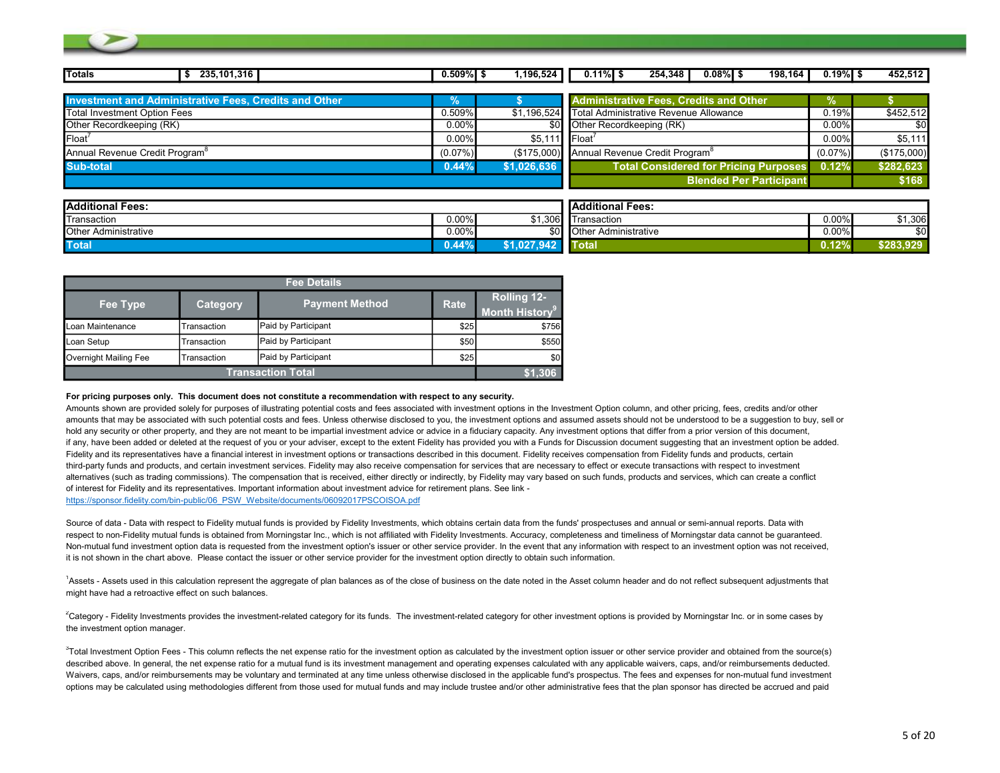| <b>Totals</b><br>235, 101, 316                               | $0.509\%$ \$ | 1,196,524   | $0.11\%$ S<br>254,348<br>$0.08\%$ S<br>198,164         | $0.19\%$ \$ | 452,512     |
|--------------------------------------------------------------|--------------|-------------|--------------------------------------------------------|-------------|-------------|
|                                                              |              |             |                                                        |             |             |
| <b>Investment and Administrative Fees, Credits and Other</b> | У.           |             | <b>Administrative Fees, Credits and Other</b>          | Yo.         |             |
| <b>Total Investment Option Fees</b>                          | 0.509%       | \$1,196,524 | Total Administrative Revenue Allowance                 | 0.19%       | \$452,512   |
| Other Recordkeeping (RK)                                     | $0.00\%$     | \$0.        | Other Recordkeeping (RK)                               | 0.00%       | \$0         |
| Float <sup>/</sup>                                           | $0.00\%$     | \$5,111     | <b>IFloat</b>                                          | 0.00%       | \$5,111     |
| Annual Revenue Credit Program <sup>8</sup>                   | $(0.07\%)$   |             | (\$175,000) Annual Revenue Credit Program <sup>8</sup> | $(0.07\%)$  | (\$175,000) |
| <b>Sub-total</b>                                             | 0.44%        | \$1,026,636 | <b>Total Considered for Pricing Purposes</b>           | 0.12%       | \$282,623   |
|                                                              |              |             | <b>Blended Per Participant</b>                         |             | \$168       |
|                                                              |              |             |                                                        |             |             |
| <b>Additional Fees:</b>                                      |              |             | <b>Additional Fees:</b>                                |             |             |
| Transaction                                                  | $0.00\%$     | \$1,306     | <b>Transaction</b>                                     | 0.00%       | \$1,306     |
| <b>Other Administrative</b>                                  | $0.00\%$     | \$01        | <b>Other Administrative</b>                            | 0.00%       | \$0         |
| <b>Total</b>                                                 | 0.44%        | \$1.027.942 | <b>Total</b>                                           | 0.12%       | \$283,929   |

|                       |             | <b>Fee Details</b>       |             |                                                        |
|-----------------------|-------------|--------------------------|-------------|--------------------------------------------------------|
| Fee Type              | Category    | <b>Payment Method</b>    | <b>Rate</b> | <b>Rolling 12-</b><br><b>Month History<sup>9</sup></b> |
| Loan Maintenance      | Transaction | Paid by Participant      | \$25        | \$756                                                  |
| Loan Setup            | Transaction | Paid by Participant      | \$50        | \$550                                                  |
| Overnight Mailing Fee | Transaction | Paid by Participant      | \$25        | \$0                                                    |
|                       |             | <b>Transaction Total</b> |             | \$1.306                                                |

#### For pricing purposes only. This document does not constitute a recommendation with respect to any security.

Amounts shown are provided solely for purposes of illustrating potential costs and fees associated with investment options in the Investment Option column, and other pricing, fees, credits and/or other amounts that may be associated with such potential costs and fees. Unless otherwise disclosed to you, the investment options and assumed assets should not be understood to be a suggestion to buy, sell or hold any security or other property, and they are not meant to be impartial investment advice or advice in a fiduciary capacity. Any investment options that differ from a prior version of this document, if any, have been added or deleted at the request of you or your adviser, except to the extent Fidelity has provided you with a Funds for Discussion document suggesting that an investment option be added. Fidelity and its representatives have a financial interest in investment options or transactions described in this document. Fidelity receives compensation from Fidelity funds and products, certain third-party funds and products, and certain investment services. Fidelity may also receive compensation for services that are necessary to effect or execute transactions with respect to investment alternatives (such as trading commissions). The compensation that is received, either directly or indirectly, by Fidelity may vary based on such funds, products and services, which can create a conflict of interest for Fidelity and its representatives. Important information about investment advice for retirement plans. See link https://sponsor.fidelity.com/bin-public/06\_PSW\_Website/documents/06092017PSCOISOA.pdf

Source of data - Data with respect to Fidelity mutual funds is provided by Fidelity Investments, which obtains certain data from the funds' prospectuses and annual or semi-annual reports. Data with respect to non-Fidelity mutual funds is obtained from Morningstar Inc., which is not affiliated with Fidelity Investments. Accuracy, completeness and timeliness of Morningstar data cannot be guaranteed.

Non-mutual fund investment option data is requested from the investment option's issuer or other service provider. In the event that any information with respect to an investment option was not received. it is not shown in the chart above. Please contact the issuer or other service provider for the investment option directly to obtain such information.

<sup>1</sup>Assets - Assets used in this calculation represent the aggregate of plan balances as of the close of business on the date noted in the Asset column header and do not reflect subsequent adjustments that might have had a retroactive effect on such balances.

<sup>2</sup>Category - Fidelity Investments provides the investment-related category for its funds. The investment-related category for other investment options is provided by Morningstar Inc. or in some cases by the investment option manager.

<sup>3</sup>Total Investment Option Fees - This column reflects the net expense ratio for the investment option as calculated by the investment option issuer or other service provider and obtained from the source(s) described above. In general, the net expense ratio for a mutual fund is its investment management and operating expenses calculated with any applicable waivers, caps, and/or reimbursements deducted. Waivers, caps, and/or reimbursements may be voluntary and terminated at any time unless otherwise disclosed in the applicable fund's prospectus. The fees and expenses for non-mutual fund investment options may be calculated using methodologies different from those used for mutual funds and may include trustee and/or other administrative fees that the plan sponsor has directed be accrued and paid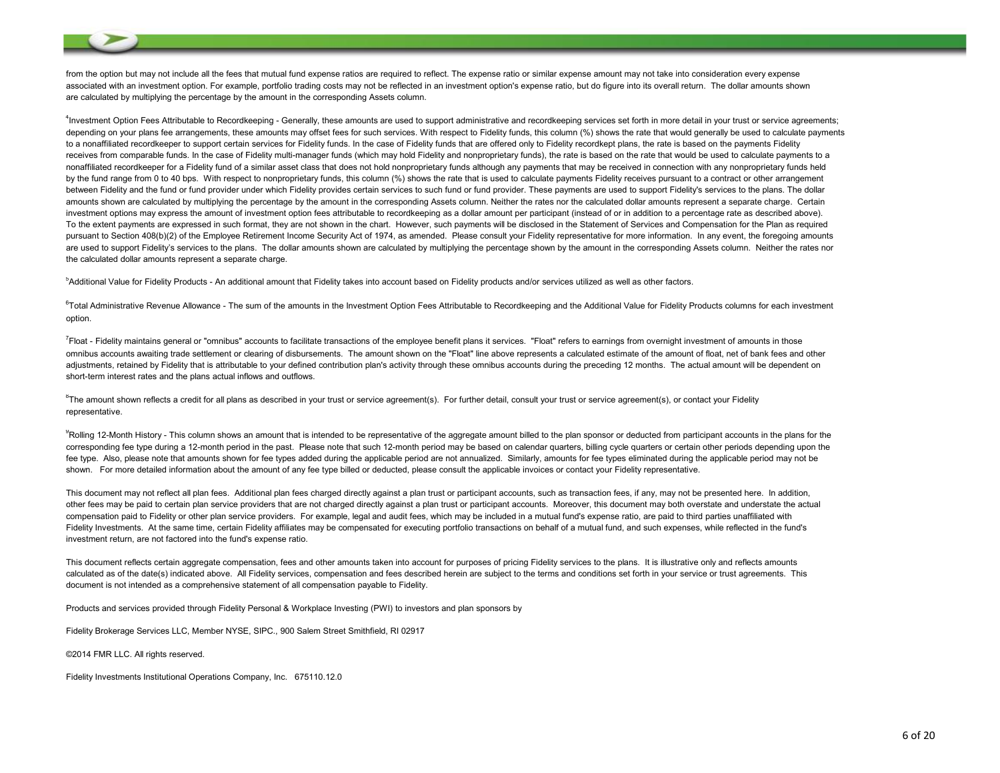from the option but may not include all the fees that mutual fund expense ratios are required to reflect. The expense ratio or similar expense amount may not take into consideration every expense associated with an investment option. For example, portfolio trading costs may not be reflected in an investment option's expense ratio, but do figure into its overall return. The dollar amounts shown are calculated by multiplying the percentage by the amount in the corresponding Assets column.

<sup>4</sup>Investment Option Fees Attributable to Recordkeeping - Generally, these amounts are used to support administrative and recordkeeping services set forth in more detail in your trust or service agreements; depending on your plans fee arrangements, these amounts may offset fees for such services. With respect to Fidelity funds, this column (%) shows the rate that would generally be used to calculate payments to a nonaffiliated recordkeeper to support certain services for Fidelity funds. In the case of Fidelity funds that are offered only to Fidelity recordkept plans, the rate is based on the payments Fidelity receives from comparable funds. In the case of Fidelity multi-manager funds (which may hold Fidelity and nonproprietary funds), the rate is based on the rate that would be used to calculate payments to a nonaffiliated recordkeeper for a Fidelity fund of a similar asset class that does not hold nonproprietary funds although any payments that may be received in connection with any nonproprietary funds held by the fund range from 0 to 40 bps. With respect to nonproprietary funds, this column (%) shows the rate that is used to calculate payments Fidelity receives pursuant to a contract or other arrangement between Fidelity and the fund or fund provider under which Fidelity provides certain services to such fund or fund provider. These payments are used to support Fidelity's services to the plans. The dollar amounts shown are calculated by multiplying the percentage by the amount in the corresponding Assets column. Neither the rates nor the calculated dollar amounts represent a separate charge. Certain investment options may express the amount of investment option fees attributable to recordkeeping as a dollar amount per participant (instead of or in addition to a percentage rate as described above). To the extent payments are expressed in such format, they are not shown in the chart. However, such payments will be disclosed in the Statement of Services and Compensation for the Plan as required pursuant to Section 408(b)(2) of the Employee Retirement Income Security Act of 1974, as amended. Please consult your Fidelity representative for more information. In any event, the foregoing amounts are used to support Fidelity's services to the plans. The dollar amounts shown are calculated by multiplying the percentage shown by the amount in the corresponding Assets column. Neither the rates nor the calculated dollar amounts represent a separate charge.

<sup>5</sup>Additional Value for Fidelity Products - An additional amount that Fidelity takes into account based on Fidelity products and/or services utilized as well as other factors.

<sup>6</sup>Total Administrative Revenue Allowance - The sum of the amounts in the Investment Option Fees Attributable to Recordkeeping and the Additional Value for Fidelity Products columns for each investment option.

<sup>7</sup>Float - Fidelity maintains general or "omnibus" accounts to facilitate transactions of the employee benefit plans it services. "Float" refers to earnings from overnight investment of amounts in those omnibus accounts awaiting trade settlement or clearing of disbursements. The amount shown on the "Float" line above represents a calculated estimate of the amount of float, net of bank fees and other adjustments, retained by Fidelity that is attributable to your defined contribution plan's activity through these omnibus accounts during the preceding 12 months. The actual amount will be dependent on short-term interest rates and the plans actual inflows and outflows.

 $8$ The amount shown reflects a credit for all plans as described in your trust or service agreement(s). For further detail, consult your trust or service agreement(s), or contact your Fidelity representative.

<sup>9</sup>Rolling 12-Month History - This column shows an amount that is intended to be representative of the aggregate amount billed to the plan sponsor or deducted from participant accounts in the plans for the corresponding fee type during a 12-month period in the past. Please note that such 12-month period may be based on calendar quarters, billing cycle quarters or certain other periods depending upon the fee type. Also, please note that amounts shown for fee types added during the applicable period are not annualized. Similarly, amounts for fee types eliminated during the applicable period may not be shown. For more detailed information about the amount of any fee type billed or deducted, please consult the applicable invoices or contact your Fidelity representative.

This document may not reflect all plan fees. Additional plan fees charged directly against a plan trust or participant accounts, such as transaction fees, if any, may not be presented here. In addition, other fees may be paid to certain plan service providers that are not charged directly against a plan trust or participant accounts. Moreover, this document may both overstate and understate the actual compensation paid to Fidelity or other plan service providers. For example, legal and audit fees, which may be included in a mutual fund's expense ratio, are paid to third parties unaffiliated with Fidelity Investments. At the same time, certain Fidelity affiliates may be compensated for executing portfolio transactions on behalf of a mutual fund, and such expenses, while reflected in the fund's investment return, are not factored into the fund's expense ratio.

This document reflects certain aggregate compensation, fees and other amounts taken into account for purposes of pricing Fidelity services to the plans. It is illustrative only and reflects amounts calculated as of the date(s) indicated above. All Fidelity services, compensation and fees described herein are subject to the terms and conditions set forth in your service or trust agreements. This document is not intended as a comprehensive statement of all compensation payable to Fidelity.

Products and services provided through Fidelity Personal & Workplace Investing (PWI) to investors and plan sponsors by

Fidelity Brokerage Services LLC, Member NYSE, SIPC., 900 Salem Street Smithfield, RI 02917

©2014 FMR LLC. All rights reserved.

Fidelity Investments Institutional Operations Company, Inc. 675110.12.0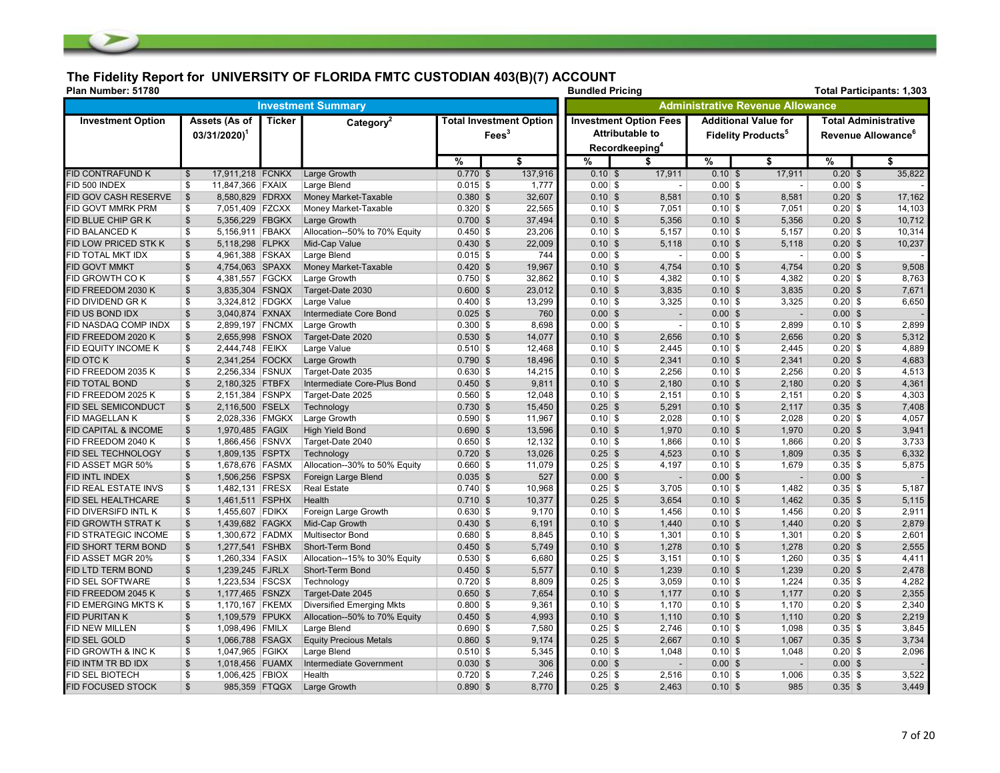## The Fidelity Report for UNIVERSITY OF FLORIDA FMTC CUSTODIAN 403(B)(7) ACCOUNT

| Plan Number: 51780         |                                            |               |                                  |             | <b>Bundled Pricing</b>                              |                 |                                                                                       |                                         |                                                                     | <b>Total Participants: 1,303</b> |                                                               |
|----------------------------|--------------------------------------------|---------------|----------------------------------|-------------|-----------------------------------------------------|-----------------|---------------------------------------------------------------------------------------|-----------------------------------------|---------------------------------------------------------------------|----------------------------------|---------------------------------------------------------------|
|                            |                                            |               | <b>Investment Summary</b>        |             |                                                     |                 |                                                                                       | <b>Administrative Revenue Allowance</b> |                                                                     |                                  |                                                               |
| <b>Investment Option</b>   | Assets (As of<br>$03/31/2020$ <sup>1</sup> | <b>Ticker</b> | Category <sup>2</sup>            |             | <b>Total Investment Option</b><br>Fees <sup>3</sup> |                 | <b>Investment Option Fees</b><br><b>Attributable to</b><br>Recordkeeping <sup>4</sup> |                                         | <b>Additional Value for</b><br><b>Fidelity Products<sup>5</sup></b> |                                  | <b>Total Administrative</b><br>Revenue Allowance <sup>6</sup> |
|                            |                                            |               |                                  | %           | \$                                                  | $\overline{\%}$ | \$                                                                                    | %                                       | \$                                                                  | %                                | $\overline{\mathbf{s}}$                                       |
| <b>FID CONTRAFUND K</b>    | 17,911,218 FCNKX<br>$\mathfrak{S}$         |               | Large Growth                     | $0.770$ \$  | 137,916                                             | $0.10$ \$       | 17,911                                                                                | $0.10$ \$                               | 17,911                                                              | $0.20$ \$                        | 35,822                                                        |
| FID 500 INDEX              | 11,847,366 FXAIX<br>\$                     |               | Large Blend                      | $0.015$ \$  | 1,777                                               | $0.00$ \$       | $\blacksquare$                                                                        | $0.00$ \$                               | $\overline{\phantom{a}}$                                            | $0.00$ \$                        |                                                               |
| FID GOV CASH RESERVE       | $\mathfrak s$<br>8,580,829 FDRXX           |               | Money Market-Taxable             | $0.380$ \$  | 32,607                                              | $0.10$ \$       | 8,581                                                                                 | $0.10$ \$                               | 8,581                                                               | $0.20$ \$                        | 17,162                                                        |
| FID GOVT MMRK PRM          | 7,051,409 FZCXX<br>\$                      |               | Money Market-Taxable             | $0.320$ \$  | 22,565                                              | $0.10$ \$       | 7,051                                                                                 | $0.10$ \$                               | 7,051                                                               | $0.20$ \$                        | 14,103                                                        |
| FID BLUE CHIP GR K         | $\mathfrak{S}$<br>5,356,229 FBGKX          |               | Large Growth                     | $0.700$ \$  | 37,494                                              | $0.10$ \$       | 5,356                                                                                 | $0.10$ \$                               | 5,356                                                               | $0.20$ \$                        | 10,712                                                        |
| <b>FID BALANCED K</b>      | \$<br>5,156,911 FBAKX                      |               | Allocation--50% to 70% Equity    | $0.450$ \$  | 23,206                                              | $0.10$ \$       | 5,157                                                                                 | $0.10$ \$                               | 5,157                                                               | $0.20$ \$                        | 10,314                                                        |
| FID LOW PRICED STK K       | $\mathfrak{S}$<br>5,118,298 FLPKX          |               | Mid-Cap Value                    | $0.430$ \$  | 22,009                                              | $0.10$ \$       | 5,118                                                                                 | $0.10$ \$                               | 5,118                                                               | $0.20$ \$                        | 10,237                                                        |
| FID TOTAL MKT IDX          | 4,961,388 FSKAX<br>\$                      |               | Large Blend                      | $0.015$ \$  | 744                                                 | $0.00$ \$       | $\sim$                                                                                | $0.00$ \$                               | $\overline{\phantom{a}}$                                            | $0.00$ \$                        |                                                               |
| <b>FID GOVT MMKT</b>       | $\mathbb{S}$<br>4,754,063 SPAXX            |               | Money Market-Taxable             | $0.420$ \$  | 19,967                                              | $0.10$ \$       | 4,754                                                                                 | $0.10$ \$                               | 4,754                                                               | $0.20$ \$                        | 9,508                                                         |
| FID GROWTH CO K            | \$<br>4,381,557 FGCKX                      |               | Large Growth                     | $0.750$ \$  | 32,862                                              | $0.10$ \$       | 4,382                                                                                 | $0.10$ \$                               | 4,382                                                               | $0.20$ \$                        | 8,763                                                         |
| FID FREEDOM 2030 K         | 3,835,304 FSNQX<br>$\mathfrak{S}$          |               | Target-Date 2030                 | $0.600$ \$  | 23,012                                              | $0.10$ \$       | 3,835                                                                                 | $0.10$ \$                               | 3,835                                                               | $0.20$ \$                        | 7,671                                                         |
| <b>FID DIVIDEND GRK</b>    | \$<br>3,324,812 FDGKX                      |               | Large Value                      | $0.400$ \$  | 13,299                                              | $0.10$ \$       | 3,325                                                                                 | $0.10$ \$                               | 3,325                                                               | $0.20$ \$                        | 6,650                                                         |
| FID US BOND IDX            | $\mathfrak{S}$<br>3,040,874 FXNAX          |               | Intermediate Core Bond           | $0.025$ \$  | 760                                                 | $0.00$ \$       | $\overline{a}$                                                                        | $0.00$ \$                               | $\blacksquare$                                                      | $0.00$ \$                        |                                                               |
| FID NASDAQ COMP INDX       | \$<br>2,899,197 FNCMX                      |               | Large Growth                     | $0.300$ \$  | 8,698                                               | $0.00$ \$       | $\blacksquare$                                                                        | $0.10$ \$                               | 2,899                                                               | $0.10$ \$                        | 2,899                                                         |
| FID FREEDOM 2020 K         | $\mathbb{S}$<br>2,655,998 FSNOX            |               | Target-Date 2020                 | $0.530$ \$  | 14,077                                              | $0.10$ \$       | 2,656                                                                                 | $0.10$ \$                               | 2,656                                                               | $0.20$ \$                        | 5,312                                                         |
| FID EQUITY INCOME K        | 2,444,748 FEIKX<br>\$                      |               | Large Value                      | $0.510$ \$  | 12,468                                              | $0.10$ \$       | 2,445                                                                                 | $0.10$ \$                               | 2,445                                                               | $0.20$ \$                        | 4,889                                                         |
| <b>FID OTC K</b>           | $\mathfrak{S}$<br>2,341,254 FOCKX          |               | Large Growth                     | $0.790$ \$  | 18,496                                              | $0.10$ \$       | 2,341                                                                                 | $0.10$ \$                               | 2,341                                                               | $0.20$ \$                        | 4,683                                                         |
| FID FREEDOM 2035 K         | \$<br>2,256,334 FSNUX                      |               | Target-Date 2035                 | $0.630 $ \$ | 14,215                                              | $0.10$ \$       | 2,256                                                                                 | $0.10$ \$                               | 2,256                                                               | $0.20$ \$                        | 4,513                                                         |
| <b>FID TOTAL BOND</b>      | $\mathfrak{S}$<br>2,180,325 FTBFX          |               | Intermediate Core-Plus Bond      | $0.450$ \$  | 9,811                                               | $0.10$ \$       | 2,180                                                                                 | $0.10$ \$                               | 2,180                                                               | $0.20$ \$                        | 4,361                                                         |
| FID FREEDOM 2025 K         | 2,151,384 FSNPX<br>\$                      |               | Target-Date 2025                 | $0.560$ \$  | 12,048                                              | $0.10$ \$       | 2,151                                                                                 | $0.10$ \$                               | 2,151                                                               | $0.20$ \$                        | 4,303                                                         |
| FID SEL SEMICONDUCT        | $\mathbb{S}$<br>2,116,500 FSELX            |               | Technology                       | $0.730$ \$  | 15,450                                              | $0.25$ \$       | 5,291                                                                                 | $0.10$ \$                               | 2,117                                                               | $0.35$ \$                        | 7,408                                                         |
| FID MAGELLAN K             | \$<br>2,028,336 FMGKX                      |               | Large Growth                     | $0.590$ \$  | 11,967                                              | $0.10$ \$       | 2,028                                                                                 | $0.10$ \$                               | 2,028                                                               | $0.20$ \$                        | 4,057                                                         |
| FID CAPITAL & INCOME       | $\mathfrak{S}$<br>1,970,485 FAGIX          |               | <b>High Yield Bond</b>           | $0.690$ \$  | 13,596                                              | $0.10$ \$       | 1,970                                                                                 | $0.10$ \$                               | 1,970                                                               | $0.20$ \$                        | 3,941                                                         |
| FID FREEDOM 2040 K         | \$<br>1,866,456 FSNVX                      |               | Target-Date 2040                 | $0.650$ \$  | 12,132                                              | $0.10$ \$       | 1,866                                                                                 | $0.10$ \$                               | 1,866                                                               | $0.20$ \$                        | 3,733                                                         |
| FID SEL TECHNOLOGY         | $\mathfrak{S}$<br>1,809,135 FSPTX          |               | Technology                       | $0.720$ \$  | 13,026                                              | $0.25$ \$       | 4,523                                                                                 | $0.10$ \$                               | 1,809                                                               | $0.35$ \$                        | 6,332                                                         |
| FID ASSET MGR 50%          | \$<br>1,678,676 FASMX                      |               | Allocation--30% to 50% Equity    | $0.660$ \$  | 11,079                                              | $0.25$ \$       | 4,197                                                                                 | $0.10$ \$                               | 1,679                                                               | $0.35$ \$                        | 5,875                                                         |
| FID INTL INDEX             | 1,506,256 FSPSX<br>$\mathfrak{S}$          |               | Foreign Large Blend              | $0.035$ \$  | 527                                                 | $0.00$ \$       | $\overline{\phantom{a}}$                                                              | $0.00$ \$                               | $\overline{\phantom{a}}$                                            | $0.00$ \$                        |                                                               |
| FID REAL ESTATE INVS       | \$<br>1,482,131 FRESX                      |               | <b>Real Estate</b>               | $0.740$ \$  | 10,968                                              | $0.25$ \$       | 3,705                                                                                 | $0.10$ \$                               | 1,482                                                               | $0.35$ \$                        | 5,187                                                         |
| FID SEL HEALTHCARE         | $\mathbb{S}$<br>1,461,511 FSPHX            |               | Health                           | $0.710$ \$  | 10,377                                              | $0.25$ \$       | 3,654                                                                                 | $0.10$ \$                               | 1,462                                                               | $0.35$ \$                        | 5,115                                                         |
| FID DIVERSIFD INTL K       | \$<br>1,455,607 FDIKX                      |               | Foreign Large Growth             | $0.630$ \$  | 9,170                                               | $0.10$ \$       | 1,456                                                                                 | $0.10$ \$                               | 1,456                                                               | $0.20$ \$                        | 2,911                                                         |
| <b>FID GROWTH STRAT K</b>  | $\mathfrak{S}$<br>1,439,682 FAGKX          |               | Mid-Cap Growth                   | $0.430$ \$  | 6,191                                               | $0.10$ \$       | 1,440                                                                                 | $0.10$ \$                               | 1,440                                                               | $0.20$ \$                        | 2,879                                                         |
| FID STRATEGIC INCOME       | \$<br>1,300,672 FADMX                      |               | Multisector Bond                 | $0.680$ \$  | 8,845                                               | $0.10$ \$       | 1,301                                                                                 | $0.10$ \$                               | 1,301                                                               | $0.20$ \$                        | 2,601                                                         |
| FID SHORT TERM BOND        | $\mathfrak{S}$<br>1,277,541 FSHBX          |               | Short-Term Bond                  | $0.450$ \$  | 5,749                                               | $0.10$ \$       | 1,278                                                                                 | $0.10$ \$                               | 1,278                                                               | $0.20$ \$                        | 2,555                                                         |
| FID ASSET MGR 20%          | \$<br>1,260,334 FASIX                      |               | Allocation--15% to 30% Equity    | $0.530$ \$  | 6,680                                               | $0.25$ \$       | 3,151                                                                                 | $0.10$ \$                               | 1,260                                                               | $0.35$ \$                        | 4,411                                                         |
| FID LTD TERM BOND          | $\mathbb{S}$<br>1,239,245 FJRLX            |               | Short-Term Bond                  | $0.450$ \$  | 5,577                                               | $0.10$ \$       | 1,239                                                                                 | $0.10$ \$                               | 1,239                                                               | $0.20$ \$                        | 2,478                                                         |
| FID SEL SOFTWARE           | \$<br>1,223,534 FSCSX                      |               | Technology                       | $0.720$ \$  | 8,809                                               | $0.25$ \$       | 3,059                                                                                 | $0.10$ \$                               | 1,224                                                               | $0.35$ \$                        | 4,282                                                         |
| FID FREEDOM 2045 K         | 1,177,465 FSNZX<br>$\mathbb{S}$            |               | Target-Date 2045                 | $0.650$ \$  | 7,654                                               | $0.10$ \$       | 1,177                                                                                 | $0.10$ \$                               | 1,177                                                               | $0.20$ \$                        | 2,355                                                         |
| <b>FID EMERGING MKTS K</b> | 1,170,167 FKEMX<br>\$                      |               | <b>Diversified Emerging Mkts</b> | $0.800$ \$  | 9,361                                               | $0.10$ \$       | 1,170                                                                                 | $0.10$ \$                               | 1,170                                                               | $0.20$ \$                        | 2,340                                                         |
| <b>FID PURITAN K</b>       | 1,109,579 FPUKX<br>$\mathfrak{S}$          |               | Allocation--50% to 70% Equity    | $0.450$ \$  | 4,993                                               | $0.10$ \$       | 1,110                                                                                 | $0.10$ \$                               | 1,110                                                               | $0.20$ \$                        | 2,219                                                         |
| <b>FID NEW MILLEN</b>      | \$<br>1,098,496 FMILX                      |               | Large Blend                      | $0.690 $ \$ | 7,580                                               | $0.25$ \$       | 2,746                                                                                 | $0.10$ \$                               | 1,098                                                               | $0.35$ \$                        | 3,845                                                         |
| <b>FID SEL GOLD</b>        | $\mathfrak{S}$<br>1,066,788 FSAGX          |               | <b>Equity Precious Metals</b>    | $0.860$ \$  | 9,174                                               | $0.25$ \$       | 2,667                                                                                 | $0.10$ \$                               | 1,067                                                               | $0.35$ \$                        | 3,734                                                         |
| FID GROWTH & INC K         | 1,047,965 FGIKX<br>\$                      |               | Large Blend                      | $0.510$ \$  | 5,345                                               | $0.10$ \$       | 1,048                                                                                 | $0.10$ \$                               | 1,048                                                               | $0.20$ \$                        | 2,096                                                         |
| FID INTM TR BD IDX         | $\mathfrak{S}$<br>1,018,456 FUAMX          |               | Intermediate Government          | $0.030$ \$  | 306                                                 | $0.00$ \$       | $\overline{\phantom{a}}$                                                              | $0.00$ \$                               | $\blacksquare$                                                      | $0.00$ \$                        |                                                               |
| <b>FID SEL BIOTECH</b>     | \$<br>1,006,425 FBIOX                      |               | Health                           | $0.720$ \$  | 7,246                                               | $0.25$ \$       | 2,516                                                                                 | $0.10$ \$                               | 1,006                                                               | $0.35$ \$                        | 3,522                                                         |
| <b>FID FOCUSED STOCK</b>   | $\mathfrak{S}$                             | 985,359 FTQGX | Large Growth                     | $0.890$ \$  | 8,770                                               | $0.25$ \$       | 2,463                                                                                 | $0.10$ \$                               | 985                                                                 | $0.35$ \$                        | 3,449                                                         |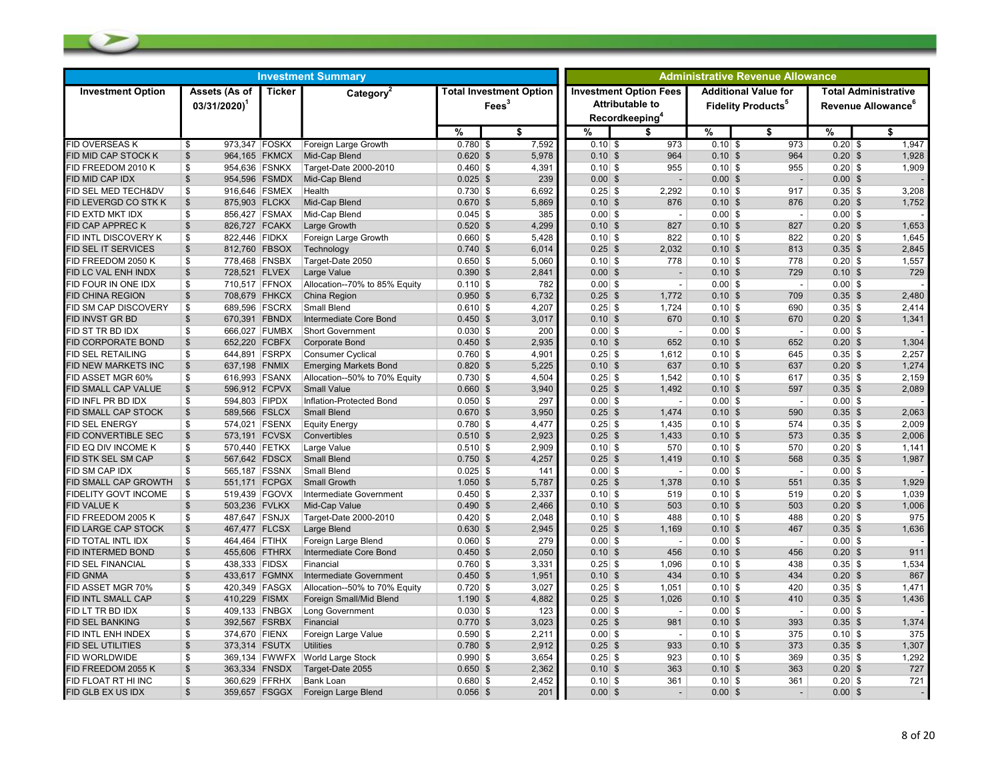| <b>Ticker</b><br><b>Investment Option Fees</b><br><b>Additional Value for</b><br><b>Total Administrative</b><br><b>Investment Option</b><br>Assets (As of<br>Category <sup>2</sup><br><b>Total Investment Option</b><br><b>Attributable to</b><br>Fees <sup>3</sup><br><b>Fidelity Products<sup>5</sup></b><br>Revenue Allowance <sup>6</sup><br>$03/31/2020$ <sup>1</sup><br>Recordkeeping <sup>4</sup><br>\$<br>%<br>%<br>\$<br>%<br>%<br>\$<br>S<br>7,592<br>1,947<br><b>FID OVERSEAS K</b><br>$0.780$ \$<br>$0.20$ \$<br>973,347 FOSKX<br>Foreign Large Growth<br>$0.10$ \$<br>973<br>$0.10$ \$<br>973<br>\$<br>1,928<br><b>FID MID CAP STOCK K</b><br>\$<br>964.165 FKMCX<br>$0.620$ \$<br>5,978<br>$0.10$ \$<br>964<br>0.10S<br>964<br>$0.20$ \$<br>Mid-Cap Blend<br>\$<br>954,636 FSNKX<br>Target-Date 2000-2010<br>$0.460$ \$<br>4,391<br>$0.10$ \$<br>955<br>$0.10$ \$<br>955<br>$0.20$ \$<br>1,909<br>$\mathfrak{s}$<br>239<br>FID MID CAP IDX<br>954,596 FSMDX<br>Mid-Cap Blend<br>$0.025$ \$<br>$0.00$ \$<br>$0.00$ \$<br>$0.00$ \$<br>$\overline{\phantom{a}}$<br>$\overline{\phantom{a}}$<br>\$<br>916,646 FSMEX<br>$0.730$ \$<br>6,692<br>$0.25$ \$<br>2,292<br>$0.10$ \$<br>917<br>$0.35$ \$<br>3,208<br>FID SEL MED TECH&DV<br>Health<br>875,903 FLCKX<br>Mid-Cap Blend<br>$0.670$ \$<br>5,869<br>0.10S<br>$0.20$ \$<br>1,752<br><b>FID LEVERGD CO STK K</b><br>$\mathfrak{S}$<br>$0.10$ \$<br>876<br>876<br>\$<br>856,427 FSMAX<br>Mid-Cap Blend<br>$0.045$ \$<br>385<br>$0.00$ \$<br>$0.00$ \$<br>$0.00$ \$<br>$\overline{\phantom{a}}$<br>$\overline{\phantom{a}}$<br>$\mathfrak{S}$<br>826,727 FCAKX<br>Large Growth<br>$0.520$ \$<br>4,299<br>$0.10$ \$<br>$0.10$ \$<br>$0.20$ \$<br>1,653<br>827<br>827<br>822,446 FIDKX<br>$0.660$ \$<br>5,428<br>$0.20$ \$<br>1,645<br>FID INTL DISCOVERY K<br>\$<br>Foreign Large Growth<br>$0.10$ \$<br>822<br>$0.10$ \$<br>822<br>2,845<br>\$<br>812,760 FBSOX<br>$0.740$ \$<br>6,014<br>$0.25$ \$<br>0.10S<br>$0.35$ \$<br>FID SEL IT SERVICES<br>Technology<br>2,032<br>813<br>\$<br>778,468 FNSBX<br>Target-Date 2050<br>$0.650$ \$<br>5,060<br>$0.10$ \$<br>778<br>$0.10$ \$<br>778<br>$0.20$ \$<br>1,557<br>$\mathfrak s$<br>2,841<br>0.10S<br>729<br>728,521 FLVEX<br>Large Value<br>$0.390$ \$<br>$0.00$ \$<br>729<br>$0.10$ \$<br>$\overline{\phantom{a}}$<br>FID FOUR IN ONE IDX<br>\$<br>710,517 FFNOX<br>Allocation--70% to 85% Equity<br>$0.110$ \$<br>782<br>$0.00$ \$<br>$0.00$ \$<br>$0.00$ \$<br>$\overline{\phantom{a}}$<br>$\overline{\phantom{a}}$<br>$\mathsf{\$}$<br>708,679 FHKCX<br>6,732<br>$0.25$ \$<br>0.10S<br>$0.35$ \$<br>2,480<br>FID CHINA REGION<br>China Region<br>$0.950$ \$<br>1,772<br>709<br>2,414<br>\$<br>689,596 FSCRX<br>Small Blend<br>$0.610$ \$<br>4,207<br>$0.25$ \$<br>1,724<br>$0.10$ \$<br>690<br>$0.35$ \$<br>$\mathfrak{S}$<br>670,391 FBNDX<br>$0.450$ \$<br>3,017<br>$0.10$ \$<br>670<br>$0.10$ \$<br>$0.20$ \$<br>1,341<br>Intermediate Core Bond<br>670<br>\$<br>666,027 FUMBX<br>$0.030$ \$<br>200<br>$0.00$ \$<br>$0.00$ \$<br>$0.00$ \$<br><b>Short Government</b><br>$\blacksquare$<br>$\overline{\phantom{a}}$<br>652,220 FCBFX<br>$0.450$ \$<br>2,935<br>$0.10$ \$<br>652<br>0.10S<br>$0.20$ \$<br>1,304<br><b>FID CORPORATE BOND</b><br>\$<br>Corporate Bond<br>652<br>\$<br>644,891 FSRPX<br>$0.760$ \$<br>4,901<br>$0.25$ \$<br>1,612<br>$0.10$ \$<br>$0.35$ \$<br>2,257<br><b>Consumer Cyclical</b><br>645<br>$\mathsf{\$}$<br>637,198 FNMIX<br>5.225<br>637<br>$0.10$ \$<br>$0.20$ \$<br>1,274<br><b>Emerging Markets Bond</b><br>$0.820$ \$<br>$0.10$ \$<br>637<br><b>ID ASSET MGR 60%</b><br>\$<br>616,993 FSANX<br>Allocation--50% to 70% Equity<br>$0.730$ \$<br>4,504<br>$0.25$ \$<br>1,542<br>$0.10$ \$<br>617<br>$0.35$ \$<br>2,159<br>2,089<br>$\mathfrak{S}$<br>596.912 FCPVX<br><b>Small Value</b><br>$0.660$ \$<br>3,940<br>$0.25$ \$<br>0.10S<br>$0.35$ \$<br>FID SMALL CAP VALUE<br>1,492<br>597<br>297<br>\$<br>594,803 FIPDX<br>Inflation-Protected Bond<br>$0.050$ \$<br>$0.00$ \$<br>$0.00$ \$<br>$0.00$ \$<br>$\overline{\phantom{a}}$<br>$\overline{\phantom{a}}$<br>2,063<br>\$<br>589,566 FSLCX<br><b>Small Blend</b><br>$0.670$ \$<br>3,950<br>$0.25$ \$<br>$0.10$ \$<br>$0.35$ \$<br>1,474<br>590<br>2,009<br>\$<br>574,021 FSENX<br>$0.780$ \$<br>4,477<br>$0.25$ \$<br>1,435<br>$0.10$ \$<br>574<br>$0.35$ \$<br>FID SEL ENERGY<br><b>Equity Energy</b><br>2,006<br><b>FID CONVERTIBLE SEC</b><br>\$<br>573,191 FCVSX<br>$0.510$ \$<br>2,923<br>$0.25$ \$<br>1,433<br>0.10S<br>573<br>$0.35$ \$<br>Convertibles<br>\$<br>570,440 FETKX<br>$0.510$ \$<br>2,909<br>$0.10$ \$<br>570<br>$0.10$ \$<br>570<br>$0.20$ \$<br>1,141<br>FID EQ DIV INCOME K<br>Large Value<br>$\mathsf{\$}$<br>567,642 FDSCX<br>4.257<br>$0.10$ \$<br>$0.35$ \$<br>1,987<br>FID STK SEL SM CAP<br><b>Small Blend</b><br>$0.750$ \$<br>$0.25$ \$<br>1.419<br>568<br><b>ID SM CAP IDX</b><br>\$<br>565,187 FSSNX<br>Small Blend<br>$0.025$ \$<br>141<br>$0.00$ \$<br>$0.00$ \$<br>$0.00$ \$<br>$\overline{\phantom{a}}$<br>$\overline{\phantom{a}}$<br>1,929<br>$\mathfrak{S}$<br>551,171 FCPGX<br>$1.050$ \$<br>5,787<br>$0.25$ \$<br>0.10S<br>551<br>$0.35$ \$<br>FID SMALL CAP GROWTH<br><b>Small Growth</b><br>1,378<br>1,039<br>\$<br>519,439 FGOVX<br>$0.450$ \$<br>2,337<br>$0.20$ \$<br>FIDELITY GOVT INCOME<br>Intermediate Government<br>$0.10$ \$<br>519<br>$0.10$ \$<br>519<br>\$<br>1,006<br>503,236 FVLKX<br>Mid-Cap Value<br>$0.490$ \$<br>2,466<br>$0.10$ \$<br>503<br>0.10S<br>503<br>$0.20$ \$<br>FID VALUE K<br>975<br>FID FREEDOM 2005 K<br>\$<br>487,647 FSNJX<br>Target-Date 2000-2010<br>$0.420$ \$<br>2.048<br>$0.10$ \$<br>488<br>$0.10$ \$<br>488<br>$0.20$ \$<br>2,945<br>1,636<br><b>ID LARGE CAP STOCK</b><br>\$<br>467,477 FLCSX<br>Large Blend<br>$0.630$ \$<br>$0.25$ \$<br>0.10S<br>467<br>$0.35$ \$<br>1,169<br>FID TOTAL INTL IDX<br>\$<br>464,464 FTIHX<br>$0.060$ \$<br>279<br>$0.00$ \$<br>$0.00$ \$<br>$0.00$ \$<br>Foreign Large Blend<br>$\blacksquare$<br>$\overline{\phantom{a}}$<br>$\mathfrak{S}$<br>455,606 FTHRX<br>$0.450$ \$<br>0.10S<br>$0.20$ \$<br>911<br>FID INTERMED BOND<br>Intermediate Core Bond<br>2,050<br>$0.10$ \$<br>456<br>456<br>1,534<br>FID SEL FINANCIAL<br>\$<br>438,333 FIDSX<br>Financial<br>$0.760$ \$<br>3,331<br>$0.25$ \$<br>1,096<br>$0.10$ \$<br>438<br>$0.35$ \$<br>867<br><b>FID GNMA</b><br>\$<br>433,617 FGMNX<br>$0.450$ \$<br>1,951<br>$0.10$ \$<br>434<br>0.10S<br>434<br>$0.20$ \$<br>Intermediate Government<br>1,471<br>\$<br>420,349 FASGX<br>$0.720$ \$<br>3,027<br>$0.25$ \$<br>1,051<br>$0.10$ \$<br>420<br>$0.35$ \$<br>FID ASSET MGR 70%<br>Allocation--50% to 70% Equity<br>$\mathfrak s$<br>FID INTL SMALL CAP<br>410,229 FISMX<br>Foreign Small/Mid Blend<br>$1.190$ \$<br>4,882<br>$0.25$ \$<br>1,026<br>0.10S<br>410<br>$0.35$ \$<br>1,436<br>FID LT TR BD IDX<br>\$<br>409,133 FNBGX<br>Long Government<br>$0.030$ \$<br>123<br>$0.00$ \$<br>$0.00$ \$<br>$0.00$ \$<br>$\blacksquare$<br>$\overline{\phantom{a}}$<br>392,567 FSRBX<br>1,374<br>FID SEL BANKING<br>$\mathfrak{S}$<br>Financial<br>$0.770$ \$<br>3,023<br>$0.25$ \$<br>981<br>$0.10$ \$<br>393<br>$0.35$ \$<br>FID INTL ENH INDEX<br>\$<br>374,670 FIENX<br>Foreign Large Value<br>$0.590$ \$<br>2,211<br>$0.00$ \$<br>$0.10$ \$<br>375<br>$0.10$ \$<br>375<br>$\overline{\phantom{a}}$<br>1,307<br>$\mathbb{S}$<br>373,314 FSUTX<br>$0.780$ \$<br>2.912<br>$0.25$ \$<br>$0.10$ \$<br>$0.35$ \$<br>FID SEL UTILITIES<br><b>Utilities</b><br>933<br>373<br>\$<br>369,134 FWWFX<br>$0.990$ \$<br>3,654<br>$0.25$ \$<br>923<br>$0.10$ \$<br>369<br>$0.35$ \$<br>1,292<br>FID WORLDWIDE<br>World Large Stock<br>727<br>\$<br>363,334 FNSDX<br>$0.650$ \$<br>2,362<br>$0.10$ \$<br>363<br>0.10S<br>$0.20$ \$<br>FID FREEDOM 2055 K<br>Target-Date 2055<br>363<br>721<br>\$<br>360,629 FFRHX<br>$0.680$ \$<br>2,452<br>$0.10$ \$<br>361<br>$0.10$ \$<br>361<br>$0.20$ \$<br>FID FLOAT RT HI INC<br><b>Bank Loan</b><br>$\sqrt[6]{\frac{1}{2}}$<br>201<br>359,657 FSGGX<br>$0.056$ \$<br>$0.00$ \$<br>$0.00$ \$<br>$0.00$ \$<br>Foreign Large Blend | <b>Investment Summary</b> |  |  |  |  |  |  | <b>Administrative Revenue Allowance</b> |  |  |  |  |  |  |
|-----------------------------------------------------------------------------------------------------------------------------------------------------------------------------------------------------------------------------------------------------------------------------------------------------------------------------------------------------------------------------------------------------------------------------------------------------------------------------------------------------------------------------------------------------------------------------------------------------------------------------------------------------------------------------------------------------------------------------------------------------------------------------------------------------------------------------------------------------------------------------------------------------------------------------------------------------------------------------------------------------------------------------------------------------------------------------------------------------------------------------------------------------------------------------------------------------------------------------------------------------------------------------------------------------------------------------------------------------------------------------------------------------------------------------------------------------------------------------------------------------------------------------------------------------------------------------------------------------------------------------------------------------------------------------------------------------------------------------------------------------------------------------------------------------------------------------------------------------------------------------------------------------------------------------------------------------------------------------------------------------------------------------------------------------------------------------------------------------------------------------------------------------------------------------------------------------------------------------------------------------------------------------------------------------------------------------------------------------------------------------------------------------------------------------------------------------------------------------------------------------------------------------------------------------------------------------------------------------------------------------------------------------------------------------------------------------------------------------------------------------------------------------------------------------------------------------------------------------------------------------------------------------------------------------------------------------------------------------------------------------------------------------------------------------------------------------------------------------------------------------------------------------------------------------------------------------------------------------------------------------------------------------------------------------------------------------------------------------------------------------------------------------------------------------------------------------------------------------------------------------------------------------------------------------------------------------------------------------------------------------------------------------------------------------------------------------------------------------------------------------------------------------------------------------------------------------------------------------------------------------------------------------------------------------------------------------------------------------------------------------------------------------------------------------------------------------------------------------------------------------------------------------------------------------------------------------------------------------------------------------------------------------------------------------------------------------------------------------------------------------------------------------------------------------------------------------------------------------------------------------------------------------------------------------------------------------------------------------------------------------------------------------------------------------------------------------------------------------------------------------------------------------------------------------------------------------------------------------------------------------------------------------------------------------------------------------------------------------------------------------------------------------------------------------------------------------------------------------------------------------------------------------------------------------------------------------------------------------------------------------------------------------------------------------------------------------------------------------------------------------------------------------------------------------------------------------------------------------------------------------------------------------------------------------------------------------------------------------------------------------------------------------------------------------------------------------------------------------------------------------------------------------------------------------------------------------------------------------------------------------------------------------------------------------------------------------------------------------------------------------------------------------------------------------------------------------------------------------------------------------------------------------------------------------------------------------------------------------------------------------------------------------------------------------------------------------------------------------------------------------------------------------------------------------------------------------------------------------------------------------------------------------------------------------------------------------------------------------------------------------------------------------------------------------------------------------------------------------------------------------------------------------------------------------------------------------------------------------------------------------------------------------------------------------------------------------------------------------------------------------------------------------------------------------------------------------------------------------------------------------------------------------------------------------------------------------------------------------------------------------------------------------------------------------------------------------------------------------------------------------------------------------------------------------------------------------------------------------------------------------------------------------------------------------------------------------------------------------------------------------------------------------------------------------------------------------------------------------------------------------------------------------------------------------------------------------------------------------------------------------------------------------------------------------------------------------------------------------------------------------------------------------------------------------------------------------------------------------------------------------------------|---------------------------|--|--|--|--|--|--|-----------------------------------------|--|--|--|--|--|--|
|                                                                                                                                                                                                                                                                                                                                                                                                                                                                                                                                                                                                                                                                                                                                                                                                                                                                                                                                                                                                                                                                                                                                                                                                                                                                                                                                                                                                                                                                                                                                                                                                                                                                                                                                                                                                                                                                                                                                                                                                                                                                                                                                                                                                                                                                                                                                                                                                                                                                                                                                                                                                                                                                                                                                                                                                                                                                                                                                                                                                                                                                                                                                                                                                                                                                                                                                                                                                                                                                                                                                                                                                                                                                                                                                                                                                                                                                                                                                                                                                                                                                                                                                                                                                                                                                                                                                                                                                                                                                                                                                                                                                                                                                                                                                                                                                                                                                                                                                                                                                                                                                                                                                                                                                                                                                                                                                                                                                                                                                                                                                                                                                                                                                                                                                                                                                                                                                                                                                                                                                                                                                                                                                                                                                                                                                                                                                                                                                                                                                                                                                                                                                                                                                                                                                                                                                                                                                                                                                                                                                                                                                                                                                                                                                                                                                                                                                                                                                                                                                                                                                                                                                                                                                                                                                                                                                                                                                                                                                                                                                                                                                                                                                         |                           |  |  |  |  |  |  |                                         |  |  |  |  |  |  |
|                                                                                                                                                                                                                                                                                                                                                                                                                                                                                                                                                                                                                                                                                                                                                                                                                                                                                                                                                                                                                                                                                                                                                                                                                                                                                                                                                                                                                                                                                                                                                                                                                                                                                                                                                                                                                                                                                                                                                                                                                                                                                                                                                                                                                                                                                                                                                                                                                                                                                                                                                                                                                                                                                                                                                                                                                                                                                                                                                                                                                                                                                                                                                                                                                                                                                                                                                                                                                                                                                                                                                                                                                                                                                                                                                                                                                                                                                                                                                                                                                                                                                                                                                                                                                                                                                                                                                                                                                                                                                                                                                                                                                                                                                                                                                                                                                                                                                                                                                                                                                                                                                                                                                                                                                                                                                                                                                                                                                                                                                                                                                                                                                                                                                                                                                                                                                                                                                                                                                                                                                                                                                                                                                                                                                                                                                                                                                                                                                                                                                                                                                                                                                                                                                                                                                                                                                                                                                                                                                                                                                                                                                                                                                                                                                                                                                                                                                                                                                                                                                                                                                                                                                                                                                                                                                                                                                                                                                                                                                                                                                                                                                                                                         |                           |  |  |  |  |  |  |                                         |  |  |  |  |  |  |
|                                                                                                                                                                                                                                                                                                                                                                                                                                                                                                                                                                                                                                                                                                                                                                                                                                                                                                                                                                                                                                                                                                                                                                                                                                                                                                                                                                                                                                                                                                                                                                                                                                                                                                                                                                                                                                                                                                                                                                                                                                                                                                                                                                                                                                                                                                                                                                                                                                                                                                                                                                                                                                                                                                                                                                                                                                                                                                                                                                                                                                                                                                                                                                                                                                                                                                                                                                                                                                                                                                                                                                                                                                                                                                                                                                                                                                                                                                                                                                                                                                                                                                                                                                                                                                                                                                                                                                                                                                                                                                                                                                                                                                                                                                                                                                                                                                                                                                                                                                                                                                                                                                                                                                                                                                                                                                                                                                                                                                                                                                                                                                                                                                                                                                                                                                                                                                                                                                                                                                                                                                                                                                                                                                                                                                                                                                                                                                                                                                                                                                                                                                                                                                                                                                                                                                                                                                                                                                                                                                                                                                                                                                                                                                                                                                                                                                                                                                                                                                                                                                                                                                                                                                                                                                                                                                                                                                                                                                                                                                                                                                                                                                                                         |                           |  |  |  |  |  |  |                                         |  |  |  |  |  |  |
|                                                                                                                                                                                                                                                                                                                                                                                                                                                                                                                                                                                                                                                                                                                                                                                                                                                                                                                                                                                                                                                                                                                                                                                                                                                                                                                                                                                                                                                                                                                                                                                                                                                                                                                                                                                                                                                                                                                                                                                                                                                                                                                                                                                                                                                                                                                                                                                                                                                                                                                                                                                                                                                                                                                                                                                                                                                                                                                                                                                                                                                                                                                                                                                                                                                                                                                                                                                                                                                                                                                                                                                                                                                                                                                                                                                                                                                                                                                                                                                                                                                                                                                                                                                                                                                                                                                                                                                                                                                                                                                                                                                                                                                                                                                                                                                                                                                                                                                                                                                                                                                                                                                                                                                                                                                                                                                                                                                                                                                                                                                                                                                                                                                                                                                                                                                                                                                                                                                                                                                                                                                                                                                                                                                                                                                                                                                                                                                                                                                                                                                                                                                                                                                                                                                                                                                                                                                                                                                                                                                                                                                                                                                                                                                                                                                                                                                                                                                                                                                                                                                                                                                                                                                                                                                                                                                                                                                                                                                                                                                                                                                                                                                                         |                           |  |  |  |  |  |  |                                         |  |  |  |  |  |  |
|                                                                                                                                                                                                                                                                                                                                                                                                                                                                                                                                                                                                                                                                                                                                                                                                                                                                                                                                                                                                                                                                                                                                                                                                                                                                                                                                                                                                                                                                                                                                                                                                                                                                                                                                                                                                                                                                                                                                                                                                                                                                                                                                                                                                                                                                                                                                                                                                                                                                                                                                                                                                                                                                                                                                                                                                                                                                                                                                                                                                                                                                                                                                                                                                                                                                                                                                                                                                                                                                                                                                                                                                                                                                                                                                                                                                                                                                                                                                                                                                                                                                                                                                                                                                                                                                                                                                                                                                                                                                                                                                                                                                                                                                                                                                                                                                                                                                                                                                                                                                                                                                                                                                                                                                                                                                                                                                                                                                                                                                                                                                                                                                                                                                                                                                                                                                                                                                                                                                                                                                                                                                                                                                                                                                                                                                                                                                                                                                                                                                                                                                                                                                                                                                                                                                                                                                                                                                                                                                                                                                                                                                                                                                                                                                                                                                                                                                                                                                                                                                                                                                                                                                                                                                                                                                                                                                                                                                                                                                                                                                                                                                                                                                         | FID FREEDOM 2010 K        |  |  |  |  |  |  |                                         |  |  |  |  |  |  |
|                                                                                                                                                                                                                                                                                                                                                                                                                                                                                                                                                                                                                                                                                                                                                                                                                                                                                                                                                                                                                                                                                                                                                                                                                                                                                                                                                                                                                                                                                                                                                                                                                                                                                                                                                                                                                                                                                                                                                                                                                                                                                                                                                                                                                                                                                                                                                                                                                                                                                                                                                                                                                                                                                                                                                                                                                                                                                                                                                                                                                                                                                                                                                                                                                                                                                                                                                                                                                                                                                                                                                                                                                                                                                                                                                                                                                                                                                                                                                                                                                                                                                                                                                                                                                                                                                                                                                                                                                                                                                                                                                                                                                                                                                                                                                                                                                                                                                                                                                                                                                                                                                                                                                                                                                                                                                                                                                                                                                                                                                                                                                                                                                                                                                                                                                                                                                                                                                                                                                                                                                                                                                                                                                                                                                                                                                                                                                                                                                                                                                                                                                                                                                                                                                                                                                                                                                                                                                                                                                                                                                                                                                                                                                                                                                                                                                                                                                                                                                                                                                                                                                                                                                                                                                                                                                                                                                                                                                                                                                                                                                                                                                                                                         |                           |  |  |  |  |  |  |                                         |  |  |  |  |  |  |
|                                                                                                                                                                                                                                                                                                                                                                                                                                                                                                                                                                                                                                                                                                                                                                                                                                                                                                                                                                                                                                                                                                                                                                                                                                                                                                                                                                                                                                                                                                                                                                                                                                                                                                                                                                                                                                                                                                                                                                                                                                                                                                                                                                                                                                                                                                                                                                                                                                                                                                                                                                                                                                                                                                                                                                                                                                                                                                                                                                                                                                                                                                                                                                                                                                                                                                                                                                                                                                                                                                                                                                                                                                                                                                                                                                                                                                                                                                                                                                                                                                                                                                                                                                                                                                                                                                                                                                                                                                                                                                                                                                                                                                                                                                                                                                                                                                                                                                                                                                                                                                                                                                                                                                                                                                                                                                                                                                                                                                                                                                                                                                                                                                                                                                                                                                                                                                                                                                                                                                                                                                                                                                                                                                                                                                                                                                                                                                                                                                                                                                                                                                                                                                                                                                                                                                                                                                                                                                                                                                                                                                                                                                                                                                                                                                                                                                                                                                                                                                                                                                                                                                                                                                                                                                                                                                                                                                                                                                                                                                                                                                                                                                                                         |                           |  |  |  |  |  |  |                                         |  |  |  |  |  |  |
|                                                                                                                                                                                                                                                                                                                                                                                                                                                                                                                                                                                                                                                                                                                                                                                                                                                                                                                                                                                                                                                                                                                                                                                                                                                                                                                                                                                                                                                                                                                                                                                                                                                                                                                                                                                                                                                                                                                                                                                                                                                                                                                                                                                                                                                                                                                                                                                                                                                                                                                                                                                                                                                                                                                                                                                                                                                                                                                                                                                                                                                                                                                                                                                                                                                                                                                                                                                                                                                                                                                                                                                                                                                                                                                                                                                                                                                                                                                                                                                                                                                                                                                                                                                                                                                                                                                                                                                                                                                                                                                                                                                                                                                                                                                                                                                                                                                                                                                                                                                                                                                                                                                                                                                                                                                                                                                                                                                                                                                                                                                                                                                                                                                                                                                                                                                                                                                                                                                                                                                                                                                                                                                                                                                                                                                                                                                                                                                                                                                                                                                                                                                                                                                                                                                                                                                                                                                                                                                                                                                                                                                                                                                                                                                                                                                                                                                                                                                                                                                                                                                                                                                                                                                                                                                                                                                                                                                                                                                                                                                                                                                                                                                                         |                           |  |  |  |  |  |  |                                         |  |  |  |  |  |  |
|                                                                                                                                                                                                                                                                                                                                                                                                                                                                                                                                                                                                                                                                                                                                                                                                                                                                                                                                                                                                                                                                                                                                                                                                                                                                                                                                                                                                                                                                                                                                                                                                                                                                                                                                                                                                                                                                                                                                                                                                                                                                                                                                                                                                                                                                                                                                                                                                                                                                                                                                                                                                                                                                                                                                                                                                                                                                                                                                                                                                                                                                                                                                                                                                                                                                                                                                                                                                                                                                                                                                                                                                                                                                                                                                                                                                                                                                                                                                                                                                                                                                                                                                                                                                                                                                                                                                                                                                                                                                                                                                                                                                                                                                                                                                                                                                                                                                                                                                                                                                                                                                                                                                                                                                                                                                                                                                                                                                                                                                                                                                                                                                                                                                                                                                                                                                                                                                                                                                                                                                                                                                                                                                                                                                                                                                                                                                                                                                                                                                                                                                                                                                                                                                                                                                                                                                                                                                                                                                                                                                                                                                                                                                                                                                                                                                                                                                                                                                                                                                                                                                                                                                                                                                                                                                                                                                                                                                                                                                                                                                                                                                                                                                         | FID EXTD MKT IDX          |  |  |  |  |  |  |                                         |  |  |  |  |  |  |
|                                                                                                                                                                                                                                                                                                                                                                                                                                                                                                                                                                                                                                                                                                                                                                                                                                                                                                                                                                                                                                                                                                                                                                                                                                                                                                                                                                                                                                                                                                                                                                                                                                                                                                                                                                                                                                                                                                                                                                                                                                                                                                                                                                                                                                                                                                                                                                                                                                                                                                                                                                                                                                                                                                                                                                                                                                                                                                                                                                                                                                                                                                                                                                                                                                                                                                                                                                                                                                                                                                                                                                                                                                                                                                                                                                                                                                                                                                                                                                                                                                                                                                                                                                                                                                                                                                                                                                                                                                                                                                                                                                                                                                                                                                                                                                                                                                                                                                                                                                                                                                                                                                                                                                                                                                                                                                                                                                                                                                                                                                                                                                                                                                                                                                                                                                                                                                                                                                                                                                                                                                                                                                                                                                                                                                                                                                                                                                                                                                                                                                                                                                                                                                                                                                                                                                                                                                                                                                                                                                                                                                                                                                                                                                                                                                                                                                                                                                                                                                                                                                                                                                                                                                                                                                                                                                                                                                                                                                                                                                                                                                                                                                                                         | FID CAP APPREC K          |  |  |  |  |  |  |                                         |  |  |  |  |  |  |
|                                                                                                                                                                                                                                                                                                                                                                                                                                                                                                                                                                                                                                                                                                                                                                                                                                                                                                                                                                                                                                                                                                                                                                                                                                                                                                                                                                                                                                                                                                                                                                                                                                                                                                                                                                                                                                                                                                                                                                                                                                                                                                                                                                                                                                                                                                                                                                                                                                                                                                                                                                                                                                                                                                                                                                                                                                                                                                                                                                                                                                                                                                                                                                                                                                                                                                                                                                                                                                                                                                                                                                                                                                                                                                                                                                                                                                                                                                                                                                                                                                                                                                                                                                                                                                                                                                                                                                                                                                                                                                                                                                                                                                                                                                                                                                                                                                                                                                                                                                                                                                                                                                                                                                                                                                                                                                                                                                                                                                                                                                                                                                                                                                                                                                                                                                                                                                                                                                                                                                                                                                                                                                                                                                                                                                                                                                                                                                                                                                                                                                                                                                                                                                                                                                                                                                                                                                                                                                                                                                                                                                                                                                                                                                                                                                                                                                                                                                                                                                                                                                                                                                                                                                                                                                                                                                                                                                                                                                                                                                                                                                                                                                                                         |                           |  |  |  |  |  |  |                                         |  |  |  |  |  |  |
|                                                                                                                                                                                                                                                                                                                                                                                                                                                                                                                                                                                                                                                                                                                                                                                                                                                                                                                                                                                                                                                                                                                                                                                                                                                                                                                                                                                                                                                                                                                                                                                                                                                                                                                                                                                                                                                                                                                                                                                                                                                                                                                                                                                                                                                                                                                                                                                                                                                                                                                                                                                                                                                                                                                                                                                                                                                                                                                                                                                                                                                                                                                                                                                                                                                                                                                                                                                                                                                                                                                                                                                                                                                                                                                                                                                                                                                                                                                                                                                                                                                                                                                                                                                                                                                                                                                                                                                                                                                                                                                                                                                                                                                                                                                                                                                                                                                                                                                                                                                                                                                                                                                                                                                                                                                                                                                                                                                                                                                                                                                                                                                                                                                                                                                                                                                                                                                                                                                                                                                                                                                                                                                                                                                                                                                                                                                                                                                                                                                                                                                                                                                                                                                                                                                                                                                                                                                                                                                                                                                                                                                                                                                                                                                                                                                                                                                                                                                                                                                                                                                                                                                                                                                                                                                                                                                                                                                                                                                                                                                                                                                                                                                                         |                           |  |  |  |  |  |  |                                         |  |  |  |  |  |  |
|                                                                                                                                                                                                                                                                                                                                                                                                                                                                                                                                                                                                                                                                                                                                                                                                                                                                                                                                                                                                                                                                                                                                                                                                                                                                                                                                                                                                                                                                                                                                                                                                                                                                                                                                                                                                                                                                                                                                                                                                                                                                                                                                                                                                                                                                                                                                                                                                                                                                                                                                                                                                                                                                                                                                                                                                                                                                                                                                                                                                                                                                                                                                                                                                                                                                                                                                                                                                                                                                                                                                                                                                                                                                                                                                                                                                                                                                                                                                                                                                                                                                                                                                                                                                                                                                                                                                                                                                                                                                                                                                                                                                                                                                                                                                                                                                                                                                                                                                                                                                                                                                                                                                                                                                                                                                                                                                                                                                                                                                                                                                                                                                                                                                                                                                                                                                                                                                                                                                                                                                                                                                                                                                                                                                                                                                                                                                                                                                                                                                                                                                                                                                                                                                                                                                                                                                                                                                                                                                                                                                                                                                                                                                                                                                                                                                                                                                                                                                                                                                                                                                                                                                                                                                                                                                                                                                                                                                                                                                                                                                                                                                                                                                         | FID FREEDOM 2050 K        |  |  |  |  |  |  |                                         |  |  |  |  |  |  |
|                                                                                                                                                                                                                                                                                                                                                                                                                                                                                                                                                                                                                                                                                                                                                                                                                                                                                                                                                                                                                                                                                                                                                                                                                                                                                                                                                                                                                                                                                                                                                                                                                                                                                                                                                                                                                                                                                                                                                                                                                                                                                                                                                                                                                                                                                                                                                                                                                                                                                                                                                                                                                                                                                                                                                                                                                                                                                                                                                                                                                                                                                                                                                                                                                                                                                                                                                                                                                                                                                                                                                                                                                                                                                                                                                                                                                                                                                                                                                                                                                                                                                                                                                                                                                                                                                                                                                                                                                                                                                                                                                                                                                                                                                                                                                                                                                                                                                                                                                                                                                                                                                                                                                                                                                                                                                                                                                                                                                                                                                                                                                                                                                                                                                                                                                                                                                                                                                                                                                                                                                                                                                                                                                                                                                                                                                                                                                                                                                                                                                                                                                                                                                                                                                                                                                                                                                                                                                                                                                                                                                                                                                                                                                                                                                                                                                                                                                                                                                                                                                                                                                                                                                                                                                                                                                                                                                                                                                                                                                                                                                                                                                                                                         | FID LC VAL ENH INDX       |  |  |  |  |  |  |                                         |  |  |  |  |  |  |
|                                                                                                                                                                                                                                                                                                                                                                                                                                                                                                                                                                                                                                                                                                                                                                                                                                                                                                                                                                                                                                                                                                                                                                                                                                                                                                                                                                                                                                                                                                                                                                                                                                                                                                                                                                                                                                                                                                                                                                                                                                                                                                                                                                                                                                                                                                                                                                                                                                                                                                                                                                                                                                                                                                                                                                                                                                                                                                                                                                                                                                                                                                                                                                                                                                                                                                                                                                                                                                                                                                                                                                                                                                                                                                                                                                                                                                                                                                                                                                                                                                                                                                                                                                                                                                                                                                                                                                                                                                                                                                                                                                                                                                                                                                                                                                                                                                                                                                                                                                                                                                                                                                                                                                                                                                                                                                                                                                                                                                                                                                                                                                                                                                                                                                                                                                                                                                                                                                                                                                                                                                                                                                                                                                                                                                                                                                                                                                                                                                                                                                                                                                                                                                                                                                                                                                                                                                                                                                                                                                                                                                                                                                                                                                                                                                                                                                                                                                                                                                                                                                                                                                                                                                                                                                                                                                                                                                                                                                                                                                                                                                                                                                                                         |                           |  |  |  |  |  |  |                                         |  |  |  |  |  |  |
|                                                                                                                                                                                                                                                                                                                                                                                                                                                                                                                                                                                                                                                                                                                                                                                                                                                                                                                                                                                                                                                                                                                                                                                                                                                                                                                                                                                                                                                                                                                                                                                                                                                                                                                                                                                                                                                                                                                                                                                                                                                                                                                                                                                                                                                                                                                                                                                                                                                                                                                                                                                                                                                                                                                                                                                                                                                                                                                                                                                                                                                                                                                                                                                                                                                                                                                                                                                                                                                                                                                                                                                                                                                                                                                                                                                                                                                                                                                                                                                                                                                                                                                                                                                                                                                                                                                                                                                                                                                                                                                                                                                                                                                                                                                                                                                                                                                                                                                                                                                                                                                                                                                                                                                                                                                                                                                                                                                                                                                                                                                                                                                                                                                                                                                                                                                                                                                                                                                                                                                                                                                                                                                                                                                                                                                                                                                                                                                                                                                                                                                                                                                                                                                                                                                                                                                                                                                                                                                                                                                                                                                                                                                                                                                                                                                                                                                                                                                                                                                                                                                                                                                                                                                                                                                                                                                                                                                                                                                                                                                                                                                                                                                                         |                           |  |  |  |  |  |  |                                         |  |  |  |  |  |  |
|                                                                                                                                                                                                                                                                                                                                                                                                                                                                                                                                                                                                                                                                                                                                                                                                                                                                                                                                                                                                                                                                                                                                                                                                                                                                                                                                                                                                                                                                                                                                                                                                                                                                                                                                                                                                                                                                                                                                                                                                                                                                                                                                                                                                                                                                                                                                                                                                                                                                                                                                                                                                                                                                                                                                                                                                                                                                                                                                                                                                                                                                                                                                                                                                                                                                                                                                                                                                                                                                                                                                                                                                                                                                                                                                                                                                                                                                                                                                                                                                                                                                                                                                                                                                                                                                                                                                                                                                                                                                                                                                                                                                                                                                                                                                                                                                                                                                                                                                                                                                                                                                                                                                                                                                                                                                                                                                                                                                                                                                                                                                                                                                                                                                                                                                                                                                                                                                                                                                                                                                                                                                                                                                                                                                                                                                                                                                                                                                                                                                                                                                                                                                                                                                                                                                                                                                                                                                                                                                                                                                                                                                                                                                                                                                                                                                                                                                                                                                                                                                                                                                                                                                                                                                                                                                                                                                                                                                                                                                                                                                                                                                                                                                         | FID SM CAP DISCOVERY      |  |  |  |  |  |  |                                         |  |  |  |  |  |  |
|                                                                                                                                                                                                                                                                                                                                                                                                                                                                                                                                                                                                                                                                                                                                                                                                                                                                                                                                                                                                                                                                                                                                                                                                                                                                                                                                                                                                                                                                                                                                                                                                                                                                                                                                                                                                                                                                                                                                                                                                                                                                                                                                                                                                                                                                                                                                                                                                                                                                                                                                                                                                                                                                                                                                                                                                                                                                                                                                                                                                                                                                                                                                                                                                                                                                                                                                                                                                                                                                                                                                                                                                                                                                                                                                                                                                                                                                                                                                                                                                                                                                                                                                                                                                                                                                                                                                                                                                                                                                                                                                                                                                                                                                                                                                                                                                                                                                                                                                                                                                                                                                                                                                                                                                                                                                                                                                                                                                                                                                                                                                                                                                                                                                                                                                                                                                                                                                                                                                                                                                                                                                                                                                                                                                                                                                                                                                                                                                                                                                                                                                                                                                                                                                                                                                                                                                                                                                                                                                                                                                                                                                                                                                                                                                                                                                                                                                                                                                                                                                                                                                                                                                                                                                                                                                                                                                                                                                                                                                                                                                                                                                                                                                         | FID INVST GR BD           |  |  |  |  |  |  |                                         |  |  |  |  |  |  |
|                                                                                                                                                                                                                                                                                                                                                                                                                                                                                                                                                                                                                                                                                                                                                                                                                                                                                                                                                                                                                                                                                                                                                                                                                                                                                                                                                                                                                                                                                                                                                                                                                                                                                                                                                                                                                                                                                                                                                                                                                                                                                                                                                                                                                                                                                                                                                                                                                                                                                                                                                                                                                                                                                                                                                                                                                                                                                                                                                                                                                                                                                                                                                                                                                                                                                                                                                                                                                                                                                                                                                                                                                                                                                                                                                                                                                                                                                                                                                                                                                                                                                                                                                                                                                                                                                                                                                                                                                                                                                                                                                                                                                                                                                                                                                                                                                                                                                                                                                                                                                                                                                                                                                                                                                                                                                                                                                                                                                                                                                                                                                                                                                                                                                                                                                                                                                                                                                                                                                                                                                                                                                                                                                                                                                                                                                                                                                                                                                                                                                                                                                                                                                                                                                                                                                                                                                                                                                                                                                                                                                                                                                                                                                                                                                                                                                                                                                                                                                                                                                                                                                                                                                                                                                                                                                                                                                                                                                                                                                                                                                                                                                                                                         | FID ST TR BD IDX          |  |  |  |  |  |  |                                         |  |  |  |  |  |  |
|                                                                                                                                                                                                                                                                                                                                                                                                                                                                                                                                                                                                                                                                                                                                                                                                                                                                                                                                                                                                                                                                                                                                                                                                                                                                                                                                                                                                                                                                                                                                                                                                                                                                                                                                                                                                                                                                                                                                                                                                                                                                                                                                                                                                                                                                                                                                                                                                                                                                                                                                                                                                                                                                                                                                                                                                                                                                                                                                                                                                                                                                                                                                                                                                                                                                                                                                                                                                                                                                                                                                                                                                                                                                                                                                                                                                                                                                                                                                                                                                                                                                                                                                                                                                                                                                                                                                                                                                                                                                                                                                                                                                                                                                                                                                                                                                                                                                                                                                                                                                                                                                                                                                                                                                                                                                                                                                                                                                                                                                                                                                                                                                                                                                                                                                                                                                                                                                                                                                                                                                                                                                                                                                                                                                                                                                                                                                                                                                                                                                                                                                                                                                                                                                                                                                                                                                                                                                                                                                                                                                                                                                                                                                                                                                                                                                                                                                                                                                                                                                                                                                                                                                                                                                                                                                                                                                                                                                                                                                                                                                                                                                                                                                         |                           |  |  |  |  |  |  |                                         |  |  |  |  |  |  |
|                                                                                                                                                                                                                                                                                                                                                                                                                                                                                                                                                                                                                                                                                                                                                                                                                                                                                                                                                                                                                                                                                                                                                                                                                                                                                                                                                                                                                                                                                                                                                                                                                                                                                                                                                                                                                                                                                                                                                                                                                                                                                                                                                                                                                                                                                                                                                                                                                                                                                                                                                                                                                                                                                                                                                                                                                                                                                                                                                                                                                                                                                                                                                                                                                                                                                                                                                                                                                                                                                                                                                                                                                                                                                                                                                                                                                                                                                                                                                                                                                                                                                                                                                                                                                                                                                                                                                                                                                                                                                                                                                                                                                                                                                                                                                                                                                                                                                                                                                                                                                                                                                                                                                                                                                                                                                                                                                                                                                                                                                                                                                                                                                                                                                                                                                                                                                                                                                                                                                                                                                                                                                                                                                                                                                                                                                                                                                                                                                                                                                                                                                                                                                                                                                                                                                                                                                                                                                                                                                                                                                                                                                                                                                                                                                                                                                                                                                                                                                                                                                                                                                                                                                                                                                                                                                                                                                                                                                                                                                                                                                                                                                                                                         | FID SEL RETAILING         |  |  |  |  |  |  |                                         |  |  |  |  |  |  |
|                                                                                                                                                                                                                                                                                                                                                                                                                                                                                                                                                                                                                                                                                                                                                                                                                                                                                                                                                                                                                                                                                                                                                                                                                                                                                                                                                                                                                                                                                                                                                                                                                                                                                                                                                                                                                                                                                                                                                                                                                                                                                                                                                                                                                                                                                                                                                                                                                                                                                                                                                                                                                                                                                                                                                                                                                                                                                                                                                                                                                                                                                                                                                                                                                                                                                                                                                                                                                                                                                                                                                                                                                                                                                                                                                                                                                                                                                                                                                                                                                                                                                                                                                                                                                                                                                                                                                                                                                                                                                                                                                                                                                                                                                                                                                                                                                                                                                                                                                                                                                                                                                                                                                                                                                                                                                                                                                                                                                                                                                                                                                                                                                                                                                                                                                                                                                                                                                                                                                                                                                                                                                                                                                                                                                                                                                                                                                                                                                                                                                                                                                                                                                                                                                                                                                                                                                                                                                                                                                                                                                                                                                                                                                                                                                                                                                                                                                                                                                                                                                                                                                                                                                                                                                                                                                                                                                                                                                                                                                                                                                                                                                                                                         | FID NEW MARKETS INC       |  |  |  |  |  |  |                                         |  |  |  |  |  |  |
|                                                                                                                                                                                                                                                                                                                                                                                                                                                                                                                                                                                                                                                                                                                                                                                                                                                                                                                                                                                                                                                                                                                                                                                                                                                                                                                                                                                                                                                                                                                                                                                                                                                                                                                                                                                                                                                                                                                                                                                                                                                                                                                                                                                                                                                                                                                                                                                                                                                                                                                                                                                                                                                                                                                                                                                                                                                                                                                                                                                                                                                                                                                                                                                                                                                                                                                                                                                                                                                                                                                                                                                                                                                                                                                                                                                                                                                                                                                                                                                                                                                                                                                                                                                                                                                                                                                                                                                                                                                                                                                                                                                                                                                                                                                                                                                                                                                                                                                                                                                                                                                                                                                                                                                                                                                                                                                                                                                                                                                                                                                                                                                                                                                                                                                                                                                                                                                                                                                                                                                                                                                                                                                                                                                                                                                                                                                                                                                                                                                                                                                                                                                                                                                                                                                                                                                                                                                                                                                                                                                                                                                                                                                                                                                                                                                                                                                                                                                                                                                                                                                                                                                                                                                                                                                                                                                                                                                                                                                                                                                                                                                                                                                                         |                           |  |  |  |  |  |  |                                         |  |  |  |  |  |  |
|                                                                                                                                                                                                                                                                                                                                                                                                                                                                                                                                                                                                                                                                                                                                                                                                                                                                                                                                                                                                                                                                                                                                                                                                                                                                                                                                                                                                                                                                                                                                                                                                                                                                                                                                                                                                                                                                                                                                                                                                                                                                                                                                                                                                                                                                                                                                                                                                                                                                                                                                                                                                                                                                                                                                                                                                                                                                                                                                                                                                                                                                                                                                                                                                                                                                                                                                                                                                                                                                                                                                                                                                                                                                                                                                                                                                                                                                                                                                                                                                                                                                                                                                                                                                                                                                                                                                                                                                                                                                                                                                                                                                                                                                                                                                                                                                                                                                                                                                                                                                                                                                                                                                                                                                                                                                                                                                                                                                                                                                                                                                                                                                                                                                                                                                                                                                                                                                                                                                                                                                                                                                                                                                                                                                                                                                                                                                                                                                                                                                                                                                                                                                                                                                                                                                                                                                                                                                                                                                                                                                                                                                                                                                                                                                                                                                                                                                                                                                                                                                                                                                                                                                                                                                                                                                                                                                                                                                                                                                                                                                                                                                                                                                         |                           |  |  |  |  |  |  |                                         |  |  |  |  |  |  |
|                                                                                                                                                                                                                                                                                                                                                                                                                                                                                                                                                                                                                                                                                                                                                                                                                                                                                                                                                                                                                                                                                                                                                                                                                                                                                                                                                                                                                                                                                                                                                                                                                                                                                                                                                                                                                                                                                                                                                                                                                                                                                                                                                                                                                                                                                                                                                                                                                                                                                                                                                                                                                                                                                                                                                                                                                                                                                                                                                                                                                                                                                                                                                                                                                                                                                                                                                                                                                                                                                                                                                                                                                                                                                                                                                                                                                                                                                                                                                                                                                                                                                                                                                                                                                                                                                                                                                                                                                                                                                                                                                                                                                                                                                                                                                                                                                                                                                                                                                                                                                                                                                                                                                                                                                                                                                                                                                                                                                                                                                                                                                                                                                                                                                                                                                                                                                                                                                                                                                                                                                                                                                                                                                                                                                                                                                                                                                                                                                                                                                                                                                                                                                                                                                                                                                                                                                                                                                                                                                                                                                                                                                                                                                                                                                                                                                                                                                                                                                                                                                                                                                                                                                                                                                                                                                                                                                                                                                                                                                                                                                                                                                                                                         | FID INFL PR BD IDX        |  |  |  |  |  |  |                                         |  |  |  |  |  |  |
|                                                                                                                                                                                                                                                                                                                                                                                                                                                                                                                                                                                                                                                                                                                                                                                                                                                                                                                                                                                                                                                                                                                                                                                                                                                                                                                                                                                                                                                                                                                                                                                                                                                                                                                                                                                                                                                                                                                                                                                                                                                                                                                                                                                                                                                                                                                                                                                                                                                                                                                                                                                                                                                                                                                                                                                                                                                                                                                                                                                                                                                                                                                                                                                                                                                                                                                                                                                                                                                                                                                                                                                                                                                                                                                                                                                                                                                                                                                                                                                                                                                                                                                                                                                                                                                                                                                                                                                                                                                                                                                                                                                                                                                                                                                                                                                                                                                                                                                                                                                                                                                                                                                                                                                                                                                                                                                                                                                                                                                                                                                                                                                                                                                                                                                                                                                                                                                                                                                                                                                                                                                                                                                                                                                                                                                                                                                                                                                                                                                                                                                                                                                                                                                                                                                                                                                                                                                                                                                                                                                                                                                                                                                                                                                                                                                                                                                                                                                                                                                                                                                                                                                                                                                                                                                                                                                                                                                                                                                                                                                                                                                                                                                                         | FID SMALL CAP STOCK       |  |  |  |  |  |  |                                         |  |  |  |  |  |  |
|                                                                                                                                                                                                                                                                                                                                                                                                                                                                                                                                                                                                                                                                                                                                                                                                                                                                                                                                                                                                                                                                                                                                                                                                                                                                                                                                                                                                                                                                                                                                                                                                                                                                                                                                                                                                                                                                                                                                                                                                                                                                                                                                                                                                                                                                                                                                                                                                                                                                                                                                                                                                                                                                                                                                                                                                                                                                                                                                                                                                                                                                                                                                                                                                                                                                                                                                                                                                                                                                                                                                                                                                                                                                                                                                                                                                                                                                                                                                                                                                                                                                                                                                                                                                                                                                                                                                                                                                                                                                                                                                                                                                                                                                                                                                                                                                                                                                                                                                                                                                                                                                                                                                                                                                                                                                                                                                                                                                                                                                                                                                                                                                                                                                                                                                                                                                                                                                                                                                                                                                                                                                                                                                                                                                                                                                                                                                                                                                                                                                                                                                                                                                                                                                                                                                                                                                                                                                                                                                                                                                                                                                                                                                                                                                                                                                                                                                                                                                                                                                                                                                                                                                                                                                                                                                                                                                                                                                                                                                                                                                                                                                                                                                         |                           |  |  |  |  |  |  |                                         |  |  |  |  |  |  |
|                                                                                                                                                                                                                                                                                                                                                                                                                                                                                                                                                                                                                                                                                                                                                                                                                                                                                                                                                                                                                                                                                                                                                                                                                                                                                                                                                                                                                                                                                                                                                                                                                                                                                                                                                                                                                                                                                                                                                                                                                                                                                                                                                                                                                                                                                                                                                                                                                                                                                                                                                                                                                                                                                                                                                                                                                                                                                                                                                                                                                                                                                                                                                                                                                                                                                                                                                                                                                                                                                                                                                                                                                                                                                                                                                                                                                                                                                                                                                                                                                                                                                                                                                                                                                                                                                                                                                                                                                                                                                                                                                                                                                                                                                                                                                                                                                                                                                                                                                                                                                                                                                                                                                                                                                                                                                                                                                                                                                                                                                                                                                                                                                                                                                                                                                                                                                                                                                                                                                                                                                                                                                                                                                                                                                                                                                                                                                                                                                                                                                                                                                                                                                                                                                                                                                                                                                                                                                                                                                                                                                                                                                                                                                                                                                                                                                                                                                                                                                                                                                                                                                                                                                                                                                                                                                                                                                                                                                                                                                                                                                                                                                                                                         |                           |  |  |  |  |  |  |                                         |  |  |  |  |  |  |
|                                                                                                                                                                                                                                                                                                                                                                                                                                                                                                                                                                                                                                                                                                                                                                                                                                                                                                                                                                                                                                                                                                                                                                                                                                                                                                                                                                                                                                                                                                                                                                                                                                                                                                                                                                                                                                                                                                                                                                                                                                                                                                                                                                                                                                                                                                                                                                                                                                                                                                                                                                                                                                                                                                                                                                                                                                                                                                                                                                                                                                                                                                                                                                                                                                                                                                                                                                                                                                                                                                                                                                                                                                                                                                                                                                                                                                                                                                                                                                                                                                                                                                                                                                                                                                                                                                                                                                                                                                                                                                                                                                                                                                                                                                                                                                                                                                                                                                                                                                                                                                                                                                                                                                                                                                                                                                                                                                                                                                                                                                                                                                                                                                                                                                                                                                                                                                                                                                                                                                                                                                                                                                                                                                                                                                                                                                                                                                                                                                                                                                                                                                                                                                                                                                                                                                                                                                                                                                                                                                                                                                                                                                                                                                                                                                                                                                                                                                                                                                                                                                                                                                                                                                                                                                                                                                                                                                                                                                                                                                                                                                                                                                                                         |                           |  |  |  |  |  |  |                                         |  |  |  |  |  |  |
|                                                                                                                                                                                                                                                                                                                                                                                                                                                                                                                                                                                                                                                                                                                                                                                                                                                                                                                                                                                                                                                                                                                                                                                                                                                                                                                                                                                                                                                                                                                                                                                                                                                                                                                                                                                                                                                                                                                                                                                                                                                                                                                                                                                                                                                                                                                                                                                                                                                                                                                                                                                                                                                                                                                                                                                                                                                                                                                                                                                                                                                                                                                                                                                                                                                                                                                                                                                                                                                                                                                                                                                                                                                                                                                                                                                                                                                                                                                                                                                                                                                                                                                                                                                                                                                                                                                                                                                                                                                                                                                                                                                                                                                                                                                                                                                                                                                                                                                                                                                                                                                                                                                                                                                                                                                                                                                                                                                                                                                                                                                                                                                                                                                                                                                                                                                                                                                                                                                                                                                                                                                                                                                                                                                                                                                                                                                                                                                                                                                                                                                                                                                                                                                                                                                                                                                                                                                                                                                                                                                                                                                                                                                                                                                                                                                                                                                                                                                                                                                                                                                                                                                                                                                                                                                                                                                                                                                                                                                                                                                                                                                                                                                                         |                           |  |  |  |  |  |  |                                         |  |  |  |  |  |  |
|                                                                                                                                                                                                                                                                                                                                                                                                                                                                                                                                                                                                                                                                                                                                                                                                                                                                                                                                                                                                                                                                                                                                                                                                                                                                                                                                                                                                                                                                                                                                                                                                                                                                                                                                                                                                                                                                                                                                                                                                                                                                                                                                                                                                                                                                                                                                                                                                                                                                                                                                                                                                                                                                                                                                                                                                                                                                                                                                                                                                                                                                                                                                                                                                                                                                                                                                                                                                                                                                                                                                                                                                                                                                                                                                                                                                                                                                                                                                                                                                                                                                                                                                                                                                                                                                                                                                                                                                                                                                                                                                                                                                                                                                                                                                                                                                                                                                                                                                                                                                                                                                                                                                                                                                                                                                                                                                                                                                                                                                                                                                                                                                                                                                                                                                                                                                                                                                                                                                                                                                                                                                                                                                                                                                                                                                                                                                                                                                                                                                                                                                                                                                                                                                                                                                                                                                                                                                                                                                                                                                                                                                                                                                                                                                                                                                                                                                                                                                                                                                                                                                                                                                                                                                                                                                                                                                                                                                                                                                                                                                                                                                                                                                         |                           |  |  |  |  |  |  |                                         |  |  |  |  |  |  |
|                                                                                                                                                                                                                                                                                                                                                                                                                                                                                                                                                                                                                                                                                                                                                                                                                                                                                                                                                                                                                                                                                                                                                                                                                                                                                                                                                                                                                                                                                                                                                                                                                                                                                                                                                                                                                                                                                                                                                                                                                                                                                                                                                                                                                                                                                                                                                                                                                                                                                                                                                                                                                                                                                                                                                                                                                                                                                                                                                                                                                                                                                                                                                                                                                                                                                                                                                                                                                                                                                                                                                                                                                                                                                                                                                                                                                                                                                                                                                                                                                                                                                                                                                                                                                                                                                                                                                                                                                                                                                                                                                                                                                                                                                                                                                                                                                                                                                                                                                                                                                                                                                                                                                                                                                                                                                                                                                                                                                                                                                                                                                                                                                                                                                                                                                                                                                                                                                                                                                                                                                                                                                                                                                                                                                                                                                                                                                                                                                                                                                                                                                                                                                                                                                                                                                                                                                                                                                                                                                                                                                                                                                                                                                                                                                                                                                                                                                                                                                                                                                                                                                                                                                                                                                                                                                                                                                                                                                                                                                                                                                                                                                                                                         |                           |  |  |  |  |  |  |                                         |  |  |  |  |  |  |
|                                                                                                                                                                                                                                                                                                                                                                                                                                                                                                                                                                                                                                                                                                                                                                                                                                                                                                                                                                                                                                                                                                                                                                                                                                                                                                                                                                                                                                                                                                                                                                                                                                                                                                                                                                                                                                                                                                                                                                                                                                                                                                                                                                                                                                                                                                                                                                                                                                                                                                                                                                                                                                                                                                                                                                                                                                                                                                                                                                                                                                                                                                                                                                                                                                                                                                                                                                                                                                                                                                                                                                                                                                                                                                                                                                                                                                                                                                                                                                                                                                                                                                                                                                                                                                                                                                                                                                                                                                                                                                                                                                                                                                                                                                                                                                                                                                                                                                                                                                                                                                                                                                                                                                                                                                                                                                                                                                                                                                                                                                                                                                                                                                                                                                                                                                                                                                                                                                                                                                                                                                                                                                                                                                                                                                                                                                                                                                                                                                                                                                                                                                                                                                                                                                                                                                                                                                                                                                                                                                                                                                                                                                                                                                                                                                                                                                                                                                                                                                                                                                                                                                                                                                                                                                                                                                                                                                                                                                                                                                                                                                                                                                                                         |                           |  |  |  |  |  |  |                                         |  |  |  |  |  |  |
|                                                                                                                                                                                                                                                                                                                                                                                                                                                                                                                                                                                                                                                                                                                                                                                                                                                                                                                                                                                                                                                                                                                                                                                                                                                                                                                                                                                                                                                                                                                                                                                                                                                                                                                                                                                                                                                                                                                                                                                                                                                                                                                                                                                                                                                                                                                                                                                                                                                                                                                                                                                                                                                                                                                                                                                                                                                                                                                                                                                                                                                                                                                                                                                                                                                                                                                                                                                                                                                                                                                                                                                                                                                                                                                                                                                                                                                                                                                                                                                                                                                                                                                                                                                                                                                                                                                                                                                                                                                                                                                                                                                                                                                                                                                                                                                                                                                                                                                                                                                                                                                                                                                                                                                                                                                                                                                                                                                                                                                                                                                                                                                                                                                                                                                                                                                                                                                                                                                                                                                                                                                                                                                                                                                                                                                                                                                                                                                                                                                                                                                                                                                                                                                                                                                                                                                                                                                                                                                                                                                                                                                                                                                                                                                                                                                                                                                                                                                                                                                                                                                                                                                                                                                                                                                                                                                                                                                                                                                                                                                                                                                                                                                                         |                           |  |  |  |  |  |  |                                         |  |  |  |  |  |  |
|                                                                                                                                                                                                                                                                                                                                                                                                                                                                                                                                                                                                                                                                                                                                                                                                                                                                                                                                                                                                                                                                                                                                                                                                                                                                                                                                                                                                                                                                                                                                                                                                                                                                                                                                                                                                                                                                                                                                                                                                                                                                                                                                                                                                                                                                                                                                                                                                                                                                                                                                                                                                                                                                                                                                                                                                                                                                                                                                                                                                                                                                                                                                                                                                                                                                                                                                                                                                                                                                                                                                                                                                                                                                                                                                                                                                                                                                                                                                                                                                                                                                                                                                                                                                                                                                                                                                                                                                                                                                                                                                                                                                                                                                                                                                                                                                                                                                                                                                                                                                                                                                                                                                                                                                                                                                                                                                                                                                                                                                                                                                                                                                                                                                                                                                                                                                                                                                                                                                                                                                                                                                                                                                                                                                                                                                                                                                                                                                                                                                                                                                                                                                                                                                                                                                                                                                                                                                                                                                                                                                                                                                                                                                                                                                                                                                                                                                                                                                                                                                                                                                                                                                                                                                                                                                                                                                                                                                                                                                                                                                                                                                                                                                         |                           |  |  |  |  |  |  |                                         |  |  |  |  |  |  |
|                                                                                                                                                                                                                                                                                                                                                                                                                                                                                                                                                                                                                                                                                                                                                                                                                                                                                                                                                                                                                                                                                                                                                                                                                                                                                                                                                                                                                                                                                                                                                                                                                                                                                                                                                                                                                                                                                                                                                                                                                                                                                                                                                                                                                                                                                                                                                                                                                                                                                                                                                                                                                                                                                                                                                                                                                                                                                                                                                                                                                                                                                                                                                                                                                                                                                                                                                                                                                                                                                                                                                                                                                                                                                                                                                                                                                                                                                                                                                                                                                                                                                                                                                                                                                                                                                                                                                                                                                                                                                                                                                                                                                                                                                                                                                                                                                                                                                                                                                                                                                                                                                                                                                                                                                                                                                                                                                                                                                                                                                                                                                                                                                                                                                                                                                                                                                                                                                                                                                                                                                                                                                                                                                                                                                                                                                                                                                                                                                                                                                                                                                                                                                                                                                                                                                                                                                                                                                                                                                                                                                                                                                                                                                                                                                                                                                                                                                                                                                                                                                                                                                                                                                                                                                                                                                                                                                                                                                                                                                                                                                                                                                                                                         |                           |  |  |  |  |  |  |                                         |  |  |  |  |  |  |
|                                                                                                                                                                                                                                                                                                                                                                                                                                                                                                                                                                                                                                                                                                                                                                                                                                                                                                                                                                                                                                                                                                                                                                                                                                                                                                                                                                                                                                                                                                                                                                                                                                                                                                                                                                                                                                                                                                                                                                                                                                                                                                                                                                                                                                                                                                                                                                                                                                                                                                                                                                                                                                                                                                                                                                                                                                                                                                                                                                                                                                                                                                                                                                                                                                                                                                                                                                                                                                                                                                                                                                                                                                                                                                                                                                                                                                                                                                                                                                                                                                                                                                                                                                                                                                                                                                                                                                                                                                                                                                                                                                                                                                                                                                                                                                                                                                                                                                                                                                                                                                                                                                                                                                                                                                                                                                                                                                                                                                                                                                                                                                                                                                                                                                                                                                                                                                                                                                                                                                                                                                                                                                                                                                                                                                                                                                                                                                                                                                                                                                                                                                                                                                                                                                                                                                                                                                                                                                                                                                                                                                                                                                                                                                                                                                                                                                                                                                                                                                                                                                                                                                                                                                                                                                                                                                                                                                                                                                                                                                                                                                                                                                                                         |                           |  |  |  |  |  |  |                                         |  |  |  |  |  |  |
|                                                                                                                                                                                                                                                                                                                                                                                                                                                                                                                                                                                                                                                                                                                                                                                                                                                                                                                                                                                                                                                                                                                                                                                                                                                                                                                                                                                                                                                                                                                                                                                                                                                                                                                                                                                                                                                                                                                                                                                                                                                                                                                                                                                                                                                                                                                                                                                                                                                                                                                                                                                                                                                                                                                                                                                                                                                                                                                                                                                                                                                                                                                                                                                                                                                                                                                                                                                                                                                                                                                                                                                                                                                                                                                                                                                                                                                                                                                                                                                                                                                                                                                                                                                                                                                                                                                                                                                                                                                                                                                                                                                                                                                                                                                                                                                                                                                                                                                                                                                                                                                                                                                                                                                                                                                                                                                                                                                                                                                                                                                                                                                                                                                                                                                                                                                                                                                                                                                                                                                                                                                                                                                                                                                                                                                                                                                                                                                                                                                                                                                                                                                                                                                                                                                                                                                                                                                                                                                                                                                                                                                                                                                                                                                                                                                                                                                                                                                                                                                                                                                                                                                                                                                                                                                                                                                                                                                                                                                                                                                                                                                                                                                                         |                           |  |  |  |  |  |  |                                         |  |  |  |  |  |  |
|                                                                                                                                                                                                                                                                                                                                                                                                                                                                                                                                                                                                                                                                                                                                                                                                                                                                                                                                                                                                                                                                                                                                                                                                                                                                                                                                                                                                                                                                                                                                                                                                                                                                                                                                                                                                                                                                                                                                                                                                                                                                                                                                                                                                                                                                                                                                                                                                                                                                                                                                                                                                                                                                                                                                                                                                                                                                                                                                                                                                                                                                                                                                                                                                                                                                                                                                                                                                                                                                                                                                                                                                                                                                                                                                                                                                                                                                                                                                                                                                                                                                                                                                                                                                                                                                                                                                                                                                                                                                                                                                                                                                                                                                                                                                                                                                                                                                                                                                                                                                                                                                                                                                                                                                                                                                                                                                                                                                                                                                                                                                                                                                                                                                                                                                                                                                                                                                                                                                                                                                                                                                                                                                                                                                                                                                                                                                                                                                                                                                                                                                                                                                                                                                                                                                                                                                                                                                                                                                                                                                                                                                                                                                                                                                                                                                                                                                                                                                                                                                                                                                                                                                                                                                                                                                                                                                                                                                                                                                                                                                                                                                                                                                         |                           |  |  |  |  |  |  |                                         |  |  |  |  |  |  |
|                                                                                                                                                                                                                                                                                                                                                                                                                                                                                                                                                                                                                                                                                                                                                                                                                                                                                                                                                                                                                                                                                                                                                                                                                                                                                                                                                                                                                                                                                                                                                                                                                                                                                                                                                                                                                                                                                                                                                                                                                                                                                                                                                                                                                                                                                                                                                                                                                                                                                                                                                                                                                                                                                                                                                                                                                                                                                                                                                                                                                                                                                                                                                                                                                                                                                                                                                                                                                                                                                                                                                                                                                                                                                                                                                                                                                                                                                                                                                                                                                                                                                                                                                                                                                                                                                                                                                                                                                                                                                                                                                                                                                                                                                                                                                                                                                                                                                                                                                                                                                                                                                                                                                                                                                                                                                                                                                                                                                                                                                                                                                                                                                                                                                                                                                                                                                                                                                                                                                                                                                                                                                                                                                                                                                                                                                                                                                                                                                                                                                                                                                                                                                                                                                                                                                                                                                                                                                                                                                                                                                                                                                                                                                                                                                                                                                                                                                                                                                                                                                                                                                                                                                                                                                                                                                                                                                                                                                                                                                                                                                                                                                                                                         |                           |  |  |  |  |  |  |                                         |  |  |  |  |  |  |
|                                                                                                                                                                                                                                                                                                                                                                                                                                                                                                                                                                                                                                                                                                                                                                                                                                                                                                                                                                                                                                                                                                                                                                                                                                                                                                                                                                                                                                                                                                                                                                                                                                                                                                                                                                                                                                                                                                                                                                                                                                                                                                                                                                                                                                                                                                                                                                                                                                                                                                                                                                                                                                                                                                                                                                                                                                                                                                                                                                                                                                                                                                                                                                                                                                                                                                                                                                                                                                                                                                                                                                                                                                                                                                                                                                                                                                                                                                                                                                                                                                                                                                                                                                                                                                                                                                                                                                                                                                                                                                                                                                                                                                                                                                                                                                                                                                                                                                                                                                                                                                                                                                                                                                                                                                                                                                                                                                                                                                                                                                                                                                                                                                                                                                                                                                                                                                                                                                                                                                                                                                                                                                                                                                                                                                                                                                                                                                                                                                                                                                                                                                                                                                                                                                                                                                                                                                                                                                                                                                                                                                                                                                                                                                                                                                                                                                                                                                                                                                                                                                                                                                                                                                                                                                                                                                                                                                                                                                                                                                                                                                                                                                                                         |                           |  |  |  |  |  |  |                                         |  |  |  |  |  |  |
|                                                                                                                                                                                                                                                                                                                                                                                                                                                                                                                                                                                                                                                                                                                                                                                                                                                                                                                                                                                                                                                                                                                                                                                                                                                                                                                                                                                                                                                                                                                                                                                                                                                                                                                                                                                                                                                                                                                                                                                                                                                                                                                                                                                                                                                                                                                                                                                                                                                                                                                                                                                                                                                                                                                                                                                                                                                                                                                                                                                                                                                                                                                                                                                                                                                                                                                                                                                                                                                                                                                                                                                                                                                                                                                                                                                                                                                                                                                                                                                                                                                                                                                                                                                                                                                                                                                                                                                                                                                                                                                                                                                                                                                                                                                                                                                                                                                                                                                                                                                                                                                                                                                                                                                                                                                                                                                                                                                                                                                                                                                                                                                                                                                                                                                                                                                                                                                                                                                                                                                                                                                                                                                                                                                                                                                                                                                                                                                                                                                                                                                                                                                                                                                                                                                                                                                                                                                                                                                                                                                                                                                                                                                                                                                                                                                                                                                                                                                                                                                                                                                                                                                                                                                                                                                                                                                                                                                                                                                                                                                                                                                                                                                                         |                           |  |  |  |  |  |  |                                         |  |  |  |  |  |  |
|                                                                                                                                                                                                                                                                                                                                                                                                                                                                                                                                                                                                                                                                                                                                                                                                                                                                                                                                                                                                                                                                                                                                                                                                                                                                                                                                                                                                                                                                                                                                                                                                                                                                                                                                                                                                                                                                                                                                                                                                                                                                                                                                                                                                                                                                                                                                                                                                                                                                                                                                                                                                                                                                                                                                                                                                                                                                                                                                                                                                                                                                                                                                                                                                                                                                                                                                                                                                                                                                                                                                                                                                                                                                                                                                                                                                                                                                                                                                                                                                                                                                                                                                                                                                                                                                                                                                                                                                                                                                                                                                                                                                                                                                                                                                                                                                                                                                                                                                                                                                                                                                                                                                                                                                                                                                                                                                                                                                                                                                                                                                                                                                                                                                                                                                                                                                                                                                                                                                                                                                                                                                                                                                                                                                                                                                                                                                                                                                                                                                                                                                                                                                                                                                                                                                                                                                                                                                                                                                                                                                                                                                                                                                                                                                                                                                                                                                                                                                                                                                                                                                                                                                                                                                                                                                                                                                                                                                                                                                                                                                                                                                                                                                         |                           |  |  |  |  |  |  |                                         |  |  |  |  |  |  |
|                                                                                                                                                                                                                                                                                                                                                                                                                                                                                                                                                                                                                                                                                                                                                                                                                                                                                                                                                                                                                                                                                                                                                                                                                                                                                                                                                                                                                                                                                                                                                                                                                                                                                                                                                                                                                                                                                                                                                                                                                                                                                                                                                                                                                                                                                                                                                                                                                                                                                                                                                                                                                                                                                                                                                                                                                                                                                                                                                                                                                                                                                                                                                                                                                                                                                                                                                                                                                                                                                                                                                                                                                                                                                                                                                                                                                                                                                                                                                                                                                                                                                                                                                                                                                                                                                                                                                                                                                                                                                                                                                                                                                                                                                                                                                                                                                                                                                                                                                                                                                                                                                                                                                                                                                                                                                                                                                                                                                                                                                                                                                                                                                                                                                                                                                                                                                                                                                                                                                                                                                                                                                                                                                                                                                                                                                                                                                                                                                                                                                                                                                                                                                                                                                                                                                                                                                                                                                                                                                                                                                                                                                                                                                                                                                                                                                                                                                                                                                                                                                                                                                                                                                                                                                                                                                                                                                                                                                                                                                                                                                                                                                                                                         |                           |  |  |  |  |  |  |                                         |  |  |  |  |  |  |
|                                                                                                                                                                                                                                                                                                                                                                                                                                                                                                                                                                                                                                                                                                                                                                                                                                                                                                                                                                                                                                                                                                                                                                                                                                                                                                                                                                                                                                                                                                                                                                                                                                                                                                                                                                                                                                                                                                                                                                                                                                                                                                                                                                                                                                                                                                                                                                                                                                                                                                                                                                                                                                                                                                                                                                                                                                                                                                                                                                                                                                                                                                                                                                                                                                                                                                                                                                                                                                                                                                                                                                                                                                                                                                                                                                                                                                                                                                                                                                                                                                                                                                                                                                                                                                                                                                                                                                                                                                                                                                                                                                                                                                                                                                                                                                                                                                                                                                                                                                                                                                                                                                                                                                                                                                                                                                                                                                                                                                                                                                                                                                                                                                                                                                                                                                                                                                                                                                                                                                                                                                                                                                                                                                                                                                                                                                                                                                                                                                                                                                                                                                                                                                                                                                                                                                                                                                                                                                                                                                                                                                                                                                                                                                                                                                                                                                                                                                                                                                                                                                                                                                                                                                                                                                                                                                                                                                                                                                                                                                                                                                                                                                                                         |                           |  |  |  |  |  |  |                                         |  |  |  |  |  |  |
|                                                                                                                                                                                                                                                                                                                                                                                                                                                                                                                                                                                                                                                                                                                                                                                                                                                                                                                                                                                                                                                                                                                                                                                                                                                                                                                                                                                                                                                                                                                                                                                                                                                                                                                                                                                                                                                                                                                                                                                                                                                                                                                                                                                                                                                                                                                                                                                                                                                                                                                                                                                                                                                                                                                                                                                                                                                                                                                                                                                                                                                                                                                                                                                                                                                                                                                                                                                                                                                                                                                                                                                                                                                                                                                                                                                                                                                                                                                                                                                                                                                                                                                                                                                                                                                                                                                                                                                                                                                                                                                                                                                                                                                                                                                                                                                                                                                                                                                                                                                                                                                                                                                                                                                                                                                                                                                                                                                                                                                                                                                                                                                                                                                                                                                                                                                                                                                                                                                                                                                                                                                                                                                                                                                                                                                                                                                                                                                                                                                                                                                                                                                                                                                                                                                                                                                                                                                                                                                                                                                                                                                                                                                                                                                                                                                                                                                                                                                                                                                                                                                                                                                                                                                                                                                                                                                                                                                                                                                                                                                                                                                                                                                                         |                           |  |  |  |  |  |  |                                         |  |  |  |  |  |  |
|                                                                                                                                                                                                                                                                                                                                                                                                                                                                                                                                                                                                                                                                                                                                                                                                                                                                                                                                                                                                                                                                                                                                                                                                                                                                                                                                                                                                                                                                                                                                                                                                                                                                                                                                                                                                                                                                                                                                                                                                                                                                                                                                                                                                                                                                                                                                                                                                                                                                                                                                                                                                                                                                                                                                                                                                                                                                                                                                                                                                                                                                                                                                                                                                                                                                                                                                                                                                                                                                                                                                                                                                                                                                                                                                                                                                                                                                                                                                                                                                                                                                                                                                                                                                                                                                                                                                                                                                                                                                                                                                                                                                                                                                                                                                                                                                                                                                                                                                                                                                                                                                                                                                                                                                                                                                                                                                                                                                                                                                                                                                                                                                                                                                                                                                                                                                                                                                                                                                                                                                                                                                                                                                                                                                                                                                                                                                                                                                                                                                                                                                                                                                                                                                                                                                                                                                                                                                                                                                                                                                                                                                                                                                                                                                                                                                                                                                                                                                                                                                                                                                                                                                                                                                                                                                                                                                                                                                                                                                                                                                                                                                                                                                         |                           |  |  |  |  |  |  |                                         |  |  |  |  |  |  |
|                                                                                                                                                                                                                                                                                                                                                                                                                                                                                                                                                                                                                                                                                                                                                                                                                                                                                                                                                                                                                                                                                                                                                                                                                                                                                                                                                                                                                                                                                                                                                                                                                                                                                                                                                                                                                                                                                                                                                                                                                                                                                                                                                                                                                                                                                                                                                                                                                                                                                                                                                                                                                                                                                                                                                                                                                                                                                                                                                                                                                                                                                                                                                                                                                                                                                                                                                                                                                                                                                                                                                                                                                                                                                                                                                                                                                                                                                                                                                                                                                                                                                                                                                                                                                                                                                                                                                                                                                                                                                                                                                                                                                                                                                                                                                                                                                                                                                                                                                                                                                                                                                                                                                                                                                                                                                                                                                                                                                                                                                                                                                                                                                                                                                                                                                                                                                                                                                                                                                                                                                                                                                                                                                                                                                                                                                                                                                                                                                                                                                                                                                                                                                                                                                                                                                                                                                                                                                                                                                                                                                                                                                                                                                                                                                                                                                                                                                                                                                                                                                                                                                                                                                                                                                                                                                                                                                                                                                                                                                                                                                                                                                                                                         |                           |  |  |  |  |  |  |                                         |  |  |  |  |  |  |
|                                                                                                                                                                                                                                                                                                                                                                                                                                                                                                                                                                                                                                                                                                                                                                                                                                                                                                                                                                                                                                                                                                                                                                                                                                                                                                                                                                                                                                                                                                                                                                                                                                                                                                                                                                                                                                                                                                                                                                                                                                                                                                                                                                                                                                                                                                                                                                                                                                                                                                                                                                                                                                                                                                                                                                                                                                                                                                                                                                                                                                                                                                                                                                                                                                                                                                                                                                                                                                                                                                                                                                                                                                                                                                                                                                                                                                                                                                                                                                                                                                                                                                                                                                                                                                                                                                                                                                                                                                                                                                                                                                                                                                                                                                                                                                                                                                                                                                                                                                                                                                                                                                                                                                                                                                                                                                                                                                                                                                                                                                                                                                                                                                                                                                                                                                                                                                                                                                                                                                                                                                                                                                                                                                                                                                                                                                                                                                                                                                                                                                                                                                                                                                                                                                                                                                                                                                                                                                                                                                                                                                                                                                                                                                                                                                                                                                                                                                                                                                                                                                                                                                                                                                                                                                                                                                                                                                                                                                                                                                                                                                                                                                                                         |                           |  |  |  |  |  |  |                                         |  |  |  |  |  |  |
|                                                                                                                                                                                                                                                                                                                                                                                                                                                                                                                                                                                                                                                                                                                                                                                                                                                                                                                                                                                                                                                                                                                                                                                                                                                                                                                                                                                                                                                                                                                                                                                                                                                                                                                                                                                                                                                                                                                                                                                                                                                                                                                                                                                                                                                                                                                                                                                                                                                                                                                                                                                                                                                                                                                                                                                                                                                                                                                                                                                                                                                                                                                                                                                                                                                                                                                                                                                                                                                                                                                                                                                                                                                                                                                                                                                                                                                                                                                                                                                                                                                                                                                                                                                                                                                                                                                                                                                                                                                                                                                                                                                                                                                                                                                                                                                                                                                                                                                                                                                                                                                                                                                                                                                                                                                                                                                                                                                                                                                                                                                                                                                                                                                                                                                                                                                                                                                                                                                                                                                                                                                                                                                                                                                                                                                                                                                                                                                                                                                                                                                                                                                                                                                                                                                                                                                                                                                                                                                                                                                                                                                                                                                                                                                                                                                                                                                                                                                                                                                                                                                                                                                                                                                                                                                                                                                                                                                                                                                                                                                                                                                                                                                                         | FID GLB EX US IDX         |  |  |  |  |  |  |                                         |  |  |  |  |  |  |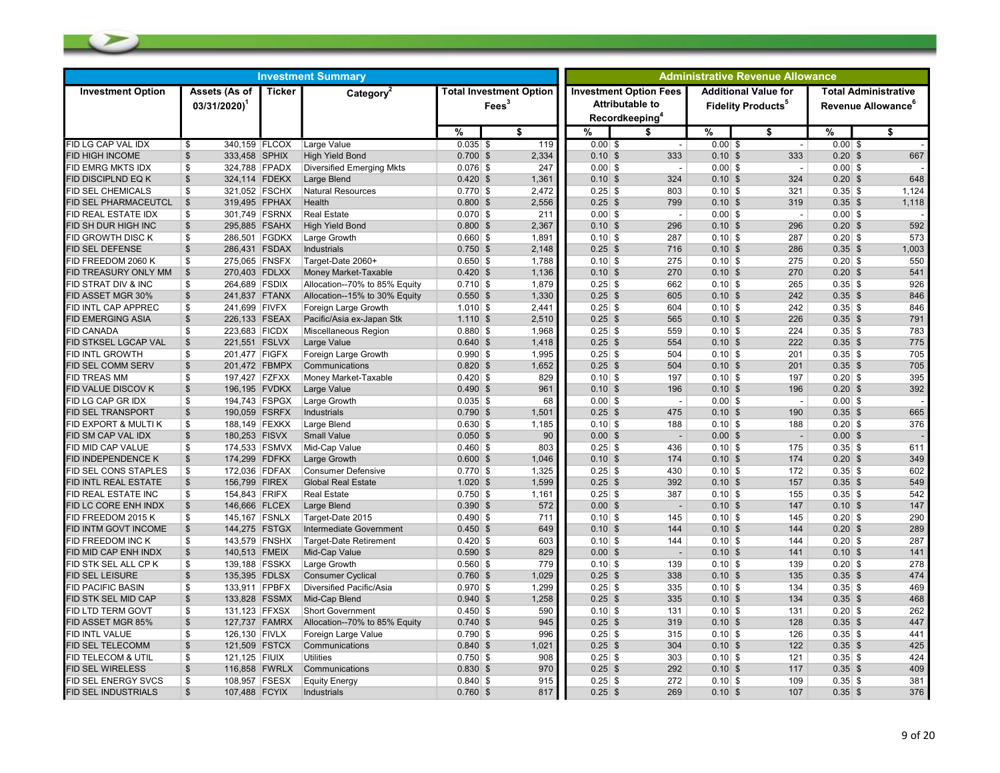| Assets (As of<br><b>Ticker</b><br><b>Investment Option Fees</b><br><b>Additional Value for</b><br><b>Total Administrative</b><br><b>Investment Option</b><br>Category <sup>2</sup><br><b>Total Investment Option</b><br><b>Attributable to</b><br>Fees <sup>3</sup><br>$03/31/2020$ <sup>1</sup><br>Revenue Allowance <sup>6</sup><br><b>Fidelity Products</b> <sup>5</sup><br>Recordkeeping <sup>4</sup><br>%<br>\$<br>%<br>$\%$<br>\$<br>%<br>\$<br>\$<br>119<br>340,159 FLCOX<br>Large Value<br>$0.035$ \$<br>$0.00$ \$<br>$0.00$ \$<br>$0.00$ \$<br>\$<br>$\overline{\phantom{a}}$<br>$\overline{\phantom{a}}$<br>667<br><b>FID HIGH INCOME</b><br>\$<br>333,458 SPHIX<br><b>High Yield Bond</b><br>$0.700$ \$<br>2.334<br>$0.10$ \$<br>333<br>$0.10$ \$<br>333<br>$0.20$ \$<br>\$<br>324,788 FPADX<br>247<br>$0.00$ \$<br>$0.00$ \$<br>$0.00$ \$<br><b>Diversified Emerging Mkts</b><br>$0.076$ \$<br>$\overline{\phantom{a}}$<br>$\overline{\phantom{a}}$<br>$\mathfrak{S}$<br>648<br>324,114 FDEKX<br>Large Blend<br>$0.420$ \$<br>1,361<br>$0.10$ \$<br>324<br>$0.10$ \$<br>324<br>$0.20$ \$<br>FID DISCIPLND EQ K<br>1,124<br><b>FID SEL CHEMICALS</b><br>321,052 FSCHX<br>Natural Resources<br>$0.770$ \$<br>2,472<br>$0.25$ \$<br>803<br>$0.10$ \$<br>321<br>$0.35$ \$<br>\$<br>$\mathsf{\$}$<br>319,495 FPHAX<br>$0.800$ \$<br>2,556<br>$0.25$ \$<br>0.10S<br>$0.35$ \$<br>1,118<br><b>FID SEL PHARMACEUTCL</b><br>Health<br>799<br>319<br>\$<br>301,749 FSRNX<br><b>Real Estate</b><br>$0.070$ \$<br>211<br>$0.00$ \$<br>$0.00$ \$<br>$0.00$ \$<br>FID REAL ESTATE IDX<br>$\overline{\phantom{a}}$<br>$\overline{\phantom{a}}$<br>592<br>$\mathfrak{S}$<br>295,885 FSAHX<br><b>High Yield Bond</b><br>$0.800$ \$<br>2,367<br>$0.10$ \$<br>$0.10$ \$<br>$0.20$ \$<br>FID SH DUR HIGH INC<br>296<br>296<br>286,501 FGDKX<br>573<br>FID GROWTH DISC K<br>\$<br>Large Growth<br>$0.660$ \$<br>1,891<br>$0.10$ \$<br>287<br>$0.10$ \$<br>287<br>$0.20$ \$<br>\$<br>286.431 FSDAX<br>$0.750$ \$<br>2.148<br>$0.25$ \$<br>0.10S<br>286<br>$0.35$ \$<br>1,003<br><b>FID SEL DEFENSE</b><br>Industrials<br>716<br>\$<br>275,065 FNSFX<br>$0.650$ \$<br>1,788<br>$0.10$ \$<br>275<br>$0.10$ \$<br>275<br>$0.20$ \$<br>550<br>Target-Date 2060+<br>270,403 FDLXX<br>0.10S<br>541<br>$\mathfrak{S}$<br>$0.420$ \$<br>1,136<br>$0.10$ \$<br>270<br>270<br>$0.20$ \$<br>FID TREASURY ONLY MM<br>Money Market-Taxable<br>926<br>FID STRAT DIV & INC<br>264,689 FSDIX<br>Allocation--70% to 85% Equity<br>$0.710$ \$<br>1,879<br>$0.25$ \$<br>662<br>$0.10$ \$<br>265<br>$0.35$ \$<br>\$<br>$\mathfrak{s}$<br>241,837 FTANX<br>$0.550$ \$<br>1,330<br>$0.25$ \$<br>$0.10$ \$<br>242<br>$0.35$ \$<br>846<br><b>FID ASSET MGR 30%</b><br>Allocation--15% to 30% Equity<br>605<br>846<br>FID INTL CAP APPREC<br>\$<br>241,699 FIVFX<br>Foreign Large Growth<br>$1.010$ \$<br>2,441<br>$0.25$ \$<br>604<br>$0.10$ \$<br>242<br>$0.35$ \$<br>$\mathfrak{s}$<br>791<br>FID EMERGING ASIA<br>226,133 FSEAX<br>Pacific/Asia ex-Japan Stk<br>$1.110$ \$<br>2,510<br>$0.25$ \$<br>565<br>$0.10$ \$<br>226<br>$0.35$ \$<br>223,683 FICDX<br>Miscellaneous Region<br>$0.880$ \$<br>1,968<br>$0.25$ \$<br>$0.10$ \$<br>224<br>$0.35$ \$<br>783<br><b>FID CANADA</b><br>\$<br>559<br>775<br><b>FID STKSEL LGCAP VAL</b><br>221,551 FSLVX<br>$0.640$ \$<br>1,418<br>$0.25$ \$<br>0.10S<br>222<br>$0.35$ \$<br>\$<br>Large Value<br>554<br>\$<br>201,477 FIGFX<br>$0.990$ \$<br>1,995<br>$0.25$ \$<br>504<br>$0.10$ \$<br>$0.35$ \$<br>705<br>Foreign Large Growth<br>201<br>$\mathfrak{S}$<br>201,472 FBMPX<br>1,652<br>$0.25$ \$<br>0.10S<br>$0.35$ \$<br>705<br><b>FID SEL COMM SERV</b><br>Communications<br>$0.820$ \$<br>504<br>201<br>395<br><b>ID TREAS MM</b><br>197,427 FZFXX<br>Money Market-Taxable<br>$0.420$ \$<br>829<br>$0.10$ \$<br>197<br>$0.10$ \$<br>197<br>$0.20$ \$<br>\$<br>$\mathsf{\$}$<br>196,195 FVDKX<br>$0.490$ \$<br>961<br>$0.10$ \$<br>196<br>$0.10$ \$<br>$0.20$ \$<br>392<br>FID VALUE DISCOV K<br>Large Value<br>196<br>FID LG CAP GR IDX<br>\$<br>194,743 FSPGX<br>Large Growth<br>$0.035$ \$<br>68<br>$0.00$ \$<br>$0.00$ \$<br>$0.00$ \$<br>$\overline{\phantom{a}}$<br>$\overline{\phantom{a}}$<br>$\sqrt{2}$<br>665<br>190,059 FSRFX<br>Industrials<br>$0.790$ \$<br>1,501<br>$0.25$ \$<br>475<br>$0.10$ \$<br>$0.35$ \$<br>FID SEL TRANSPORT<br>190<br>188,149 FEXKX<br>$0.630$ \$<br>1,185<br>$0.10$ \$<br>$0.10$ \$<br>$0.20$ \$<br>376<br>FID EXPORT & MULTI K<br>\$<br>Large Blend<br>188<br>188<br>90<br><b>FID SM CAP VAL IDX</b><br>\$<br>180,253 FISVX<br><b>Small Value</b><br>$0.050$ \$<br>$0.00$ \$<br>$0.00$ \$<br>$0.00$ \$<br>$\overline{\phantom{a}}$<br>$\overline{\phantom{a}}$<br>FID MID CAP VALUE<br>\$<br>174,533 FSMVX<br>Mid-Cap Value<br>$0.460$ \$<br>803<br>$0.25$ \$<br>436<br>$0.10$ \$<br>175<br>$0.35$ \$<br>611<br>$\mathfrak{S}$<br>174,299 FDFKX<br>0.10S<br>$0.20$ \$<br>349<br><b>FID INDEPENDENCE K</b><br>Large Growth<br>$0.600$ \$<br>1,046<br>$0.10$ \$<br>174<br>174<br>602<br><b>FID SEL CONS STAPLES</b><br>\$<br>172,036 FDFAX<br><b>Consumer Defensive</b><br>$0.770$ \$<br>1,325<br>$0.25$ \$<br>430<br>$0.10$ \$<br>172<br>$0.35$ \$<br><b>FID INTL REAL ESTATE</b><br>\$<br>156,799 FIREX<br><b>Global Real Estate</b><br>$1.020$ \$<br>1,599<br>$0.25$ \$<br>392<br>0.10S<br>157<br>$0.35$ \$<br>549<br>154,843 FRIFX<br>$0.750$ \$<br>1,161<br>$0.25$ \$<br>$0.10$ \$<br>542<br>FID REAL ESTATE INC<br>\$<br><b>Real Estate</b><br>387<br>155<br>$0.35$ \$<br>$\sqrt{2}$<br>147<br>146,666 FLCEX<br>$0.390$ \$<br>572<br>$0.00$ \$<br>$0.10$ \$<br>$0.10$ \$<br>FID LC CORE ENH INDX<br>Large Blend<br>147<br>$\overline{\phantom{a}}$<br>290<br>145,167 FSNLX<br>$0.490$ \$<br>$0.10$ \$<br>145<br>$0.10$ \$<br>145<br>$0.20$ \$<br>FID FREEDOM 2015 K<br>\$<br>Target-Date 2015<br>711<br>144,275 FSTGX<br>289<br><b>FID INTM GOVT INCOME</b><br>$\frac{1}{2}$<br>Intermediate Government<br>$0.450$ \$<br>649<br>$0.10$ \$<br>144<br>0.10S<br>144<br>$0.20$ \$<br>287<br>\$<br>143,579 FNSHX<br>$0.420$ \$<br>603<br>$0.10$ \$<br>144<br>$0.10$ \$<br>144<br>$0.20$ \$<br>FID FREEDOM INC K<br><b>Target-Date Retirement</b><br>$\sqrt{2}$<br>140,513 FMEIX<br>Mid-Cap Value<br>829<br>$0.00$ \$<br>$0.10$ \$<br>141<br>FID MID CAP ENH INDX<br>$0.590$ \$<br>141<br>$0.10$ \$<br>278<br>FID STK SEL ALL CP K<br>\$<br>139,188 FSSKX<br>Large Growth<br>$0.560$ \$<br>779<br>$0.10$ \$<br>139<br>$0.10$ \$<br>139<br>$0.20$ \$<br>474<br><b>FID SEL LEISURE</b><br>$\frac{1}{2}$<br>135,395 FDLSX<br><b>Consumer Cyclical</b><br>$0.760$ \$<br>1,029<br>$0.25$ \$<br>338<br>0.10S<br>135<br>$0.35$ \$<br>469<br>133,911 FPBFX<br>$0.970$ \$<br>1,299<br>$0.25$ \$<br>$0.10$ \$<br>134<br>FID PACIFIC BASIN<br>\$<br>Diversified Pacific/Asia<br>335<br>$0.35$ \$<br>$\sqrt{2}$<br>133,828 FSSMX<br>$0.10$ \$<br>468<br>Mid-Cap Blend<br>$0.940$ \$<br>1,258<br>$0.25$ \$<br>335<br>134<br>$0.35$ \$<br>FID STK SEL MID CAP<br>262<br><b>FID LTD TERM GOVT</b><br>\$<br>131,123 FFXSX<br><b>Short Government</b><br>$0.450$ \$<br>590<br>$0.10$ \$<br>131<br>$0.10$ \$<br>131<br>$0.20$ \$<br>127,737 FAMRX<br>945<br>$0.10$ \$<br>447<br><b>ID ASSET MGR 85%</b><br>\$<br>Allocation--70% to 85% Equity<br>$0.740$ \$<br>$0.25$ \$<br>319<br>128<br>$0.35$ \$<br>\$<br>126,130 FIVLX<br>$0.790$ \$<br>996<br>$0.25$ \$<br>315<br>$0.10$ \$<br>126<br>$0.35$ \$<br>441<br>FID INTL VALUE<br>Foreign Large Value<br>425<br>$\mathfrak{S}$<br>121,509 FSTCX<br>$0.840$ \$<br>$0.25$ \$<br>304<br>$0.10$ \$<br>$0.35$ \$<br>FID SEL TELECOMM<br>Communications<br>1.021<br>122<br>121,125 FIUIX<br>$0.750$ \$<br>908<br>$0.25$ \$<br>$0.10$ \$<br>$0.35$ \$<br>424<br><b>FID TELECOM &amp; UTIL</b><br>\$<br><b>Utilities</b><br>303<br>121<br><b>FID SEL WIRELESS</b><br>\$<br>116,858 FWRLX<br>$0.830$ \$<br>970<br>$0.25$ \$<br>292<br>0.10S<br>$0.35$ \$<br>409<br>Communications<br>117<br>381<br>\$<br>108,957 FSESX<br>$0.840$ \$<br>915<br>$0.25$ \$<br>272<br>$0.10$ \$<br>109<br>FID SEL ENERGY SVCS<br><b>Equity Energy</b><br>$0.35$ \$<br>$\mathbb{S}$<br>376<br><b>FID SEL INDUSTRIALS</b><br>107,488 FCYIX<br>Industrials<br>$0.760$ \$<br>817<br>$0.25$ \$<br>269<br>$0.10$ \$<br>107<br>$0.35$ \$ | <b>Investment Summary</b> |  |  |  |  |  |  | <b>Administrative Revenue Allowance</b> |  |  |  |  |  |  |
|--------------------------------------------------------------------------------------------------------------------------------------------------------------------------------------------------------------------------------------------------------------------------------------------------------------------------------------------------------------------------------------------------------------------------------------------------------------------------------------------------------------------------------------------------------------------------------------------------------------------------------------------------------------------------------------------------------------------------------------------------------------------------------------------------------------------------------------------------------------------------------------------------------------------------------------------------------------------------------------------------------------------------------------------------------------------------------------------------------------------------------------------------------------------------------------------------------------------------------------------------------------------------------------------------------------------------------------------------------------------------------------------------------------------------------------------------------------------------------------------------------------------------------------------------------------------------------------------------------------------------------------------------------------------------------------------------------------------------------------------------------------------------------------------------------------------------------------------------------------------------------------------------------------------------------------------------------------------------------------------------------------------------------------------------------------------------------------------------------------------------------------------------------------------------------------------------------------------------------------------------------------------------------------------------------------------------------------------------------------------------------------------------------------------------------------------------------------------------------------------------------------------------------------------------------------------------------------------------------------------------------------------------------------------------------------------------------------------------------------------------------------------------------------------------------------------------------------------------------------------------------------------------------------------------------------------------------------------------------------------------------------------------------------------------------------------------------------------------------------------------------------------------------------------------------------------------------------------------------------------------------------------------------------------------------------------------------------------------------------------------------------------------------------------------------------------------------------------------------------------------------------------------------------------------------------------------------------------------------------------------------------------------------------------------------------------------------------------------------------------------------------------------------------------------------------------------------------------------------------------------------------------------------------------------------------------------------------------------------------------------------------------------------------------------------------------------------------------------------------------------------------------------------------------------------------------------------------------------------------------------------------------------------------------------------------------------------------------------------------------------------------------------------------------------------------------------------------------------------------------------------------------------------------------------------------------------------------------------------------------------------------------------------------------------------------------------------------------------------------------------------------------------------------------------------------------------------------------------------------------------------------------------------------------------------------------------------------------------------------------------------------------------------------------------------------------------------------------------------------------------------------------------------------------------------------------------------------------------------------------------------------------------------------------------------------------------------------------------------------------------------------------------------------------------------------------------------------------------------------------------------------------------------------------------------------------------------------------------------------------------------------------------------------------------------------------------------------------------------------------------------------------------------------------------------------------------------------------------------------------------------------------------------------------------------------------------------------------------------------------------------------------------------------------------------------------------------------------------------------------------------------------------------------------------------------------------------------------------------------------------------------------------------------------------------------------------------------------------------------------------------------------------------------------------------------------------------------------------------------------------------------------------------------------------------------------------------------------------------------------------------------------------------------------------------------------------------------------------------------------------------------------------------------------------------------------------------------------------------------------------------------------------------------------------------------------------------------------------------------------------------------------------------------------------------------------------------------------------------------------------------------------------------------------------------------------------------------------------------------------------------------------------------------------------------------------------------------------------------------------------------------------------------------------------------------------------------------------------------------------------------------------------------------------------------------------------------------------------------------------------------------------------------------------------------------------------------------------------------------------------------------------------------------------------------------------------------------------------------------------------------------------------------------------------------------------------------------------------------------------------------------------------------------------------------------------------------------------------------------------------------------------------------------------------------------------------------------------------------------------------------------------------------------------|---------------------------|--|--|--|--|--|--|-----------------------------------------|--|--|--|--|--|--|
|                                                                                                                                                                                                                                                                                                                                                                                                                                                                                                                                                                                                                                                                                                                                                                                                                                                                                                                                                                                                                                                                                                                                                                                                                                                                                                                                                                                                                                                                                                                                                                                                                                                                                                                                                                                                                                                                                                                                                                                                                                                                                                                                                                                                                                                                                                                                                                                                                                                                                                                                                                                                                                                                                                                                                                                                                                                                                                                                                                                                                                                                                                                                                                                                                                                                                                                                                                                                                                                                                                                                                                                                                                                                                                                                                                                                                                                                                                                                                                                                                                                                                                                                                                                                                                                                                                                                                                                                                                                                                                                                                                                                                                                                                                                                                                                                                                                                                                                                                                                                                                                                                                                                                                                                                                                                                                                                                                                                                                                                                                                                                                                                                                                                                                                                                                                                                                                                                                                                                                                                                                                                                                                                                                                                                                                                                                                                                                                                                                                                                                                                                                                                                                                                                                                                                                                                                                                                                                                                                                                                                                                                                                                                                                                                                                                                                                                                                                                                                                                                                                                                                                                                                                                                                                                                                                                                                                                                                                                                                                                                                                                                                                                                                                                                                                                                                            |                           |  |  |  |  |  |  |                                         |  |  |  |  |  |  |
|                                                                                                                                                                                                                                                                                                                                                                                                                                                                                                                                                                                                                                                                                                                                                                                                                                                                                                                                                                                                                                                                                                                                                                                                                                                                                                                                                                                                                                                                                                                                                                                                                                                                                                                                                                                                                                                                                                                                                                                                                                                                                                                                                                                                                                                                                                                                                                                                                                                                                                                                                                                                                                                                                                                                                                                                                                                                                                                                                                                                                                                                                                                                                                                                                                                                                                                                                                                                                                                                                                                                                                                                                                                                                                                                                                                                                                                                                                                                                                                                                                                                                                                                                                                                                                                                                                                                                                                                                                                                                                                                                                                                                                                                                                                                                                                                                                                                                                                                                                                                                                                                                                                                                                                                                                                                                                                                                                                                                                                                                                                                                                                                                                                                                                                                                                                                                                                                                                                                                                                                                                                                                                                                                                                                                                                                                                                                                                                                                                                                                                                                                                                                                                                                                                                                                                                                                                                                                                                                                                                                                                                                                                                                                                                                                                                                                                                                                                                                                                                                                                                                                                                                                                                                                                                                                                                                                                                                                                                                                                                                                                                                                                                                                                                                                                                                                            |                           |  |  |  |  |  |  |                                         |  |  |  |  |  |  |
|                                                                                                                                                                                                                                                                                                                                                                                                                                                                                                                                                                                                                                                                                                                                                                                                                                                                                                                                                                                                                                                                                                                                                                                                                                                                                                                                                                                                                                                                                                                                                                                                                                                                                                                                                                                                                                                                                                                                                                                                                                                                                                                                                                                                                                                                                                                                                                                                                                                                                                                                                                                                                                                                                                                                                                                                                                                                                                                                                                                                                                                                                                                                                                                                                                                                                                                                                                                                                                                                                                                                                                                                                                                                                                                                                                                                                                                                                                                                                                                                                                                                                                                                                                                                                                                                                                                                                                                                                                                                                                                                                                                                                                                                                                                                                                                                                                                                                                                                                                                                                                                                                                                                                                                                                                                                                                                                                                                                                                                                                                                                                                                                                                                                                                                                                                                                                                                                                                                                                                                                                                                                                                                                                                                                                                                                                                                                                                                                                                                                                                                                                                                                                                                                                                                                                                                                                                                                                                                                                                                                                                                                                                                                                                                                                                                                                                                                                                                                                                                                                                                                                                                                                                                                                                                                                                                                                                                                                                                                                                                                                                                                                                                                                                                                                                                                                            | FID LG CAP VAL IDX        |  |  |  |  |  |  |                                         |  |  |  |  |  |  |
|                                                                                                                                                                                                                                                                                                                                                                                                                                                                                                                                                                                                                                                                                                                                                                                                                                                                                                                                                                                                                                                                                                                                                                                                                                                                                                                                                                                                                                                                                                                                                                                                                                                                                                                                                                                                                                                                                                                                                                                                                                                                                                                                                                                                                                                                                                                                                                                                                                                                                                                                                                                                                                                                                                                                                                                                                                                                                                                                                                                                                                                                                                                                                                                                                                                                                                                                                                                                                                                                                                                                                                                                                                                                                                                                                                                                                                                                                                                                                                                                                                                                                                                                                                                                                                                                                                                                                                                                                                                                                                                                                                                                                                                                                                                                                                                                                                                                                                                                                                                                                                                                                                                                                                                                                                                                                                                                                                                                                                                                                                                                                                                                                                                                                                                                                                                                                                                                                                                                                                                                                                                                                                                                                                                                                                                                                                                                                                                                                                                                                                                                                                                                                                                                                                                                                                                                                                                                                                                                                                                                                                                                                                                                                                                                                                                                                                                                                                                                                                                                                                                                                                                                                                                                                                                                                                                                                                                                                                                                                                                                                                                                                                                                                                                                                                                                                            |                           |  |  |  |  |  |  |                                         |  |  |  |  |  |  |
|                                                                                                                                                                                                                                                                                                                                                                                                                                                                                                                                                                                                                                                                                                                                                                                                                                                                                                                                                                                                                                                                                                                                                                                                                                                                                                                                                                                                                                                                                                                                                                                                                                                                                                                                                                                                                                                                                                                                                                                                                                                                                                                                                                                                                                                                                                                                                                                                                                                                                                                                                                                                                                                                                                                                                                                                                                                                                                                                                                                                                                                                                                                                                                                                                                                                                                                                                                                                                                                                                                                                                                                                                                                                                                                                                                                                                                                                                                                                                                                                                                                                                                                                                                                                                                                                                                                                                                                                                                                                                                                                                                                                                                                                                                                                                                                                                                                                                                                                                                                                                                                                                                                                                                                                                                                                                                                                                                                                                                                                                                                                                                                                                                                                                                                                                                                                                                                                                                                                                                                                                                                                                                                                                                                                                                                                                                                                                                                                                                                                                                                                                                                                                                                                                                                                                                                                                                                                                                                                                                                                                                                                                                                                                                                                                                                                                                                                                                                                                                                                                                                                                                                                                                                                                                                                                                                                                                                                                                                                                                                                                                                                                                                                                                                                                                                                                            | FID EMRG MKTS IDX         |  |  |  |  |  |  |                                         |  |  |  |  |  |  |
|                                                                                                                                                                                                                                                                                                                                                                                                                                                                                                                                                                                                                                                                                                                                                                                                                                                                                                                                                                                                                                                                                                                                                                                                                                                                                                                                                                                                                                                                                                                                                                                                                                                                                                                                                                                                                                                                                                                                                                                                                                                                                                                                                                                                                                                                                                                                                                                                                                                                                                                                                                                                                                                                                                                                                                                                                                                                                                                                                                                                                                                                                                                                                                                                                                                                                                                                                                                                                                                                                                                                                                                                                                                                                                                                                                                                                                                                                                                                                                                                                                                                                                                                                                                                                                                                                                                                                                                                                                                                                                                                                                                                                                                                                                                                                                                                                                                                                                                                                                                                                                                                                                                                                                                                                                                                                                                                                                                                                                                                                                                                                                                                                                                                                                                                                                                                                                                                                                                                                                                                                                                                                                                                                                                                                                                                                                                                                                                                                                                                                                                                                                                                                                                                                                                                                                                                                                                                                                                                                                                                                                                                                                                                                                                                                                                                                                                                                                                                                                                                                                                                                                                                                                                                                                                                                                                                                                                                                                                                                                                                                                                                                                                                                                                                                                                                                            |                           |  |  |  |  |  |  |                                         |  |  |  |  |  |  |
|                                                                                                                                                                                                                                                                                                                                                                                                                                                                                                                                                                                                                                                                                                                                                                                                                                                                                                                                                                                                                                                                                                                                                                                                                                                                                                                                                                                                                                                                                                                                                                                                                                                                                                                                                                                                                                                                                                                                                                                                                                                                                                                                                                                                                                                                                                                                                                                                                                                                                                                                                                                                                                                                                                                                                                                                                                                                                                                                                                                                                                                                                                                                                                                                                                                                                                                                                                                                                                                                                                                                                                                                                                                                                                                                                                                                                                                                                                                                                                                                                                                                                                                                                                                                                                                                                                                                                                                                                                                                                                                                                                                                                                                                                                                                                                                                                                                                                                                                                                                                                                                                                                                                                                                                                                                                                                                                                                                                                                                                                                                                                                                                                                                                                                                                                                                                                                                                                                                                                                                                                                                                                                                                                                                                                                                                                                                                                                                                                                                                                                                                                                                                                                                                                                                                                                                                                                                                                                                                                                                                                                                                                                                                                                                                                                                                                                                                                                                                                                                                                                                                                                                                                                                                                                                                                                                                                                                                                                                                                                                                                                                                                                                                                                                                                                                                                            |                           |  |  |  |  |  |  |                                         |  |  |  |  |  |  |
|                                                                                                                                                                                                                                                                                                                                                                                                                                                                                                                                                                                                                                                                                                                                                                                                                                                                                                                                                                                                                                                                                                                                                                                                                                                                                                                                                                                                                                                                                                                                                                                                                                                                                                                                                                                                                                                                                                                                                                                                                                                                                                                                                                                                                                                                                                                                                                                                                                                                                                                                                                                                                                                                                                                                                                                                                                                                                                                                                                                                                                                                                                                                                                                                                                                                                                                                                                                                                                                                                                                                                                                                                                                                                                                                                                                                                                                                                                                                                                                                                                                                                                                                                                                                                                                                                                                                                                                                                                                                                                                                                                                                                                                                                                                                                                                                                                                                                                                                                                                                                                                                                                                                                                                                                                                                                                                                                                                                                                                                                                                                                                                                                                                                                                                                                                                                                                                                                                                                                                                                                                                                                                                                                                                                                                                                                                                                                                                                                                                                                                                                                                                                                                                                                                                                                                                                                                                                                                                                                                                                                                                                                                                                                                                                                                                                                                                                                                                                                                                                                                                                                                                                                                                                                                                                                                                                                                                                                                                                                                                                                                                                                                                                                                                                                                                                                            |                           |  |  |  |  |  |  |                                         |  |  |  |  |  |  |
|                                                                                                                                                                                                                                                                                                                                                                                                                                                                                                                                                                                                                                                                                                                                                                                                                                                                                                                                                                                                                                                                                                                                                                                                                                                                                                                                                                                                                                                                                                                                                                                                                                                                                                                                                                                                                                                                                                                                                                                                                                                                                                                                                                                                                                                                                                                                                                                                                                                                                                                                                                                                                                                                                                                                                                                                                                                                                                                                                                                                                                                                                                                                                                                                                                                                                                                                                                                                                                                                                                                                                                                                                                                                                                                                                                                                                                                                                                                                                                                                                                                                                                                                                                                                                                                                                                                                                                                                                                                                                                                                                                                                                                                                                                                                                                                                                                                                                                                                                                                                                                                                                                                                                                                                                                                                                                                                                                                                                                                                                                                                                                                                                                                                                                                                                                                                                                                                                                                                                                                                                                                                                                                                                                                                                                                                                                                                                                                                                                                                                                                                                                                                                                                                                                                                                                                                                                                                                                                                                                                                                                                                                                                                                                                                                                                                                                                                                                                                                                                                                                                                                                                                                                                                                                                                                                                                                                                                                                                                                                                                                                                                                                                                                                                                                                                                                            |                           |  |  |  |  |  |  |                                         |  |  |  |  |  |  |
|                                                                                                                                                                                                                                                                                                                                                                                                                                                                                                                                                                                                                                                                                                                                                                                                                                                                                                                                                                                                                                                                                                                                                                                                                                                                                                                                                                                                                                                                                                                                                                                                                                                                                                                                                                                                                                                                                                                                                                                                                                                                                                                                                                                                                                                                                                                                                                                                                                                                                                                                                                                                                                                                                                                                                                                                                                                                                                                                                                                                                                                                                                                                                                                                                                                                                                                                                                                                                                                                                                                                                                                                                                                                                                                                                                                                                                                                                                                                                                                                                                                                                                                                                                                                                                                                                                                                                                                                                                                                                                                                                                                                                                                                                                                                                                                                                                                                                                                                                                                                                                                                                                                                                                                                                                                                                                                                                                                                                                                                                                                                                                                                                                                                                                                                                                                                                                                                                                                                                                                                                                                                                                                                                                                                                                                                                                                                                                                                                                                                                                                                                                                                                                                                                                                                                                                                                                                                                                                                                                                                                                                                                                                                                                                                                                                                                                                                                                                                                                                                                                                                                                                                                                                                                                                                                                                                                                                                                                                                                                                                                                                                                                                                                                                                                                                                                            |                           |  |  |  |  |  |  |                                         |  |  |  |  |  |  |
|                                                                                                                                                                                                                                                                                                                                                                                                                                                                                                                                                                                                                                                                                                                                                                                                                                                                                                                                                                                                                                                                                                                                                                                                                                                                                                                                                                                                                                                                                                                                                                                                                                                                                                                                                                                                                                                                                                                                                                                                                                                                                                                                                                                                                                                                                                                                                                                                                                                                                                                                                                                                                                                                                                                                                                                                                                                                                                                                                                                                                                                                                                                                                                                                                                                                                                                                                                                                                                                                                                                                                                                                                                                                                                                                                                                                                                                                                                                                                                                                                                                                                                                                                                                                                                                                                                                                                                                                                                                                                                                                                                                                                                                                                                                                                                                                                                                                                                                                                                                                                                                                                                                                                                                                                                                                                                                                                                                                                                                                                                                                                                                                                                                                                                                                                                                                                                                                                                                                                                                                                                                                                                                                                                                                                                                                                                                                                                                                                                                                                                                                                                                                                                                                                                                                                                                                                                                                                                                                                                                                                                                                                                                                                                                                                                                                                                                                                                                                                                                                                                                                                                                                                                                                                                                                                                                                                                                                                                                                                                                                                                                                                                                                                                                                                                                                                            |                           |  |  |  |  |  |  |                                         |  |  |  |  |  |  |
|                                                                                                                                                                                                                                                                                                                                                                                                                                                                                                                                                                                                                                                                                                                                                                                                                                                                                                                                                                                                                                                                                                                                                                                                                                                                                                                                                                                                                                                                                                                                                                                                                                                                                                                                                                                                                                                                                                                                                                                                                                                                                                                                                                                                                                                                                                                                                                                                                                                                                                                                                                                                                                                                                                                                                                                                                                                                                                                                                                                                                                                                                                                                                                                                                                                                                                                                                                                                                                                                                                                                                                                                                                                                                                                                                                                                                                                                                                                                                                                                                                                                                                                                                                                                                                                                                                                                                                                                                                                                                                                                                                                                                                                                                                                                                                                                                                                                                                                                                                                                                                                                                                                                                                                                                                                                                                                                                                                                                                                                                                                                                                                                                                                                                                                                                                                                                                                                                                                                                                                                                                                                                                                                                                                                                                                                                                                                                                                                                                                                                                                                                                                                                                                                                                                                                                                                                                                                                                                                                                                                                                                                                                                                                                                                                                                                                                                                                                                                                                                                                                                                                                                                                                                                                                                                                                                                                                                                                                                                                                                                                                                                                                                                                                                                                                                                                            |                           |  |  |  |  |  |  |                                         |  |  |  |  |  |  |
|                                                                                                                                                                                                                                                                                                                                                                                                                                                                                                                                                                                                                                                                                                                                                                                                                                                                                                                                                                                                                                                                                                                                                                                                                                                                                                                                                                                                                                                                                                                                                                                                                                                                                                                                                                                                                                                                                                                                                                                                                                                                                                                                                                                                                                                                                                                                                                                                                                                                                                                                                                                                                                                                                                                                                                                                                                                                                                                                                                                                                                                                                                                                                                                                                                                                                                                                                                                                                                                                                                                                                                                                                                                                                                                                                                                                                                                                                                                                                                                                                                                                                                                                                                                                                                                                                                                                                                                                                                                                                                                                                                                                                                                                                                                                                                                                                                                                                                                                                                                                                                                                                                                                                                                                                                                                                                                                                                                                                                                                                                                                                                                                                                                                                                                                                                                                                                                                                                                                                                                                                                                                                                                                                                                                                                                                                                                                                                                                                                                                                                                                                                                                                                                                                                                                                                                                                                                                                                                                                                                                                                                                                                                                                                                                                                                                                                                                                                                                                                                                                                                                                                                                                                                                                                                                                                                                                                                                                                                                                                                                                                                                                                                                                                                                                                                                                            | FID FREEDOM 2060 K        |  |  |  |  |  |  |                                         |  |  |  |  |  |  |
|                                                                                                                                                                                                                                                                                                                                                                                                                                                                                                                                                                                                                                                                                                                                                                                                                                                                                                                                                                                                                                                                                                                                                                                                                                                                                                                                                                                                                                                                                                                                                                                                                                                                                                                                                                                                                                                                                                                                                                                                                                                                                                                                                                                                                                                                                                                                                                                                                                                                                                                                                                                                                                                                                                                                                                                                                                                                                                                                                                                                                                                                                                                                                                                                                                                                                                                                                                                                                                                                                                                                                                                                                                                                                                                                                                                                                                                                                                                                                                                                                                                                                                                                                                                                                                                                                                                                                                                                                                                                                                                                                                                                                                                                                                                                                                                                                                                                                                                                                                                                                                                                                                                                                                                                                                                                                                                                                                                                                                                                                                                                                                                                                                                                                                                                                                                                                                                                                                                                                                                                                                                                                                                                                                                                                                                                                                                                                                                                                                                                                                                                                                                                                                                                                                                                                                                                                                                                                                                                                                                                                                                                                                                                                                                                                                                                                                                                                                                                                                                                                                                                                                                                                                                                                                                                                                                                                                                                                                                                                                                                                                                                                                                                                                                                                                                                                            |                           |  |  |  |  |  |  |                                         |  |  |  |  |  |  |
|                                                                                                                                                                                                                                                                                                                                                                                                                                                                                                                                                                                                                                                                                                                                                                                                                                                                                                                                                                                                                                                                                                                                                                                                                                                                                                                                                                                                                                                                                                                                                                                                                                                                                                                                                                                                                                                                                                                                                                                                                                                                                                                                                                                                                                                                                                                                                                                                                                                                                                                                                                                                                                                                                                                                                                                                                                                                                                                                                                                                                                                                                                                                                                                                                                                                                                                                                                                                                                                                                                                                                                                                                                                                                                                                                                                                                                                                                                                                                                                                                                                                                                                                                                                                                                                                                                                                                                                                                                                                                                                                                                                                                                                                                                                                                                                                                                                                                                                                                                                                                                                                                                                                                                                                                                                                                                                                                                                                                                                                                                                                                                                                                                                                                                                                                                                                                                                                                                                                                                                                                                                                                                                                                                                                                                                                                                                                                                                                                                                                                                                                                                                                                                                                                                                                                                                                                                                                                                                                                                                                                                                                                                                                                                                                                                                                                                                                                                                                                                                                                                                                                                                                                                                                                                                                                                                                                                                                                                                                                                                                                                                                                                                                                                                                                                                                                            |                           |  |  |  |  |  |  |                                         |  |  |  |  |  |  |
|                                                                                                                                                                                                                                                                                                                                                                                                                                                                                                                                                                                                                                                                                                                                                                                                                                                                                                                                                                                                                                                                                                                                                                                                                                                                                                                                                                                                                                                                                                                                                                                                                                                                                                                                                                                                                                                                                                                                                                                                                                                                                                                                                                                                                                                                                                                                                                                                                                                                                                                                                                                                                                                                                                                                                                                                                                                                                                                                                                                                                                                                                                                                                                                                                                                                                                                                                                                                                                                                                                                                                                                                                                                                                                                                                                                                                                                                                                                                                                                                                                                                                                                                                                                                                                                                                                                                                                                                                                                                                                                                                                                                                                                                                                                                                                                                                                                                                                                                                                                                                                                                                                                                                                                                                                                                                                                                                                                                                                                                                                                                                                                                                                                                                                                                                                                                                                                                                                                                                                                                                                                                                                                                                                                                                                                                                                                                                                                                                                                                                                                                                                                                                                                                                                                                                                                                                                                                                                                                                                                                                                                                                                                                                                                                                                                                                                                                                                                                                                                                                                                                                                                                                                                                                                                                                                                                                                                                                                                                                                                                                                                                                                                                                                                                                                                                                            |                           |  |  |  |  |  |  |                                         |  |  |  |  |  |  |
|                                                                                                                                                                                                                                                                                                                                                                                                                                                                                                                                                                                                                                                                                                                                                                                                                                                                                                                                                                                                                                                                                                                                                                                                                                                                                                                                                                                                                                                                                                                                                                                                                                                                                                                                                                                                                                                                                                                                                                                                                                                                                                                                                                                                                                                                                                                                                                                                                                                                                                                                                                                                                                                                                                                                                                                                                                                                                                                                                                                                                                                                                                                                                                                                                                                                                                                                                                                                                                                                                                                                                                                                                                                                                                                                                                                                                                                                                                                                                                                                                                                                                                                                                                                                                                                                                                                                                                                                                                                                                                                                                                                                                                                                                                                                                                                                                                                                                                                                                                                                                                                                                                                                                                                                                                                                                                                                                                                                                                                                                                                                                                                                                                                                                                                                                                                                                                                                                                                                                                                                                                                                                                                                                                                                                                                                                                                                                                                                                                                                                                                                                                                                                                                                                                                                                                                                                                                                                                                                                                                                                                                                                                                                                                                                                                                                                                                                                                                                                                                                                                                                                                                                                                                                                                                                                                                                                                                                                                                                                                                                                                                                                                                                                                                                                                                                                            |                           |  |  |  |  |  |  |                                         |  |  |  |  |  |  |
|                                                                                                                                                                                                                                                                                                                                                                                                                                                                                                                                                                                                                                                                                                                                                                                                                                                                                                                                                                                                                                                                                                                                                                                                                                                                                                                                                                                                                                                                                                                                                                                                                                                                                                                                                                                                                                                                                                                                                                                                                                                                                                                                                                                                                                                                                                                                                                                                                                                                                                                                                                                                                                                                                                                                                                                                                                                                                                                                                                                                                                                                                                                                                                                                                                                                                                                                                                                                                                                                                                                                                                                                                                                                                                                                                                                                                                                                                                                                                                                                                                                                                                                                                                                                                                                                                                                                                                                                                                                                                                                                                                                                                                                                                                                                                                                                                                                                                                                                                                                                                                                                                                                                                                                                                                                                                                                                                                                                                                                                                                                                                                                                                                                                                                                                                                                                                                                                                                                                                                                                                                                                                                                                                                                                                                                                                                                                                                                                                                                                                                                                                                                                                                                                                                                                                                                                                                                                                                                                                                                                                                                                                                                                                                                                                                                                                                                                                                                                                                                                                                                                                                                                                                                                                                                                                                                                                                                                                                                                                                                                                                                                                                                                                                                                                                                                                            |                           |  |  |  |  |  |  |                                         |  |  |  |  |  |  |
|                                                                                                                                                                                                                                                                                                                                                                                                                                                                                                                                                                                                                                                                                                                                                                                                                                                                                                                                                                                                                                                                                                                                                                                                                                                                                                                                                                                                                                                                                                                                                                                                                                                                                                                                                                                                                                                                                                                                                                                                                                                                                                                                                                                                                                                                                                                                                                                                                                                                                                                                                                                                                                                                                                                                                                                                                                                                                                                                                                                                                                                                                                                                                                                                                                                                                                                                                                                                                                                                                                                                                                                                                                                                                                                                                                                                                                                                                                                                                                                                                                                                                                                                                                                                                                                                                                                                                                                                                                                                                                                                                                                                                                                                                                                                                                                                                                                                                                                                                                                                                                                                                                                                                                                                                                                                                                                                                                                                                                                                                                                                                                                                                                                                                                                                                                                                                                                                                                                                                                                                                                                                                                                                                                                                                                                                                                                                                                                                                                                                                                                                                                                                                                                                                                                                                                                                                                                                                                                                                                                                                                                                                                                                                                                                                                                                                                                                                                                                                                                                                                                                                                                                                                                                                                                                                                                                                                                                                                                                                                                                                                                                                                                                                                                                                                                                                            |                           |  |  |  |  |  |  |                                         |  |  |  |  |  |  |
|                                                                                                                                                                                                                                                                                                                                                                                                                                                                                                                                                                                                                                                                                                                                                                                                                                                                                                                                                                                                                                                                                                                                                                                                                                                                                                                                                                                                                                                                                                                                                                                                                                                                                                                                                                                                                                                                                                                                                                                                                                                                                                                                                                                                                                                                                                                                                                                                                                                                                                                                                                                                                                                                                                                                                                                                                                                                                                                                                                                                                                                                                                                                                                                                                                                                                                                                                                                                                                                                                                                                                                                                                                                                                                                                                                                                                                                                                                                                                                                                                                                                                                                                                                                                                                                                                                                                                                                                                                                                                                                                                                                                                                                                                                                                                                                                                                                                                                                                                                                                                                                                                                                                                                                                                                                                                                                                                                                                                                                                                                                                                                                                                                                                                                                                                                                                                                                                                                                                                                                                                                                                                                                                                                                                                                                                                                                                                                                                                                                                                                                                                                                                                                                                                                                                                                                                                                                                                                                                                                                                                                                                                                                                                                                                                                                                                                                                                                                                                                                                                                                                                                                                                                                                                                                                                                                                                                                                                                                                                                                                                                                                                                                                                                                                                                                                                            |                           |  |  |  |  |  |  |                                         |  |  |  |  |  |  |
|                                                                                                                                                                                                                                                                                                                                                                                                                                                                                                                                                                                                                                                                                                                                                                                                                                                                                                                                                                                                                                                                                                                                                                                                                                                                                                                                                                                                                                                                                                                                                                                                                                                                                                                                                                                                                                                                                                                                                                                                                                                                                                                                                                                                                                                                                                                                                                                                                                                                                                                                                                                                                                                                                                                                                                                                                                                                                                                                                                                                                                                                                                                                                                                                                                                                                                                                                                                                                                                                                                                                                                                                                                                                                                                                                                                                                                                                                                                                                                                                                                                                                                                                                                                                                                                                                                                                                                                                                                                                                                                                                                                                                                                                                                                                                                                                                                                                                                                                                                                                                                                                                                                                                                                                                                                                                                                                                                                                                                                                                                                                                                                                                                                                                                                                                                                                                                                                                                                                                                                                                                                                                                                                                                                                                                                                                                                                                                                                                                                                                                                                                                                                                                                                                                                                                                                                                                                                                                                                                                                                                                                                                                                                                                                                                                                                                                                                                                                                                                                                                                                                                                                                                                                                                                                                                                                                                                                                                                                                                                                                                                                                                                                                                                                                                                                                                            | fid intl growth           |  |  |  |  |  |  |                                         |  |  |  |  |  |  |
|                                                                                                                                                                                                                                                                                                                                                                                                                                                                                                                                                                                                                                                                                                                                                                                                                                                                                                                                                                                                                                                                                                                                                                                                                                                                                                                                                                                                                                                                                                                                                                                                                                                                                                                                                                                                                                                                                                                                                                                                                                                                                                                                                                                                                                                                                                                                                                                                                                                                                                                                                                                                                                                                                                                                                                                                                                                                                                                                                                                                                                                                                                                                                                                                                                                                                                                                                                                                                                                                                                                                                                                                                                                                                                                                                                                                                                                                                                                                                                                                                                                                                                                                                                                                                                                                                                                                                                                                                                                                                                                                                                                                                                                                                                                                                                                                                                                                                                                                                                                                                                                                                                                                                                                                                                                                                                                                                                                                                                                                                                                                                                                                                                                                                                                                                                                                                                                                                                                                                                                                                                                                                                                                                                                                                                                                                                                                                                                                                                                                                                                                                                                                                                                                                                                                                                                                                                                                                                                                                                                                                                                                                                                                                                                                                                                                                                                                                                                                                                                                                                                                                                                                                                                                                                                                                                                                                                                                                                                                                                                                                                                                                                                                                                                                                                                                                            |                           |  |  |  |  |  |  |                                         |  |  |  |  |  |  |
|                                                                                                                                                                                                                                                                                                                                                                                                                                                                                                                                                                                                                                                                                                                                                                                                                                                                                                                                                                                                                                                                                                                                                                                                                                                                                                                                                                                                                                                                                                                                                                                                                                                                                                                                                                                                                                                                                                                                                                                                                                                                                                                                                                                                                                                                                                                                                                                                                                                                                                                                                                                                                                                                                                                                                                                                                                                                                                                                                                                                                                                                                                                                                                                                                                                                                                                                                                                                                                                                                                                                                                                                                                                                                                                                                                                                                                                                                                                                                                                                                                                                                                                                                                                                                                                                                                                                                                                                                                                                                                                                                                                                                                                                                                                                                                                                                                                                                                                                                                                                                                                                                                                                                                                                                                                                                                                                                                                                                                                                                                                                                                                                                                                                                                                                                                                                                                                                                                                                                                                                                                                                                                                                                                                                                                                                                                                                                                                                                                                                                                                                                                                                                                                                                                                                                                                                                                                                                                                                                                                                                                                                                                                                                                                                                                                                                                                                                                                                                                                                                                                                                                                                                                                                                                                                                                                                                                                                                                                                                                                                                                                                                                                                                                                                                                                                                            |                           |  |  |  |  |  |  |                                         |  |  |  |  |  |  |
|                                                                                                                                                                                                                                                                                                                                                                                                                                                                                                                                                                                                                                                                                                                                                                                                                                                                                                                                                                                                                                                                                                                                                                                                                                                                                                                                                                                                                                                                                                                                                                                                                                                                                                                                                                                                                                                                                                                                                                                                                                                                                                                                                                                                                                                                                                                                                                                                                                                                                                                                                                                                                                                                                                                                                                                                                                                                                                                                                                                                                                                                                                                                                                                                                                                                                                                                                                                                                                                                                                                                                                                                                                                                                                                                                                                                                                                                                                                                                                                                                                                                                                                                                                                                                                                                                                                                                                                                                                                                                                                                                                                                                                                                                                                                                                                                                                                                                                                                                                                                                                                                                                                                                                                                                                                                                                                                                                                                                                                                                                                                                                                                                                                                                                                                                                                                                                                                                                                                                                                                                                                                                                                                                                                                                                                                                                                                                                                                                                                                                                                                                                                                                                                                                                                                                                                                                                                                                                                                                                                                                                                                                                                                                                                                                                                                                                                                                                                                                                                                                                                                                                                                                                                                                                                                                                                                                                                                                                                                                                                                                                                                                                                                                                                                                                                                                            |                           |  |  |  |  |  |  |                                         |  |  |  |  |  |  |
|                                                                                                                                                                                                                                                                                                                                                                                                                                                                                                                                                                                                                                                                                                                                                                                                                                                                                                                                                                                                                                                                                                                                                                                                                                                                                                                                                                                                                                                                                                                                                                                                                                                                                                                                                                                                                                                                                                                                                                                                                                                                                                                                                                                                                                                                                                                                                                                                                                                                                                                                                                                                                                                                                                                                                                                                                                                                                                                                                                                                                                                                                                                                                                                                                                                                                                                                                                                                                                                                                                                                                                                                                                                                                                                                                                                                                                                                                                                                                                                                                                                                                                                                                                                                                                                                                                                                                                                                                                                                                                                                                                                                                                                                                                                                                                                                                                                                                                                                                                                                                                                                                                                                                                                                                                                                                                                                                                                                                                                                                                                                                                                                                                                                                                                                                                                                                                                                                                                                                                                                                                                                                                                                                                                                                                                                                                                                                                                                                                                                                                                                                                                                                                                                                                                                                                                                                                                                                                                                                                                                                                                                                                                                                                                                                                                                                                                                                                                                                                                                                                                                                                                                                                                                                                                                                                                                                                                                                                                                                                                                                                                                                                                                                                                                                                                                                            |                           |  |  |  |  |  |  |                                         |  |  |  |  |  |  |
|                                                                                                                                                                                                                                                                                                                                                                                                                                                                                                                                                                                                                                                                                                                                                                                                                                                                                                                                                                                                                                                                                                                                                                                                                                                                                                                                                                                                                                                                                                                                                                                                                                                                                                                                                                                                                                                                                                                                                                                                                                                                                                                                                                                                                                                                                                                                                                                                                                                                                                                                                                                                                                                                                                                                                                                                                                                                                                                                                                                                                                                                                                                                                                                                                                                                                                                                                                                                                                                                                                                                                                                                                                                                                                                                                                                                                                                                                                                                                                                                                                                                                                                                                                                                                                                                                                                                                                                                                                                                                                                                                                                                                                                                                                                                                                                                                                                                                                                                                                                                                                                                                                                                                                                                                                                                                                                                                                                                                                                                                                                                                                                                                                                                                                                                                                                                                                                                                                                                                                                                                                                                                                                                                                                                                                                                                                                                                                                                                                                                                                                                                                                                                                                                                                                                                                                                                                                                                                                                                                                                                                                                                                                                                                                                                                                                                                                                                                                                                                                                                                                                                                                                                                                                                                                                                                                                                                                                                                                                                                                                                                                                                                                                                                                                                                                                                            |                           |  |  |  |  |  |  |                                         |  |  |  |  |  |  |
|                                                                                                                                                                                                                                                                                                                                                                                                                                                                                                                                                                                                                                                                                                                                                                                                                                                                                                                                                                                                                                                                                                                                                                                                                                                                                                                                                                                                                                                                                                                                                                                                                                                                                                                                                                                                                                                                                                                                                                                                                                                                                                                                                                                                                                                                                                                                                                                                                                                                                                                                                                                                                                                                                                                                                                                                                                                                                                                                                                                                                                                                                                                                                                                                                                                                                                                                                                                                                                                                                                                                                                                                                                                                                                                                                                                                                                                                                                                                                                                                                                                                                                                                                                                                                                                                                                                                                                                                                                                                                                                                                                                                                                                                                                                                                                                                                                                                                                                                                                                                                                                                                                                                                                                                                                                                                                                                                                                                                                                                                                                                                                                                                                                                                                                                                                                                                                                                                                                                                                                                                                                                                                                                                                                                                                                                                                                                                                                                                                                                                                                                                                                                                                                                                                                                                                                                                                                                                                                                                                                                                                                                                                                                                                                                                                                                                                                                                                                                                                                                                                                                                                                                                                                                                                                                                                                                                                                                                                                                                                                                                                                                                                                                                                                                                                                                                            |                           |  |  |  |  |  |  |                                         |  |  |  |  |  |  |
|                                                                                                                                                                                                                                                                                                                                                                                                                                                                                                                                                                                                                                                                                                                                                                                                                                                                                                                                                                                                                                                                                                                                                                                                                                                                                                                                                                                                                                                                                                                                                                                                                                                                                                                                                                                                                                                                                                                                                                                                                                                                                                                                                                                                                                                                                                                                                                                                                                                                                                                                                                                                                                                                                                                                                                                                                                                                                                                                                                                                                                                                                                                                                                                                                                                                                                                                                                                                                                                                                                                                                                                                                                                                                                                                                                                                                                                                                                                                                                                                                                                                                                                                                                                                                                                                                                                                                                                                                                                                                                                                                                                                                                                                                                                                                                                                                                                                                                                                                                                                                                                                                                                                                                                                                                                                                                                                                                                                                                                                                                                                                                                                                                                                                                                                                                                                                                                                                                                                                                                                                                                                                                                                                                                                                                                                                                                                                                                                                                                                                                                                                                                                                                                                                                                                                                                                                                                                                                                                                                                                                                                                                                                                                                                                                                                                                                                                                                                                                                                                                                                                                                                                                                                                                                                                                                                                                                                                                                                                                                                                                                                                                                                                                                                                                                                                                            |                           |  |  |  |  |  |  |                                         |  |  |  |  |  |  |
|                                                                                                                                                                                                                                                                                                                                                                                                                                                                                                                                                                                                                                                                                                                                                                                                                                                                                                                                                                                                                                                                                                                                                                                                                                                                                                                                                                                                                                                                                                                                                                                                                                                                                                                                                                                                                                                                                                                                                                                                                                                                                                                                                                                                                                                                                                                                                                                                                                                                                                                                                                                                                                                                                                                                                                                                                                                                                                                                                                                                                                                                                                                                                                                                                                                                                                                                                                                                                                                                                                                                                                                                                                                                                                                                                                                                                                                                                                                                                                                                                                                                                                                                                                                                                                                                                                                                                                                                                                                                                                                                                                                                                                                                                                                                                                                                                                                                                                                                                                                                                                                                                                                                                                                                                                                                                                                                                                                                                                                                                                                                                                                                                                                                                                                                                                                                                                                                                                                                                                                                                                                                                                                                                                                                                                                                                                                                                                                                                                                                                                                                                                                                                                                                                                                                                                                                                                                                                                                                                                                                                                                                                                                                                                                                                                                                                                                                                                                                                                                                                                                                                                                                                                                                                                                                                                                                                                                                                                                                                                                                                                                                                                                                                                                                                                                                                            |                           |  |  |  |  |  |  |                                         |  |  |  |  |  |  |
|                                                                                                                                                                                                                                                                                                                                                                                                                                                                                                                                                                                                                                                                                                                                                                                                                                                                                                                                                                                                                                                                                                                                                                                                                                                                                                                                                                                                                                                                                                                                                                                                                                                                                                                                                                                                                                                                                                                                                                                                                                                                                                                                                                                                                                                                                                                                                                                                                                                                                                                                                                                                                                                                                                                                                                                                                                                                                                                                                                                                                                                                                                                                                                                                                                                                                                                                                                                                                                                                                                                                                                                                                                                                                                                                                                                                                                                                                                                                                                                                                                                                                                                                                                                                                                                                                                                                                                                                                                                                                                                                                                                                                                                                                                                                                                                                                                                                                                                                                                                                                                                                                                                                                                                                                                                                                                                                                                                                                                                                                                                                                                                                                                                                                                                                                                                                                                                                                                                                                                                                                                                                                                                                                                                                                                                                                                                                                                                                                                                                                                                                                                                                                                                                                                                                                                                                                                                                                                                                                                                                                                                                                                                                                                                                                                                                                                                                                                                                                                                                                                                                                                                                                                                                                                                                                                                                                                                                                                                                                                                                                                                                                                                                                                                                                                                                                            |                           |  |  |  |  |  |  |                                         |  |  |  |  |  |  |
|                                                                                                                                                                                                                                                                                                                                                                                                                                                                                                                                                                                                                                                                                                                                                                                                                                                                                                                                                                                                                                                                                                                                                                                                                                                                                                                                                                                                                                                                                                                                                                                                                                                                                                                                                                                                                                                                                                                                                                                                                                                                                                                                                                                                                                                                                                                                                                                                                                                                                                                                                                                                                                                                                                                                                                                                                                                                                                                                                                                                                                                                                                                                                                                                                                                                                                                                                                                                                                                                                                                                                                                                                                                                                                                                                                                                                                                                                                                                                                                                                                                                                                                                                                                                                                                                                                                                                                                                                                                                                                                                                                                                                                                                                                                                                                                                                                                                                                                                                                                                                                                                                                                                                                                                                                                                                                                                                                                                                                                                                                                                                                                                                                                                                                                                                                                                                                                                                                                                                                                                                                                                                                                                                                                                                                                                                                                                                                                                                                                                                                                                                                                                                                                                                                                                                                                                                                                                                                                                                                                                                                                                                                                                                                                                                                                                                                                                                                                                                                                                                                                                                                                                                                                                                                                                                                                                                                                                                                                                                                                                                                                                                                                                                                                                                                                                                            |                           |  |  |  |  |  |  |                                         |  |  |  |  |  |  |
|                                                                                                                                                                                                                                                                                                                                                                                                                                                                                                                                                                                                                                                                                                                                                                                                                                                                                                                                                                                                                                                                                                                                                                                                                                                                                                                                                                                                                                                                                                                                                                                                                                                                                                                                                                                                                                                                                                                                                                                                                                                                                                                                                                                                                                                                                                                                                                                                                                                                                                                                                                                                                                                                                                                                                                                                                                                                                                                                                                                                                                                                                                                                                                                                                                                                                                                                                                                                                                                                                                                                                                                                                                                                                                                                                                                                                                                                                                                                                                                                                                                                                                                                                                                                                                                                                                                                                                                                                                                                                                                                                                                                                                                                                                                                                                                                                                                                                                                                                                                                                                                                                                                                                                                                                                                                                                                                                                                                                                                                                                                                                                                                                                                                                                                                                                                                                                                                                                                                                                                                                                                                                                                                                                                                                                                                                                                                                                                                                                                                                                                                                                                                                                                                                                                                                                                                                                                                                                                                                                                                                                                                                                                                                                                                                                                                                                                                                                                                                                                                                                                                                                                                                                                                                                                                                                                                                                                                                                                                                                                                                                                                                                                                                                                                                                                                                            |                           |  |  |  |  |  |  |                                         |  |  |  |  |  |  |
|                                                                                                                                                                                                                                                                                                                                                                                                                                                                                                                                                                                                                                                                                                                                                                                                                                                                                                                                                                                                                                                                                                                                                                                                                                                                                                                                                                                                                                                                                                                                                                                                                                                                                                                                                                                                                                                                                                                                                                                                                                                                                                                                                                                                                                                                                                                                                                                                                                                                                                                                                                                                                                                                                                                                                                                                                                                                                                                                                                                                                                                                                                                                                                                                                                                                                                                                                                                                                                                                                                                                                                                                                                                                                                                                                                                                                                                                                                                                                                                                                                                                                                                                                                                                                                                                                                                                                                                                                                                                                                                                                                                                                                                                                                                                                                                                                                                                                                                                                                                                                                                                                                                                                                                                                                                                                                                                                                                                                                                                                                                                                                                                                                                                                                                                                                                                                                                                                                                                                                                                                                                                                                                                                                                                                                                                                                                                                                                                                                                                                                                                                                                                                                                                                                                                                                                                                                                                                                                                                                                                                                                                                                                                                                                                                                                                                                                                                                                                                                                                                                                                                                                                                                                                                                                                                                                                                                                                                                                                                                                                                                                                                                                                                                                                                                                                                            |                           |  |  |  |  |  |  |                                         |  |  |  |  |  |  |
|                                                                                                                                                                                                                                                                                                                                                                                                                                                                                                                                                                                                                                                                                                                                                                                                                                                                                                                                                                                                                                                                                                                                                                                                                                                                                                                                                                                                                                                                                                                                                                                                                                                                                                                                                                                                                                                                                                                                                                                                                                                                                                                                                                                                                                                                                                                                                                                                                                                                                                                                                                                                                                                                                                                                                                                                                                                                                                                                                                                                                                                                                                                                                                                                                                                                                                                                                                                                                                                                                                                                                                                                                                                                                                                                                                                                                                                                                                                                                                                                                                                                                                                                                                                                                                                                                                                                                                                                                                                                                                                                                                                                                                                                                                                                                                                                                                                                                                                                                                                                                                                                                                                                                                                                                                                                                                                                                                                                                                                                                                                                                                                                                                                                                                                                                                                                                                                                                                                                                                                                                                                                                                                                                                                                                                                                                                                                                                                                                                                                                                                                                                                                                                                                                                                                                                                                                                                                                                                                                                                                                                                                                                                                                                                                                                                                                                                                                                                                                                                                                                                                                                                                                                                                                                                                                                                                                                                                                                                                                                                                                                                                                                                                                                                                                                                                                            |                           |  |  |  |  |  |  |                                         |  |  |  |  |  |  |
|                                                                                                                                                                                                                                                                                                                                                                                                                                                                                                                                                                                                                                                                                                                                                                                                                                                                                                                                                                                                                                                                                                                                                                                                                                                                                                                                                                                                                                                                                                                                                                                                                                                                                                                                                                                                                                                                                                                                                                                                                                                                                                                                                                                                                                                                                                                                                                                                                                                                                                                                                                                                                                                                                                                                                                                                                                                                                                                                                                                                                                                                                                                                                                                                                                                                                                                                                                                                                                                                                                                                                                                                                                                                                                                                                                                                                                                                                                                                                                                                                                                                                                                                                                                                                                                                                                                                                                                                                                                                                                                                                                                                                                                                                                                                                                                                                                                                                                                                                                                                                                                                                                                                                                                                                                                                                                                                                                                                                                                                                                                                                                                                                                                                                                                                                                                                                                                                                                                                                                                                                                                                                                                                                                                                                                                                                                                                                                                                                                                                                                                                                                                                                                                                                                                                                                                                                                                                                                                                                                                                                                                                                                                                                                                                                                                                                                                                                                                                                                                                                                                                                                                                                                                                                                                                                                                                                                                                                                                                                                                                                                                                                                                                                                                                                                                                                            |                           |  |  |  |  |  |  |                                         |  |  |  |  |  |  |
|                                                                                                                                                                                                                                                                                                                                                                                                                                                                                                                                                                                                                                                                                                                                                                                                                                                                                                                                                                                                                                                                                                                                                                                                                                                                                                                                                                                                                                                                                                                                                                                                                                                                                                                                                                                                                                                                                                                                                                                                                                                                                                                                                                                                                                                                                                                                                                                                                                                                                                                                                                                                                                                                                                                                                                                                                                                                                                                                                                                                                                                                                                                                                                                                                                                                                                                                                                                                                                                                                                                                                                                                                                                                                                                                                                                                                                                                                                                                                                                                                                                                                                                                                                                                                                                                                                                                                                                                                                                                                                                                                                                                                                                                                                                                                                                                                                                                                                                                                                                                                                                                                                                                                                                                                                                                                                                                                                                                                                                                                                                                                                                                                                                                                                                                                                                                                                                                                                                                                                                                                                                                                                                                                                                                                                                                                                                                                                                                                                                                                                                                                                                                                                                                                                                                                                                                                                                                                                                                                                                                                                                                                                                                                                                                                                                                                                                                                                                                                                                                                                                                                                                                                                                                                                                                                                                                                                                                                                                                                                                                                                                                                                                                                                                                                                                                                            |                           |  |  |  |  |  |  |                                         |  |  |  |  |  |  |
|                                                                                                                                                                                                                                                                                                                                                                                                                                                                                                                                                                                                                                                                                                                                                                                                                                                                                                                                                                                                                                                                                                                                                                                                                                                                                                                                                                                                                                                                                                                                                                                                                                                                                                                                                                                                                                                                                                                                                                                                                                                                                                                                                                                                                                                                                                                                                                                                                                                                                                                                                                                                                                                                                                                                                                                                                                                                                                                                                                                                                                                                                                                                                                                                                                                                                                                                                                                                                                                                                                                                                                                                                                                                                                                                                                                                                                                                                                                                                                                                                                                                                                                                                                                                                                                                                                                                                                                                                                                                                                                                                                                                                                                                                                                                                                                                                                                                                                                                                                                                                                                                                                                                                                                                                                                                                                                                                                                                                                                                                                                                                                                                                                                                                                                                                                                                                                                                                                                                                                                                                                                                                                                                                                                                                                                                                                                                                                                                                                                                                                                                                                                                                                                                                                                                                                                                                                                                                                                                                                                                                                                                                                                                                                                                                                                                                                                                                                                                                                                                                                                                                                                                                                                                                                                                                                                                                                                                                                                                                                                                                                                                                                                                                                                                                                                                                            |                           |  |  |  |  |  |  |                                         |  |  |  |  |  |  |
|                                                                                                                                                                                                                                                                                                                                                                                                                                                                                                                                                                                                                                                                                                                                                                                                                                                                                                                                                                                                                                                                                                                                                                                                                                                                                                                                                                                                                                                                                                                                                                                                                                                                                                                                                                                                                                                                                                                                                                                                                                                                                                                                                                                                                                                                                                                                                                                                                                                                                                                                                                                                                                                                                                                                                                                                                                                                                                                                                                                                                                                                                                                                                                                                                                                                                                                                                                                                                                                                                                                                                                                                                                                                                                                                                                                                                                                                                                                                                                                                                                                                                                                                                                                                                                                                                                                                                                                                                                                                                                                                                                                                                                                                                                                                                                                                                                                                                                                                                                                                                                                                                                                                                                                                                                                                                                                                                                                                                                                                                                                                                                                                                                                                                                                                                                                                                                                                                                                                                                                                                                                                                                                                                                                                                                                                                                                                                                                                                                                                                                                                                                                                                                                                                                                                                                                                                                                                                                                                                                                                                                                                                                                                                                                                                                                                                                                                                                                                                                                                                                                                                                                                                                                                                                                                                                                                                                                                                                                                                                                                                                                                                                                                                                                                                                                                                            |                           |  |  |  |  |  |  |                                         |  |  |  |  |  |  |
|                                                                                                                                                                                                                                                                                                                                                                                                                                                                                                                                                                                                                                                                                                                                                                                                                                                                                                                                                                                                                                                                                                                                                                                                                                                                                                                                                                                                                                                                                                                                                                                                                                                                                                                                                                                                                                                                                                                                                                                                                                                                                                                                                                                                                                                                                                                                                                                                                                                                                                                                                                                                                                                                                                                                                                                                                                                                                                                                                                                                                                                                                                                                                                                                                                                                                                                                                                                                                                                                                                                                                                                                                                                                                                                                                                                                                                                                                                                                                                                                                                                                                                                                                                                                                                                                                                                                                                                                                                                                                                                                                                                                                                                                                                                                                                                                                                                                                                                                                                                                                                                                                                                                                                                                                                                                                                                                                                                                                                                                                                                                                                                                                                                                                                                                                                                                                                                                                                                                                                                                                                                                                                                                                                                                                                                                                                                                                                                                                                                                                                                                                                                                                                                                                                                                                                                                                                                                                                                                                                                                                                                                                                                                                                                                                                                                                                                                                                                                                                                                                                                                                                                                                                                                                                                                                                                                                                                                                                                                                                                                                                                                                                                                                                                                                                                                                            |                           |  |  |  |  |  |  |                                         |  |  |  |  |  |  |
|                                                                                                                                                                                                                                                                                                                                                                                                                                                                                                                                                                                                                                                                                                                                                                                                                                                                                                                                                                                                                                                                                                                                                                                                                                                                                                                                                                                                                                                                                                                                                                                                                                                                                                                                                                                                                                                                                                                                                                                                                                                                                                                                                                                                                                                                                                                                                                                                                                                                                                                                                                                                                                                                                                                                                                                                                                                                                                                                                                                                                                                                                                                                                                                                                                                                                                                                                                                                                                                                                                                                                                                                                                                                                                                                                                                                                                                                                                                                                                                                                                                                                                                                                                                                                                                                                                                                                                                                                                                                                                                                                                                                                                                                                                                                                                                                                                                                                                                                                                                                                                                                                                                                                                                                                                                                                                                                                                                                                                                                                                                                                                                                                                                                                                                                                                                                                                                                                                                                                                                                                                                                                                                                                                                                                                                                                                                                                                                                                                                                                                                                                                                                                                                                                                                                                                                                                                                                                                                                                                                                                                                                                                                                                                                                                                                                                                                                                                                                                                                                                                                                                                                                                                                                                                                                                                                                                                                                                                                                                                                                                                                                                                                                                                                                                                                                                            |                           |  |  |  |  |  |  |                                         |  |  |  |  |  |  |
|                                                                                                                                                                                                                                                                                                                                                                                                                                                                                                                                                                                                                                                                                                                                                                                                                                                                                                                                                                                                                                                                                                                                                                                                                                                                                                                                                                                                                                                                                                                                                                                                                                                                                                                                                                                                                                                                                                                                                                                                                                                                                                                                                                                                                                                                                                                                                                                                                                                                                                                                                                                                                                                                                                                                                                                                                                                                                                                                                                                                                                                                                                                                                                                                                                                                                                                                                                                                                                                                                                                                                                                                                                                                                                                                                                                                                                                                                                                                                                                                                                                                                                                                                                                                                                                                                                                                                                                                                                                                                                                                                                                                                                                                                                                                                                                                                                                                                                                                                                                                                                                                                                                                                                                                                                                                                                                                                                                                                                                                                                                                                                                                                                                                                                                                                                                                                                                                                                                                                                                                                                                                                                                                                                                                                                                                                                                                                                                                                                                                                                                                                                                                                                                                                                                                                                                                                                                                                                                                                                                                                                                                                                                                                                                                                                                                                                                                                                                                                                                                                                                                                                                                                                                                                                                                                                                                                                                                                                                                                                                                                                                                                                                                                                                                                                                                                            |                           |  |  |  |  |  |  |                                         |  |  |  |  |  |  |
|                                                                                                                                                                                                                                                                                                                                                                                                                                                                                                                                                                                                                                                                                                                                                                                                                                                                                                                                                                                                                                                                                                                                                                                                                                                                                                                                                                                                                                                                                                                                                                                                                                                                                                                                                                                                                                                                                                                                                                                                                                                                                                                                                                                                                                                                                                                                                                                                                                                                                                                                                                                                                                                                                                                                                                                                                                                                                                                                                                                                                                                                                                                                                                                                                                                                                                                                                                                                                                                                                                                                                                                                                                                                                                                                                                                                                                                                                                                                                                                                                                                                                                                                                                                                                                                                                                                                                                                                                                                                                                                                                                                                                                                                                                                                                                                                                                                                                                                                                                                                                                                                                                                                                                                                                                                                                                                                                                                                                                                                                                                                                                                                                                                                                                                                                                                                                                                                                                                                                                                                                                                                                                                                                                                                                                                                                                                                                                                                                                                                                                                                                                                                                                                                                                                                                                                                                                                                                                                                                                                                                                                                                                                                                                                                                                                                                                                                                                                                                                                                                                                                                                                                                                                                                                                                                                                                                                                                                                                                                                                                                                                                                                                                                                                                                                                                                            |                           |  |  |  |  |  |  |                                         |  |  |  |  |  |  |
|                                                                                                                                                                                                                                                                                                                                                                                                                                                                                                                                                                                                                                                                                                                                                                                                                                                                                                                                                                                                                                                                                                                                                                                                                                                                                                                                                                                                                                                                                                                                                                                                                                                                                                                                                                                                                                                                                                                                                                                                                                                                                                                                                                                                                                                                                                                                                                                                                                                                                                                                                                                                                                                                                                                                                                                                                                                                                                                                                                                                                                                                                                                                                                                                                                                                                                                                                                                                                                                                                                                                                                                                                                                                                                                                                                                                                                                                                                                                                                                                                                                                                                                                                                                                                                                                                                                                                                                                                                                                                                                                                                                                                                                                                                                                                                                                                                                                                                                                                                                                                                                                                                                                                                                                                                                                                                                                                                                                                                                                                                                                                                                                                                                                                                                                                                                                                                                                                                                                                                                                                                                                                                                                                                                                                                                                                                                                                                                                                                                                                                                                                                                                                                                                                                                                                                                                                                                                                                                                                                                                                                                                                                                                                                                                                                                                                                                                                                                                                                                                                                                                                                                                                                                                                                                                                                                                                                                                                                                                                                                                                                                                                                                                                                                                                                                                                            |                           |  |  |  |  |  |  |                                         |  |  |  |  |  |  |
|                                                                                                                                                                                                                                                                                                                                                                                                                                                                                                                                                                                                                                                                                                                                                                                                                                                                                                                                                                                                                                                                                                                                                                                                                                                                                                                                                                                                                                                                                                                                                                                                                                                                                                                                                                                                                                                                                                                                                                                                                                                                                                                                                                                                                                                                                                                                                                                                                                                                                                                                                                                                                                                                                                                                                                                                                                                                                                                                                                                                                                                                                                                                                                                                                                                                                                                                                                                                                                                                                                                                                                                                                                                                                                                                                                                                                                                                                                                                                                                                                                                                                                                                                                                                                                                                                                                                                                                                                                                                                                                                                                                                                                                                                                                                                                                                                                                                                                                                                                                                                                                                                                                                                                                                                                                                                                                                                                                                                                                                                                                                                                                                                                                                                                                                                                                                                                                                                                                                                                                                                                                                                                                                                                                                                                                                                                                                                                                                                                                                                                                                                                                                                                                                                                                                                                                                                                                                                                                                                                                                                                                                                                                                                                                                                                                                                                                                                                                                                                                                                                                                                                                                                                                                                                                                                                                                                                                                                                                                                                                                                                                                                                                                                                                                                                                                                            |                           |  |  |  |  |  |  |                                         |  |  |  |  |  |  |
|                                                                                                                                                                                                                                                                                                                                                                                                                                                                                                                                                                                                                                                                                                                                                                                                                                                                                                                                                                                                                                                                                                                                                                                                                                                                                                                                                                                                                                                                                                                                                                                                                                                                                                                                                                                                                                                                                                                                                                                                                                                                                                                                                                                                                                                                                                                                                                                                                                                                                                                                                                                                                                                                                                                                                                                                                                                                                                                                                                                                                                                                                                                                                                                                                                                                                                                                                                                                                                                                                                                                                                                                                                                                                                                                                                                                                                                                                                                                                                                                                                                                                                                                                                                                                                                                                                                                                                                                                                                                                                                                                                                                                                                                                                                                                                                                                                                                                                                                                                                                                                                                                                                                                                                                                                                                                                                                                                                                                                                                                                                                                                                                                                                                                                                                                                                                                                                                                                                                                                                                                                                                                                                                                                                                                                                                                                                                                                                                                                                                                                                                                                                                                                                                                                                                                                                                                                                                                                                                                                                                                                                                                                                                                                                                                                                                                                                                                                                                                                                                                                                                                                                                                                                                                                                                                                                                                                                                                                                                                                                                                                                                                                                                                                                                                                                                                            |                           |  |  |  |  |  |  |                                         |  |  |  |  |  |  |
|                                                                                                                                                                                                                                                                                                                                                                                                                                                                                                                                                                                                                                                                                                                                                                                                                                                                                                                                                                                                                                                                                                                                                                                                                                                                                                                                                                                                                                                                                                                                                                                                                                                                                                                                                                                                                                                                                                                                                                                                                                                                                                                                                                                                                                                                                                                                                                                                                                                                                                                                                                                                                                                                                                                                                                                                                                                                                                                                                                                                                                                                                                                                                                                                                                                                                                                                                                                                                                                                                                                                                                                                                                                                                                                                                                                                                                                                                                                                                                                                                                                                                                                                                                                                                                                                                                                                                                                                                                                                                                                                                                                                                                                                                                                                                                                                                                                                                                                                                                                                                                                                                                                                                                                                                                                                                                                                                                                                                                                                                                                                                                                                                                                                                                                                                                                                                                                                                                                                                                                                                                                                                                                                                                                                                                                                                                                                                                                                                                                                                                                                                                                                                                                                                                                                                                                                                                                                                                                                                                                                                                                                                                                                                                                                                                                                                                                                                                                                                                                                                                                                                                                                                                                                                                                                                                                                                                                                                                                                                                                                                                                                                                                                                                                                                                                                                            |                           |  |  |  |  |  |  |                                         |  |  |  |  |  |  |
|                                                                                                                                                                                                                                                                                                                                                                                                                                                                                                                                                                                                                                                                                                                                                                                                                                                                                                                                                                                                                                                                                                                                                                                                                                                                                                                                                                                                                                                                                                                                                                                                                                                                                                                                                                                                                                                                                                                                                                                                                                                                                                                                                                                                                                                                                                                                                                                                                                                                                                                                                                                                                                                                                                                                                                                                                                                                                                                                                                                                                                                                                                                                                                                                                                                                                                                                                                                                                                                                                                                                                                                                                                                                                                                                                                                                                                                                                                                                                                                                                                                                                                                                                                                                                                                                                                                                                                                                                                                                                                                                                                                                                                                                                                                                                                                                                                                                                                                                                                                                                                                                                                                                                                                                                                                                                                                                                                                                                                                                                                                                                                                                                                                                                                                                                                                                                                                                                                                                                                                                                                                                                                                                                                                                                                                                                                                                                                                                                                                                                                                                                                                                                                                                                                                                                                                                                                                                                                                                                                                                                                                                                                                                                                                                                                                                                                                                                                                                                                                                                                                                                                                                                                                                                                                                                                                                                                                                                                                                                                                                                                                                                                                                                                                                                                                                                            |                           |  |  |  |  |  |  |                                         |  |  |  |  |  |  |
|                                                                                                                                                                                                                                                                                                                                                                                                                                                                                                                                                                                                                                                                                                                                                                                                                                                                                                                                                                                                                                                                                                                                                                                                                                                                                                                                                                                                                                                                                                                                                                                                                                                                                                                                                                                                                                                                                                                                                                                                                                                                                                                                                                                                                                                                                                                                                                                                                                                                                                                                                                                                                                                                                                                                                                                                                                                                                                                                                                                                                                                                                                                                                                                                                                                                                                                                                                                                                                                                                                                                                                                                                                                                                                                                                                                                                                                                                                                                                                                                                                                                                                                                                                                                                                                                                                                                                                                                                                                                                                                                                                                                                                                                                                                                                                                                                                                                                                                                                                                                                                                                                                                                                                                                                                                                                                                                                                                                                                                                                                                                                                                                                                                                                                                                                                                                                                                                                                                                                                                                                                                                                                                                                                                                                                                                                                                                                                                                                                                                                                                                                                                                                                                                                                                                                                                                                                                                                                                                                                                                                                                                                                                                                                                                                                                                                                                                                                                                                                                                                                                                                                                                                                                                                                                                                                                                                                                                                                                                                                                                                                                                                                                                                                                                                                                                                            |                           |  |  |  |  |  |  |                                         |  |  |  |  |  |  |
|                                                                                                                                                                                                                                                                                                                                                                                                                                                                                                                                                                                                                                                                                                                                                                                                                                                                                                                                                                                                                                                                                                                                                                                                                                                                                                                                                                                                                                                                                                                                                                                                                                                                                                                                                                                                                                                                                                                                                                                                                                                                                                                                                                                                                                                                                                                                                                                                                                                                                                                                                                                                                                                                                                                                                                                                                                                                                                                                                                                                                                                                                                                                                                                                                                                                                                                                                                                                                                                                                                                                                                                                                                                                                                                                                                                                                                                                                                                                                                                                                                                                                                                                                                                                                                                                                                                                                                                                                                                                                                                                                                                                                                                                                                                                                                                                                                                                                                                                                                                                                                                                                                                                                                                                                                                                                                                                                                                                                                                                                                                                                                                                                                                                                                                                                                                                                                                                                                                                                                                                                                                                                                                                                                                                                                                                                                                                                                                                                                                                                                                                                                                                                                                                                                                                                                                                                                                                                                                                                                                                                                                                                                                                                                                                                                                                                                                                                                                                                                                                                                                                                                                                                                                                                                                                                                                                                                                                                                                                                                                                                                                                                                                                                                                                                                                                                            |                           |  |  |  |  |  |  |                                         |  |  |  |  |  |  |
|                                                                                                                                                                                                                                                                                                                                                                                                                                                                                                                                                                                                                                                                                                                                                                                                                                                                                                                                                                                                                                                                                                                                                                                                                                                                                                                                                                                                                                                                                                                                                                                                                                                                                                                                                                                                                                                                                                                                                                                                                                                                                                                                                                                                                                                                                                                                                                                                                                                                                                                                                                                                                                                                                                                                                                                                                                                                                                                                                                                                                                                                                                                                                                                                                                                                                                                                                                                                                                                                                                                                                                                                                                                                                                                                                                                                                                                                                                                                                                                                                                                                                                                                                                                                                                                                                                                                                                                                                                                                                                                                                                                                                                                                                                                                                                                                                                                                                                                                                                                                                                                                                                                                                                                                                                                                                                                                                                                                                                                                                                                                                                                                                                                                                                                                                                                                                                                                                                                                                                                                                                                                                                                                                                                                                                                                                                                                                                                                                                                                                                                                                                                                                                                                                                                                                                                                                                                                                                                                                                                                                                                                                                                                                                                                                                                                                                                                                                                                                                                                                                                                                                                                                                                                                                                                                                                                                                                                                                                                                                                                                                                                                                                                                                                                                                                                                            |                           |  |  |  |  |  |  |                                         |  |  |  |  |  |  |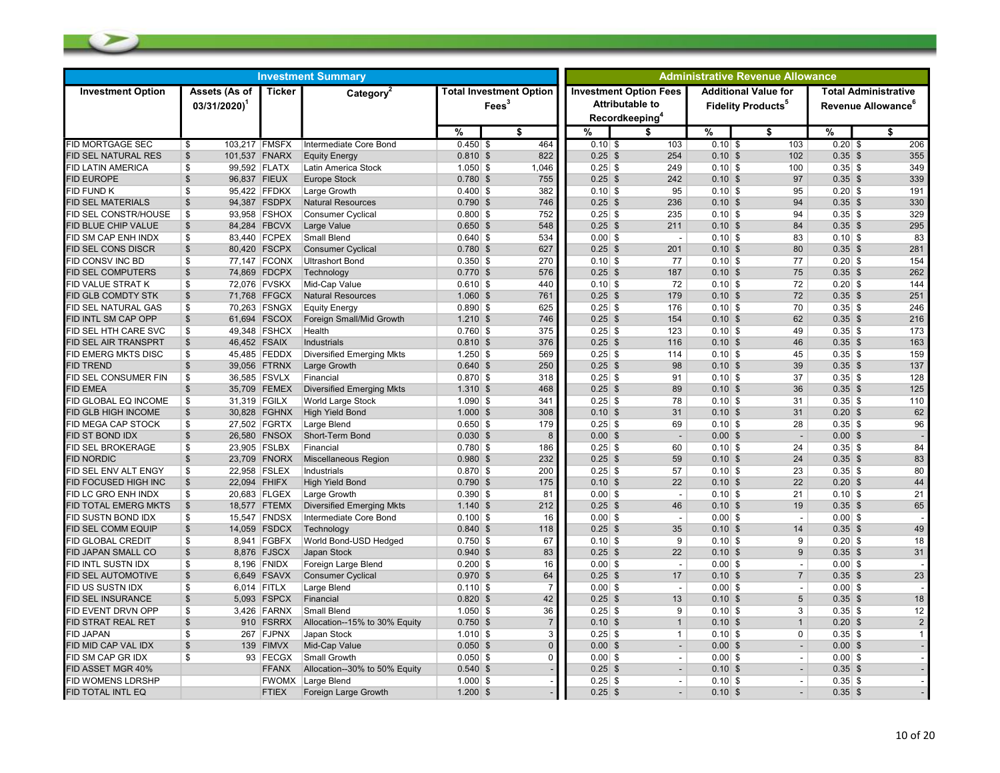| <b>Investment Summary</b>   |                                            |               |                                  |            |                   |                                | <b>Administrative Revenue Allowance</b> |                                                                                       |           |  |                                                                     |           |                                                               |
|-----------------------------|--------------------------------------------|---------------|----------------------------------|------------|-------------------|--------------------------------|-----------------------------------------|---------------------------------------------------------------------------------------|-----------|--|---------------------------------------------------------------------|-----------|---------------------------------------------------------------|
| <b>Investment Option</b>    | Assets (As of<br>$03/31/2020$ <sup>1</sup> | <b>Ticker</b> | Category <sup>2</sup>            |            | Fees <sup>3</sup> | <b>Total Investment Option</b> |                                         | <b>Investment Option Fees</b><br><b>Attributable to</b><br>Recordkeeping <sup>4</sup> |           |  | <b>Additional Value for</b><br><b>Fidelity Products<sup>5</sup></b> |           | <b>Total Administrative</b><br>Revenue Allowance <sup>6</sup> |
|                             |                                            |               |                                  | %          |                   | \$                             | %                                       | S                                                                                     | %         |  | \$                                                                  | %         | \$                                                            |
| FID MORTGAGE SEC            | 103,217 FMSFX<br>\$                        |               | Intermediate Core Bond           | $0.450$ \$ |                   | 464                            | $0.10$ \$                               | 103                                                                                   | $0.10$ \$ |  | 103                                                                 | $0.20$ \$ | 206                                                           |
| <b>FID SEL NATURAL RES</b>  | \$<br>101,537 FNARX                        |               | <b>Equity Energy</b>             | $0.810$ \$ |                   | 822                            | $0.25$ \$                               | 254                                                                                   | 0.10S     |  | 102                                                                 | $0.35$ \$ | 355                                                           |
| <b>FID LATIN AMERICA</b>    | \$                                         | 99,592 FLATX  | Latin America Stock              | $1.050$ \$ |                   | 1,046                          | $0.25$ \$                               | 249                                                                                   | $0.10$ \$ |  | 100                                                                 | $0.35$ \$ | 349                                                           |
| FID EUROPE                  | $\mathsf{\$}$<br>96,837 FIEUX              |               | <b>Europe Stock</b>              | $0.780$ \$ |                   | 755                            | $0.25$ \$                               | 242                                                                                   | 0.10S     |  | 97                                                                  | $0.35$ \$ | 339                                                           |
| FID FUND K                  | \$                                         | 95,422 FFDKX  | Large Growth                     | $0.400$ \$ |                   | 382                            | $0.10$ \$                               | 95                                                                                    | $0.10$ \$ |  | 95                                                                  | $0.20$ \$ | 191                                                           |
| FID SEL MATERIALS           | $\mathfrak{S}$                             | 94,387 FSDPX  | <b>Natural Resources</b>         | $0.790$ \$ |                   | 746                            | $0.25$ \$                               | 236                                                                                   | 0.10S     |  | 94                                                                  | $0.35$ \$ | 330                                                           |
| FID SEL CONSTR/HOUSE        | \$                                         | 93,958 FSHOX  | <b>Consumer Cyclical</b>         | $0.800$ \$ |                   | 752                            | $0.25$ \$                               | 235                                                                                   | $0.10$ \$ |  | 94                                                                  | $0.35$ \$ | 329                                                           |
| FID BLUE CHIP VALUE         | \$                                         | 84,284 FBCVX  | Large Value                      | $0.650$ \$ |                   | 548                            | $0.25$ \$                               | 211                                                                                   | 0.10S     |  | 84                                                                  | $0.35$ \$ | 295                                                           |
| FID SM CAP ENH INDX         | \$                                         | 83,440 FCPEX  | Small Blend                      | $0.640$ \$ |                   | 534                            | $0.00$ \$                               | $\overline{\phantom{a}}$                                                              | $0.10$ \$ |  | 83                                                                  | $0.10$ \$ | 83                                                            |
| FID SEL CONS DISCR          | \$                                         | 80,420 FSCPX  | <b>Consumer Cyclical</b>         | $0.780$ \$ |                   | 627                            | $0.25$ \$                               | 201                                                                                   | 0.10S     |  | 80                                                                  | $0.35$ \$ | 281                                                           |
| FID CONSV INC BD            | \$                                         | 77,147 FCONX  | <b>Ultrashort Bond</b>           | $0.350$ \$ |                   | 270                            | $0.10$ \$                               | 77                                                                                    | $0.10$ \$ |  | 77                                                                  | $0.20$ \$ | 154                                                           |
| FID SEL COMPUTERS           | $\mathsf{\$}$                              | 74,869 FDCPX  | Technology                       | $0.770$ \$ |                   | 576                            | $0.25$ \$                               | 187                                                                                   | 0.10S     |  | 75                                                                  | $0.35$ \$ | 262                                                           |
| <b>FID VALUE STRAT K</b>    | \$                                         | 72,076 FVSKX  | Mid-Cap Value                    | $0.610$ \$ |                   | 440                            | $0.10$ \$                               | 72                                                                                    | $0.10$ \$ |  | 72                                                                  | $0.20$ \$ | 144                                                           |
| FID GLB COMDTY STK          | \$                                         | 71,768 FFGCX  | <b>Natural Resources</b>         | $1.060$ \$ |                   | 761                            | $0.25$ \$                               | 179                                                                                   | 0.10S     |  | 72                                                                  | $0.35$ \$ | 251                                                           |
| FID SEL NATURAL GAS         | \$                                         | 70,263 FSNGX  | <b>Equity Energy</b>             | $0.890$ \$ |                   | 625                            | $0.25$ \$                               | 176                                                                                   | $0.10$ \$ |  | 70                                                                  | $0.35$ \$ | 246                                                           |
| FID INTL SM CAP OPP         | \$                                         | 61,694 FSCOX  | Foreign Small/Mid Growth         | $1.210$ \$ |                   | 746                            | $0.25$ \$                               | 154                                                                                   | 0.10S     |  | 62                                                                  | $0.35$ \$ | 216                                                           |
| FID SEL HTH CARE SVC        | \$                                         | 49,348 FSHCX  | Health                           | $0.760$ \$ |                   | 375                            | $0.25$ \$                               | 123                                                                                   | $0.10$ \$ |  | 49                                                                  | $0.35$ \$ | 173                                                           |
| <b>FID SEL AIR TRANSPRT</b> | \$<br>46,452 FSAIX                         |               | <b>Industrials</b>               | $0.810$ \$ |                   | 376                            | $0.25$ \$                               | 116                                                                                   | 0.10S     |  | 46                                                                  | $0.35$ \$ | 163                                                           |
| FID EMERG MKTS DISC         | \$                                         | 45,485 FEDDX  | <b>Diversified Emerging Mkts</b> | $1.250$ \$ |                   | 569                            | $0.25$ \$                               | 114                                                                                   | $0.10$ \$ |  | 45                                                                  | $0.35$ \$ | 159                                                           |
| <b>FID TREND</b>            | \$                                         | 39,056 FTRNX  | Large Growth                     | $0.640$ \$ |                   | 250                            | $0.25$ \$                               | 98                                                                                    | 0.10S     |  | 39                                                                  | $0.35$ \$ | 137                                                           |
| FID SEL CONSUMER FIN        | \$                                         | 36,585 FSVLX  | Financial                        | $0.870$ \$ |                   | 318                            | $0.25$ \$                               | 91                                                                                    | $0.10$ \$ |  | 37                                                                  | $0.35$ \$ | 128                                                           |
| FID EMEA                    | \$                                         | 35,709 FEMEX  | <b>Diversified Emerging Mkts</b> | $1.310$ \$ |                   | 468                            | $0.25$ \$                               | 89                                                                                    | 0.10S     |  | 36                                                                  | $0.35$ \$ | 125                                                           |
| FID GLOBAL EQ INCOME        | \$<br>31,319 FGILX                         |               | World Large Stock                | $1.090$ \$ |                   | 341                            | $0.25$ \$                               | 78                                                                                    | $0.10$ \$ |  | 31                                                                  | $0.35$ \$ | 110                                                           |
| FID GLB HIGH INCOME         | \$                                         | 30,828 FGHNX  | <b>High Yield Bond</b>           | $1.000$ \$ |                   | 308                            | $0.10$ \$                               | 31                                                                                    | 0.10S     |  | 31                                                                  | $0.20$ \$ | 62                                                            |
| FID MEGA CAP STOCK          | \$                                         | 27,502 FGRTX  | Large Blend                      | $0.650$ \$ |                   | 179                            | $0.25$ \$                               | 69                                                                                    | $0.10$ \$ |  | 28                                                                  | $0.35$ \$ | 96                                                            |
| FID ST BOND IDX             | \$                                         | 26,580 FNSOX  | Short-Term Bond                  | $0.030$ \$ |                   | 8                              | $0.00$ \$                               | $\overline{a}$                                                                        | $0.00$ \$ |  | $\overline{\phantom{a}}$                                            | $0.00$ \$ |                                                               |
| FID SEL BROKERAGE           | \$                                         | 23,905 FSLBX  | Financial                        | $0.780$ \$ |                   | 186                            | $0.25$ \$                               | 60                                                                                    | $0.10$ \$ |  | 24                                                                  | $0.35$ \$ | 84                                                            |
| <b>FID NORDIC</b>           | \$                                         | 23,709 FNORX  | <b>Miscellaneous Region</b>      | $0.980$ \$ |                   | 232                            | $0.25$ \$                               | 59                                                                                    | 0.10S     |  | 24                                                                  | $0.35$ \$ | 83                                                            |
| FID SEL ENV ALT ENGY        | \$                                         | 22,958 FSLEX  | Industrials                      | $0.870$ \$ |                   | 200                            | $0.25$ \$                               | 57                                                                                    | $0.10$ \$ |  | 23                                                                  | $0.35$ \$ | 80                                                            |
| FID FOCUSED HIGH INC        | $\mathsf{\$}$<br>22,094 FHIFX              |               | <b>High Yield Bond</b>           | $0.790$ \$ |                   | 175                            | $0.10$ \$                               | 22                                                                                    | 0.10S     |  | 22                                                                  | $0.20$ \$ | 44                                                            |
| FID LC GRO ENH INDX         | \$                                         | 20,683 FLGEX  | Large Growth                     | $0.390$ \$ |                   | 81                             | $0.00$ \$                               | $\blacksquare$                                                                        | $0.10$ \$ |  | 21                                                                  | $0.10$ \$ | 21                                                            |
| FID TOTAL EMERG MKTS        | \$                                         | 18,577 FTEMX  | <b>Diversified Emerging Mkts</b> | $1.140$ \$ |                   | 212                            | $0.25$ \$                               | 46                                                                                    | 0.10S     |  | 19                                                                  | $0.35$ \$ | 65                                                            |
| FID SUSTN BOND IDX          | \$                                         | 15,547 FNDSX  | Intermediate Core Bond           | $0.100$ \$ |                   | 16                             | $0.00$ \$                               | $\overline{\phantom{a}}$                                                              | $0.00$ \$ |  | $\overline{\phantom{a}}$                                            | $0.00$ \$ |                                                               |
| FID SEL COMM EQUIP          | \$                                         | 14,059 FSDCX  | Technology                       | $0.840$ \$ |                   | 118                            | $0.25$ \$                               | 35                                                                                    | 0.10S     |  | 14                                                                  | $0.35$ \$ | 49                                                            |
| FID GLOBAL CREDIT           | \$                                         | 8,941 FGBFX   | World Bond-USD Hedged            | $0.750$ \$ |                   | 67                             | $0.10$ \$                               | 9                                                                                     | $0.10$ \$ |  | 9                                                                   | $0.20$ \$ | 18                                                            |
| FID JAPAN SMALL CO          | $\mathsf{\$}$                              | 8,876 FJSCX   | Japan Stock                      | $0.940$ \$ |                   | 83                             | $0.25$ \$                               | 22                                                                                    | 0.10S     |  | 9                                                                   | $0.35$ \$ | 31                                                            |
| FID INTL SUSTN IDX          | \$                                         | 8,196 FNIDX   | Foreign Large Blend              | $0.200$ \$ |                   | 16                             | $0.00$ \$                               | $\sim$                                                                                | $0.00$ \$ |  | $\blacksquare$                                                      | $0.00$ \$ |                                                               |
| FID SEL AUTOMOTIVE          | $\mathfrak{S}$                             | 6,649 FSAVX   | <b>Consumer Cyclical</b>         | $0.970$ \$ |                   | 64                             | $0.25$ \$                               | 17                                                                                    | $0.10$ \$ |  | $\overline{7}$                                                      | $0.35$ \$ | 23                                                            |
| FID US SUSTN IDX            | \$                                         | 6,014 FITLX   | Large Blend                      | $0.110$ \$ |                   | $\overline{7}$                 | $0.00$ \$                               | $\overline{\phantom{a}}$                                                              | $0.00$ \$ |  | $\overline{\phantom{a}}$                                            | $0.00$ \$ |                                                               |
| FID SEL INSURANCE           | \$                                         | 5,093 FSPCX   | Financial                        | $0.820$ \$ |                   | 42                             | $0.25$ \$                               | 13                                                                                    | 0.10S     |  | $5\phantom{.0}$                                                     | $0.35$ \$ | 18                                                            |
| <b>ID EVENT DRVN OPP</b>    | \$                                         | 3,426 FARNX   | Small Blend                      | $1.050$ \$ |                   | 36                             | $0.25$ \$                               | 9                                                                                     | $0.10$ \$ |  | 3                                                                   | $0.35$ \$ | 12                                                            |
| FID STRAT REAL RET          | \$                                         | 910 FSRRX     | Allocation--15% to 30% Equity    | $0.750$ \$ |                   |                                | $0.10$ \$                               | $\mathbf{1}$                                                                          | 0.10S     |  | $\mathbf{1}$                                                        | $0.20$ \$ | $\overline{2}$                                                |
| FID JAPAN                   | \$                                         | 267 FJPNX     | Japan Stock                      | $1.010$ \$ |                   | 3                              | $0.25$ \$                               | $\mathbf{1}$                                                                          | $0.10$ \$ |  | $\mathbf 0$                                                         | $0.35$ \$ | $\mathbf{1}$                                                  |
| FID MID CAP VAL IDX         | $\mathsf{\$}$                              | 139 FIMVX     | Mid-Cap Value                    | $0.050$ \$ |                   | $\Omega$                       | $0.00$ \$                               | $\overline{\phantom{a}}$                                                              | $0.00$ \$ |  | $\overline{\phantom{a}}$                                            | $0.00$ \$ |                                                               |
| <b>FID SM CAP GR IDX</b>    | \$                                         | 93 FECGX      | Small Growth                     | $0.050$ \$ |                   | $\Omega$                       | $0.00$ \$                               | $\overline{\phantom{a}}$                                                              | $0.00$ \$ |  | $\overline{\phantom{a}}$                                            | $0.00$ \$ |                                                               |
| FID ASSET MGR 40%           |                                            | <b>FFANX</b>  | Allocation--30% to 50% Equity    | $0.540$ \$ |                   |                                | $0.25$ \$                               |                                                                                       | $0.10$ \$ |  |                                                                     | $0.35$ \$ |                                                               |
| FID WOMENS LDRSHP           |                                            | FWOMX         | Large Blend                      | $1.000$ \$ |                   |                                | $0.25$ \$                               | $\blacksquare$                                                                        | $0.10$ \$ |  | $\overline{\phantom{a}}$                                            | $0.35$ \$ |                                                               |
| FID TOTAL INTL EQ           |                                            | <b>FTIEX</b>  | Foreign Large Growth             | $1.200$ \$ |                   |                                | $0.25$ \$                               |                                                                                       | 0.10S     |  |                                                                     | $0.35$ \$ |                                                               |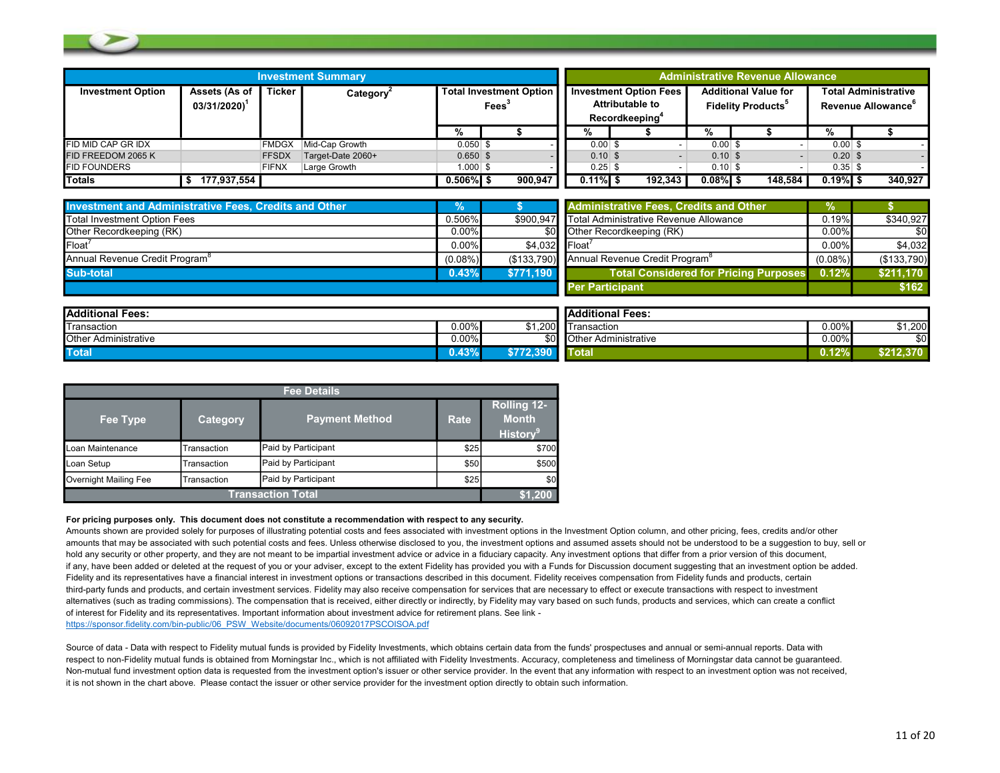|                          |                                            |               | <b>Investment Summary</b> |                                                     |  |         | <b>Administrative Revenue Allowance</b> |            |                                                                                |            |                                                                     |         |            |                                                               |
|--------------------------|--------------------------------------------|---------------|---------------------------|-----------------------------------------------------|--|---------|-----------------------------------------|------------|--------------------------------------------------------------------------------|------------|---------------------------------------------------------------------|---------|------------|---------------------------------------------------------------|
| <b>Investment Option</b> | Assets (As of<br>$03/31/2020$ <sup>1</sup> | <b>Ticker</b> | Category <sup>2</sup>     | <b>Total Investment Option</b><br>Fees <sup>3</sup> |  |         |                                         |            | <b>Investment Option Fees</b><br>Attributable to<br>Recordkeeping <sup>+</sup> |            | <b>Additional Value for</b><br><b>Fidelity Products<sup>5</sup></b> |         |            | <b>Total Administrative</b><br>Revenue Allowance <sup>t</sup> |
|                          |                                            |               |                           |                                                     |  |         |                                         | %          |                                                                                |            |                                                                     |         | %          |                                                               |
| FID MID CAP GR IDX       |                                            | <b>FMDGX</b>  | Mid-Cap Growth            | $0.050$ \$                                          |  |         |                                         | $0.00$ \$  |                                                                                | $0.00$ \$  |                                                                     |         | $0.00$ \$  |                                                               |
| FID FREEDOM 2065 K       |                                            | <b>FFSDX</b>  | Target-Date 2060+         | $0.650$ \$                                          |  |         |                                         | $0.10$ \$  |                                                                                | $0.10$ \$  |                                                                     |         | $0.20$ \$  |                                                               |
| <b>FID FOUNDERS</b>      |                                            | <b>FIFNX</b>  | Large Growth              | $1.000$ \$                                          |  |         |                                         | $0.25$ \$  |                                                                                | $0.10$ \$  |                                                                     |         | $0.35$ \$  |                                                               |
| <b>Totals</b>            | 177,937,554                                |               |                           | $0.506\%$ \$                                        |  | 900.947 |                                         | $0.11\%$ S | 192,343                                                                        | $0.08\%$ S |                                                                     | 148.584 | $0.19\%$ S | 340.927                                                       |

| <b>Investment and Administrative Fees, Credits and Other</b> | %          |               | <b>Administrative Fees. Credits and Other</b>          |            |             |
|--------------------------------------------------------------|------------|---------------|--------------------------------------------------------|------------|-------------|
| Total Investment Option Fees                                 | 0.506%     |               | \$900.947 Total Administrative Revenue Allowance       | 0.19%      | \$340.927   |
| <b>Other Recordkeeping (RK)</b>                              | $0.00\%$   |               | \$0 Other Recordkeeping (RK)                           | $0.00\%$   | \$0         |
| Float                                                        | 0.00%      | \$4.032 Float |                                                        | $0.00\%$   | \$4,032     |
| Annual Revenue Credit Program <sup>®</sup>                   | $(0.08\%)$ |               | (\$133.790) Annual Revenue Credit Program <sup>o</sup> | $(0.08\%)$ | (\$133,790) |
| Sub-total                                                    | 0.43%      | \$771.190     | <b>Total Considered for Pricing Purposes</b>           | 0.12%      | \$211,170   |
|                                                              |            |               | <b>Per Participant</b>                                 |            | \$162       |

| <b>Additional Fees:</b>                     |          |         | <b>IAdditional Fees:</b>    |          |            |
|---------------------------------------------|----------|---------|-----------------------------|----------|------------|
| <b>Transaction</b>                          | $0.00\%$ | \$1.200 | Transaction                 | $0.00\%$ | \$1,200    |
| <b>Other</b><br><sup>.</sup> Administrative | $0.00\%$ | \$OI.   | <b>Other Administrative</b> | $0.00\%$ |            |
| <b>Total</b>                                | 0.43%    | 390     | `otal                       | $0.12\%$ | \$212.370. |

| <b>Fee Details</b>    |                 |                          |      |                                                            |  |  |  |  |  |  |  |  |
|-----------------------|-----------------|--------------------------|------|------------------------------------------------------------|--|--|--|--|--|--|--|--|
| Fee Type              | <b>Category</b> | <b>Payment Method</b>    | Rate | <b>Rolling 12-</b><br><b>Month</b><br>History <sup>9</sup> |  |  |  |  |  |  |  |  |
| Loan Maintenance      | Transaction     | Paid by Participant      | \$25 | \$700                                                      |  |  |  |  |  |  |  |  |
| Loan Setup            | Transaction     | Paid by Participant      | \$50 | \$500                                                      |  |  |  |  |  |  |  |  |
| Overnight Mailing Fee | Transaction     | Paid by Participant      | \$25 | \$0                                                        |  |  |  |  |  |  |  |  |
|                       |                 | <b>Transaction Total</b> |      |                                                            |  |  |  |  |  |  |  |  |

#### For pricing purposes only. This document does not constitute a recommendation with respect to any security.

Amounts shown are provided solely for purposes of illustrating potential costs and fees associated with investment options in the Investment Option column, and other pricing, fees, credits and/or other amounts that may be associated with such potential costs and fees. Unless otherwise disclosed to you, the investment options and assumed assets should not be understood to be a suggestion to buy, sell or hold any security or other property, and they are not meant to be impartial investment advice or advice in a fiduciary capacity. Any investment options that differ from a prior version of this document, if any, have been added or deleted at the request of you or your adviser, except to the extent Fidelity has provided you with a Funds for Discussion document suggesting that an investment option be added. Fidelity and its representatives have a financial interest in investment options or transactions described in this document. Fidelity receives compensation from Fidelity funds and products, certain third-party funds and products, and certain investment services. Fidelity may also receive compensation for services that are necessary to effect or execute transactions with respect to investment alternatives (such as trading commissions). The compensation that is received, either directly or indirectly, by Fidelity may vary based on such funds, products and services, which can create a conflict of interest for Fidelity and its representatives. Important information about investment advice for retirement plans. See link https://sponsor.fidelity.com/bin-public/06\_PSW\_Website/documents/06092017PSCOISOA.pdf

Source of data - Data with respect to Fidelity mutual funds is provided by Fidelity Investments, which obtains certain data from the funds' prospectuses and annual or semi-annual reports. Data with respect to non-Fidelity mutual funds is obtained from Morningstar Inc., which is not affiliated with Fidelity Investments. Accuracy, completeness and timeliness of Morningstar data cannot be guaranteed. Non-mutual fund investment option data is requested from the investment option's issuer or other service provider. In the event that any information with respect to an investment option was not received, it is not shown in the chart above. Please contact the issuer or other service provider for the investment option directly to obtain such information.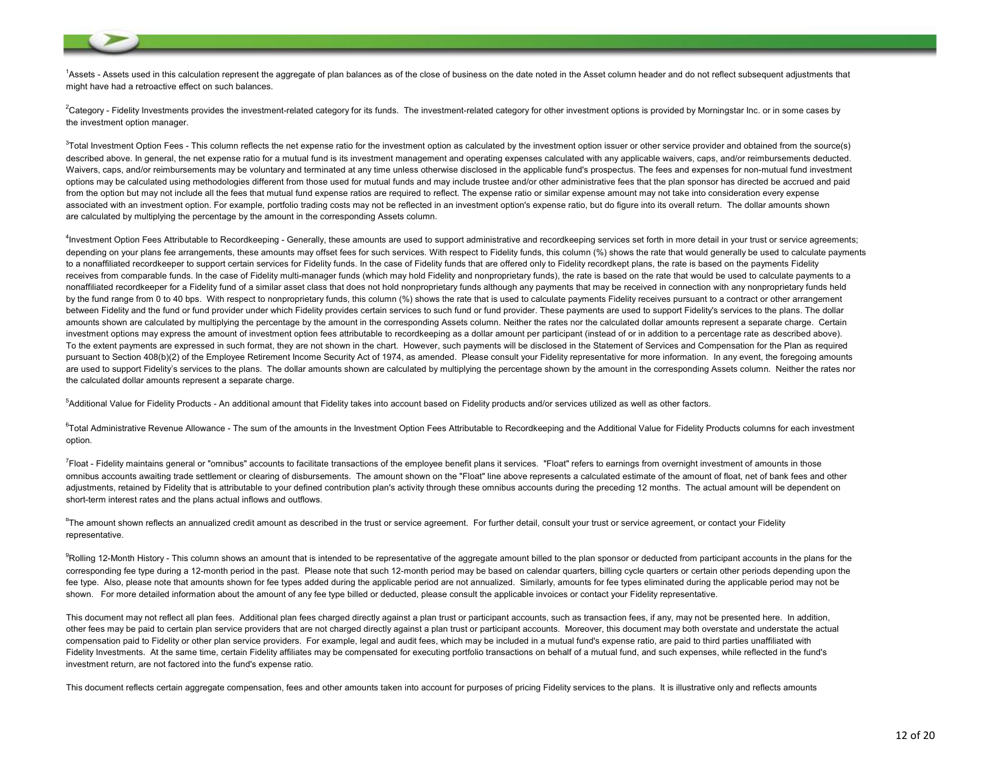<sup>1</sup>Assets - Assets used in this calculation represent the aggregate of plan balances as of the close of business on the date noted in the Asset column header and do not reflect subsequent adjustments that might have had a retroactive effect on such balances.

<sup>2</sup>Category - Fidelity Investments provides the investment-related category for its funds. The investment-related category for other investment options is provided by Morningstar Inc. or in some cases by the investment option manager.

<sup>3</sup>Total Investment Option Fees - This column reflects the net expense ratio for the investment option as calculated by the investment option issuer or other service provider and obtained from the source(s) described above. In general, the net expense ratio for a mutual fund is its investment management and operating expenses calculated with any applicable waivers, caps, and/or reimbursements deducted. Waivers, caps, and/or reimbursements may be voluntary and terminated at any time unless otherwise disclosed in the applicable fund's prospectus. The fees and expenses for non-mutual fund investment options may be calculated using methodologies different from those used for mutual funds and may include trustee and/or other administrative fees that the plan sponsor has directed be accrued and paid from the option but may not include all the fees that mutual fund expense ratios are required to reflect. The expense ratio or similar expense amount may not take into consideration every expense associated with an investment option. For example, portfolio trading costs may not be reflected in an investment option's expense ratio, but do figure into its overall return. The dollar amounts shown are calculated by multiplying the percentage by the amount in the corresponding Assets column.

<sup>4</sup>Investment Option Fees Attributable to Recordkeeping - Generally, these amounts are used to support administrative and recordkeeping services set forth in more detail in your trust or service agreements; depending on your plans fee arrangements, these amounts may offset fees for such services. With respect to Fidelity funds, this column (%) shows the rate that would generally be used to calculate payments to a nonaffiliated recordkeeper to support certain services for Fidelity funds. In the case of Fidelity funds that are offered only to Fidelity recordkept plans, the rate is based on the payments Fidelity receives from comparable funds. In the case of Fidelity multi-manager funds (which may hold Fidelity and nonproprietary funds), the rate is based on the rate that would be used to calculate payments to a nonaffiliated recordkeeper for a Fidelity fund of a similar asset class that does not hold nonproprietary funds although any payments that may be received in connection with any nonproprietary funds held by the fund range from 0 to 40 bps. With respect to nonproprietary funds, this column (%) shows the rate that is used to calculate payments Fidelity receives pursuant to a contract or other arrangement between Fidelity and the fund or fund provider under which Fidelity provides certain services to such fund or fund provider. These payments are used to support Fidelity's services to the plans. The dollar amounts shown are calculated by multiplying the percentage by the amount in the corresponding Assets column. Neither the rates nor the calculated dollar amounts represent a separate charge. Certain investment options may express the amount of investment option fees attributable to recordkeeping as a dollar amount per participant (instead of or in addition to a percentage rate as described above). To the extent payments are expressed in such format, they are not shown in the chart. However, such payments will be disclosed in the Statement of Services and Compensation for the Plan as required pursuant to Section 408(b)(2) of the Employee Retirement Income Security Act of 1974, as amended. Please consult your Fidelity representative for more information. In any event, the foregoing amounts are used to support Fidelity's services to the plans. The dollar amounts shown are calculated by multiplying the percentage shown by the amount in the corresponding Assets column. Neither the rates nor the calculated dollar amounts represent a separate charge.

<sup>5</sup>Additional Value for Fidelity Products - An additional amount that Fidelity takes into account based on Fidelity products and/or services utilized as well as other factors.

<sup>6</sup>Total Administrative Revenue Allowance - The sum of the amounts in the Investment Option Fees Attributable to Recordkeeping and the Additional Value for Fidelity Products columns for each investment option.

 ${}^{7}$ Float - Fidelity maintains general or "omnibus" accounts to facilitate transactions of the employee benefit plans it services. "Float" refers to earnings from overnight investment of amounts in those omnibus accounts awaiting trade settlement or clearing of disbursements. The amount shown on the "Float" line above represents a calculated estimate of the amount of float, net of bank fees and other adjustments, retained by Fidelity that is attributable to your defined contribution plan's activity through these omnibus accounts during the preceding 12 months. The actual amount will be dependent on short-term interest rates and the plans actual inflows and outflows.

 $8$ The amount shown reflects an annualized credit amount as described in the trust or service agreement. For further detail, consult your trust or service agreement, or contact your Fidelity representative.

<sup>9</sup>Rolling 12-Month History - This column shows an amount that is intended to be representative of the aggregate amount billed to the plan sponsor or deducted from participant accounts in the plans for the corresponding fee type during a 12-month period in the past. Please note that such 12-month period may be based on calendar quarters, billing cycle quarters or certain other periods depending upon the fee type. Also, please note that amounts shown for fee types added during the applicable period are not annualized. Similarly, amounts for fee types eliminated during the applicable period may not be shown. For more detailed information about the amount of any fee type billed or deducted, please consult the applicable invoices or contact your Fidelity representative.

This document may not reflect all plan fees. Additional plan fees charged directly against a plan trust or participant accounts, such as transaction fees, if any, may not be presented here. In addition, other fees may be paid to certain plan service providers that are not charged directly against a plan trust or participant accounts. Moreover, this document may both overstate and understate the actual compensation paid to Fidelity or other plan service providers. For example, legal and audit fees, which may be included in a mutual fund's expense ratio, are paid to third parties unaffiliated with Fidelity Investments. At the same time, certain Fidelity affiliates may be compensated for executing portfolio transactions on behalf of a mutual fund, and such expenses, while reflected in the fund's investment return, are not factored into the fund's expense ratio.

This document reflects certain aggregate compensation, fees and other amounts taken into account for purposes of pricing Fidelity services to the plans. It is illustrative only and reflects amounts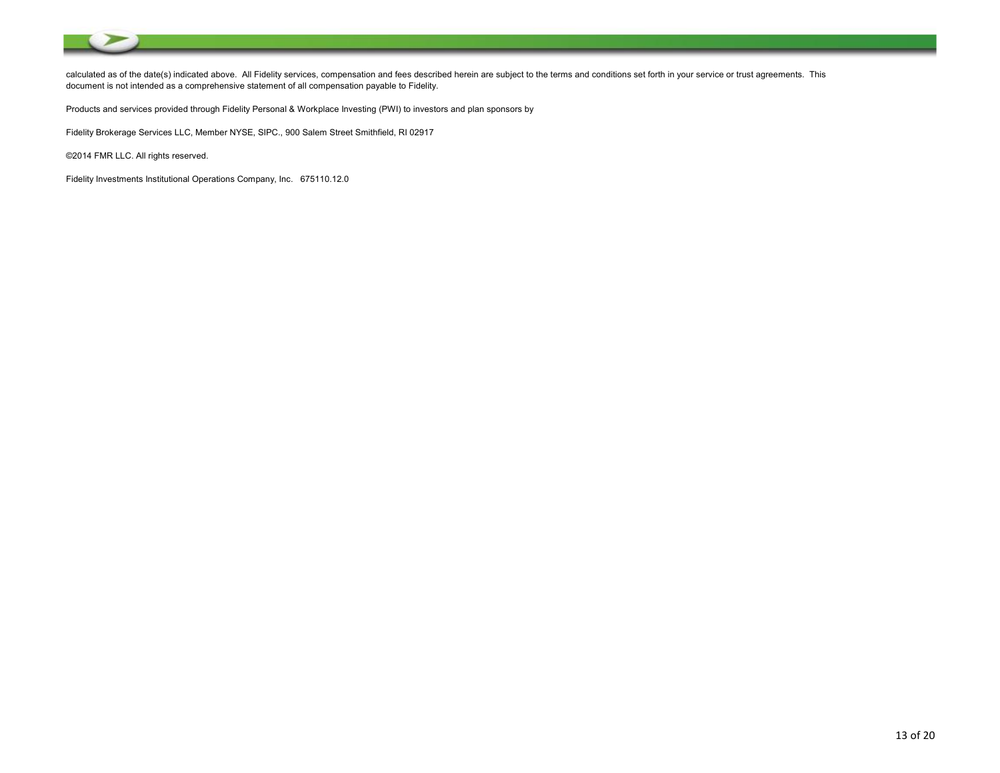

calculated as of the date(s) indicated above. All Fidelity services, compensation and fees described herein are subject to the terms and conditions set forth in your service or trust agreements. This document is not intended as a comprehensive statement of all compensation payable to Fidelity.

Products and services provided through Fidelity Personal & Workplace Investing (PWI) to investors and plan sponsors by

Fidelity Brokerage Services LLC, Member NYSE, SIPC., 900 Salem Street Smithfield, RI 02917

©2014 FMR LLC. All rights reserved.

Fidelity Investments Institutional Operations Company, Inc. 675110.12.0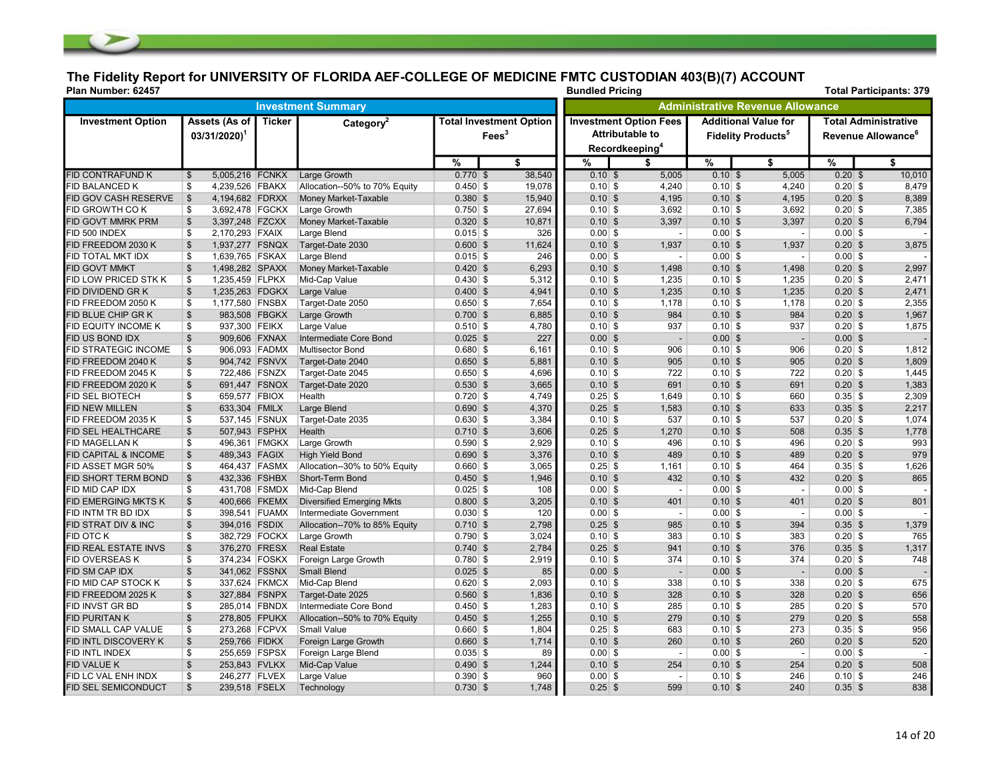# The Fidelity Report for UNIVERSITY OF FLORIDA AEF-COLLEGE OF MEDICINE FMTC CUSTODIAN 403(B)(7) ACCOUNT

| Plan Number: 62457              |                                            |               |                                  |             |                                                   |                                                                                       |                          | <b>Bundled Pricing</b><br><b>Total Participants: 379</b> |                                                                      |           |                                                               |  |  |  |  |
|---------------------------------|--------------------------------------------|---------------|----------------------------------|-------------|---------------------------------------------------|---------------------------------------------------------------------------------------|--------------------------|----------------------------------------------------------|----------------------------------------------------------------------|-----------|---------------------------------------------------------------|--|--|--|--|
|                                 |                                            |               | <b>Investment Summary</b>        |             |                                                   | Administrative Revenue Allowance                                                      |                          |                                                          |                                                                      |           |                                                               |  |  |  |  |
| <b>Investment Option</b>        | Assets (As of<br>$03/31/2020$ <sup>1</sup> | Ticker        | Category $2$                     |             | <b>Total Investment Option</b><br>$\text{Fees}^3$ | <b>Investment Option Fees</b><br><b>Attributable to</b><br>Recordkeeping <sup>4</sup> |                          |                                                          | <b>Additional Value for</b><br><b>Fidelity Products</b> <sup>5</sup> |           | <b>Total Administrative</b><br>Revenue Allowance <sup>6</sup> |  |  |  |  |
|                                 |                                            |               |                                  | $\%$        | \$                                                | %                                                                                     | \$                       | %                                                        | \$                                                                   | %         | \$                                                            |  |  |  |  |
| <b>FID CONTRAFUND K</b>         | 5,005,216 FCNKX<br>$\mathfrak{S}$          |               | <b>Large Growth</b>              | $0.770$ \$  | 38,540                                            | 0.10S                                                                                 | 5,005                    | $0.10$ \$                                                | 5,005                                                                | $0.20$ \$ | 10,010                                                        |  |  |  |  |
| FID BALANCED K                  | 4,239,526 FBAKX<br>\$                      |               | Allocation--50% to 70% Equity    | $0.450$ \$  | 19,078                                            | $0.10$ \$                                                                             | 4,240                    | $0.10$ \$                                                | 4,240                                                                | $0.20$ \$ | 8,479                                                         |  |  |  |  |
| FID GOV CASH RESERVE            | $\vert$ \$<br>4,194,682 FDRXX              |               | Money Market-Taxable             | $0.380$ \$  | 15,940                                            | $0.10$ \$                                                                             | 4,195                    | $0.10$ \$                                                | 4,195                                                                | $0.20$ \$ | 8,389                                                         |  |  |  |  |
| FID GROWTH CO K                 | 3,692,478 FGCKX<br>\$                      |               | Large Growth                     | $0.750$ \$  | 27,694                                            | $0.10$ \$                                                                             | 3,692                    | $0.10$ \$                                                | 3,692                                                                | $0.20$ \$ | 7,385                                                         |  |  |  |  |
| FID GOVT MMRK PRM               | $\sqrt[6]{3}$<br>3,397,248 FZCXX           |               | Money Market-Taxable             | $0.320$ \$  | 10,871                                            | $0.10$ \$                                                                             | 3,397                    | $0.10$ \$                                                | 3,397                                                                | $0.20$ \$ | 6,794                                                         |  |  |  |  |
| FID 500 INDEX                   | \$<br>2,170,293 FXAIX                      |               | Large Blend                      | $0.015$ \$  | 326                                               | $0.00$ \$                                                                             | $\overline{\phantom{a}}$ | $0.00$ \$                                                | $\sim$                                                               | $0.00$ \$ |                                                               |  |  |  |  |
| FID FREEDOM 2030 K              | $\mathfrak{S}$<br>1,937,277 FSNQX          |               | Target-Date 2030                 | $0.600$ \$  | 11,624                                            | $0.10$ \$                                                                             | 1,937                    | $0.10$ \$                                                | 1,937                                                                | $0.20$ \$ | 3,875                                                         |  |  |  |  |
| FID TOTAL MKT IDX               | \$<br>1,639,765 FSKAX                      |               | Large Blend                      | $0.015$ \$  | 246                                               | $0.00$ \$                                                                             | $\overline{\phantom{a}}$ | $0.00$ \$                                                | $\overline{\phantom{a}}$                                             | $0.00$ \$ |                                                               |  |  |  |  |
| <b>FID GOVT MMKT</b>            | $\mathfrak{S}$<br>1,498,282 SPAXX          |               | Money Market-Taxable             | $0.420$ \$  | 6,293                                             | $0.10$ \$                                                                             | 1,498                    | $0.10$ \$                                                | 1,498                                                                | $0.20$ \$ | 2,997                                                         |  |  |  |  |
| FID LOW PRICED STK K            | \$<br>1,235,459 FLPKX                      |               | Mid-Cap Value                    | $0.430 $ \$ | 5,312                                             | $0.10$ \$                                                                             | 1,235                    | $0.10$ \$                                                | 1,235                                                                | $0.20$ \$ | 2,471                                                         |  |  |  |  |
| <b>FID DIVIDEND GRK</b>         | $\$\$<br>1,235,263 FDGKX                   |               | Large Value                      | $0.400$ \$  | 4,941                                             | $0.10$ \$                                                                             | 1,235                    | $0.10$ \$                                                | 1,235                                                                | $0.20$ \$ | 2,471                                                         |  |  |  |  |
| FID FREEDOM 2050 K              | 1,177,580 FNSBX<br>\$                      |               | Target-Date 2050                 | $0.650$ \$  | 7.654                                             | $0.10$ \$                                                                             | 1,178                    | $0.10$ \$                                                | 1,178                                                                | $0.20$ \$ | 2,355                                                         |  |  |  |  |
| FID BLUE CHIP GR K              | $\$\$<br>983,508 FBGKX                     |               | Large Growth                     | $0.700$ \$  | 6,885                                             | $0.10$ \$                                                                             | 984                      | $0.10$ \$                                                | 984                                                                  | $0.20$ \$ | 1,967                                                         |  |  |  |  |
| FID EQUITY INCOME K             | 937,300 FEIKX<br>\$                        |               | Large Value                      | $0.510$ \$  | 4,780                                             | $0.10$ \$                                                                             | 937                      | $0.10$ \$                                                | 937                                                                  | $0.20$ \$ | 1,875                                                         |  |  |  |  |
| FID US BOND IDX                 | $\sqrt[6]{2}$<br>909,606 FXNAX             |               | Intermediate Core Bond           | $0.025$ \$  | 227                                               | $0.00$ \$                                                                             | $\overline{\phantom{a}}$ | $0.00$ \$                                                | $\sim$                                                               | $0.00$ \$ |                                                               |  |  |  |  |
| FID STRATEGIC INCOME            | \$                                         | 906,093 FADMX | <b>Multisector Bond</b>          | $0.680 $ \$ | 6,161                                             | $0.10$ \$                                                                             | 906                      | $0.10$ \$                                                | 906                                                                  | $0.20$ \$ | 1,812                                                         |  |  |  |  |
| FID FREEDOM 2040 K              | $\boldsymbol{\mathsf{S}}$<br>904,742 FSNVX |               | Target-Date 2040                 | $0.650$ \$  | 5,881                                             | $0.10$ \$                                                                             | 905                      | $0.10$ \$                                                | 905                                                                  | $0.20$ \$ | 1,809                                                         |  |  |  |  |
| FID FREEDOM 2045 K              | \$<br>722,486 FSNZX                        |               | Target-Date 2045                 | $0.650$ \$  | 4,696                                             | $0.10$ \$                                                                             | 722                      | $0.10$ \$                                                | 722                                                                  | $0.20$ \$ | 1,445                                                         |  |  |  |  |
| FID FREEDOM 2020 K              | $\sqrt[6]{\frac{1}{2}}$                    | 691,447 FSNOX | Target-Date 2020                 | $0.530$ \$  | 3,665                                             | $0.10$ \$                                                                             | 691                      | $0.10$ \$                                                | 691                                                                  | $0.20$ \$ | 1,383                                                         |  |  |  |  |
| <b>FID SEL BIOTECH</b>          | 659,577 FBIOX<br>\$                        |               | Health                           | $0.720$ \$  | 4,749                                             | $0.25$ \$                                                                             | 1.649                    | $0.10$ \$                                                | 660                                                                  | $0.35$ \$ | 2,309                                                         |  |  |  |  |
| <b>FID NEW MILLEN</b>           | $\$\$<br>633,304 FMILX                     |               | Large Blend                      | $0.690$ \$  | 4,370                                             | $0.25$ \$                                                                             | 1,583                    | $0.10$ \$                                                | 633                                                                  | $0.35$ \$ | 2,217                                                         |  |  |  |  |
| FID FREEDOM 2035 K              | 537,145 FSNUX<br>\$                        |               | Target-Date 2035                 | $0.630 $ \$ | 3,384                                             | $0.10$ \$                                                                             | 537                      | $0.10$ \$                                                | 537                                                                  | $0.20$ \$ | 1,074                                                         |  |  |  |  |
| FID SEL HEALTHCARE              | $\mathfrak{S}$<br>507,943 FSPHX            |               | Health                           | $0.710$ \$  | 3,606                                             | $0.25$ \$                                                                             | 1,270                    | $0.10$ \$                                                | 508                                                                  | $0.35$ \$ | 1,778                                                         |  |  |  |  |
| FID MAGELLAN K                  | \$                                         | 496,361 FMGKX | Large Growth                     | $0.590$ \$  | 2,929                                             | $0.10$ \$                                                                             | 496                      | $0.10$ \$                                                | 496                                                                  | $0.20$ \$ | 993                                                           |  |  |  |  |
| <b>FID CAPITAL &amp; INCOME</b> | $\mathfrak{S}$<br>489,343 FAGIX            |               | <b>High Yield Bond</b>           | $0.690$ \$  | 3,376                                             | $0.10$ \$                                                                             | 489                      | $0.10$ \$                                                | 489                                                                  | $0.20$ \$ | 979                                                           |  |  |  |  |
| FID ASSET MGR 50%               | \$                                         | 464,437 FASMX | Allocation--30% to 50% Equity    | $0.660$ \$  | 3,065                                             | $0.25$ \$                                                                             | 1,161                    | $0.10$ \$                                                | 464                                                                  | $0.35$ \$ | 1,626                                                         |  |  |  |  |
| FID SHORT TERM BOND             | $\sqrt[6]{2}$<br>432,336 FSHBX             |               | Short-Term Bond                  | $0.450$ \$  | 1,946                                             | $0.10$ \$                                                                             | 432                      | $0.10$ \$                                                | 432                                                                  | $0.20$ \$ | 865                                                           |  |  |  |  |
| FID MID CAP IDX                 | \$                                         | 431,708 FSMDX | Mid-Cap Blend                    | $0.025$ \$  | 108                                               | $0.00$ \$                                                                             | $\blacksquare$           | $0.00$ \$                                                | $\overline{\phantom{a}}$                                             | $0.00$ \$ |                                                               |  |  |  |  |
| <b>FID EMERGING MKTS K</b>      | $\$\$<br>400,666 FKEMX                     |               | <b>Diversified Emerging Mkts</b> | $0.800$ \$  | 3,205                                             | $0.10$ \$                                                                             | 401                      | $0.10$ \$                                                | 401                                                                  | $0.20$ \$ | 801                                                           |  |  |  |  |
| FID INTM TR BD IDX              | \$                                         | 398,541 FUAMX | Intermediate Government          | $0.030$ \$  | 120                                               | $0.00$ \$                                                                             | $\overline{\phantom{a}}$ | $0.00$ \$                                                | $\sim$                                                               | $0.00$ \$ |                                                               |  |  |  |  |
| FID STRAT DIV & INC             | $\sqrt{2}$<br>394,016 FSDIX                |               | Allocation--70% to 85% Equity    | $0.710$ \$  | 2,798                                             | $0.25$ \$                                                                             | 985                      | $0.10$ \$                                                | 394                                                                  | $0.35$ \$ | 1,379                                                         |  |  |  |  |
| FID OTC K                       | \$                                         | 382,729 FOCKX | Large Growth                     | $0.790$ \$  | 3,024                                             | $0.10$ \$                                                                             | 383                      | $0.10$ \$                                                | 383                                                                  | $0.20$ \$ | 765                                                           |  |  |  |  |
| FID REAL ESTATE INVS            | $\mathfrak{S}$<br>376,270 FRESX            |               | <b>Real Estate</b>               | $0.740$ \$  | 2,784                                             | $0.25$ \$                                                                             | 941                      | $0.10$ \$                                                | 376                                                                  | $0.35$ \$ | 1,317                                                         |  |  |  |  |
| <b>FID OVERSEAS K</b>           | \$<br>374,234 FOSKX                        |               | Foreign Large Growth             | $0.780$ \$  | 2,919                                             | $0.10$ \$                                                                             | 374                      | $0.10$ \$                                                | 374                                                                  | $0.20$ \$ | 748                                                           |  |  |  |  |
| FID SM CAP IDX                  | $\sqrt[6]{2}$<br>341,062 FSSNX             |               | <b>Small Blend</b>               | $0.025$ \$  | 85                                                | $0.00$ \$                                                                             | $\blacksquare$           | $0.00$ \$                                                | $\sim$                                                               | $0.00$ \$ |                                                               |  |  |  |  |
| FID MID CAP STOCK K             | 337,624 FKMCX<br>\$                        |               | Mid-Cap Blend                    | $0.620$ \$  | 2,093                                             | $0.10$ \$                                                                             | 338                      | $0.10$ \$                                                | 338                                                                  | $0.20$ \$ | 675                                                           |  |  |  |  |
| FID FREEDOM 2025 K              | 327,884 FSNPX<br>\$                        |               | Target-Date 2025                 | $0.560$ \$  | 1,836                                             | $0.10$ \$                                                                             | 328                      | $0.10$ \$                                                | 328                                                                  | $0.20$ \$ | 656                                                           |  |  |  |  |
| FID INVST GR BD                 | 285,014 FBNDX<br>\$                        |               | Intermediate Core Bond           | $0.450$ \$  | 1,283                                             | $0.10$ \$                                                                             | 285                      | $0.10$ \$                                                | 285                                                                  | $0.20$ \$ | 570                                                           |  |  |  |  |
| <b>FID PURITAN K</b>            | $\sqrt[6]{3}$<br>278,805 FPUKX             |               | Allocation--50% to 70% Equity    | $0.450$ \$  | 1,255                                             | $0.10$ \$                                                                             | 279                      | $0.10$ \$                                                | 279                                                                  | $0.20$ \$ | 558                                                           |  |  |  |  |
| FID SMALL CAP VALUE             | \$<br>273,268 FCPVX                        |               | <b>Small Value</b>               | $0.660$ \$  | 1,804                                             | $0.25$ \$                                                                             | 683                      | $0.10$ \$                                                | 273                                                                  | $0.35$ \$ | 956                                                           |  |  |  |  |
| FID INTL DISCOVERY K            | $\boldsymbol{\mathsf{S}}$<br>259,766 FIDKX |               | Foreign Large Growth             | $0.660$ \$  | 1,714                                             | $0.10$ \$                                                                             | 260                      | $0.10$ \$                                                | 260                                                                  | $0.20$ \$ | 520                                                           |  |  |  |  |
| FID INTL INDEX                  | \$<br>255,659 FSPSX                        |               | Foreign Large Blend              | $0.035$ \$  | 89                                                | $0.00$ \$                                                                             | $\overline{\phantom{a}}$ | $0.00$ \$                                                | $\sim$                                                               | $0.00$ \$ |                                                               |  |  |  |  |
| <b>FID VALUE K</b>              | \$<br>253,843 FVLKX                        |               | Mid-Cap Value                    | $0.490$ \$  | 1,244                                             | $0.10$ \$                                                                             | 254                      | $0.10$ \$                                                | 254                                                                  | $0.20$ \$ | 508                                                           |  |  |  |  |
| FID LC VAL ENH INDX             | \$<br>246,277 FLVEX                        |               | Large Value                      | $0.390 $ \$ | 960                                               | $0.00$ \$                                                                             | $\overline{\phantom{a}}$ | $0.10$ \$                                                | 246                                                                  | $0.10$ \$ | 246                                                           |  |  |  |  |
| <b>FID SEL SEMICONDUCT</b>      | $\mathfrak{S}$<br>239,518 FSELX            |               | Technology                       | $0.730$ \$  | 1,748                                             | $0.25$ \$                                                                             | 599                      | $0.10$ \$                                                | 240                                                                  | $0.35$ \$ | 838                                                           |  |  |  |  |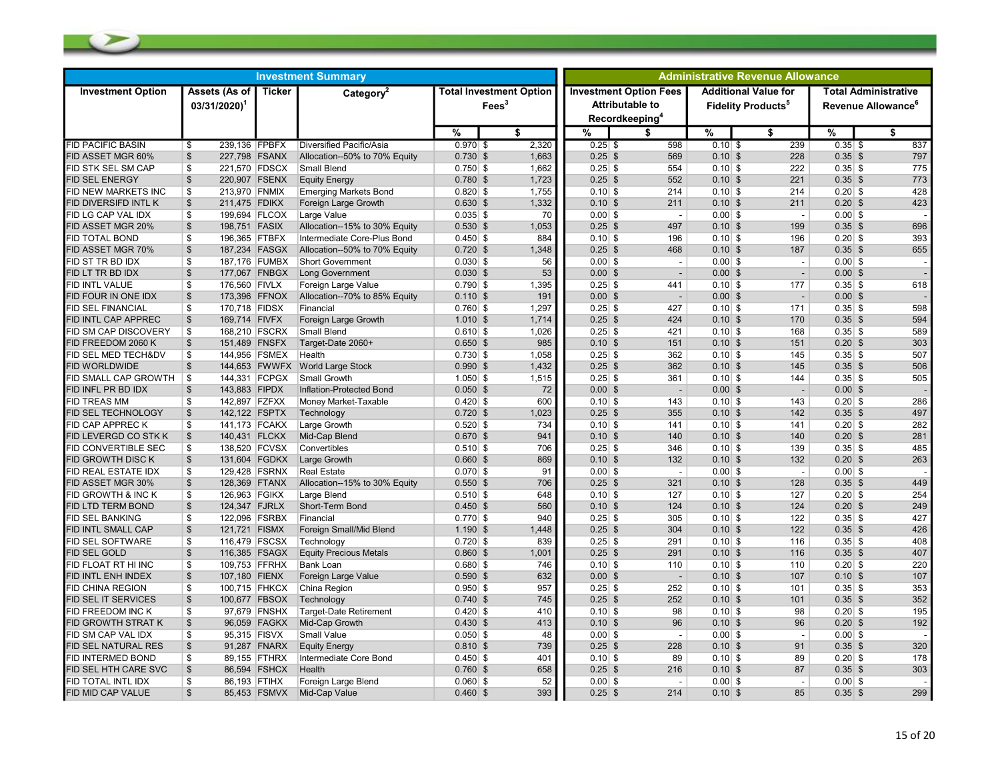| <b>Investment Summary</b>  |                                            |              |                                 |            |                                                   | <b>Administrative Revenue Allowance</b> |                                                                                       |           |                                                                     |           |                                                               |  |
|----------------------------|--------------------------------------------|--------------|---------------------------------|------------|---------------------------------------------------|-----------------------------------------|---------------------------------------------------------------------------------------|-----------|---------------------------------------------------------------------|-----------|---------------------------------------------------------------|--|
| <b>Investment Option</b>   | Assets (As of<br>$03/31/2020$ <sup>1</sup> | Ticker       | Category <sup>2</sup>           |            | <b>Total Investment Option</b><br>$\text{Fees}^3$ |                                         | <b>Investment Option Fees</b><br><b>Attributable to</b><br>Recordkeeping <sup>4</sup> |           | <b>Additional Value for</b><br><b>Fidelity Products<sup>5</sup></b> |           | <b>Total Administrative</b><br>Revenue Allowance <sup>®</sup> |  |
|                            |                                            |              |                                 | %          | \$                                                | %                                       | \$                                                                                    | %         | \$                                                                  | %         | \$                                                            |  |
| <b>FID PACIFIC BASIN</b>   | 239,136 FPBFX<br>\$                        |              | Diversified Pacific/Asia        | $0.970$ \$ | 2,320                                             | $0.25$ \$                               | 598                                                                                   | $0.10$ \$ | 239                                                                 | $0.35$ \$ | 837                                                           |  |
| <b>FID ASSET MGR 60%</b>   | $\frac{1}{2}$<br>227,798 FSANX             |              | Allocation--50% to 70% Equity   | $0.730$ \$ | 1,663                                             | $0.25$ \$                               | 569                                                                                   | $0.10$ \$ | 228                                                                 | $0.35$ \$ | 797                                                           |  |
| FID STK SEL SM CAP         | $\mathbf{\$}$<br>221,570 FDSCX             |              | Small Blend                     | $0.750$ \$ | 1,662                                             | $0.25$ \$                               | 554                                                                                   | $0.10$ \$ | 222                                                                 | $0.35$ \$ | 775                                                           |  |
| FID SEL ENERGY             | $\mathfrak{S}$<br>220,907 FSENX            |              | <b>Equity Energy</b>            | $0.780$ \$ | 1,723                                             | $0.25$ \$                               | 552                                                                                   | $0.10$ \$ | 221                                                                 | $0.35$ \$ | 773                                                           |  |
| FID NEW MARKETS INC        | \$<br>213,970 FNMIX                        |              | <b>Emerging Markets Bond</b>    | $0.820$ \$ | 1,755                                             | $0.10$ \$                               | 214                                                                                   | $0.10$ \$ | 214                                                                 | $0.20$ \$ | 428                                                           |  |
| FID DIVERSIFD INTL K       | 211,475 FDIKX<br>\$                        |              | Foreign Large Growth            | $0.630$ \$ | 1,332                                             | $0.10$ \$                               | 211                                                                                   | $0.10$ \$ | 211                                                                 | $0.20$ \$ | 423                                                           |  |
| FID LG CAP VAL IDX         | \$<br>199,694 FLCOX                        |              | Large Value                     | $0.035$ \$ | 70                                                | $0.00$ \$                               | $\overline{\phantom{a}}$                                                              | $0.00$ \$ | $\overline{\phantom{a}}$                                            | $0.00$ \$ |                                                               |  |
| FID ASSET MGR 20%          | $\frac{1}{2}$<br>198,751 FASIX             |              | Allocation--15% to 30% Equity   | $0.530$ \$ | 1,053                                             | $0.25$ \$                               | 497                                                                                   | $0.10$ \$ | 199                                                                 | $0.35$ \$ | 696                                                           |  |
| FID TOTAL BOND             | \$<br>196,365 FTBFX                        |              | Intermediate Core-Plus Bond     | $0.450$ \$ | 884                                               | $0.10$ \$                               | 196                                                                                   | $0.10$ \$ | 196                                                                 | $0.20$ \$ | 393                                                           |  |
| FID ASSET MGR 70%          | 187,234 FASGX<br>\$                        |              | Allocation--50% to 70% Equity   | $0.720$ \$ | 1,348                                             | $0.25$ \$                               | 468                                                                                   | $0.10$ \$ | 187                                                                 | $0.35$ \$ | 655                                                           |  |
| FID ST TR BD IDX           | \$<br>187,176 FUMBX                        |              | <b>Short Government</b>         | $0.030$ \$ | 56                                                | $0.00$ \$                               |                                                                                       | $0.00$ \$ | $\overline{\phantom{a}}$                                            | $0.00$ \$ |                                                               |  |
| FID LT TR BD IDX           | $\frac{1}{2}$<br>177,067 FNBGX             |              | Long Government                 | $0.030$ \$ | 53                                                | $0.00$ \$                               | $\sim$                                                                                | $0.00$ \$ | $\sim$                                                              | $0.00$ \$ |                                                               |  |
| FID INTL VALUE             | \$<br>176,560 FIVLX                        |              | Foreign Large Value             | $0.790$ \$ | 1.395                                             | $0.25$ \$                               | 441                                                                                   | $0.10$ \$ | 177                                                                 | $0.35$ \$ | 618                                                           |  |
| FID FOUR IN ONE IDX        | $\sqrt[6]{\frac{1}{2}}$<br>173,396 FFNOX   |              | Allocation--70% to 85% Equity   | $0.110$ \$ | 191                                               | $0.00$ \$                               | $\blacksquare$                                                                        | $0.00$ \$ | $\overline{\phantom{a}}$                                            | $0.00$ \$ |                                                               |  |
| FID SEL FINANCIAL          | \$<br>170,718 FIDSX                        |              | Financial                       | $0.760$ \$ | 1,297                                             | $0.25$ \$                               | 427                                                                                   | $0.10$ \$ | 171                                                                 | $0.35$ \$ | 598                                                           |  |
| FID INTL CAP APPREC        | $\frac{1}{2}$<br>169,714 FIVFX             |              | Foreign Large Growth            | $1.010$ \$ | 1,714                                             | $0.25$ \$                               | 424                                                                                   | $0.10$ \$ | 170                                                                 | $0.35$ \$ | 594                                                           |  |
| FID SM CAP DISCOVERY       | $\mathbf{\$}$<br>168,210 FSCRX             |              | Small Blend                     | $0.610$ \$ | 1,026                                             | $0.25$ \$                               | 421                                                                                   | $0.10$ \$ | 168                                                                 | $0.35$ \$ | 589                                                           |  |
| <b>FID FREEDOM 2060 K</b>  | $\frac{1}{2}$<br>151,489 FNSFX             |              | Target-Date 2060+               | $0.650$ \$ | 985                                               | $0.10$ \$                               | 151                                                                                   | $0.10$ \$ | 151                                                                 | $0.20$ \$ | 303                                                           |  |
| FID SEL MED TECH&DV        | \$<br>144,956 FSMEX                        |              | Health                          | $0.730$ \$ | 1,058                                             | $0.25$ \$                               | 362                                                                                   | $0.10$ \$ | 145                                                                 | $0.35$ \$ | 507                                                           |  |
| FID WORLDWIDE              | $\frac{1}{2}$                              |              | 144,653 FWWFX World Large Stock | $0.990$ \$ | 1.432                                             | $0.25$ \$                               | 362                                                                                   | $0.10$ \$ | 145                                                                 | $0.35$ \$ | 506                                                           |  |
| <b>ID SMALL CAP GROWTH</b> | \$<br>144,331 FCPGX                        |              | Small Growth                    | $1.050$ \$ | 1,515                                             | $0.25$ \$                               | 361                                                                                   | $0.10$ \$ | 144                                                                 | $0.35$ \$ | 505                                                           |  |
| <b>FID INFL PR BD IDX</b>  | 143,883 FIPDX<br>\$                        |              | Inflation-Protected Bond        | $0.050$ \$ | 72                                                | $0.00$ \$                               | $\overline{\phantom{a}}$                                                              | $0.00$ \$ | $\overline{\phantom{a}}$                                            | $0.00$ \$ |                                                               |  |
| FID TREAS MM               | \$<br>142,897 FZFXX                        |              | Money Market-Taxable            | $0.420$ \$ | 600                                               | $0.10$ \$                               | 143                                                                                   | $0.10$ \$ | 143                                                                 | $0.20$ \$ | 286                                                           |  |
| FID SEL TECHNOLOGY         | $\mathfrak{S}$<br>142,122 FSPTX            |              | Technology                      | $0.720$ \$ | 1.023                                             | $0.25$ \$                               | 355                                                                                   | $0.10$ \$ | 142                                                                 | $0.35$ \$ | 497                                                           |  |
| FID CAP APPREC K           | 141,173 FCAKX<br>\$                        |              | Large Growth                    | $0.520$ \$ | 734                                               | $0.10$ \$                               | 141                                                                                   | $0.10$ \$ | 141                                                                 | $0.20$ \$ | 282                                                           |  |
| FID LEVERGD CO STK K       | 140,431 FLCKX<br>\$                        |              | Mid-Cap Blend                   | $0.670$ \$ | 941                                               | $0.10$ \$                               | 140                                                                                   | $0.10$ \$ | 140                                                                 | $0.20$ \$ | 281                                                           |  |
| FID CONVERTIBLE SEC        | \$<br>138,520 FCVSX                        |              | Convertibles                    | $0.510$ \$ | 706                                               | $0.25$ \$                               | 346                                                                                   | $0.10$ \$ | 139                                                                 | $0.35$ \$ | 485                                                           |  |
| FID GROWTH DISC K          | $\mathfrak{s}$<br>131,604 FGDKX            |              | Large Growth                    | $0.660$ \$ | 869                                               | $0.10$ \$                               | 132                                                                                   | $0.10$ \$ | 132                                                                 | $0.20$ \$ | 263                                                           |  |
| FID REAL ESTATE IDX        | \$<br>129,428 FSRNX                        |              | <b>Real Estate</b>              | $0.070$ \$ | 91                                                | $0.00$ \$                               | $\sim$                                                                                | $0.00$ \$ | $\overline{\phantom{a}}$                                            | $0.00$ \$ |                                                               |  |
| <b>FID ASSET MGR 30%</b>   | $\frac{1}{2}$<br>128,369 FTANX             |              | Allocation--15% to 30% Equity   | $0.550$ \$ | 706                                               | $0.25$ \$                               | 321                                                                                   | $0.10$ \$ | 128                                                                 | $0.35$ \$ | 449                                                           |  |
| FID GROWTH & INC K         | \$<br>126,963 FGIKX                        |              | Large Blend                     | $0.510$ \$ | 648                                               | $0.10$ \$                               | 127                                                                                   | $0.10$ \$ | 127                                                                 | $0.20$ \$ | 254                                                           |  |
| <b>FID LTD TERM BOND</b>   | $\mathfrak s$<br>124,347 FJRLX             |              | Short-Term Bond                 | $0.450$ \$ | 560                                               | $0.10$ \$                               | 124                                                                                   | $0.10$ \$ | 124                                                                 | $0.20$ \$ | 249                                                           |  |
| FID SEL BANKING            | 122,096 FSRBX<br>\$                        |              | Financial                       | $0.770$ \$ | 940                                               | $0.25$ \$                               | 305                                                                                   | $0.10$ \$ | 122                                                                 | $0.35$ \$ | 427                                                           |  |
| FID INTL SMALL CAP         | 121,721 FISMX<br>\$                        |              | Foreign Small/Mid Blend         | $1.190$ \$ | 1,448                                             | $0.25$ \$                               | 304                                                                                   | $0.10$ \$ | 122                                                                 | $0.35$ \$ | 426                                                           |  |
| FID SEL SOFTWARE           | \$<br>116,479 FSCSX                        |              | Technology                      | $0.720$ \$ | 839                                               | $0.25$ \$                               | 291                                                                                   | $0.10$ \$ | 116                                                                 | $0.35$ \$ | 408                                                           |  |
| FID SEL GOLD               | $$\mathbb{S}$$<br>116,385 FSAGX            |              | <b>Equity Precious Metals</b>   | $0.860$ \$ | 1,001                                             | $0.25$ \$                               | 291                                                                                   | $0.10$ \$ | 116                                                                 | $0.35$ \$ | 407                                                           |  |
| FID FLOAT RT HI INC        | \$<br>109,753 FFRHX                        |              | <b>Bank Loan</b>                | $0.680$ \$ | 746                                               | $0.10$ \$                               | 110                                                                                   | $0.10$ \$ | 110                                                                 | $0.20$ \$ | 220                                                           |  |
| FID INTL ENH INDEX         | $\frac{1}{2}$<br>107,180 FIENX             |              | Foreign Large Value             | $0.590$ \$ | 632                                               | $0.00$ \$                               |                                                                                       | $0.10$ \$ | 107                                                                 | $0.10$ \$ | 107                                                           |  |
| FID CHINA REGION           | \$<br>100,715 FHKCX                        |              | China Region                    | $0.950$ \$ | 957                                               | $0.25$ \$                               | 252                                                                                   | $0.10$ \$ | 101                                                                 | $0.35$ \$ | 353                                                           |  |
| <b>FID SEL IT SERVICES</b> | $\mathfrak s$<br>100,677 FBSOX             |              | Technology                      | $0.740$ \$ | 745                                               | $0.25$ \$                               | 252                                                                                   | $0.10$ \$ | 101                                                                 | $0.35$ \$ | 352                                                           |  |
| FID FREEDOM INC K          | \$                                         | 97,679 FNSHX | <b>Target-Date Retirement</b>   | $0.420$ \$ | 410                                               | $0.10$ \$                               | 98                                                                                    | $0.10$ \$ | 98                                                                  | $0.20$ \$ | 195                                                           |  |
| FID GROWTH STRAT K         | $\sqrt[6]{\frac{1}{2}}$                    | 96,059 FAGKX | Mid-Cap Growth                  | $0.430$ \$ | 413                                               | $0.10$ \$                               | 96                                                                                    | $0.10$ \$ | 96                                                                  | $0.20$ \$ | 192                                                           |  |
| FID SM CAP VAL IDX         | \$<br>95,315 FISVX                         |              | <b>Small Value</b>              | $0.050$ \$ | 48                                                | $0.00$ \$                               | $\overline{\phantom{a}}$                                                              | $0.00$ \$ | $\overline{\phantom{a}}$                                            | $0.00$ \$ |                                                               |  |
| <b>FID SEL NATURAL RES</b> | $\frac{1}{2}$                              | 91,287 FNARX | <b>Equity Energy</b>            | $0.810$ \$ | 739                                               | $0.25$ \$                               | 228                                                                                   | $0.10$ \$ | 91                                                                  | $0.35$ \$ | 320                                                           |  |
| FID INTERMED BOND          | \$                                         | 89,155 FTHRX | Intermediate Core Bond          | $0.450$ \$ | 401                                               | $0.10$ \$                               | 89                                                                                    | $0.10$ \$ | 89                                                                  | $0.20$ \$ | 178                                                           |  |
| FID SEL HTH CARE SVC       | $\sqrt[6]{\frac{1}{2}}$                    | 86,594 FSHCX | Health                          | $0.760$ \$ | 658                                               | $0.25$ \$                               | 216                                                                                   | $0.10$ \$ | 87                                                                  | $0.35$ \$ | 303                                                           |  |
| FID TOTAL INTL IDX         | \$<br>86,193 FTIHX                         |              | Foreign Large Blend             | $0.060$ \$ | 52                                                | $0.00$ \$                               |                                                                                       | $0.00$ \$ | $\overline{\phantom{a}}$                                            | $0.00$ \$ |                                                               |  |
| <b>FID MID CAP VALUE</b>   | $\mathfrak{s}$                             | 85,453 FSMVX | Mid-Cap Value                   | $0.460$ \$ | 393                                               | $0.25$ \$                               | 214                                                                                   | $0.10$ \$ | 85                                                                  | $0.35$ \$ | 299                                                           |  |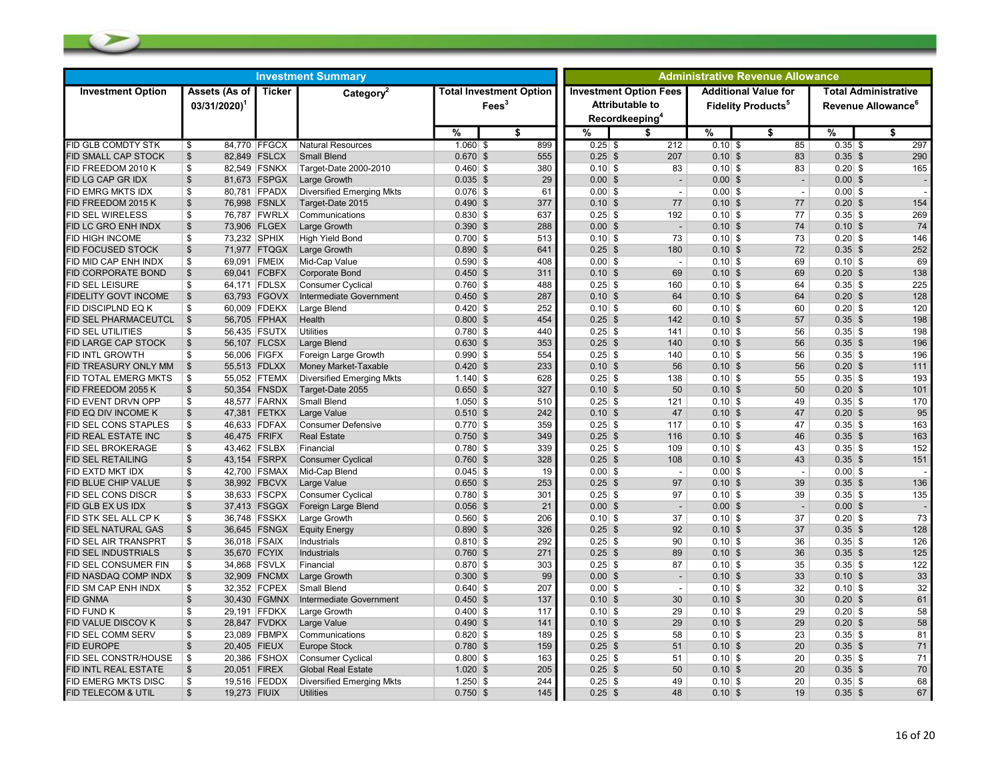| <b>Investment Summary</b>                               |                                            |                              |                                              |                          |                                                   | <b>Administrative Revenue Allowance</b> |                                                         |                                                                     |                          |                        |                                                               |  |
|---------------------------------------------------------|--------------------------------------------|------------------------------|----------------------------------------------|--------------------------|---------------------------------------------------|-----------------------------------------|---------------------------------------------------------|---------------------------------------------------------------------|--------------------------|------------------------|---------------------------------------------------------------|--|
| <b>Investment Option</b>                                | Assets (As of<br>$03/31/2020$ <sup>1</sup> | Ticker                       | Category <sup>2</sup>                        |                          | <b>Total Investment Option</b><br>$\text{Fees}^3$ | Recordkeeping <sup>4</sup>              | <b>Investment Option Fees</b><br><b>Attributable to</b> | <b>Additional Value for</b><br><b>Fidelity Products<sup>5</sup></b> |                          |                        | <b>Total Administrative</b><br>Revenue Allowance <sup>6</sup> |  |
|                                                         |                                            |                              |                                              | %                        | \$                                                | ℅                                       | \$                                                      | %                                                                   | \$                       | %                      | \$                                                            |  |
| <b>FID GLB COMDTY STK</b>                               | \$                                         | 84,770 FFGCX                 | Natural Resources                            | $1.060$ \$               | 899                                               | $0.25$ \$                               | 212                                                     | $0.10$ \$                                                           | 85                       | $0.35$ \$              | 297                                                           |  |
| <b>FID SMALL CAP STOCK</b>                              | \$                                         | 82,849 FSLCX                 | <b>Small Blend</b>                           | $0.670$ \$               | 555                                               | $0.25$ \$                               | 207                                                     | $0.10$ \$                                                           | 83                       | $0.35$ \$              | 290                                                           |  |
| FID FREEDOM 2010 K                                      | \$                                         | 82,549 FSNKX                 | Target-Date 2000-2010                        | $0.460$ \$               | 380                                               | $0.10$ \$                               | 83                                                      | $0.10$ \$                                                           | 83                       | $0.20$ \$              | 165                                                           |  |
| FID LG CAP GR IDX                                       | $\$\$                                      | 81,673 FSPGX                 | Large Growth                                 | $0.035$ \$               | 29                                                | $0.00$ \$                               | $\overline{\phantom{a}}$                                | $0.00$ \$                                                           | $\overline{\phantom{a}}$ | $0.00$ \$              |                                                               |  |
| FID EMRG MKTS IDX                                       | \$                                         | 80,781 FPADX                 | <b>Diversified Emerging Mkts</b>             | $0.076$ \$               | 61                                                | $0.00$ \$                               | $\overline{\phantom{a}}$                                | $0.00$ \$                                                           | $\overline{\phantom{a}}$ | $0.00$ \$              |                                                               |  |
| FID FREEDOM 2015 K                                      | \$                                         | 76,998 FSNLX                 | Target-Date 2015                             | $0.490$ \$               | 377                                               | $0.10$ \$                               | 77                                                      | $0.10$ \$                                                           | 77                       | $0.20$ \$              | 154                                                           |  |
| <b>FID SEL WIRELESS</b>                                 | \$                                         | 76,787 FWRLX                 | Communications                               | $0.830$ \$               | 637                                               | $0.25$ \$                               | 192                                                     | $0.10$ \$                                                           | 77                       | $0.35$ \$              | 269                                                           |  |
| FID LC GRO ENH INDX                                     | \$                                         | 73,906 FLGEX                 | Large Growth                                 | $0.390$ \$               | 288                                               | $0.00$ \$                               | $\overline{\phantom{a}}$                                | $0.10$ \$                                                           | 74                       | $0.10$ \$              | 74                                                            |  |
| <b>FID HIGH INCOME</b>                                  | 73,232 SPHIX<br>\$                         |                              | <b>High Yield Bond</b>                       | $0.700$ \$               | 513                                               | $0.10$ \$                               | 73                                                      | $0.10$ \$                                                           | 73                       | $0.20$ \$              | 146                                                           |  |
| <b>FID FOCUSED STOCK</b>                                | \$                                         | 71,977 FTQGX                 | Large Growth                                 | $0.890$ \$               | 641                                               | $0.25$ \$                               | 180                                                     | $0.10$ \$                                                           | 72                       | $0.35$ \$              | 252                                                           |  |
| FID MID CAP ENH INDX                                    | \$<br>69,091 FMEIX                         |                              | Mid-Cap Value                                | $0.590$ \$               | 408                                               | $0.00$ \$                               | $\overline{\phantom{a}}$                                | $0.10$ \$                                                           | 69                       | $0.10$ \$              | 69                                                            |  |
| <b>FID CORPORATE BOND</b>                               | \$                                         | 69,041 FCBFX                 | Corporate Bond                               | $0.450$ \$               | 311                                               | $0.10$ \$                               | 69                                                      | $0.10$ \$                                                           | 69                       | $0.20$ \$              | 138                                                           |  |
| <b>FID SEL LEISURE</b>                                  | \$                                         | 64,171 FDLSX                 | <b>Consumer Cyclical</b>                     | $0.760$ \$               | 488                                               | $0.25$ \$                               | 160                                                     | $0.10$ \$                                                           | 64                       | $0.35$ \$              | 225                                                           |  |
| <b>FIDELITY GOVT INCOME</b>                             | $\$\$                                      | 63,793 FGOVX                 | Intermediate Government                      | $0.450$ \$               | 287                                               | $0.10$ \$                               | 64                                                      | $0.10$ \$                                                           | 64                       | $0.20$ \$              | 128                                                           |  |
| FID DISCIPLND EQ K                                      | \$                                         | 60.009 FDEKX                 | Large Blend                                  | $0.420$ \$               | 252<br>454                                        | $0.10$ \$                               | 60<br>142                                               | $0.10$ \$<br>$0.10$ \$                                              | 60<br>57                 | $0.20$ \$              | 120                                                           |  |
| <b>FID SEL PHARMACEUTCL</b><br><b>FID SEL UTILITIES</b> | \$<br>\$                                   | 56,705 FPHAX                 | Health<br><b>Utilities</b>                   | $0.800$ \$               | 440                                               | $0.25$ \$                               | 141                                                     | $0.10$ \$                                                           | 56                       | $0.35$ \$              | 198<br>198                                                    |  |
| <b>FID LARGE CAP STOCK</b>                              |                                            | 56,435 FSUTX                 |                                              | $0.780$ \$               | 353                                               | $0.25$ \$<br>$0.25$ \$                  | 140                                                     |                                                                     | 56                       | $0.35$ \$<br>$0.35$ \$ | 196                                                           |  |
| <b>FID INTL GROWTH</b>                                  | \$<br>\$                                   | 56,107 FLCSX<br>56,006 FIGFX | Large Blend                                  | $0.630$ \$<br>$0.990$ \$ | 554                                               | $0.25$ \$                               | 140                                                     | $0.10$ \$<br>$0.10$ \$                                              | 56                       | $0.35$ \$              | 196                                                           |  |
| FID TREASURY ONLY MM                                    | $\$\$                                      | 55,513 FDLXX                 | Foreign Large Growth<br>Money Market-Taxable | $0.420$ \$               | 233                                               | $0.10$ \$                               | 56                                                      | $0.10$ \$                                                           | 56                       | $0.20$ \$              | 111                                                           |  |
| FID TOTAL EMERG MKTS                                    | \$                                         | 55,052 FTEMX                 | <b>Diversified Emerging Mkts</b>             | $1.140$ \$               | 628                                               | $0.25$ \$                               | 138                                                     | $0.10$ \$                                                           | 55                       | $0.35$ \$              | 193                                                           |  |
| FID FREEDOM 2055 K                                      | \$                                         | 50,354 FNSDX                 | Target-Date 2055                             | $0.650$ \$               | 327                                               | $0.10$ \$                               | 50                                                      | $0.10$ \$                                                           | 50                       | $0.20$ \$              | 101                                                           |  |
| FID EVENT DRVN OPP                                      | \$                                         | 48,577 FARNX                 | Small Blend                                  | $1.050$ \$               | 510                                               | $0.25$ \$                               | 121                                                     | $0.10$ \$                                                           | 49                       | $0.35$ \$              | 170                                                           |  |
| FID EQ DIV INCOME K                                     | \$                                         | 47,381 FETKX                 | Large Value                                  | $0.510$ \$               | 242                                               | $0.10$ \$                               | 47                                                      | $0.10$ \$                                                           | 47                       | $0.20$ \$              | 95                                                            |  |
| <b>FID SEL CONS STAPLES</b>                             | \$                                         | 46,633 FDFAX                 | <b>Consumer Defensive</b>                    | $0.770$ \$               | 359                                               | $0.25$ \$                               | 117                                                     | $0.10$ \$                                                           | 47                       | $0.35$ \$              | 163                                                           |  |
| FID REAL ESTATE INC                                     | $\mathfrak{S}$<br>46,475 FRIFX             |                              | <b>Real Estate</b>                           | $0.750$ \$               | 349                                               | $0.25$ \$                               | 116                                                     | $0.10$ \$                                                           | 46                       | $0.35$ \$              | 163                                                           |  |
| <b>FID SEL BROKERAGE</b>                                | \$                                         | 43,462 FSLBX                 | Financial                                    | $0.780$ \$               | 339                                               | $0.25$ \$                               | 109                                                     | $0.10$ \$                                                           | 43                       | $0.35$ \$              | 152                                                           |  |
| <b>FID SEL RETAILING</b>                                | \$                                         | 43,154 FSRPX                 | <b>Consumer Cyclical</b>                     | $0.760$ \$               | 328                                               | $0.25$ \$                               | 108                                                     | $0.10$ \$                                                           | 43                       | $0.35$ \$              | 151                                                           |  |
| FID EXTD MKT IDX                                        | \$                                         | 42,700 FSMAX                 | Mid-Cap Blend                                | $0.045$ \$               | 19                                                | $0.00$ \$                               | $\overline{\phantom{a}}$                                | $0.00$ \$                                                           | $\overline{\phantom{a}}$ | $0.00$ \$              |                                                               |  |
| FID BLUE CHIP VALUE                                     | $\boldsymbol{\mathsf{S}}$                  | 38,992 FBCVX                 | Large Value                                  | $0.650$ \$               | 253                                               | $0.25$ \$                               | 97                                                      | $0.10$ \$                                                           | 39                       | $0.35$ \$              | 136                                                           |  |
| FID SEL CONS DISCR                                      | \$                                         | 38,633 FSCPX                 | <b>Consumer Cyclical</b>                     | $0.780$ \$               | 301                                               | $0.25$ \$                               | 97                                                      | $0.10$ \$                                                           | 39                       | $0.35$ \$              | 135                                                           |  |
| FID GLB EX US IDX                                       | $\boldsymbol{\mathsf{S}}$                  | 37.413 FSGGX                 | Foreign Large Blend                          | $0.056$ \$               | 21                                                | $0.00$ \$                               | $\overline{\phantom{a}}$                                | $0.00$ \$                                                           | $\overline{\phantom{a}}$ | $0.00$ \$              |                                                               |  |
| FID STK SEL ALL CP K                                    | \$                                         | 36,748 FSSKX                 | Large Growth                                 | $0.560$ \$               | 206                                               | $0.10$ \$                               | 37                                                      | $0.10$ \$                                                           | 37                       | $0.20$ \$              | 73                                                            |  |
| FID SEL NATURAL GAS                                     | \$                                         | 36,645 FSNGX                 | <b>Equity Energy</b>                         | $0.890$ \$               | 326                                               | $0.25$ \$                               | 92                                                      | $0.10$ \$                                                           | 37                       | $0.35$ \$              | 128                                                           |  |
| FID SEL AIR TRANSPRT                                    | \$                                         | 36,018 FSAIX                 | Industrials                                  | $0.810$ \$               | 292                                               | $0.25$ \$                               | 90                                                      | $0.10$ \$                                                           | 36                       | $0.35$ \$              | 126                                                           |  |
| <b>FID SEL INDUSTRIALS</b>                              | $\$\$                                      | 35,670 FCYIX                 | Industrials                                  | $0.760$ \$               | 271                                               | $0.25$ \$                               | 89                                                      | $0.10$ \$                                                           | 36                       | $0.35$ \$              | 125                                                           |  |
| FID SEL CONSUMER FIN                                    | \$                                         | 34,868 FSVLX                 | Financial                                    | $0.870$ \$               | 303                                               | $0.25$ \$                               | 87                                                      | $0.10$ \$                                                           | 35                       | $0.35$ \$              | 122                                                           |  |
| FID NASDAQ COMP INDX                                    | $\mathfrak{S}$                             | 32.909 FNCMX                 | Large Growth                                 | $0.300$ \$               | 99                                                | $0.00$ \$                               | $\sim$                                                  | $0.10$ \$                                                           | 33                       | $0.10$ \$              | 33                                                            |  |
| FID SM CAP ENH INDX                                     | \$                                         | 32,352 FCPEX                 | Small Blend                                  | $0.640$ \$               | 207                                               | $0.00$ \$                               | $\blacksquare$                                          | $0.10$ \$                                                           | 32                       | $0.10$ \$              | 32                                                            |  |
| <b>FID GNMA</b>                                         | \$                                         | 30,430 FGMNX                 | Intermediate Government                      | $0.450$ \$               | 137                                               | $0.10$ \$                               | 30                                                      | $0.10$ \$                                                           | 30                       | $0.20$ \$              | 61                                                            |  |
| <b>FID FUND K</b>                                       | \$                                         | 29,191 FFDKX                 | Large Growth                                 | $0.400$ \$               | 117                                               | $0.10$ \$                               | 29                                                      | $0.10$ \$                                                           | 29                       | $0.20$ \$              | 58                                                            |  |
| FID VALUE DISCOV K                                      | $\boldsymbol{\mathsf{S}}$                  | 28,847 FVDKX                 | Large Value                                  | $0.490$ \$               | 141                                               | $0.10$ \$                               | 29                                                      | $0.10$ \$                                                           | 29                       | $0.20$ \$              | 58                                                            |  |
| FID SEL COMM SERV                                       | \$                                         | 23,089 FBMPX                 | Communications                               | $0.820$ \$               | 189                                               | $0.25$ \$                               | 58                                                      | $0.10$ \$                                                           | 23                       | $0.35$ \$              | 81                                                            |  |
| <b>FID EUROPE</b>                                       | 20,405 FIEUX<br>\$                         |                              | <b>Europe Stock</b>                          | $0.780$ \$               | 159                                               | $0.25$ \$                               | 51                                                      | $0.10$ \$                                                           | 20                       | $0.35$ \$              | 71                                                            |  |
| FID SEL CONSTR/HOUSE                                    | \$                                         | 20,386 FSHOX                 | Consumer Cyclical                            | $0.800$ \$               | 163                                               | $0.25$ \$                               | 51                                                      | $0.10$ \$                                                           | 20                       | $0.35$ \$              | 71                                                            |  |
| FID INTL REAL ESTATE                                    | 20,051 FIREX<br>$\$\$                      |                              | <b>Global Real Estate</b>                    | $1.020$ \$               | 205                                               | $0.25$ \$                               | 50                                                      | $0.10$ \$                                                           | 20                       | $0.35$ \$              | 70                                                            |  |
| FID EMERG MKTS DISC                                     | \$                                         | 19,516 FEDDX                 | <b>Diversified Emerging Mkts</b>             | $1.250$ \$               | 244                                               | $0.25$ \$                               | 49                                                      | $0.10$ \$                                                           | 20                       | $0.35$ \$              | 68                                                            |  |
| FID TELECOM & UTIL                                      | \$<br>19,273 FIUIX                         |                              | <b>Utilities</b>                             | $0.750$ \$               | 145                                               | $0.25$ \$                               | 48                                                      | $0.10$ \$                                                           | 19                       | $0.35$ \$              | 67                                                            |  |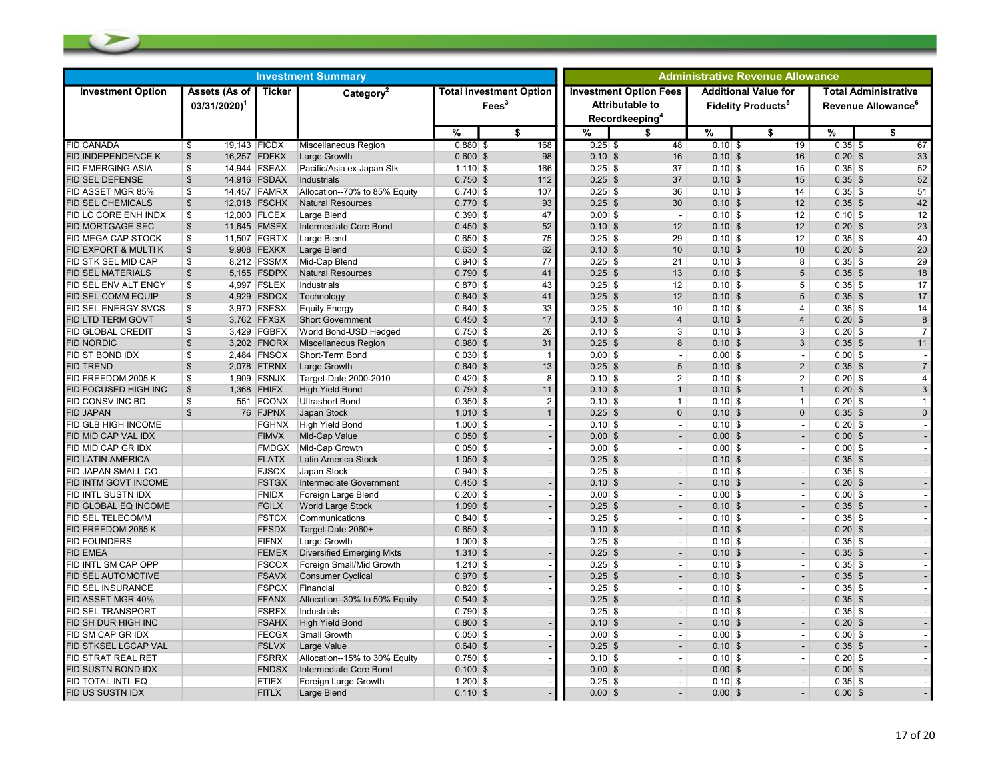| <b>Investment Summary</b>  |                                            |              |                                  |             |                                                   | <b>Administrative Revenue Allowance</b> |                                                                                       |                                                                     |                          |           |                                                               |  |
|----------------------------|--------------------------------------------|--------------|----------------------------------|-------------|---------------------------------------------------|-----------------------------------------|---------------------------------------------------------------------------------------|---------------------------------------------------------------------|--------------------------|-----------|---------------------------------------------------------------|--|
| <b>Investment Option</b>   | Assets (As of<br>$03/31/2020$ <sup>1</sup> | Ticker       | Category <sup>2</sup>            |             | <b>Total Investment Option</b><br>$\text{Fees}^3$ |                                         | <b>Investment Option Fees</b><br><b>Attributable to</b><br>Recordkeeping <sup>4</sup> | <b>Additional Value for</b><br><b>Fidelity Products<sup>5</sup></b> |                          |           | <b>Total Administrative</b><br>Revenue Allowance <sup>®</sup> |  |
|                            |                                            |              |                                  | %           | \$                                                | %                                       | \$                                                                                    | %                                                                   | \$                       | %         | \$                                                            |  |
| <b>FID CANADA</b>          | 19,143 FICDX<br>\$                         |              | Miscellaneous Region             | $0.880$ \$  | 168                                               | $0.25$ \$                               | 48                                                                                    | $0.10$ \$                                                           | 19                       | $0.35$ \$ | 67                                                            |  |
| <b>FID INDEPENDENCE K</b>  | $\mathfrak{s}$                             | 16,257 FDFKX | Large Growth                     | $0.600$ \$  | 98                                                | $0.10$ \$                               | 16                                                                                    | $0.10$ \$                                                           | 16                       | $0.20$ \$ | 33                                                            |  |
| FID EMERGING ASIA          | \$                                         | 14,944 FSEAX | Pacific/Asia ex-Japan Stk        | $1.110$ \$  | 166                                               | $0.25$ \$                               | 37                                                                                    | $0.10$ \$                                                           | 15                       | $0.35$ \$ | 52                                                            |  |
| FID SEL DEFENSE            | $\frac{1}{2}$                              | 14,916 FSDAX | Industrials                      | $0.750$ \$  | 112                                               | $0.25$ \$                               | 37                                                                                    | $0.10$ \$                                                           | 15                       | $0.35$ \$ | 52                                                            |  |
| FID ASSET MGR 85%          | \$                                         | 14,457 FAMRX | Allocation--70% to 85% Equity    | $0.740$ \$  | 107                                               | $0.25$ \$                               | 36                                                                                    | $0.10$ \$                                                           | 14                       | $0.35$ \$ | 51                                                            |  |
| <b>FID SEL CHEMICALS</b>   | $\frac{1}{2}$                              | 12,018 FSCHX | <b>Natural Resources</b>         | $0.770$ \$  | 93                                                | $0.25$ \$                               | 30                                                                                    | $0.10$ \$                                                           | 12                       | $0.35$ \$ | 42                                                            |  |
| FID LC CORE ENH INDX       | \$                                         | 12,000 FLCEX | Large Blend                      | $0.390 $ \$ | 47                                                | $0.00$ \$                               | $\overline{\phantom{a}}$                                                              | $0.10$ \$                                                           | 12                       | $0.10$ \$ | 12                                                            |  |
| FID MORTGAGE SEC           | \$                                         | 11,645 FMSFX | Intermediate Core Bond           | $0.450$ \$  | 52                                                | $0.10$ \$                               | 12                                                                                    | $0.10$ \$                                                           | 12                       | $0.20$ \$ | 23                                                            |  |
| FID MEGA CAP STOCK         | \$                                         | 11,507 FGRTX | Large Blend                      | $0.650$ \$  | 75                                                | $0.25$ \$                               | 29                                                                                    | $0.10$ \$                                                           | 12                       | $0.35$ \$ | 40                                                            |  |
| FID EXPORT & MULTI K       | $\frac{1}{2}$                              | 9,908 FEXKX  | Large Blend                      | $0.630$ \$  | 62                                                | $0.10$ \$                               | 10                                                                                    | $0.10$ \$                                                           | 10                       | $0.20$ \$ | 20                                                            |  |
| FID STK SEL MID CAP        | \$                                         | 8,212 FSSMX  | Mid-Cap Blend                    | $0.940$ \$  | 77                                                | $0.25$ \$                               | 21                                                                                    | $0.10$ \$                                                           | 8                        | $0.35$ \$ | 29                                                            |  |
| FID SEL MATERIALS          | $\mathfrak{S}$                             | 5,155 FSDPX  | <b>Natural Resources</b>         | $0.790$ \$  | 41                                                | $0.25$ \$                               | 13                                                                                    | $0.10$ \$                                                           | 5                        | $0.35$ \$ | 18                                                            |  |
| FID SEL ENV ALT ENGY       | \$                                         | 4,997 FSLEX  | Industrials                      | $0.870$ \$  | 43                                                | $0.25$ \$                               | 12                                                                                    | $0.10$ \$                                                           | 5                        | $0.35$ \$ | 17                                                            |  |
| FID SEL COMM EQUIP         | \$                                         | 4,929 FSDCX  | Technology                       | $0.840$ \$  | 41                                                | $0.25$ \$                               | 12                                                                                    | $0.10$ \$                                                           | 5                        | $0.35$ \$ | 17                                                            |  |
| FID SEL ENERGY SVCS        | \$                                         | 3,970 FSESX  | <b>Equity Energy</b>             | $0.840$ \$  | 33                                                | $0.25$ \$                               | 10                                                                                    | $0.10$ \$                                                           | 4                        | $0.35$ \$ | 14                                                            |  |
| FID LTD TERM GOVT          | $\frac{1}{2}$                              | 3,762 FFXSX  | <b>Short Government</b>          | $0.450$ \$  | 17                                                | $0.10$ \$                               | $\overline{4}$                                                                        | $0.10$ \$                                                           | $\overline{4}$           | $0.20$ \$ | 8                                                             |  |
| FID GLOBAL CREDIT          | \$                                         | 3,429 FGBFX  | World Bond-USD Hedged            | $0.750$ \$  | 26                                                | $0.10$ \$                               | 3                                                                                     | $0.10$ \$                                                           | 3                        | $0.20$ \$ | $\overline{7}$                                                |  |
| <b>FID NORDIC</b>          | $\sqrt[6]{\frac{1}{2}}$                    | 3,202 FNORX  | <b>Miscellaneous Region</b>      | $0.980$ \$  | 31                                                | $0.25$ \$                               | 8                                                                                     | $0.10$ \$                                                           | 3                        | $0.35$ \$ | 11                                                            |  |
| FID ST BOND IDX            | \$                                         | 2,484 FNSOX  | Short-Term Bond                  | $0.030$ \$  |                                                   | $0.00$ \$                               | $\overline{\phantom{a}}$                                                              | $0.00$ \$                                                           | $\overline{\phantom{a}}$ | $0.00$ \$ |                                                               |  |
| <b>FID TREND</b>           | $\frac{1}{2}$                              | 2,078 FTRNX  | Large Growth                     | $0.640$ \$  | 13                                                | $0.25$ \$                               | 5                                                                                     | $0.10$ \$                                                           | 2                        | $0.35$ \$ | $\overline{7}$                                                |  |
| FID FREEDOM 2005 K         | \$                                         | 1,909 FSNJX  | Target-Date 2000-2010            | $0.420$ \$  | 8                                                 | $0.10$ \$                               | $\overline{2}$                                                                        | $0.10$ \$                                                           | 2                        | $0.20$ \$ | 4                                                             |  |
| FID FOCUSED HIGH INC       | $\frac{1}{2}$                              | 1,368 FHIFX  | <b>High Yield Bond</b>           | $0.790$ \$  | 11                                                | $0.10$ \$                               | $\mathbf{1}$                                                                          | $0.10$ \$                                                           | $\mathbf{1}$             | $0.20$ \$ | $\mathbf{3}$                                                  |  |
| FID CONSV INC BD           | \$                                         | 551 FCONX    | <b>Ultrashort Bond</b>           | $0.350$ \$  | $\overline{2}$                                    | $0.10$ \$                               | $\mathbf{1}$                                                                          | $0.10$ \$                                                           | $\mathbf{1}$             | $0.20$ \$ |                                                               |  |
| FID JAPAN                  | $\mathfrak{S}$                             | 76 FJPNX     | Japan Stock                      | $1.010$ \$  | $\overline{1}$                                    | $0.25$ \$                               | $\mathbf{0}$                                                                          | $0.10$ \$                                                           | $\Omega$                 | $0.35$ \$ | $\Omega$                                                      |  |
| <b>FID GLB HIGH INCOME</b> |                                            | <b>FGHNX</b> | <b>High Yield Bond</b>           | $1.000$ \$  |                                                   | $0.10$ \$                               | $\overline{\phantom{a}}$                                                              | $0.10$ \$                                                           | $\sim$                   | $0.20$ \$ |                                                               |  |
| FID MID CAP VAL IDX        |                                            | <b>FIMVX</b> | Mid-Cap Value                    | $0.050$ \$  |                                                   | $0.00$ \$                               | $\overline{\phantom{a}}$                                                              | $0.00$ \$                                                           | $\overline{\phantom{a}}$ | $0.00$ \$ |                                                               |  |
| FID MID CAP GR IDX         |                                            | <b>FMDGX</b> | Mid-Cap Growth                   | $0.050$ \$  |                                                   | $0.00$ \$                               | $\blacksquare$                                                                        | $0.00$ \$                                                           | $\blacksquare$           | $0.00$ \$ |                                                               |  |
| FID LATIN AMERICA          |                                            | <b>FLATX</b> | Latin America Stock              | $1.050$ \$  |                                                   | $0.25$ \$                               | $\overline{a}$                                                                        | $0.10$ \$                                                           | $\overline{a}$           | $0.35$ \$ |                                                               |  |
| <b>FID JAPAN SMALL CO</b>  |                                            | <b>FJSCX</b> | Japan Stock                      | $0.940$ \$  |                                                   | $0.25$ \$                               | $\overline{\phantom{a}}$                                                              | $0.10$ \$                                                           | $\overline{\phantom{a}}$ | $0.35$ \$ |                                                               |  |
| FID INTM GOVT INCOME       |                                            | <b>FSTGX</b> | Intermediate Government          | $0.450$ \$  |                                                   | $0.10$ \$                               | $\overline{\phantom{a}}$                                                              | $0.10$ \$                                                           | $\overline{\phantom{a}}$ | $0.20$ \$ |                                                               |  |
| FID INTL SUSTN IDX         |                                            | <b>FNIDX</b> | Foreign Large Blend              | $0.200$ \$  |                                                   | $0.00$ \$                               | $\overline{\phantom{a}}$                                                              | $0.00$ \$                                                           | $\blacksquare$           | $0.00$ \$ |                                                               |  |
| FID GLOBAL EQ INCOME       |                                            | <b>FGILX</b> | <b>World Large Stock</b>         | $1.090$ \$  |                                                   | $0.25$ \$                               | $\blacksquare$                                                                        | $0.10$ \$                                                           | $\overline{\phantom{a}}$ | $0.35$ \$ |                                                               |  |
| FID SEL TELECOMM           |                                            | <b>FSTCX</b> | Communications                   | $0.840$ \$  |                                                   | $0.25$ \$                               | $\overline{\phantom{a}}$                                                              | $0.10$ \$                                                           | $\sim$                   | $0.35$ \$ |                                                               |  |
| FID FREEDOM 2065 K         |                                            | <b>FFSDX</b> | Target-Date 2060+                | $0.650$ \$  |                                                   | $0.10$ \$                               | $\blacksquare$                                                                        | $0.10$ \$                                                           | $\blacksquare$           | $0.20$ \$ |                                                               |  |
| FID FOUNDERS               |                                            | <b>FIFNX</b> | Large Growth                     | $1.000$ \$  |                                                   | $0.25$ \$                               | $\blacksquare$                                                                        | $0.10$ \$                                                           | $\blacksquare$           | $0.35$ \$ |                                                               |  |
| <b>FID EMEA</b>            |                                            | <b>FEMEX</b> | <b>Diversified Emerging Mkts</b> | $1.310$ \$  |                                                   | $0.25$ \$                               | $\overline{a}$                                                                        | $0.10$ \$                                                           | $\overline{a}$           | $0.35$ \$ |                                                               |  |
| <b>FID INTL SM CAP OPP</b> |                                            | <b>FSCOX</b> | Foreign Small/Mid Growth         | $1.210$ \$  |                                                   | $0.25$ \$                               | $\overline{\phantom{a}}$                                                              | $0.10$ \$                                                           | $\sim$                   | $0.35$ \$ |                                                               |  |
| <b>FID SEL AUTOMOTIVE</b>  |                                            | <b>FSAVX</b> | <b>Consumer Cyclical</b>         | $0.970$ \$  |                                                   | $0.25$ \$                               | $\blacksquare$                                                                        | $0.10$ \$                                                           | $\overline{\phantom{a}}$ | $0.35$ \$ |                                                               |  |
| FID SEL INSURANCE          |                                            | <b>FSPCX</b> | Financial                        | $0.820$ \$  |                                                   | $0.25$ \$                               | $\blacksquare$                                                                        | $0.10$ \$                                                           | $\blacksquare$           | $0.35$ \$ |                                                               |  |
| FID ASSET MGR 40%          |                                            | <b>FFANX</b> | Allocation--30% to 50% Equity    | $0.540$ \$  |                                                   | $0.25$ \$                               | $\overline{a}$                                                                        | $0.10$ \$                                                           | $\overline{a}$           | $0.35$ \$ |                                                               |  |
| FID SEL TRANSPORT          |                                            | <b>FSRFX</b> | Industrials                      | $0.790$ \$  |                                                   | $0.25$ \$                               | $\overline{\phantom{a}}$                                                              | $0.10$ \$                                                           | $\sim$                   | $0.35$ \$ |                                                               |  |
| FID SH DUR HIGH INC        |                                            | <b>FSAHX</b> | <b>High Yield Bond</b>           | $0.800$ \$  |                                                   | $0.10$ \$                               |                                                                                       | $0.10$ \$                                                           | $\blacksquare$           | $0.20$ \$ |                                                               |  |
| FID SM CAP GR IDX          |                                            | <b>FECGX</b> | Small Growth                     | $0.050$ \$  |                                                   | $0.00$ \$                               | $\overline{\phantom{a}}$                                                              | $0.00$ \$                                                           | $\blacksquare$           | $0.00$ \$ |                                                               |  |
| FID STKSEL LGCAP VAL       |                                            | <b>FSLVX</b> | Large Value                      | $0.640$ \$  |                                                   | $0.25$ \$                               |                                                                                       | $0.10$ \$                                                           | $\blacksquare$           | $0.35$ \$ |                                                               |  |
| FID STRAT REAL RET         |                                            | <b>FSRRX</b> | Allocation--15% to 30% Equity    | $0.750$ \$  |                                                   | $0.10$ \$                               | $\overline{a}$                                                                        | $0.10$ \$                                                           | $\sim$                   | $0.20$ \$ |                                                               |  |
| <b>FID SUSTN BOND IDX</b>  |                                            | <b>FNDSX</b> | Intermediate Core Bond           | $0.100$ \$  |                                                   | $0.00$ \$                               | $\blacksquare$                                                                        | $0.00$ \$                                                           | $\blacksquare$           | $0.00$ \$ |                                                               |  |
| FID TOTAL INTL EQ          |                                            | <b>FTIEX</b> | Foreign Large Growth             | $1.200$ \$  |                                                   | $0.25$ \$                               | $\overline{\phantom{a}}$                                                              | $0.10$ \$                                                           | $\blacksquare$           | $0.35$ \$ |                                                               |  |
| FID US SUSTN IDX           |                                            | <b>FITLX</b> | Large Blend                      | $0.110$ \$  |                                                   | $0.00$ \$                               |                                                                                       | $0.00$ \$                                                           |                          | $0.00$ \$ |                                                               |  |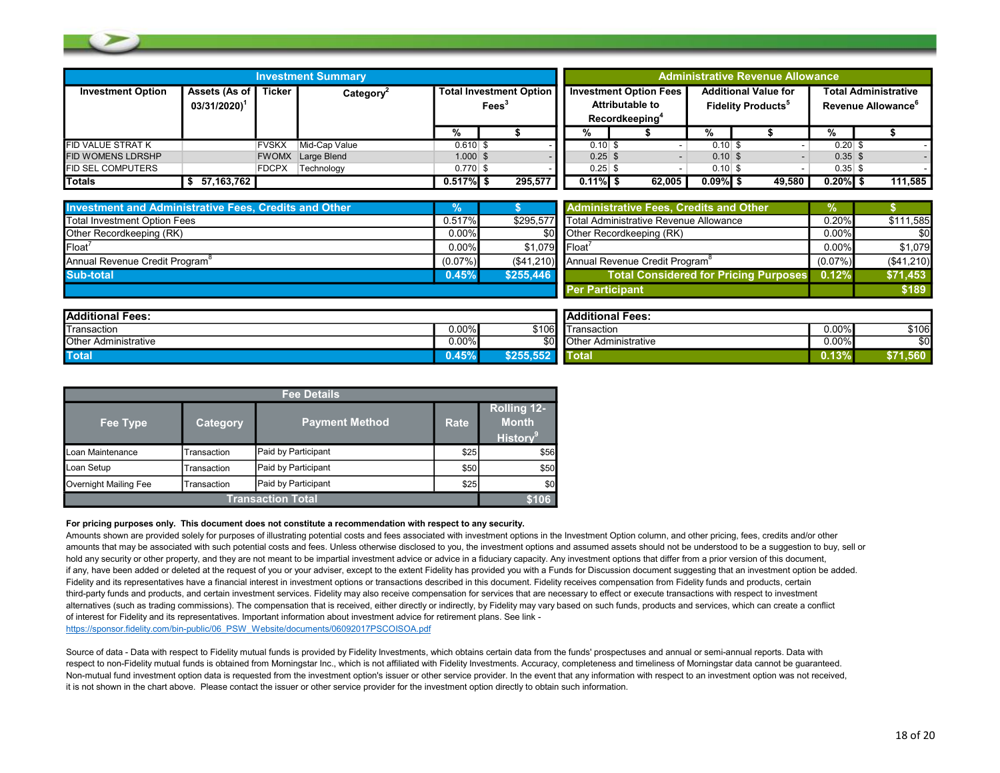|                          |                                            |              | <b>Investment Summary</b> |                                                     |  |         |             |                                                                                       |             |                                                                     | <b>Administrative Revenue Allowance</b> |                                                               |         |  |
|--------------------------|--------------------------------------------|--------------|---------------------------|-----------------------------------------------------|--|---------|-------------|---------------------------------------------------------------------------------------|-------------|---------------------------------------------------------------------|-----------------------------------------|---------------------------------------------------------------|---------|--|
| <b>Investment Option</b> | Assets (As of<br>$03/31/2020$ <sup>1</sup> | Ticker       | Category <sup>2</sup>     | <b>Total Investment Option</b><br>Fees <sup>3</sup> |  |         |             | <b>Investment Option Fees</b><br><b>Attributable to</b><br>Recordkeeping <sup>4</sup> |             | <b>Additional Value for</b><br><b>Fidelity Products<sup>5</sup></b> |                                         | <b>Total Administrative</b><br>Revenue Allowance <sup>6</sup> |         |  |
|                          |                                            |              |                           | %                                                   |  |         | %           |                                                                                       | %           |                                                                     |                                         | %                                                             |         |  |
| FID VALUE STRAT K        |                                            | <b>FVSKX</b> | Mid-Cap Value             | $0.610$ \$                                          |  |         | $0.10$ \$   |                                                                                       | $0.10$ \$   |                                                                     |                                         | $0.20$ \$                                                     |         |  |
| FID WOMENS LDRSHP        |                                            |              | <b>FWOMX</b> Large Blend  | $1.000$ \$                                          |  |         | $0.25$ \$   |                                                                                       | $0.10$ \$   |                                                                     |                                         | $0.35$ \$                                                     |         |  |
| FID SEL COMPUTERS        |                                            | <b>FDCPX</b> | Technology                | $0.770$ \$                                          |  |         | $0.25$ \$   |                                                                                       | $0.10$ \$   |                                                                     |                                         | $0.35$ \$                                                     |         |  |
| Totals                   | 57.163.762                                 |              |                           | $0.517\%$ \$                                        |  | 295.577 | $0.11\%$ \$ | 62.005                                                                                | $0.09\%$ \$ |                                                                     | 49.580                                  | $0.20\%$ \$                                                   | 111,585 |  |

| <b>Investment and Administrative Fees, Credits and Other</b> |            |                             | <b>Administrative Fees, Credits and Other</b>         | $\%$       |              |
|--------------------------------------------------------------|------------|-----------------------------|-------------------------------------------------------|------------|--------------|
| Total Investment Option Fees                                 | 0.517%     |                             | \$295.577 Total Administrative Revenue Allowance      | $0.20\%$   | \$111,585    |
| Other Recordkeeping (RK)                                     | $0.00\%$   |                             | \$0 Other Recordkeeping (RK)                          | $0.00\%$   | \$0          |
| Float <sup>®</sup>                                           | $0.00\%$   | $$1.079$ Float <sup>7</sup> |                                                       | 0.00%      | \$1.079      |
| Annual Revenue Credit Program <sup>®</sup>                   | $(0.07\%)$ |                             | (\$41,210) Annual Revenue Credit Program <sup>8</sup> | $(0.07\%)$ | ( \$41, 210) |
| Sub-total                                                    | 0.45%      | \$255.446                   | Total Considered for Pricing Purposes                 | 0.12%      | \$71,453     |
|                                                              |            |                             | <b>Per Participant</b>                                |            | \$189        |

| <b>IAdditional Fees:</b>    |          |        | <b>Additional Fees:</b>     |          |              |
|-----------------------------|----------|--------|-----------------------------|----------|--------------|
| Transaction                 | $0.00\%$ | \$106  | Transaction                 | $0.00\%$ | \$106        |
| <b>Other Administrative</b> | $0.00\%$ |        | <b>Other Administrative</b> | 0.00%    | ሶስ           |
| <b>Total</b>                | $0.45\%$ | \$255. | T<br>otal                   | 0.13     | 560<br>DI 1. |

| <b>Fee Details</b>    |                 |                       |      |                                                            |  |  |  |
|-----------------------|-----------------|-----------------------|------|------------------------------------------------------------|--|--|--|
| Fee Type              | <b>Category</b> | <b>Payment Method</b> | Rate | <b>Rolling 12-</b><br><b>Month</b><br>History <sup>9</sup> |  |  |  |
| Loan Maintenance      | Transaction     | Paid by Participant   | \$25 | \$56                                                       |  |  |  |
| Loan Setup            | Transaction     | Paid by Participant   | \$50 | \$50                                                       |  |  |  |
| Overnight Mailing Fee | Transaction     | Paid by Participant   | \$25 | \$0                                                        |  |  |  |
|                       | 6106            |                       |      |                                                            |  |  |  |

#### For pricing purposes only. This document does not constitute a recommendation with respect to any security.

Amounts shown are provided solely for purposes of illustrating potential costs and fees associated with investment options in the Investment Option column, and other pricing, fees, credits and/or other amounts that may be associated with such potential costs and fees. Unless otherwise disclosed to you, the investment options and assumed assets should not be understood to be a suggestion to buy, sell or hold any security or other property, and they are not meant to be impartial investment advice or advice in a fiduciary capacity. Any investment options that differ from a prior version of this document, if any, have been added or deleted at the request of you or your adviser, except to the extent Fidelity has provided you with a Funds for Discussion document suggesting that an investment option be added. Fidelity and its representatives have a financial interest in investment options or transactions described in this document. Fidelity receives compensation from Fidelity funds and products, certain third-party funds and products, and certain investment services. Fidelity may also receive compensation for services that are necessary to effect or execute transactions with respect to investment alternatives (such as trading commissions). The compensation that is received, either directly or indirectly, by Fidelity may vary based on such funds, products and services, which can create a conflict of interest for Fidelity and its representatives. Important information about investment advice for retirement plans. See link -

https://sponsor.fidelity.com/bin-public/06\_PSW\_Website/documents/06092017PSCOISOA.pdf

Source of data - Data with respect to Fidelity mutual funds is provided by Fidelity Investments, which obtains certain data from the funds' prospectuses and annual or semi-annual reports. Data with respect to non-Fidelity mutual funds is obtained from Morningstar Inc., which is not affiliated with Fidelity Investments. Accuracy, completeness and timeliness of Morningstar data cannot be quaranteed. Non-mutual fund investment option data is requested from the investment option's issuer or other service provider. In the event that any information with respect to an investment option was not received, it is not shown in the chart above. Please contact the issuer or other service provider for the investment option directly to obtain such information.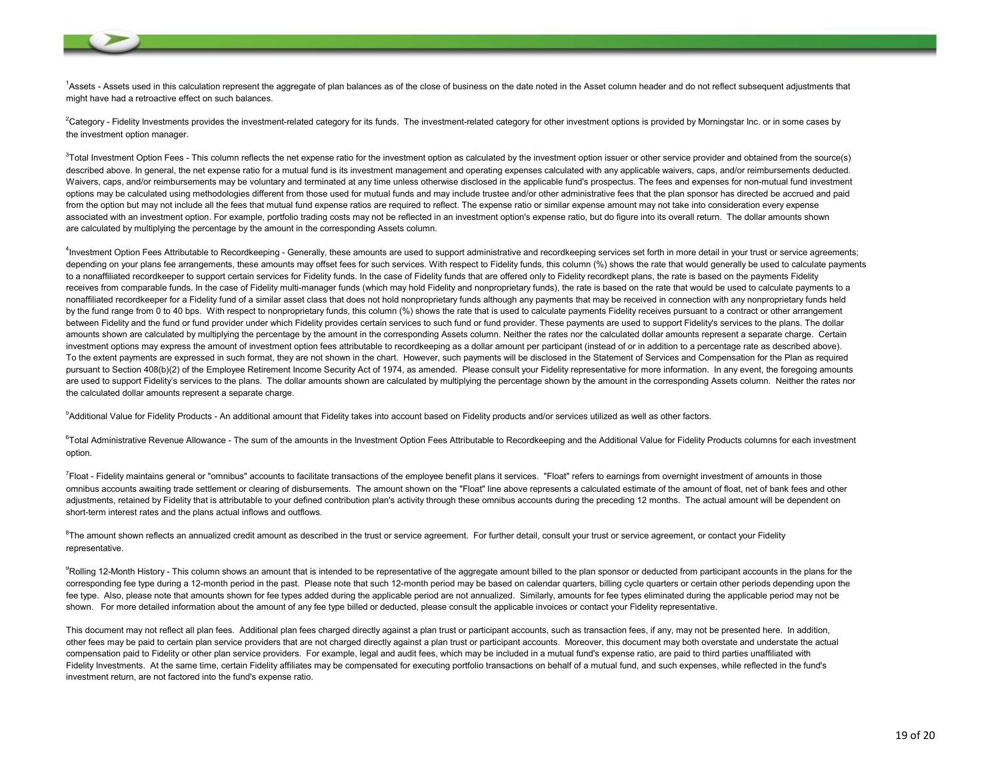<sup>1</sup>Assets - Assets used in this calculation represent the aggregate of plan balances as of the close of business on the date noted in the Asset column header and do not reflect subsequent adjustments that might have had a retroactive effect on such balances.

<sup>2</sup>Category - Fidelity Investments provides the investment-related category for its funds. The investment-related category for other investment options is provided by Morningstar Inc. or in some cases by the investment option manager.

 $3$ Total Investment Option Fees - This column reflects the net expense ratio for the investment option as calculated by the investment option issuer or other service provider and obtained from the source(s) described above. In general, the net expense ratio for a mutual fund is its investment management and operating expenses calculated with any applicable waivers, caps, and/or reimbursements deducted. Waivers, caps, and/or reimbursements may be voluntary and terminated at any time unless otherwise disclosed in the applicable fund's prospectus. The fees and expenses for non-mutual fund investment options may be calculated using methodologies different from those used for mutual funds and may include trustee and/or other administrative fees that the plan sponsor has directed be accrued and paid from the option but may not include all the fees that mutual fund expense ratios are required to reflect. The expense ratio or similar expense amount may not take into consideration every expense associated with an investment option. For example, portfolio trading costs may not be reflected in an investment option's expense ratio, but do figure into its overall return. The dollar amounts shown are calculated by multiplying the percentage by the amount in the corresponding Assets column.

<sup>4</sup>Investment Option Fees Attributable to Recordkeeping - Generally, these amounts are used to support administrative and recordkeeping services set forth in more detail in your trust or service agreements; depending on your plans fee arrangements, these amounts may offset fees for such services. With respect to Fidelity funds, this column (%) shows the rate that would generally be used to calculate payments to a nonaffiliated recordkeeper to support certain services for Fidelity funds. In the case of Fidelity funds that are offered only to Fidelity recordkept plans, the rate is based on the payments Fidelity receives from comparable funds. In the case of Fidelity multi-manager funds (which may hold Fidelity and nonproprietary funds), the rate is based on the rate that would be used to calculate payments to a nonaffiliated recordkeeper for a Fidelity fund of a similar asset class that does not hold nonproprietary funds although any payments that may be received in connection with any nonproprietary funds held by the fund range from 0 to 40 bps. With respect to nonproprietary funds, this column (%) shows the rate that is used to calculate payments Fidelity receives pursuant to a contract or other arrangement between Fidelity and the fund or fund provider under which Fidelity provides certain services to such fund or fund provider. These payments are used to support Fidelity's services to the plans. The dollar amounts shown are calculated by multiplying the percentage by the amount in the corresponding Assets column. Neither the rates nor the calculated dollar amounts represent a separate charge. Certain investment options may express the amount of investment option fees attributable to recordkeeping as a dollar amount per participant (instead of or in addition to a percentage rate as described above). To the extent payments are expressed in such format, they are not shown in the chart. However, such payments will be disclosed in the Statement of Services and Compensation for the Plan as required pursuant to Section 408(b)(2) of the Employee Retirement Income Security Act of 1974, as amended. Please consult your Fidelity representative for more information. In any event, the foregoing amounts are used to support Fidelity's services to the plans. The dollar amounts shown are calculated by multiplying the percentage shown by the amount in the corresponding Assets column. Neither the rates nor the calculated dollar amounts represent a separate charge.

<sup>5</sup>Additional Value for Fidelity Products - An additional amount that Fidelity takes into account based on Fidelity products and/or services utilized as well as other factors.

 $^{6}$ Total Administrative Revenue Allowance - The sum of the amounts in the Investment Option Fees Attributable to Recordkeeping and the Additional Value for Fidelity Products columns for each investment option.

<sup>7</sup>Float - Fidelity maintains general or "omnibus" accounts to facilitate transactions of the employee benefit plans it services. "Float" refers to earnings from overnight investment of amounts in those omnibus accounts awaiting trade settlement or clearing of disbursements. The amount shown on the "Float" line above represents a calculated estimate of the amount of float, net of bank fees and other adjustments, retained by Fidelity that is attributable to your defined contribution plan's activity through these omnibus accounts during the preceding 12 months. The actual amount will be dependent on short-term interest rates and the plans actual inflows and outflows.

 ${}^{8}$ The amount shown reflects an annualized credit amount as described in the trust or service agreement. For further detail, consult your trust or service agreement, or contact your Fidelity representative.

 ${}^{9}$ Rolling 12-Month History - This column shows an amount that is intended to be representative of the aggregate amount billed to the plan sponsor or deducted from participant accounts in the plans for the corresponding fee type during a 12-month period in the past. Please note that such 12-month period may be based on calendar quarters, billing cycle quarters or certain other periods depending upon the fee type. Also, please note that amounts shown for fee types added during the applicable period are not annualized. Similarly, amounts for fee types eliminated during the applicable period may not be shown. For more detailed information about the amount of any fee type billed or deducted, please consult the applicable invoices or contact your Fidelity representative.

This document may not reflect all plan fees. Additional plan fees charged directly against a plan trust or participant accounts, such as transaction fees, if any, may not be presented here. In addition, other fees may be paid to certain plan service providers that are not charged directly against a plan trust or participant accounts. Moreover, this document may both overstate and understate the actual compensation paid to Fidelity or other plan service providers. For example, legal and audit fees, which may be included in a mutual fund's expense ratio, are paid to third parties unaffiliated with Fidelity Investments. At the same time, certain Fidelity affiliates may be compensated for executing portfolio transactions on behalf of a mutual fund, and such expenses, while reflected in the fund's investment return, are not factored into the fund's expense ratio.